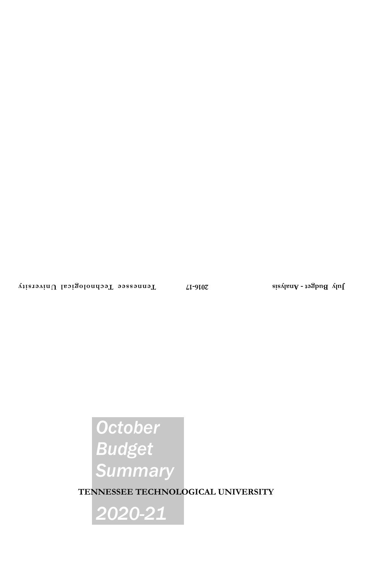# *October Budget Summary*

**TENNESSEE TECHNOLOGICAL UNIVERSITY**

*2020-21*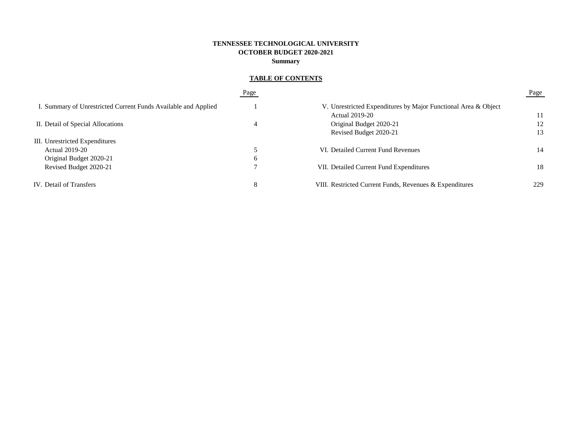## **TENNESSEE TECHNOLOGICAL UNIVERSITY OCTOBER BUDGET 2020-2021 Summary**

# **TABLE OF CONTENTS**

|                                                                | Page |                                                                | Page |
|----------------------------------------------------------------|------|----------------------------------------------------------------|------|
| I. Summary of Unrestricted Current Funds Available and Applied |      | V. Unrestricted Expenditures by Major Functional Area & Object |      |
|                                                                |      | <b>Actual 2019-20</b>                                          |      |
| II. Detail of Special Allocations                              | 4    | Original Budget 2020-21                                        | 12   |
|                                                                |      | Revised Budget 2020-21                                         | 13   |
| III. Unrestricted Expenditures                                 |      |                                                                |      |
| <b>Actual 2019-20</b>                                          |      | VI. Detailed Current Fund Revenues                             | 14   |
| Original Budget 2020-21                                        | 6    |                                                                |      |
| Revised Budget 2020-21                                         |      | VII. Detailed Current Fund Expenditures                        | 18   |
| IV. Detail of Transfers                                        | 8    | VIII. Restricted Current Funds, Revenues & Expenditures        | 229  |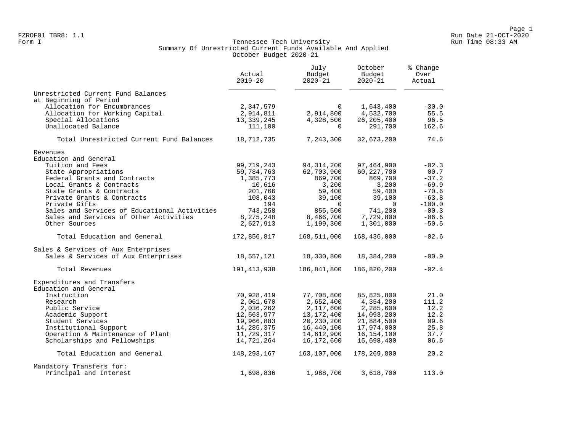#### Form I Georgian Communication of the Communication of Tennessee Tech University Communication Run Time 08:33 AM Summary Of Unrestricted Current Funds Available And Applied October Budget 2020-21

|                                                                  | Actual<br>$2019 - 20$    | July<br>Budget<br>$2020 - 21$ | October<br>Budget<br>$2020 - 21$ | % Change<br>Over<br>Actual |  |
|------------------------------------------------------------------|--------------------------|-------------------------------|----------------------------------|----------------------------|--|
| Unrestricted Current Fund Balances                               |                          |                               |                                  |                            |  |
| at Beginning of Period                                           |                          |                               |                                  |                            |  |
| Allocation for Encumbrances                                      | 2,347,579                | $\Omega$                      | 1,643,400                        | $-30.0$                    |  |
| Allocation for Working Capital                                   | 2,914,811                | 2,914,800                     | 4,532,700                        | 55.5                       |  |
| Special Allocations<br>Unallocated Balance                       | 13,339,245<br>111,100    | 4,328,500<br>$\Omega$         | 26, 205, 400<br>291,700          | 96.5<br>162.6              |  |
| Total Unrestricted Current Fund Balances                         | 18,712,735               | 7,243,300                     | 32,673,200                       | 74.6                       |  |
| Revenues                                                         |                          |                               |                                  |                            |  |
| Education and General                                            |                          |                               |                                  |                            |  |
| Tuition and Fees                                                 | 99,719,243               | 94, 314, 200                  | 97,464,900                       | $-02.3$                    |  |
| State Appropriations                                             | 59,784,763               | 62,703,900                    | 60, 227, 700                     | 00.7                       |  |
| Federal Grants and Contracts                                     | 1,385,773                | 869,700                       | 869,700                          | $-37.2$                    |  |
| Local Grants & Contracts                                         | 10,616                   | 3,200                         | 3,200                            | $-69.9$                    |  |
| State Grants & Contracts                                         | 201,766                  | 59,400                        | 59,400                           | $-70.6$                    |  |
| Private Grants & Contracts                                       | 108,043                  | 39,100                        | 39,100                           | $-63.8$                    |  |
| Private Gifts                                                    | 194                      | $\Omega$                      | $\Omega$                         | $-100.0$                   |  |
| Sales and Services of Educational Activities                     | 743,258                  | 855,500                       | 741,200                          | $-00.3$                    |  |
| Sales and Services of Other Activities                           | 8,275,248                | 8,466,700                     | 7,729,800                        | $-06.6$                    |  |
| Other Sources                                                    | 2,627,913                | 1,199,300                     | 1,301,000                        | $-50.5$                    |  |
| Total Education and General                                      | 172,856,817              | 168,511,000                   | 168,436,000                      | $-02.6$                    |  |
| Sales & Services of Aux Enterprises                              |                          |                               |                                  |                            |  |
| Sales & Services of Aux Enterprises                              | 18,557,121               | 18,330,800                    | 18,384,200                       | $-00.9$                    |  |
| Total Revenues                                                   | 191, 413, 938            | 186,841,800                   | 186,820,200                      | $-02.4$                    |  |
| Expenditures and Transfers                                       |                          |                               |                                  |                            |  |
| Education and General                                            |                          |                               |                                  |                            |  |
| Instruction                                                      | 70,928,419               | 77,708,800                    | 85,825,800                       | 21.0                       |  |
| Research                                                         | 2,061,670                | 2,652,400                     | 4,354,200                        | 111.2                      |  |
| Public Service                                                   | 2,036,262                | 2,117,600                     | 2,285,600                        | 12.2<br>12.2               |  |
| Academic Support                                                 | 12,563,977               | 13,172,400                    | 14,093,200                       | 09.6                       |  |
| Student Services                                                 | 19,966,883               | 20,230,200                    | 21,884,500                       |                            |  |
| Institutional Support                                            | 14, 285, 375             | 16,440,100                    | 17,974,000                       | 25.8<br>37.7               |  |
| Operation & Maintenance of Plant<br>Scholarships and Fellowships | 11,729,317<br>14,721,264 | 14,612,900<br>16,172,600      | 16,154,100<br>15,698,400         | 06.6                       |  |
| Total Education and General                                      | 148,293,167              | 163,107,000                   | 178,269,800                      | 20.2                       |  |
|                                                                  |                          |                               |                                  |                            |  |
| Mandatory Transfers for:<br>Principal and Interest               | 1,698,836                | 1,988,700                     | 3,618,700                        | 113.0                      |  |
|                                                                  |                          |                               |                                  |                            |  |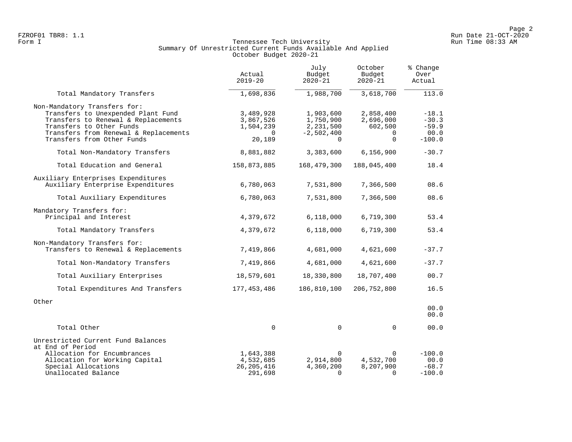#### Form I Georgian Communication of the Communication of Tennessee Tech University Communication Run Time 08:33 AM Summary Of Unrestricted Current Funds Available And Applied October Budget 2020-21

|                                                                                                                                                                                                              | Actual<br>$2019 - 20$                                     | July<br>Budget<br>$2020 - 21$                                   | October<br>Budget<br>$2020 - 21$                          | % Change<br>Over<br>Actual                        |
|--------------------------------------------------------------------------------------------------------------------------------------------------------------------------------------------------------------|-----------------------------------------------------------|-----------------------------------------------------------------|-----------------------------------------------------------|---------------------------------------------------|
| Total Mandatory Transfers                                                                                                                                                                                    | 1,698,836                                                 | 1,988,700                                                       | 3,618,700                                                 | 113.0                                             |
| Non-Mandatory Transfers for:<br>Transfers to Unexpended Plant Fund<br>Transfers to Renewal & Replacements<br>Transfers to Other Funds<br>Transfers from Renewal & Replacements<br>Transfers from Other Funds | 3,489,928<br>3,867,526<br>1,504,239<br>$\Omega$<br>20,189 | 1,903,600<br>1,750,900<br>2,231,500<br>$-2,502,400$<br>$\Omega$ | 2,858,400<br>2,696,000<br>602,500<br>$\Omega$<br>$\Omega$ | $-18.1$<br>$-30.3$<br>$-59.9$<br>00.0<br>$-100.0$ |
| Total Non-Mandatory Transfers                                                                                                                                                                                | 8,881,882                                                 | 3,383,600                                                       | 6, 156, 900                                               | $-30.7$                                           |
| Total Education and General                                                                                                                                                                                  | 158,873,885                                               | 168,479,300                                                     | 188,045,400                                               | 18.4                                              |
| Auxiliary Enterprises Expenditures<br>Auxiliary Enterprise Expenditures                                                                                                                                      | 6,780,063                                                 | 7,531,800                                                       | 7,366,500                                                 | 08.6                                              |
| Total Auxiliary Expenditures                                                                                                                                                                                 | 6,780,063                                                 | 7,531,800                                                       | 7,366,500                                                 | 08.6                                              |
| Mandatory Transfers for:<br>Principal and Interest                                                                                                                                                           | 4,379,672                                                 | 6,118,000                                                       | 6,719,300                                                 | 53.4                                              |
| Total Mandatory Transfers                                                                                                                                                                                    | 4,379,672                                                 | 6,118,000                                                       | 6,719,300                                                 | 53.4                                              |
| Non-Mandatory Transfers for:<br>Transfers to Renewal & Replacements                                                                                                                                          | 7,419,866                                                 | 4,681,000                                                       | 4,621,600                                                 | $-37.7$                                           |
| Total Non-Mandatory Transfers                                                                                                                                                                                | 7,419,866                                                 | 4,681,000                                                       | 4,621,600                                                 | $-37.7$                                           |
| Total Auxiliary Enterprises                                                                                                                                                                                  | 18,579,601                                                | 18,330,800                                                      | 18,707,400                                                | 00.7                                              |
| Total Expenditures And Transfers                                                                                                                                                                             | 177,453,486                                               | 186,810,100                                                     | 206,752,800                                               | 16.5                                              |
| Other                                                                                                                                                                                                        |                                                           |                                                                 |                                                           | 00.0<br>00.0                                      |
| Total Other                                                                                                                                                                                                  | $\mathbf 0$                                               | $\mathbf 0$                                                     | $\Omega$                                                  | 00.0                                              |
| Unrestricted Current Fund Balances<br>at End of Period<br>Allocation for Encumbrances<br>Allocation for Working Capital                                                                                      | 1,643,388<br>4,532,685                                    | $\Omega$<br>2,914,800                                           | <sup>n</sup><br>4,532,700                                 | $-100.0$<br>00.0                                  |
| Special Allocations<br>Unallocated Balance                                                                                                                                                                   | 26, 205, 416<br>291,698                                   | 4,360,200<br>$\Omega$                                           | 8,207,900<br>$\Omega$                                     | $-68.7$<br>$-100.0$                               |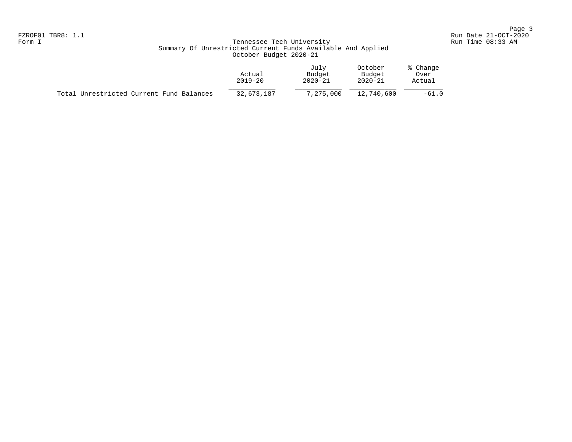## Form I Georgian Communication of the Communication of Tennessee Tech University Communication Run Time 08:33 AM Summary Of Unrestricted Current Funds Available And Applied October Budget 2020-21

|                                          | Actual<br>$2019 - 20$ | July<br>Budget<br>$2020 - 21$ | October<br>Budget<br>$2020 - 21$ | % Change<br>Over<br>Actual |
|------------------------------------------|-----------------------|-------------------------------|----------------------------------|----------------------------|
| Total Unrestricted Current Fund Balances | 32,673,187            | 7,275,000                     | 12,740,600                       | $-61.0$                    |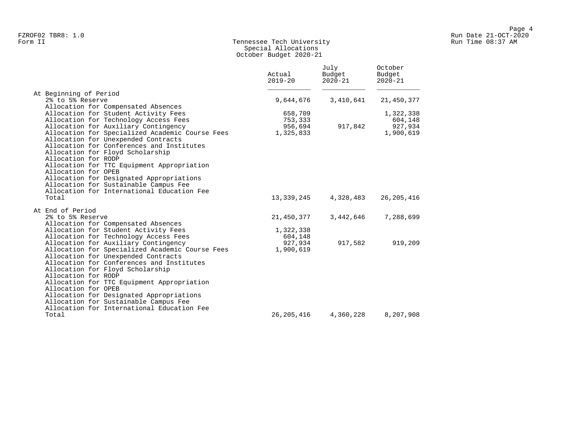## Form II Tennessee Tech University Run Time 08:37 AM Special Allocations October Budget 2020-21

| At Beginning of Period<br>2% to 5% Reserve<br>9,644,676<br>3,410,641<br>Allocation for Compensated Absences<br>Allocation for Student Activity Fees<br>658,709<br>1,322,338<br>Allocation for Technology Access Fees<br>753,333<br>604,148<br>Allocation for Auxiliary Contingency<br>956,694<br>917,842<br>927,934<br>Allocation for Specialized Academic Course Fees<br>1,325,833<br>1,900,619<br>Allocation for Unexpended Contracts<br>Allocation for Conferences and Institutes<br>Allocation for Floyd Scholarship<br>Allocation for RODP<br>Allocation for TTC Equipment Appropriation<br>Allocation for OPEB<br>Allocation for Designated Appropriations<br>Allocation for Sustainable Campus Fee<br>Allocation for International Education Fee<br>26, 205, 416<br>Total<br>13,339,245<br>4,328,483<br>At End of Period<br>2% to 5% Reserve<br>3,442,646<br>21,450,377<br>Allocation for Compensated Absences<br>Allocation for Student Activity Fees<br>1,322,338<br>Allocation for Technology Access Fees<br>604,148<br>917,582<br>Allocation for Auxiliary Contingency<br>927,934<br>919,209<br>Allocation for Specialized Academic Course Fees<br>1,900,619<br>Allocation for Unexpended Contracts<br>Allocation for Conferences and Institutes<br>Allocation for Floyd Scholarship<br>Allocation for RODP<br>Allocation for TTC Equipment Appropriation<br>Allocation for OPEB<br>Allocation for Designated Appropriations<br>Allocation for Sustainable Campus Fee<br>Allocation for International Education Fee |       | Actual<br>$2019 - 20$ | July<br>Budget<br>$2020 - 21$ | October<br>Budget<br>$2020 - 21$ |
|--------------------------------------------------------------------------------------------------------------------------------------------------------------------------------------------------------------------------------------------------------------------------------------------------------------------------------------------------------------------------------------------------------------------------------------------------------------------------------------------------------------------------------------------------------------------------------------------------------------------------------------------------------------------------------------------------------------------------------------------------------------------------------------------------------------------------------------------------------------------------------------------------------------------------------------------------------------------------------------------------------------------------------------------------------------------------------------------------------------------------------------------------------------------------------------------------------------------------------------------------------------------------------------------------------------------------------------------------------------------------------------------------------------------------------------------------------------------------------------------------------------------------------|-------|-----------------------|-------------------------------|----------------------------------|
|                                                                                                                                                                                                                                                                                                                                                                                                                                                                                                                                                                                                                                                                                                                                                                                                                                                                                                                                                                                                                                                                                                                                                                                                                                                                                                                                                                                                                                                                                                                                |       |                       |                               |                                  |
|                                                                                                                                                                                                                                                                                                                                                                                                                                                                                                                                                                                                                                                                                                                                                                                                                                                                                                                                                                                                                                                                                                                                                                                                                                                                                                                                                                                                                                                                                                                                |       |                       |                               | 21,450,377                       |
|                                                                                                                                                                                                                                                                                                                                                                                                                                                                                                                                                                                                                                                                                                                                                                                                                                                                                                                                                                                                                                                                                                                                                                                                                                                                                                                                                                                                                                                                                                                                |       |                       |                               |                                  |
|                                                                                                                                                                                                                                                                                                                                                                                                                                                                                                                                                                                                                                                                                                                                                                                                                                                                                                                                                                                                                                                                                                                                                                                                                                                                                                                                                                                                                                                                                                                                |       |                       |                               |                                  |
|                                                                                                                                                                                                                                                                                                                                                                                                                                                                                                                                                                                                                                                                                                                                                                                                                                                                                                                                                                                                                                                                                                                                                                                                                                                                                                                                                                                                                                                                                                                                |       |                       |                               |                                  |
|                                                                                                                                                                                                                                                                                                                                                                                                                                                                                                                                                                                                                                                                                                                                                                                                                                                                                                                                                                                                                                                                                                                                                                                                                                                                                                                                                                                                                                                                                                                                |       |                       |                               |                                  |
|                                                                                                                                                                                                                                                                                                                                                                                                                                                                                                                                                                                                                                                                                                                                                                                                                                                                                                                                                                                                                                                                                                                                                                                                                                                                                                                                                                                                                                                                                                                                |       |                       |                               |                                  |
|                                                                                                                                                                                                                                                                                                                                                                                                                                                                                                                                                                                                                                                                                                                                                                                                                                                                                                                                                                                                                                                                                                                                                                                                                                                                                                                                                                                                                                                                                                                                |       |                       |                               |                                  |
|                                                                                                                                                                                                                                                                                                                                                                                                                                                                                                                                                                                                                                                                                                                                                                                                                                                                                                                                                                                                                                                                                                                                                                                                                                                                                                                                                                                                                                                                                                                                |       |                       |                               |                                  |
|                                                                                                                                                                                                                                                                                                                                                                                                                                                                                                                                                                                                                                                                                                                                                                                                                                                                                                                                                                                                                                                                                                                                                                                                                                                                                                                                                                                                                                                                                                                                |       |                       |                               |                                  |
|                                                                                                                                                                                                                                                                                                                                                                                                                                                                                                                                                                                                                                                                                                                                                                                                                                                                                                                                                                                                                                                                                                                                                                                                                                                                                                                                                                                                                                                                                                                                |       |                       |                               |                                  |
|                                                                                                                                                                                                                                                                                                                                                                                                                                                                                                                                                                                                                                                                                                                                                                                                                                                                                                                                                                                                                                                                                                                                                                                                                                                                                                                                                                                                                                                                                                                                |       |                       |                               |                                  |
|                                                                                                                                                                                                                                                                                                                                                                                                                                                                                                                                                                                                                                                                                                                                                                                                                                                                                                                                                                                                                                                                                                                                                                                                                                                                                                                                                                                                                                                                                                                                |       |                       |                               |                                  |
|                                                                                                                                                                                                                                                                                                                                                                                                                                                                                                                                                                                                                                                                                                                                                                                                                                                                                                                                                                                                                                                                                                                                                                                                                                                                                                                                                                                                                                                                                                                                |       |                       |                               |                                  |
|                                                                                                                                                                                                                                                                                                                                                                                                                                                                                                                                                                                                                                                                                                                                                                                                                                                                                                                                                                                                                                                                                                                                                                                                                                                                                                                                                                                                                                                                                                                                |       |                       |                               |                                  |
|                                                                                                                                                                                                                                                                                                                                                                                                                                                                                                                                                                                                                                                                                                                                                                                                                                                                                                                                                                                                                                                                                                                                                                                                                                                                                                                                                                                                                                                                                                                                |       |                       |                               |                                  |
|                                                                                                                                                                                                                                                                                                                                                                                                                                                                                                                                                                                                                                                                                                                                                                                                                                                                                                                                                                                                                                                                                                                                                                                                                                                                                                                                                                                                                                                                                                                                |       |                       |                               |                                  |
|                                                                                                                                                                                                                                                                                                                                                                                                                                                                                                                                                                                                                                                                                                                                                                                                                                                                                                                                                                                                                                                                                                                                                                                                                                                                                                                                                                                                                                                                                                                                |       |                       |                               | 7,288,699                        |
|                                                                                                                                                                                                                                                                                                                                                                                                                                                                                                                                                                                                                                                                                                                                                                                                                                                                                                                                                                                                                                                                                                                                                                                                                                                                                                                                                                                                                                                                                                                                |       |                       |                               |                                  |
|                                                                                                                                                                                                                                                                                                                                                                                                                                                                                                                                                                                                                                                                                                                                                                                                                                                                                                                                                                                                                                                                                                                                                                                                                                                                                                                                                                                                                                                                                                                                |       |                       |                               |                                  |
|                                                                                                                                                                                                                                                                                                                                                                                                                                                                                                                                                                                                                                                                                                                                                                                                                                                                                                                                                                                                                                                                                                                                                                                                                                                                                                                                                                                                                                                                                                                                |       |                       |                               |                                  |
|                                                                                                                                                                                                                                                                                                                                                                                                                                                                                                                                                                                                                                                                                                                                                                                                                                                                                                                                                                                                                                                                                                                                                                                                                                                                                                                                                                                                                                                                                                                                |       |                       |                               |                                  |
|                                                                                                                                                                                                                                                                                                                                                                                                                                                                                                                                                                                                                                                                                                                                                                                                                                                                                                                                                                                                                                                                                                                                                                                                                                                                                                                                                                                                                                                                                                                                |       |                       |                               |                                  |
|                                                                                                                                                                                                                                                                                                                                                                                                                                                                                                                                                                                                                                                                                                                                                                                                                                                                                                                                                                                                                                                                                                                                                                                                                                                                                                                                                                                                                                                                                                                                |       |                       |                               |                                  |
|                                                                                                                                                                                                                                                                                                                                                                                                                                                                                                                                                                                                                                                                                                                                                                                                                                                                                                                                                                                                                                                                                                                                                                                                                                                                                                                                                                                                                                                                                                                                |       |                       |                               |                                  |
|                                                                                                                                                                                                                                                                                                                                                                                                                                                                                                                                                                                                                                                                                                                                                                                                                                                                                                                                                                                                                                                                                                                                                                                                                                                                                                                                                                                                                                                                                                                                |       |                       |                               |                                  |
|                                                                                                                                                                                                                                                                                                                                                                                                                                                                                                                                                                                                                                                                                                                                                                                                                                                                                                                                                                                                                                                                                                                                                                                                                                                                                                                                                                                                                                                                                                                                |       |                       |                               |                                  |
|                                                                                                                                                                                                                                                                                                                                                                                                                                                                                                                                                                                                                                                                                                                                                                                                                                                                                                                                                                                                                                                                                                                                                                                                                                                                                                                                                                                                                                                                                                                                |       |                       |                               |                                  |
|                                                                                                                                                                                                                                                                                                                                                                                                                                                                                                                                                                                                                                                                                                                                                                                                                                                                                                                                                                                                                                                                                                                                                                                                                                                                                                                                                                                                                                                                                                                                |       |                       |                               |                                  |
|                                                                                                                                                                                                                                                                                                                                                                                                                                                                                                                                                                                                                                                                                                                                                                                                                                                                                                                                                                                                                                                                                                                                                                                                                                                                                                                                                                                                                                                                                                                                |       |                       |                               |                                  |
|                                                                                                                                                                                                                                                                                                                                                                                                                                                                                                                                                                                                                                                                                                                                                                                                                                                                                                                                                                                                                                                                                                                                                                                                                                                                                                                                                                                                                                                                                                                                |       |                       |                               |                                  |
|                                                                                                                                                                                                                                                                                                                                                                                                                                                                                                                                                                                                                                                                                                                                                                                                                                                                                                                                                                                                                                                                                                                                                                                                                                                                                                                                                                                                                                                                                                                                | Total | 26, 205, 416          | 4,360,228                     | 8,207,908                        |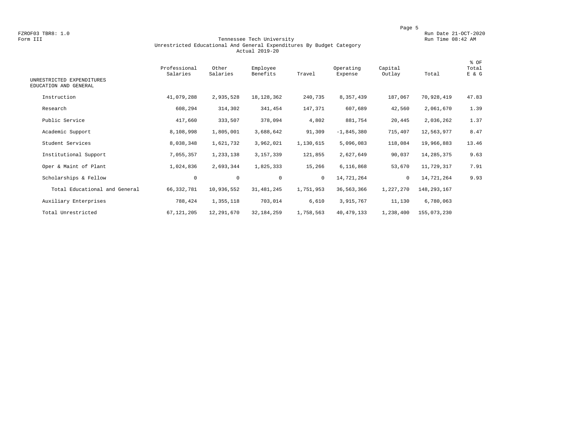FZROF03 TBR8: 1.0<br>Form III Run Date 21-OCT-2020<br>Form III Run Time 08:42 AM

#### Form III Tennessee Tech University Run Time 08:42 AM Unrestricted Educational And General Expenditures By Budget Category Actual 2019-20

| UNRESTRICTED EXPENDITURES<br>EDUCATION AND GENERAL | Professional<br>Salaries | Other<br>Salaries | Employee<br>Benefits | Travel    | Operating<br>Expense | Capital<br>Outlay | Total       | % OF<br>Total<br>E & G |
|----------------------------------------------------|--------------------------|-------------------|----------------------|-----------|----------------------|-------------------|-------------|------------------------|
| Instruction                                        | 41,079,288               | 2,935,528         | 18, 128, 362         | 240,735   | 8,357,439            | 187,067           | 70,928,419  | 47.83                  |
| Research                                           | 608,294                  | 314,302           | 341,454              | 147,371   | 607,689              | 42,560            | 2,061,670   | 1.39                   |
| Public Service                                     | 417,660                  | 333,507           | 378,094              | 4,802     | 881,754              | 20,445            | 2,036,262   | 1.37                   |
| Academic Support                                   | 8,108,998                | 1,805,001         | 3,688,642            | 91,309    | $-1,845,380$         | 715,407           | 12,563,977  | 8.47                   |
| Student Services                                   | 8,038,348                | 1,621,732         | 3,962,021            | 1,130,615 | 5,096,083            | 118,084           | 19,966,883  | 13.46                  |
| Institutional Support                              | 7,055,357                | 1,233,138         | 3,157,339            | 121,855   | 2,627,649            | 90,037            | 14,285,375  | 9.63                   |
| Oper & Maint of Plant                              | 1,024,836                | 2,693,344         | 1,825,333            | 15,266    | 6,116,868            | 53,670            | 11,729,317  | 7.91                   |
| Scholarships & Fellow                              | $\mathbf 0$              | $\mathsf{O}$      | $\mathbf 0$          | $\circ$   | 14,721,264           | $\circ$           | 14,721,264  | 9.93                   |
| Total Educational and General                      | 66, 332, 781             | 10,936,552        | 31, 481, 245         | 1,751,953 | 36, 563, 366         | 1,227,270         | 148,293,167 |                        |
| Auxiliary Enterprises                              | 788,424                  | 1,355,118         | 703,014              | 6,610     | 3,915,767            | 11,130            | 6,780,063   |                        |
| Total Unrestricted                                 | 67, 121, 205             | 12,291,670        | 32, 184, 259         | 1,758,563 | 40, 479, 133         | 1,238,400         | 155,073,230 |                        |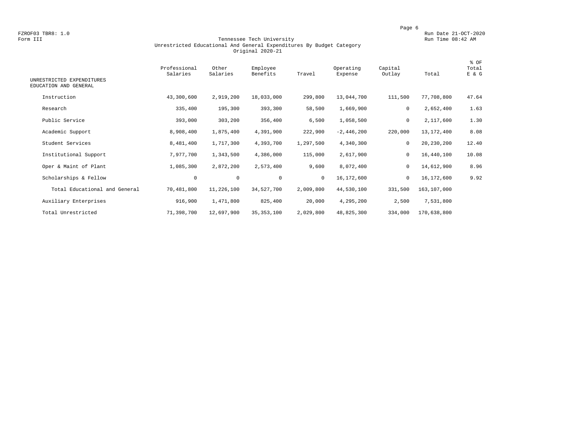FZROF03 TBR8: 1.0<br>Form III Run Date 21-OCT-2020<br>Form III Run Time 08:42 AM

#### Form III Tennessee Tech University Run Time 08:42 AM Unrestricted Educational And General Expenditures By Budget Category Original 2020-21

| UNRESTRICTED EXPENDITURES<br>EDUCATION AND GENERAL | Professional<br>Salaries | Other<br>Salaries | Employee<br>Benefits | Travel       | Operating<br>Expense | Capital<br>Outlay | Total       | % OF<br>Total<br>E & G |
|----------------------------------------------------|--------------------------|-------------------|----------------------|--------------|----------------------|-------------------|-------------|------------------------|
| Instruction                                        | 43,300,600               | 2,919,200         | 18,033,000           | 299,800      | 13,044,700           | 111,500           | 77,708,800  | 47.64                  |
| Research                                           | 335,400                  | 195,300           | 393,300              | 58,500       | 1,669,900            | 0                 | 2,652,400   | 1.63                   |
| Public Service                                     | 393,000                  | 303,200           | 356,400              | 6,500        | 1,058,500            | 0                 | 2,117,600   | 1.30                   |
| Academic Support                                   | 8,908,400                | 1,875,400         | 4,391,900            | 222,900      | $-2,446,200$         | 220,000           | 13,172,400  | 8.08                   |
| Student Services                                   | 8,481,400                | 1,717,300         | 4,393,700            | 1,297,500    | 4,340,300            | $\mathbf 0$       | 20,230,200  | 12.40                  |
| Institutional Support                              | 7,977,700                | 1,343,500         | 4,386,000            | 115,000      | 2,617,900            | 0                 | 16,440,100  | 10.08                  |
| Oper & Maint of Plant                              | 1,085,300                | 2,872,200         | 2,573,400            | 9,600        | 8,072,400            | 0                 | 14,612,900  | 8.96                   |
| Scholarships & Fellow                              | $\circ$                  | $\mathbf 0$       | $\mathbf 0$          | $\mathbf{0}$ | 16,172,600           | $\mathbf 0$       | 16,172,600  | 9.92                   |
| Total Educational and General                      | 70,481,800               | 11,226,100        | 34,527,700           | 2,009,800    | 44,530,100           | 331,500           | 163,107,000 |                        |
| Auxiliary Enterprises                              | 916,900                  | 1,471,800         | 825,400              | 20,000       | 4,295,200            | 2,500             | 7,531,800   |                        |
| Total Unrestricted                                 | 71,398,700               | 12,697,900        | 35, 353, 100         | 2,029,800    | 48,825,300           | 334,000           | 170,638,800 |                        |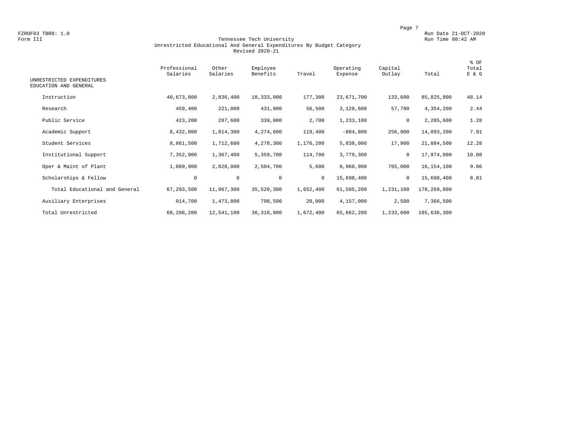FZROF03 TBR8: 1.0<br>Form III Run Date 21-OCT-2020 Run Date 21-OCT-2020<br>Form III Run Time 08:42 AM

#### Form III Tennessee Tech University Run Time 08:42 AM Unrestricted Educational And General Expenditures By Budget Category Revised 2020-21

| UNRESTRICTED EXPENDITURES<br>EDUCATION AND GENERAL | Professional<br>Salaries | Other<br>Salaries | Employee<br>Benefits | Travel    | Operating<br>Expense | Capital<br>Outlay | Total       | % OF<br>Total<br>E & G |
|----------------------------------------------------|--------------------------|-------------------|----------------------|-----------|----------------------|-------------------|-------------|------------------------|
| Instruction                                        | 40,673,800               | 2,836,400         | 18,333,000           | 177,300   | 23,671,700           | 133,600           | 85,825,800  | 48.14                  |
| Research                                           | 459,400                  | 221,000           | 431,000              | 56,500    | 3,128,600            | 57,700            | 4,354,200   | 2.44                   |
| Public Service                                     | 423,200                  | 287,600           | 339,000              | 2,700     | 1,233,100            | 0                 | 2,285,600   | 1.28                   |
| Academic Support                                   | 8,432,800                | 1,814,300         | 4,274,600            | 119,400   | $-804, 800$          | 256,900           | 14,093,200  | 7.91                   |
| Student Services                                   | 8,861,500                | 1,712,600         | 4,278,300            | 1,176,200 | 5,838,000            | 17,900            | 21,884,500  | 12.28                  |
| Institutional Support                              | 7,352,900                | 1,367,400         | 5,359,700            | 114,700   | 3,779,300            | 0                 | 17,974,000  | 10.08                  |
| Oper & Maint of Plant                              | 1,089,900                | 2,828,000         | 2,504,700            | 5,600     | 8,960,900            | 765,000           | 16,154,100  | 9.06                   |
| Scholarships & Fellow                              | $\mathbf 0$              | $\mathbf 0$       | $\mathbf 0$          | $\circ$   | 15,698,400           | $\mathbf 0$       | 15,698,400  | 8.81                   |
| Total Educational and General                      | 67, 293, 500             | 11,067,300        | 35,520,300           | 1,652,400 | 61,505,200           | 1,231,100         | 178,269,800 |                        |
| Auxiliary Enterprises                              | 914,700                  | 1,473,800         | 798,500              | 20,000    | 4,157,000            | 2,500             | 7,366,500   |                        |
| Total Unrestricted                                 | 68,208,200               | 12,541,100        | 36, 318, 800         | 1,672,400 | 65,662,200           | 1,233,600         | 185,636,300 |                        |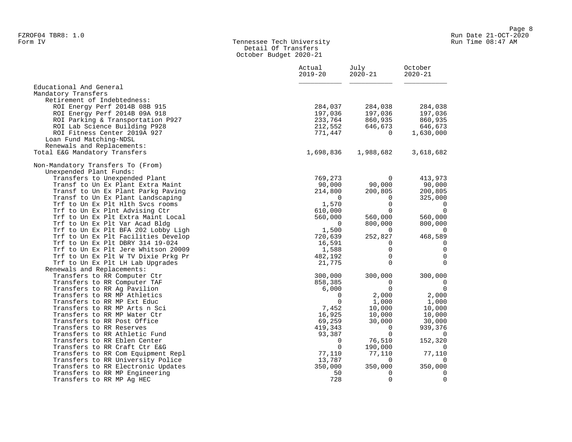#### Form IV Tennessee Tech University Run Time 08:47 AM Detail Of Transfers October Budget 2020-21

|                                                            | Actual<br>$2019 - 20$ | July<br>$2020 - 21$     | October<br>$2020 - 21$ |
|------------------------------------------------------------|-----------------------|-------------------------|------------------------|
| Educational And General                                    |                       |                         |                        |
| Mandatory Transfers                                        |                       |                         |                        |
| Retirement of Indebtedness:                                |                       |                         |                        |
| ROI Energy Perf 2014B 08B 915                              | 284,037               | 284,038                 | 284,038                |
| ROI Energy Perf 2014B 09A 918                              | 197,036               | 197,036                 | 197,036                |
| ROI Parking & Transportation P927                          | 233,764               | 860,935                 | 860,935                |
| ROI Lab Science Building P928                              | 212,552               | 646,673                 | 646,673                |
| ROI Fitness Center 2019A 927                               | 771,447               | $\Omega$                | 1,630,000              |
| Loan Fund Matching-NDSL                                    |                       |                         |                        |
| Renewals and Replacements:                                 |                       |                         |                        |
| Total E&G Mandatory Transfers                              | 1,698,836             | 1,988,682               | 3,618,682              |
| Non-Mandatory Transfers To (From)                          |                       |                         |                        |
| Unexpended Plant Funds:                                    |                       |                         |                        |
| Transfers to Unexpended Plant                              | 769,273               | 0                       | 413,973                |
| Transf to Un Ex Plant Extra Maint                          | 90,000                | 90,000                  | 90,000                 |
| Transf to Un Ex Plant Parkg Paving                         | 214,800               | 200,805                 | 200,805                |
| Transf to Un Ex Plant Landscaping                          | $\Omega$              | $\Omega$                | 325,000                |
| Trf to Un Ex Plt Hlth Svcs rooms                           | 1,570                 | $\mathbf 0$             | $\overline{0}$         |
| Trf to Un Ex Plnt Advising Ctr                             | 610,000               | 0                       | $\overline{0}$         |
| Trf to Un Ex Plt Extra Maint Local                         | 560,000               | 560,000                 | 560,000                |
| Trf to Un Ex Plt Var Acad Bldg                             | $\overline{0}$        | 800,000                 | 800,000                |
| Trf to Un Ex Plt BFA 202 Lobby Ligh                        | 1,500                 | $\Omega$                | $\Omega$               |
| Trf to Un Ex Plt Facilities Develop                        | 720,639               | 252,827                 | 468,589                |
| Trf to Un Ex Plt DBRY 314 19-024                           | 16,591                | 0                       | 0                      |
| Trf to Un Ex Plt Jere Whitson 20009                        | 1,588                 | $\Omega$                | $\mathbf 0$            |
| Trf to Un Ex Plt W TV Dixie Prkg Pr                        | 482,192               | $\mathbf 0$<br>$\Omega$ | $\mathbf 0$            |
| Trf to Un Ex Plt LH Lab Upgrades                           | 21,775                |                         | $\mathbf 0$            |
| Renewals and Replacements:<br>Transfers to RR Computer Ctr | 300,000               | 300,000                 | 300,000                |
| Transfers to RR Computer TAF                               | 858,385               | $\Omega$                | 0                      |
| Transfers to RR Aq Pavilion                                | 6,000                 | $\mathbf 0$             | $\overline{0}$         |
| Transfers to RR MP Athletics                               | 0                     | 2,000                   | 2,000                  |
| Transfers to RR MP Ext Educ                                | $\Omega$              | 1,000                   | 1,000                  |
| Transfers to RR MP Arts n Sci                              | 7,452                 | 10,000                  | 10,000                 |
| Transfers to RR MP Water Ctr                               | 16,925                | 10,000                  | 10,000                 |
| Transfers to RR Post Office                                | 69,259                | 30,000                  | 30,000                 |
| Transfers to RR Reserves                                   | 419,343               | 0                       | 939,376                |
| Transfers to RR Athletic Fund                              | 93,387                | $\Omega$                | 0                      |
| Transfers to RR Eblen Center                               | 0                     | 76,510                  | 152,320                |
| Transfers to RR Craft Ctr E&G                              | $\mathbf 0$           | 190,000                 | $\overline{0}$         |
| Transfers to RR Com Equipment Repl                         | 77,110                | 77,110                  | 77,110                 |
| Transfers to RR University Police                          | 13,787                | 0                       | 0                      |
| Transfers to RR Electronic Updates                         | 350,000               | 350,000                 | 350,000                |
| Transfers to RR MP Engineering                             | 50                    | 0                       | 0                      |
| Transfers to RR MP Aq HEC                                  | 728                   | $\Omega$                | $\mathbf 0$            |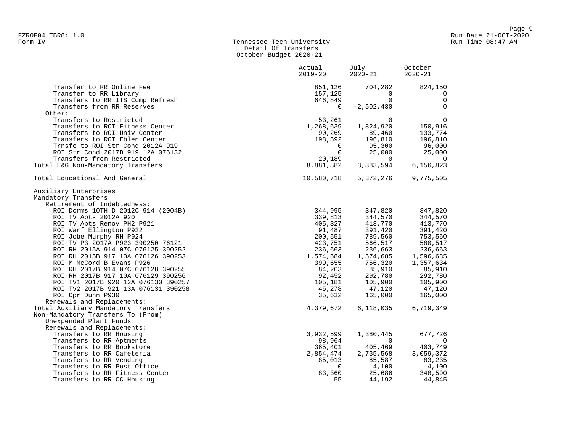#### Form IV **Example 2018** Tennessee Tech University Communication Run Time 08:47 AM Detail Of Transfers October Budget 2020-21

|                                     | Actual<br>$2019 - 20$ | July<br>$2020 - 21$                 | October<br>$2020 - 21$   |
|-------------------------------------|-----------------------|-------------------------------------|--------------------------|
| Transfer to RR Online Fee           | 851,126               | 704,282                             | 824,150                  |
| Transfer to RR Library              | 157,125               | $\Omega$                            | 0                        |
| Transfers to RR ITS Comp Refresh    | 646,849               | $\Omega$                            | $\Omega$                 |
| Transfers from RR Reserves          | $\Omega$              | $-2,502,430$                        | $\mathbf 0$              |
| Other:                              |                       |                                     |                          |
| Transfers to Restricted             | $-53,261$             | $\Omega$                            | $\mathbf 0$              |
| Transfers to ROI Fitness Center     | 1,268,639             | 1,824,920                           | 150,916                  |
| Transfers to ROI Univ Center        | 90,269                | 89,460                              | 133,774                  |
| Transfers to ROI Eblen Center       | 198,592               | 196,810<br>95,300                   | 196,810                  |
| Trnsfe to ROI Str Cond 2012A 919    | $\Omega$              |                                     | 96,000                   |
| ROI Str Cond 2017B 919 12A 076132   | $\Omega$              | 25,000                              | 25,000                   |
| Transfers from Restricted           |                       |                                     | $\overline{\phantom{0}}$ |
| Total E&G Non-Mandatory Transfers   | 8,881,882             | $20,189$<br>$81,882$<br>$3,383,594$ | 6,156,823                |
| Total Educational And General       | 10,580,718            | 5,372,276                           | 9,775,505                |
| Auxiliary Enterprises               |                       |                                     |                          |
| Mandatory Transfers                 |                       |                                     |                          |
| Retirement of Indebtedness:         |                       |                                     |                          |
| ROI Dorms 10TH D 2012C 914 (2004B)  | 344,995               | 347,820                             | 347,820                  |
| ROI TV Apts 2012A 920               | 339,813               | 344,570                             | 344,570                  |
| ROI TV Apts Renov PH2 P921          | 405,327               | 413,770                             | 413,770                  |
| ROI Warf Ellington P922             | 91,487                | 391,420                             | 391,420                  |
| ROI Jobe Murphy RH P924             | 200,551               | 789,560                             | 753,560                  |
| ROI TV P3 2017A P923 390250 76121   | 423,751               | 566,517                             | 580,517                  |
| ROI RH 2015A 914 07C 076125 390252  | 236,663               | 236,663                             | 236,663                  |
| ROI RH 2015B 917 10A 076126 390253  | 1,574,684             | 1,574,685                           | 1,596,685                |
| ROI M McCord B Evans P926           | 399,655               | 756,320                             | 1,357,634                |
| ROI RH 2017B 914 07C 076128 390255  | 84,203                | 85,910                              | 85,910                   |
| ROI RH 2017B 917 10A 076129 390256  | 92,452                | 292,780                             | 292,780                  |
| ROI TV1 2017B 920 12A 076130 390257 | 105,181               | 105,900                             | 105,900                  |
| ROI TV2 2017B 921 13A 076131 390258 | 45,278                | 47,120                              | 47,120                   |
| ROI Cpr Dunn P930                   | 35,632                | 165,000                             | 165,000                  |
| Renewals and Replacements:          |                       |                                     |                          |
| Total Auxiliary Mandatory Transfers | 4,379,672             | 6,118,035                           | 6,719,349                |
| Non-Mandatory Transfers To (From)   |                       |                                     |                          |
| Unexpended Plant Funds:             |                       |                                     |                          |
| Renewals and Replacements:          |                       |                                     |                          |
| Transfers to RR Housing             | 3,932,599             | 1,380,445                           | 677,726                  |
| Transfers to RR Aptments            | 98,964                | $\overline{0}$                      | 0                        |
| Transfers to RR Bookstore           | 365,401               | 405,469                             | 403,749                  |
| Transfers to RR Cafeteria           | 2,854,474             | 2,735,568                           | 3,059,372                |
| Transfers to RR Vending             | 85,013                | 85,587                              | 83,235                   |
| Transfers to RR Post Office         | $\overline{0}$        | 4,100                               | 4,100                    |
| Transfers to RR Fitness Center      | 83,360                | 25,686                              | 348,590                  |
| Transfers to RR CC Housing          | 55                    | 44,192                              | 44,845                   |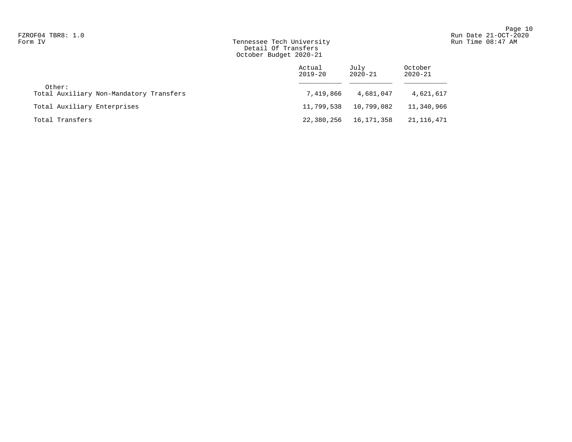## Form IV Run Time 08:47 AM Tennessee Tech University Run Time 08:47 AM Detail Of Transfers October Budget 2020-21

|                                                   | Actual<br>$2019 - 20$ | July<br>$2020 - 21$ | October<br>$2020 - 21$ |
|---------------------------------------------------|-----------------------|---------------------|------------------------|
| Other:<br>Total Auxiliary Non-Mandatory Transfers | 7,419,866             | 4,681,047           | 4,621,617              |
| Total Auxiliary Enterprises                       | 11,799,538            | 10,799,082          | 11,340,966             |
| Total Transfers                                   | 22,380,256            | 16,171,358          | 21,116,471             |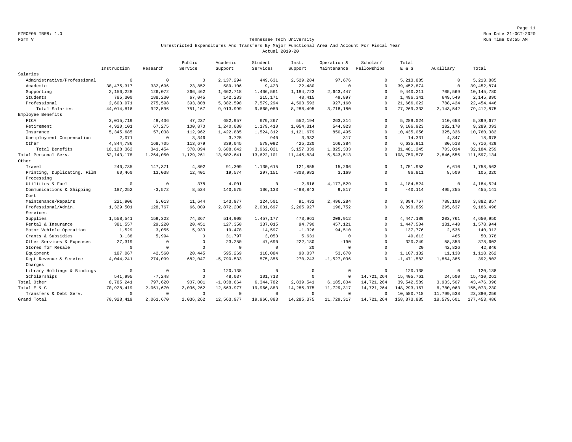Page 11 FZROF05 TBR8: 1.0 Run Date 21-OCT-2020

#### Form V Tennessee Tech University Run Time 08:55 AM Unrestricted Expenditures And Transfers By Major Functional Area And Account For Fiscal Year Actual 2019-20

|                             |              |              | Public    | Academic     | Student     | Inst.        | Operation &  | Scholar/    | Total         |             |               |
|-----------------------------|--------------|--------------|-----------|--------------|-------------|--------------|--------------|-------------|---------------|-------------|---------------|
|                             | Instruction  | Research     | Service   | Support      | Services    | Support      | Maintenance  | Fellowships | $E$ & $G$     | Auxiliary   | Total         |
| Salaries                    |              |              |           |              |             |              |              |             |               |             |               |
| Administrative/Professional | $\mathbf 0$  | $\mathbf 0$  | $\Omega$  | 2,137,294    | 449,631     | 2,529,284    | 97,676       | $\Omega$    | 5, 213, 885   | $^{\circ}$  | 5, 213, 885   |
| Academic                    | 38, 475, 317 | 332,696      | 23,852    | 589,106      | 9,423       | 22,480       | $\circ$      | $^{\circ}$  | 39, 452, 874  | $\mathbb O$ | 39, 452, 874  |
| Supporting                  | 2,150,228    | 126,072      | 266,462   | 1,662,718    | 1,406,561   | 1,184,723    | 2,643,447    | $\Omega$    | 9,440,211     | 705,569     | 10, 145, 780  |
| Students                    | 785,300      | 188,230      | 67,045    | 142,283      | 215,171     | 48,415       | 49,897       | $\Omega$    | 1,496,341     | 649,549     | 2,145,890     |
| Professional                | 2,603,971    | 275,598      | 393,808   | 5,382,598    | 7,579,294   | 4,503,593    | 927,160      | $\cap$      | 21,666,022    | 788,424     | 22, 454, 446  |
| Total Salaries              | 44,014,816   | 922,596      | 751,167   | 9,913,999    | 9,660,080   | 8,288,495    | 3,718,180    | $\mathbf 0$ | 77, 269, 333  | 2, 143, 542 | 79, 412, 875  |
| Employee Benefits           |              |              |           |              |             |              |              |             |               |             |               |
| FICA                        | 3,015,719    | 48,436       | 47,237    | 682,957      | 679,267     | 552,194      | 263,214      | $\Omega$    | 5,289,024     | 110,653     | 5,399,677     |
| Retirement                  | 4,920,101    | 67,275       | 100,870   | 1,240,030    | 1,179,410   | 1,054,314    | 544,923      | $\Omega$    | 9,106,923     | 182,170     | 9,289,093     |
| Insurance                   | 5, 345, 685  | 57,038       | 112,962   | 1,422,885    | 1,524,312   | 1,121,679    | 850,495      | $\Omega$    | 10,435,056    | 325,326     | 10,760,382    |
| Unemployment Compensation   | 2,071        | $\circ$      | 3,346     | 3,725        | 940         | 3,932        | 317          | $\mathbf 0$ | 14,331        | 4,347       | 18,678        |
| Other                       | 4,844,786    | 168,705      | 113,679   | 339,045      | 578,092     | 425,220      | 166,384      | $\Omega$    | 6,635,911     | 80,518      | 6,716,429     |
| Total Benefits              | 18, 128, 362 | 341,454      | 378,094   | 3,688,642    | 3,962,021   | 3,157,339    | 1,825,333    | $\Omega$    | 31, 481, 245  | 703,014     | 32, 184, 259  |
| Total Personal Serv.        | 62, 143, 178 | 1,264,050    | 1,129,261 | 13,602,641   | 13,622,101  | 11, 445, 834 | 5, 543, 513  | $\Omega$    | 108,750,578   | 2,846,556   | 111,597,134   |
| Other                       |              |              |           |              |             |              |              |             |               |             |               |
| Travel                      | 240,735      | 147,371      | 4,802     | 91,309       | 1,130,615   | 121,855      | 15,266       | $\Omega$    | 1,751,953     | 6,610       | 1,758,563     |
| Printing, Duplicating, Film | 60,460       | 13,038       | 12,401    | 19,574       | 297,151     | $-308,982$   | 3,169        | $^{\circ}$  | 96,811        | 8,509       | 105,320       |
| Processing                  |              |              |           |              |             |              |              |             |               |             |               |
| Utilities & Fuel            | $\mathbf 0$  | $\mathbf 0$  | 378       | 4,001        | $\circ$     | 2.616        | 4,177,529    | $\Omega$    | 4.184.524     | $\mathbf 0$ | 4,184,524     |
| Communications & Shipping   | 187,252      | $-3,572$     | 8,524     | 140,575      | 106,133     | $-488, 843$  | 9,817        | $^{\circ}$  | $-40,114$     | 495,255     | 455,141       |
| Cost                        |              |              |           |              |             |              |              |             |               |             |               |
| Maintenance/Repairs         | 221,906      | 5,013        | 11,644    | 143,977      | 124,501     | 91,432       | 2,496,284    | $\Omega$    | 3,094,757     | 788,100     | 3,882,857     |
| Professional/Admin.         | 1,329,501    | 128,767      | 66,009    | 2,872,206    | 2,031,697   | 2,265,927    | 196,752      | $\Omega$    | 8,890,859     | 295,637     | 9,186,496     |
| Services                    |              |              |           |              |             |              |              |             |               |             |               |
| Supplies                    | 1,558,541    | 159,323      | 74,367    | 514,908      | 1,457,177   | 473,961      | 208,912      | $\Omega$    | 4, 447, 189   | 203,761     | 4,650,950     |
| Rental & Insurance          | 381,557      | 29,220       | 20,451    | 127,350      | 337,015     | 94,790       | 457,121      | $\Omega$    | 1,447,504     | 131,440     | 1,578,944     |
| Motor Vehicle Operation     | 1,529        | 3,055        | 5,933     | 19,478       | 14,597      | $-1,326$     | 94,510       | $\Omega$    | 137,776       | 2,536       | 140,312       |
| Grants & Subsidies          | 3,138        | 5,994        | $\Omega$  | 31,797       | 3,053       | 5,631        | $\circ$      | $\Omega$    | 49,613        | 465         | 50,078        |
| Other Services & Expenses   | 27,319       | $\mathbf 0$  | $\Omega$  | 23,250       | 47,690      | 222,180      | $-190$       | $\Omega$    | 320,249       | 58,353      | 378,602       |
| Stores for Resale           | $\mathbf 0$  | $\mathbf{0}$ | $\Omega$  | $\circ$      | $\mathbf 0$ | 20           | $\mathbf 0$  | $\Omega$    | 20            | 42,826      | 42,846        |
| Equipment                   | 187,067      | 42,560       | 20,445    | 595,269      | 118,084     | 90,037       | 53,670       | $\Omega$    | 1,107,132     | 11,130      | 1,118,262     |
| Dept Revenue & Service      | 4,044,241    | 274,099      | 682,047   | $-5,790,533$ | 575,356     | 270,243      | $-1,527,036$ | $\Omega$    | $-1,471,583$  | 1,864,385   | 392,802       |
| Charges                     |              |              |           |              |             |              |              |             |               |             |               |
| Library Holdings & Bindings | $\mathbf 0$  | $\mathbf{0}$ | $\Omega$  | 120,138      | $\mathbb O$ | $\mathbf 0$  | $\mathbf 0$  | $\mathbf 0$ | 120,138       | $\mathbf 0$ | 120,138       |
| Scholarships                | 541,995      | $-7,248$     | $\Omega$  | 48,037       | 101,713     | $\Omega$     | $\Omega$     | 14,721,264  | 15, 405, 761  | 24,500      | 15, 430, 261  |
| Total Other                 | 8,785,241    | 797,620      | 907,001   | $-1,038,664$ | 6, 344, 782 | 2,839,541    | 6,185,804    | 14,721,264  | 39,542,589    | 3,933,507   | 43, 476, 096  |
| Total E & G                 | 70,928,419   | 2,061,670    | 2,036,262 | 12,563,977   | 19,966,883  | 14, 285, 375 | 11,729,317   | 14,721,264  | 148, 293, 167 | 6,780,063   | 155,073,230   |
| Transfers & Debt Serv.      | $\mathbf{0}$ | $\mathbf 0$  | $\Omega$  | $\mathbf 0$  | $\mathbf 0$ | $^{\circ}$   | $^{\circ}$   | $\Omega$    | 10,580,718    | 11,799,538  | 22,380,256    |
| Grand Total                 | 70,928,419   | 2,061,670    | 2,036,262 | 12,563,977   | 19,966,883  | 14, 285, 375 | 11,729,317   | 14,721,264  | 158,873,885   | 18,579,601  | 177, 453, 486 |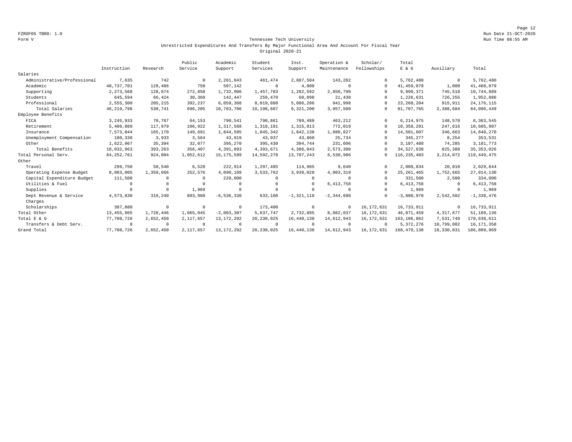Page 12 FZROF05 TBR8: 1.0 Run Date 21-OCT-2020

#### Form V Tennessee Tech University Run Time 08:55 AM Unrestricted Expenditures And Transfers By Major Functional Area And Account For Fiscal Year Original 2020-21

|                             |              |            | Public      | Academic       | Student      | Inst.          | Operation &    | Scholar/     | Total         |              |               |
|-----------------------------|--------------|------------|-------------|----------------|--------------|----------------|----------------|--------------|---------------|--------------|---------------|
|                             | Instruction  | Research   | Service     | Support        | Services     | Support        | Maintenance    | Fellowships  | E & G         | Auxiliary    | Total         |
| Salaries                    |              |            |             |                |              |                |                |              |               |              |               |
| Administrative/Professional | 7,635        | 742        | $^{\circ}$  | 2, 261, 843    | 461,474      | 2,887,504      | 143,282        | $\Omega$     | 5,762,480     | $^{\circ}$   | 5,762,480     |
| Academic                    | 40,737,701   | 129,486    | 750         | 587,142        | $^{\circ}$   | 4,000          | $\Omega$       | $\Omega$     | 41,459,079    | 1,000        | 41,460,079    |
| Supporting                  | 2, 273, 568  | 128,874    | 272,858     | 1,732,906      | 1,457,783    | 1,282,592      | 2,850,790      | $\Omega$     | 9,999,371     | 745,518      | 10,744,889    |
| Students                    | 645,594      | 66,424     | 30,360      | 142,447        | 259,470      | 60,898         | 21,438         | $\Omega$     | 1,226,631     | 726,255      | 1,952,886     |
| Professional                | 2,555,300    | 205,215    | 392,237     | 6,059,368      | 8,019,880    | 5,086,206      | 941,998        | $\Omega$     | 23, 260, 204  | 915,911      | 24, 176, 115  |
| Total Salaries              | 46, 219, 798 | 530,741    | 696,205     | 10,783,706     | 10,198,607   | 9,321,200      | 3,957,508      | $\Omega$     | 81,707,765    | 2,388,684    | 84,096,449    |
| Employee Benefits           |              |            |             |                |              |                |                |              |               |              |               |
| FICA                        | 3, 245, 933  | 70,787     | 64,153      | 790,541        | 790,861      | 789,488        | 463,212        | $\Omega$     | 6, 214, 975   | 148,570      | 6,363,545     |
| Retirement                  | 5,409,889    | 117.979    | 106.922     | 1,317,568      | 1,318,101    | 1,315,813      | 772.019        | $\Omega$     | 10,358,291    | 247,616      | 10,605,907    |
| Insurance                   | 7,573,844    | 165,170    | 149,691     | 1,844,595      | 1,845,342    | 1,842,138      | 1,080,827      | $\Omega$     | 14,501,607    | 346,663      | 14,848,270    |
| Unemployment Compensation   | 180,330      | 3,933      | 3.564       | 43,919         | 43.937       | 43,860         | 25,734         | $\Omega$     | 345.277       | 8,254        | 353,531       |
| Other                       | 1,622,967    | 35,394     | 32.077      | 395,270        | 395,430      | 394,744        | 231,606        | $\Omega$     | 3,107,488     | 74,285       | 3, 181, 773   |
| Total Benefits              | 18,032,963   | 393,263    | 356,407     | 4,391,893      | 4,393,671    | 4,386,043      | 2,573,398      | $\Omega$     | 34,527,638    | 825,388      | 35, 353, 026  |
| Total Personal Serv.        | 64, 252, 761 | 924,004    | 1,052,612   | 15, 175, 599   | 14,592,278   | 13,707,243     | 6,530,906      | $\Omega$     | 116, 235, 403 | 3, 214, 072  | 119, 449, 475 |
| Other                       |              |            |             |                |              |                |                |              |               |              |               |
| Travel                      | 299,750      | 58,540     | 6,520       | 222,914        | 1,297,485    | 114,985        | 9,640          | $\Omega$     | 2,009,834     | 20,010       | 2,029,844     |
| Operating Expense Budget    | 8,083,005    | 1,359,666  | 252,576     | 4,090,109      | 3,533,762    | 3,939,028      | 4,003,319      | $\Omega$     | 25, 261, 465  | 1,752,665    | 27,014,130    |
| Capital Expenditure Budget  | 111,500      | $^{\circ}$ | $\Omega$    | 220,000        | $^{\circ}$   | $\Omega$       | $\Omega$       | $\Omega$     | 331,500       | 2,500        | 334,000       |
| Utilities & Fuel            | $\Omega$     | $^{\circ}$ | $\Omega$    | $^{\circ}$     | $^{\circ}$   | $\Omega$       | 6, 413, 758    | $\Omega$     | 6, 413, 758   | $\mathbf{0}$ | 6, 413, 758   |
| Supplies                    | $\Omega$     | $\circ$    | 1,969       | $^{\circ}$     | $\mathbf 0$  | $\Omega$       | $\Omega$       | $\Omega$     | 1,969         | $\mathbf{0}$ | 1,969         |
| Dept Revenue & Service      | 4,573,830    | 310,240    | 803,980     | $-6, 536, 330$ | 633,100      | $-1, 321, 118$ | $-2, 344, 680$ | $\Omega$     | $-3,880,978$  | 2,542,502    | $-1,338,476$  |
| Charges                     |              |            |             |                |              |                |                |              |               |              |               |
| Scholarships                | 387,880      | $\circ$    | $^{\circ}$  | $\mathbf 0$    | 173,400      | $\overline{0}$ | $^{\circ}$     | 16, 172, 631 | 16,733,911    | $\mathbf{0}$ | 16,733,911    |
| Total Other                 | 13, 455, 965 | 1,728,446  | 1,065,045   | $-2,003,307$   | 5,637,747    | 2,732,895      | 8,082,037      | 16, 172, 631 | 46,871,459    | 4, 317, 677  | 51, 189, 136  |
| Total E & G                 | 77,708,726   | 2,652,450  | 2, 117, 657 | 13, 172, 292   | 20, 230, 025 | 16, 440, 138   | 14,612,943     | 16, 172, 631 | 163, 106, 862 | 7,531,749    | 170,638,611   |
| Transfers & Debt Serv.      | $\Omega$     | $^{\circ}$ | $\Omega$    | $^{\circ}$     | $^{\circ}$   | $\Omega$       | $\Omega$       | $\Omega$     | 5, 372, 276   | 10,799,082   | 16, 171, 358  |
| Grand Total                 | 77,708,726   | 2,652,450  | 2,117,657   | 13, 172, 292   | 20, 230, 025 | 16,440,138     | 14,612,943     | 16, 172, 631 | 168, 479, 138 | 18,330,831   | 186,809,969   |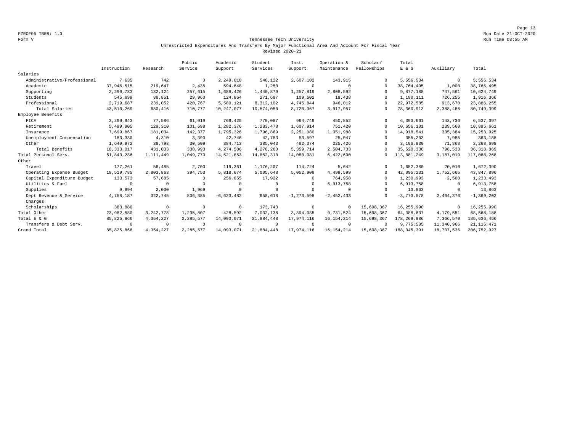Page 13 FZROF05 TBR8: 1.0 Run Date 21-OCT-2020

#### Form V Tennessee Tech University Run Time 08:55 AM Unrestricted Expenditures And Transfers By Major Functional Area And Account For Fiscal Year Revised 2020-21

|                             |              |             | Public     | Academic     | Student     | Inst.          | Operation &  | Scholar/    | Total        |             |                |
|-----------------------------|--------------|-------------|------------|--------------|-------------|----------------|--------------|-------------|--------------|-------------|----------------|
|                             | Instruction  | Research    | Service    | Support      | Services    | Support        | Maintenance  | Fellowships | $E$ & $G$    | Auxiliary   | Total          |
| Salaries                    |              |             |            |              |             |                |              |             |              |             |                |
| Administrative/Professional | 7,635        | 742         | $^{\circ}$ | 2,249,018    | 548,122     | 2,607,102      | 143,915      | $\Omega$    | 5,556,534    | $\mathbf 0$ | 5,556,534      |
| Academic                    | 37,946,515   | 219,647     | 2,435      | 594,648      | 1,250       | $\circ$        | $^{\circ}$   | $\Omega$    | 38,764,495   | 1,000       | 38,765,495     |
| Supporting                  | 2,290,733    | 132,124     | 257,615    | 1,689,426    | 1,440,879   | 1,257,819      | 2,808,592    | $\Omega$    | 9,877,188    | 747,561     | 10,624,749     |
| Students                    | 545,699      | 88,851      | 29,960     | 124,864      | 271,697     | 109,602        | 19,438       | $\Omega$    | 1,190,111    | 726,255     | 1,916,366      |
| Professional                | 2,719,687    | 239,052     | 420,767    | 5,589,121    | 8,312,102   | 4,745,844      | 946,012      | 0           | 22,972,585   | 913,670     | 23,886,255     |
| Total Salaries              | 43,510,269   | 680,416     | 710,777    | 10,247,077   | 10,574,050  | 8,720,367      | 3,917,957    | $\Omega$    | 78,360,913   | 2,388,486   | 80,749,399     |
| Employee Benefits           |              |             |            |              |             |                |              |             |              |             |                |
| FICA                        | 3,299,943    | 77,586      | 61,019     | 769,425      | 770,087     | 964,749        | 450,852      |             | 6,393,661    | 143,736     | 6,537,397      |
| Retirement                  | 5,499,905    | 129,310     | 101,698    | 1,282,376    | 1,283,478   | 1,607,914      | 751,420      | $\Omega$    | 10,656,101   | 239,560     | 10,895,661     |
| Insurance                   | 7,699,867    | 181,034     | 142,377    | 1,795,326    | 1,796,869   | 2,251,080      | 1,051,988    | $\Omega$    | 14,918,541   | 335,384     | 15, 253, 925   |
| Unemployment Compensation   | 183,330      | 4,310       | 3,390      | 42,746       | 42,783      | 53,597         | 25,047       | $\Omega$    | 355,203      | 7,985       | 363,188        |
| Other                       | 1,649,972    | 38,793      | 30,509     | 384,713      | 385,043     | 482,374        | 225,426      | $\Omega$    | 3,196,830    | 71,868      | 3,268,698      |
| Total Benefits              | 18, 333, 017 | 431,033     | 338,993    | 4,274,586    | 4,278,260   | 5,359,714      | 2,504,733    | $\Omega$    | 35,520,336   | 798,533     | 36, 318, 869   |
| Total Personal Serv.        | 61,843,286   | 1,111,449   | 1,049,770  | 14,521,663   | 14,852,310  | 14,080,081     | 6,422,690    | 0           | 113,881,249  | 3,187,019   | 117,068,268    |
| Other                       |              |             |            |              |             |                |              |             |              |             |                |
| Travel                      | 177,261      | 56,485      | 2,700      | 119,361      | 1,176,207   | 114,724        | 5,642        |             | 1,652,380    | 20,010      | 1,672,390      |
| Operating Expense Budget    | 18,519,785   | 2,803,863   | 394,753    | 5,818,674    | 5,005,648   | 5,052,909      | 4,499,599    | $\Omega$    | 42,095,231   | 1,752,665   | 43,847,896     |
| Capital Expenditure Budget  | 133,573      | 57,685      | $\Omega$   | 256,855      | 17,922      |                | 764,958      | $\Omega$    | 1,230,993    | 2,500       | 1,233,493      |
| Utilities & Fuel            | $\circ$      | $^{\circ}$  | $^{\circ}$ | $\Omega$     | $\mathbf 0$ | $\cap$         | 6,913,758    | $\Omega$    | 6,913,758    | $^{\circ}$  | 6,913,758      |
| Supplies                    | 9,894        | 2,000       | 1,969      | $^{\circ}$   | $^{\circ}$  | $\Omega$       | $\Omega$     | $\Omega$    | 13,863       | $^{\circ}$  | 13,863         |
| Dept Revenue & Service      | 4,758,187    | 322,745     | 836,385    | $-6,623,482$ | 658,618     | $-1, 273, 598$ | $-2,452,433$ | $\Omega$    | $-3,773,578$ | 2,404,376   | $-1, 369, 202$ |
| Charges                     |              |             |            |              |             |                |              |             |              |             |                |
| Scholarships                | 383,880      | $^{\circ}$  | $^{\circ}$ | $^{\circ}$   | 173,743     | $^{\circ}$     | $^{\circ}$   | 15,698,367  | 16,255,990   | 0           | 16,255,990     |
| Total Other                 | 23,982,580   | 3, 242, 778 | 1,235,807  | $-428,592$   | 7,032,138   | 3,894,035      | 9,731,524    | 15,698,367  | 64, 388, 637 | 4,179,551   | 68,568,188     |
| Total E & G                 | 85,825,866   | 4,354,227   | 2,285,577  | 14,093,071   | 21,884,448  | 17,974,116     | 16, 154, 214 | 15,698,367  | 178,269,886  | 7,366,570   | 185,636,456    |
| Transfers & Debt Serv.      | $\circ$      | $^{\circ}$  | $\Omega$   | $^{\circ}$   | $^{\circ}$  | $\Omega$       | $\Omega$     | $\Omega$    | 9,775,505    | 11,340,966  | 21, 116, 471   |
| Grand Total                 | 85,825,866   | 4,354,227   | 2,285,577  | 14,093,071   | 21,884,448  | 17,974,116     | 16, 154, 214 | 15,698,367  | 188,045,391  | 18,707,536  | 206, 752, 927  |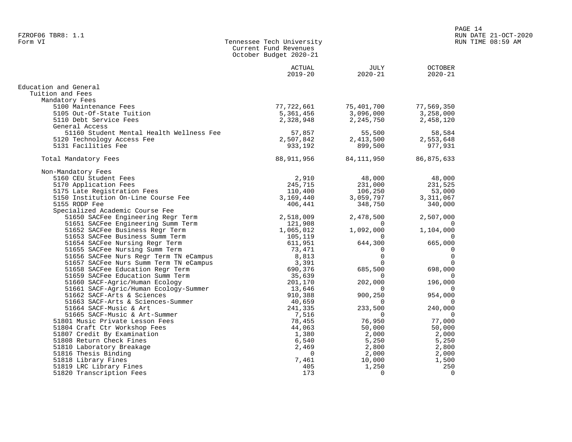|                                          | Current Fund Revenues<br>October Budget 2020-21 |                                     |                               |
|------------------------------------------|-------------------------------------------------|-------------------------------------|-------------------------------|
|                                          | ACTUAL<br>$2019 - 20$                           | JULY<br>$2020 - 21$                 | <b>OCTOBER</b><br>$2020 - 21$ |
| Education and General                    |                                                 |                                     |                               |
| Tuition and Fees                         |                                                 |                                     |                               |
| Mandatory Fees                           |                                                 |                                     |                               |
| 5100 Maintenance Fees                    |                                                 | 77,722,661 75,401,700               | 77,569,350                    |
| 5105 Out-Of-State Tuition                |                                                 | 5, 361, 456 3, 096, 000 3, 258, 000 |                               |
| 5110 Debt Service Fees                   |                                                 | 2,328,948 2,245,750 2,458,120       |                               |
| General Access                           |                                                 |                                     |                               |
| 51160 Student Mental Health Wellness Fee | 57,857                                          |                                     | 58,584                        |
| 5120 Technology Access Fee               | 2,507,842                                       | 55,500<br>2,413,500                 | 2,553,648                     |
| 5131 Facilities Fee                      | 933,192                                         | 899,500                             | 977,931                       |
| Total Mandatory Fees                     | 88,911,956                                      | 84,111,950                          | 86,875,633                    |
| Non-Mandatory Fees                       |                                                 |                                     |                               |
| 5160 CEU Student Fees                    | 2,910                                           | 48,000                              | 48,000                        |
| 5170 Application Fees                    | 245,715                                         | 231,000                             | 231,525                       |
| 5175 Late Registration Fees              |                                                 | 110,400 106,250                     | 53,000                        |
| 5150 Institution On-Line Course Fee      |                                                 | 3, 169, 440 3, 059, 797             | 3,311,067                     |
| 5155 RODP Fee                            | 406,441                                         | 348,750                             | 340,000                       |
| Specialized Academic Course Fee          |                                                 |                                     |                               |
| 51650 SACFee Engineering Regr Term       | 2,518,009                                       | 2,478,500                           | 2,507,000                     |
| 51651 SACFee Engineering Summ Term       | 121,908                                         | $\Omega$                            | $\overline{0}$                |
| 51652 SACFee Business Regr Term          | 1,065,012                                       | 1,092,000                           | 1,104,000                     |
| 51653 SACFee Business Summ Term          | 105,119                                         | $\Omega$                            | $\overline{0}$                |
| 51654 SACFee Nursing Regr Term           | 611,951                                         | 644,300                             | 665,000                       |
| 51655 SACFee Nursing Summ Term           | 73,471                                          | 0                                   | $\overline{0}$                |
| 51656 SACFee Nurs Regr Term TN eCampus   | 8,813                                           | $\Omega$                            | $\overline{0}$                |
| 51657 SACFee Nurs Summ Term TN eCampus   | 3,391                                           | $\Omega$                            | $\overline{0}$                |
| 51658 SACFee Education Regr Term         | 690,376                                         | 685,500                             | 698,000                       |
| 51659 SACFee Education Summ Term         | 35,639                                          | $\mathbf{0}$                        | $\overline{0}$                |
| 51660 SACF-Agric/Human Ecology           | 201,170                                         | 202,000                             | 196,000                       |
| 51661 SACF-Agric/Human Ecology-Summer    | 13,646                                          | $\Omega$                            | $\overline{0}$                |
| 51662 SACF-Arts & Sciences               | 910,388                                         | 900,250                             | 954,000                       |
| 51663 SACF-Arts & Sciences-Summer        | 40,659                                          | $\Omega$                            | $\mathbf 0$                   |
| 51664 SACF-Music & Art                   | 241,335                                         | 233,500                             | 240,000                       |

51664 SACF-Music & Art 241,335 233,500 240,000

51665 SACF-Music & Art-Summer<br>
51665 SACF-Music & Art-Summer<br>
501 Music Private Lesson Fees<br>
50,000<br>
50,000<br>
50,000<br>
50,000<br>
50,000<br>
50,000<br>
50,000<br>
50,000<br>
50,000<br>
50,000<br>
50,000<br>
50,000<br>
50,000<br>
50,000<br>
50,000<br>
50,000<br>
5 51801 Music Private Lesson Fees 78,455 76,950 77,000 51804 Craft Ctr Workshop Fees 44,063 50,000 50,000 51807 Credit By Examination 1,380 2,000 2,000 51808 Return Check Fines 6,540 5,250 5,250

51816 Thesis Binding 1818 (1990) 1818 (1991) 1818 (1991) 1818 (1991) 1818 (1991) 1818 (1991) 1918 (1991) 1918 (<br>
51818 Library Fines 1918 (1991) 1919 (1991) 1920 (1991) 1920 (1991) 1920 (1991) 1930 (1992) 1930 (1992) 1930 51818 Library Fines 1981 1,500 1,500 1,500 1,500 1,500 1,500 1,500 1,500 1,500 1,500 1,500 1,500 1,500 1,500 1,500 1,250 1,250 1,250 1,250 1,250 1,250 1,250 1,250 1,250 1,250 1,250 1,250 1,250 1,250 1,250 1,250 1,250 1,250 51819 LRC Library Fines 405 1,250 250

51810 Laboratory Breakage 2,469<br>51816 Thesis Binding 2,000 2,400

51820 Transcription Fees

Tennessee Tech University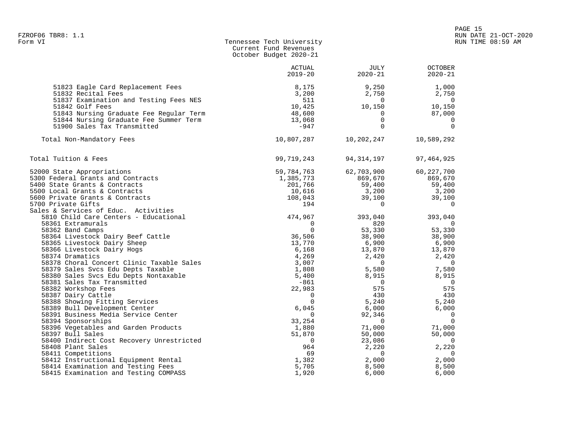|                                                                                                   | October Budget 2020-21 |                     |                                  |
|---------------------------------------------------------------------------------------------------|------------------------|---------------------|----------------------------------|
|                                                                                                   | ACTUAL<br>$2019 - 20$  | JULY<br>$2020 - 21$ | <b>OCTOBER</b><br>$2020 - 21$    |
| 51823 Eagle Card Replacement Fees<br>51832 Recital Fees<br>51837 Examination and Testing Fees NES | 8,175<br>3,200<br>511  | 9,250<br>2,750<br>0 | 1,000<br>2,750<br>$\overline{0}$ |
| 51842 Golf Fees                                                                                   | 10,425                 | 10,150              | 10,150                           |
| 51843 Nursing Graduate Fee Regular Term                                                           | 48,600                 | $\Omega$            | 87,000                           |
| 51844 Nursing Graduate Fee Summer Term                                                            | 13,068                 | $\mathbf 0$         | 0                                |
| 51900 Sales Tax Transmitted                                                                       | $-947$                 | $\Omega$            | $\Omega$                         |
| Total Non-Mandatory Fees                                                                          | 10,807,287             | 10,202,247          | 10,589,292                       |
| Total Tuition & Fees                                                                              | 99,719,243             | 94,314,197          | 97, 464, 925                     |
| 52000 State Appropriations                                                                        | 59,784,763             | 62,703,900          | 60, 227, 700                     |
| 5300 Federal Grants and Contracts                                                                 | 1,385,773              | 869,670             | 869,670                          |
| 5400 State Grants & Contracts                                                                     | 201,766                | 59,400              | 59,400                           |
| 5500 Local Grants & Contracts                                                                     | 10,616                 | 3,200               | 3,200                            |
| 5600 Private Grants & Contracts                                                                   | 108,043                | 39,100              | 39,100                           |
| 5700 Private Gifts                                                                                | 194                    | 0                   | $\overline{0}$                   |
| Sales & Services of Educ. Activities                                                              |                        |                     |                                  |
| 5810 Child Care Centers - Educational                                                             | 474,967                | 393,040             | 393,040                          |
| 58361 Extramurals                                                                                 | 0                      | 820                 | $\overline{0}$                   |
| 58362 Band Camps                                                                                  | $\Omega$               | 53,330              | 53,330                           |
| 58364 Livestock Dairy Beef Cattle                                                                 | 36,506                 | 38,900              | 38,900                           |
| 58365 Livestock Dairy Sheep                                                                       | 13,770                 | 6,900               | 6,900                            |
| 58366 Livestock Dairy Hogs                                                                        | 6,168                  | 13,870              | 13,870                           |
| 58374 Dramatics                                                                                   | 4,269                  | 2,420               | 2,420                            |
| 58378 Choral Concert Clinic Taxable Sales                                                         | 3,007                  | 0                   | $\overline{0}$                   |
| 58379 Sales Svcs Edu Depts Taxable                                                                | 1,808                  | 5,580               | 7,580                            |
| 58380 Sales Svcs Edu Depts Nontaxable                                                             | 5,400                  | 8,915               | 8,915                            |
| 58381 Sales Tax Transmitted                                                                       | -861                   | $\Omega$            | $\overline{0}$                   |
| 58382 Workshop Fees                                                                               | 22,983                 | 575                 | 575                              |
| 58387 Dairy Cattle                                                                                | $\mathbf 0$            | 430                 | 430                              |
| 58388 Showing Fitting Services                                                                    | $\Omega$               | 5,240               | 5,240                            |
| 58389 Bull Development Center                                                                     | 6,045                  | 6,000               | 6,000                            |
| 58391 Business Media Service Center                                                               | 0                      | 92,346              | $\overline{0}$<br>$\overline{0}$ |
| 58394 Sponsorships                                                                                | 33,254                 | 0                   |                                  |
| 58396 Vegetables and Garden Products                                                              | 1,880<br>51,870        | 71,000              | 71,000<br>50,000                 |
| 58397 Bull Sales<br>58400 Indirect Cost Recovery Unrestricted                                     | $\Omega$               | 50,000<br>23,086    | $\overline{0}$                   |
| 58408 Plant Sales                                                                                 | 964                    | 2,220               | 2,220                            |
| 58411 Competitions                                                                                | 69                     | $\Omega$            | $\overline{0}$                   |
| 58412 Instructional Equipment Rental                                                              | 1,382                  | 2,000               | 2,000                            |
| 58414 Examination and Testing Fees                                                                | 5,705                  | 8,500               | 8,500                            |
|                                                                                                   |                        |                     |                                  |

Tennessee Tech University

58415 Examination and Testing COMPASS 1,920 6,000 6,000

Current Fund Revenues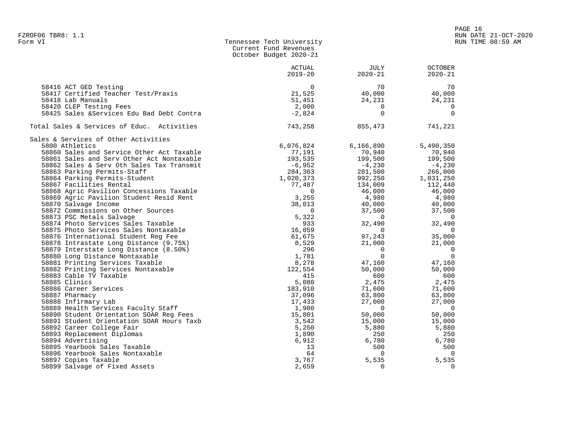|                                            | Current Fund Revenues<br>October Budget 2020-21 |                |                |
|--------------------------------------------|-------------------------------------------------|----------------|----------------|
|                                            | ACTUAL                                          | JULY           | <b>OCTOBER</b> |
|                                            | $2019 - 20$                                     | $2020 - 21$    | $2020 - 21$    |
| 58416 ACT GED Testing                      | $\Omega$                                        | 70             | 70             |
| 58417 Certified Teacher Test/Praxis        | 21,525                                          | 40,000         | 40,000         |
| 58418 Lab Manuals                          | 51,451                                          | 24,231         | 24,231         |
| 58420 CLEP Testing Fees                    | 2,000                                           | $\overline{0}$ | $\overline{0}$ |
| 58425 Sales & Services Edu Bad Debt Contra | $-2,824$                                        | $\Omega$       | $\Omega$       |
| Total Sales & Services of Educ. Activities | 743,258                                         | 855,473        | 741,221        |
| Sales & Services of Other Activities       |                                                 |                |                |
| 5800 Athletics                             | 6,076,824                                       | 6,166,890      | 5,490,350      |
| 58860 Sales and Service Other Act Taxable  | 77,191                                          | 70,940         | 70,940         |
| 58861 Sales and Serv Other Act Nontaxable  | 193,535                                         | 199,500        | 199,500        |
| 58862 Sales & Serv Oth Sales Tax Transmit  | $-6,952$                                        | $-4,230$       | $-4,230$       |
| 58863 Parking Permits-Staff                | 284,363                                         | 281,500        | 266,000        |
| 58864 Parking Permits-Student              | 1,020,373                                       | 992,250        | 1,031,250      |
| 58867 Facilities Rental                    | 77,487                                          | 134,009        | 112,440        |
| 58868 Agric Pavilion Concessions Taxable   | $\Omega$                                        | 46,000         | 46,000         |
| 58869 Agric Pavilion Student Resid Rent    | 3,255                                           | 4,980          | 4,980          |
| 58870 Salvage Income                       | 38,013                                          | 40,000         | 40,000         |
| 58872 Commissions on Other Sources         | $\Omega$                                        | 37,500         | 37,500         |
| 58873 PSC Metals Salvage                   | 5,322                                           | $\overline{0}$ | $\overline{0}$ |
| 58874 Photo Services Sales Taxable         | 933                                             | 32,490         | 32,490         |
| 58875 Photo Services Sales Nontaxable      | 16,059                                          | $\overline{0}$ | $\overline{0}$ |
| 58876 International Student Reg Fee        | 61,675                                          | 97,243         | 35,000         |
| 58878 Intrastate Long Distance (9.75%)     | 8,529                                           | 21,000         | 21,000         |
| 58879 Interstate Long Distance (8.50%)     | 296                                             | $\overline{0}$ | $\overline{0}$ |
| 58880 Long Distance Nontaxable             | 1,781                                           | $\overline{0}$ | $\overline{0}$ |
| 58881 Printing Services Taxable            | 8,278                                           | 47,160         | 47,160         |
| 58882 Printing Services Nontaxable         | 122,554                                         | 50,000         | 50,000         |
| 58883 Cable TV Taxable                     | 415                                             | 600            | 600            |
| 58885 Clinics                              | 5,080                                           | 2,475          | 2,475          |
| 58886 Career Services                      | 183,910                                         | 71,600         | 71,600         |
| 58887 Pharmacy                             | 37,096                                          | 63,800         | 63,800         |
| 58888 Infirmary Lab                        | 17,433                                          | 27,000         | 27,000         |
| 58889 Health Services Faculty Staff        | 1,900                                           | $\overline{0}$ | $\overline{0}$ |
| 58890 Student Orientation SOAR Reg Fees    | 15,801                                          | 50,000         | 50,000         |
| 58891 Student Orientation SOAR Hours Taxb  | 3,542                                           | 15,000         | 15,000         |
| 58892 Career College Fair                  | 5,250                                           | 5,880          | 5,880          |
| 58893 Replacement Diplomas                 | 1,890                                           | 250            | 250            |
| 58894 Advertising                          | 6,912                                           | 6,780          | 6,780          |
| 58895 Yearbook Sales Taxable               | 13                                              | 500            | 500            |
| 58896 Yearbook Sales Nontaxable            | 64                                              | $\overline{0}$ | $\overline{0}$ |
| 58897 Copies Taxable                       | 3,767                                           | 5,535          | 5,535          |
| 58899 Salvage of Fixed Assets              | 2,659                                           | $\Omega$       | $\Omega$       |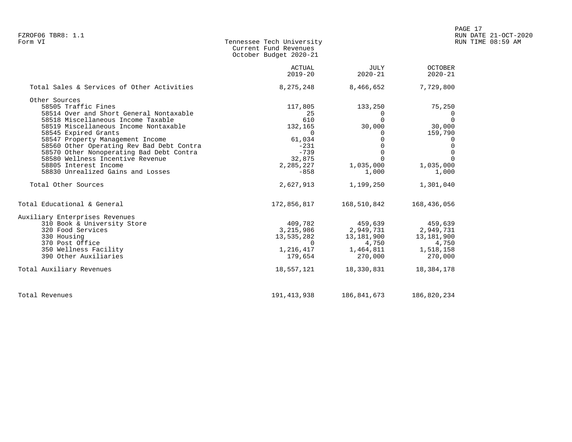| Form VI | Tennessee Tech University |
|---------|---------------------------|
|         | Current Fund Revenues     |
|         | October Budget 2020-21    |

|                                            | <b>ACTUAL</b><br>$2019 - 20$ | JULY<br>$2020 - 21$        | <b>OCTOBER</b><br>$2020 - 21$ |
|--------------------------------------------|------------------------------|----------------------------|-------------------------------|
|                                            |                              |                            |                               |
| Total Sales & Services of Other Activities | 8,275,248                    | 8,466,652                  | 7,729,800                     |
| Other Sources                              |                              |                            |                               |
| 58505 Traffic Fines                        | 117,805                      | 133,250                    | 75,250                        |
| 58514 Over and Short General Nontaxable    | 25                           | $\Omega$                   | 0                             |
| 58518 Miscellaneous Income Taxable         | 610                          | $\Omega$                   | $\Omega$                      |
| 58519 Miscellaneous Income Nontaxable      | 132,165                      | 30,000                     | 30,000                        |
| 58545 Expired Grants                       | $\overline{0}$               |                            | 159,790                       |
| 58547 Property Management Income           | 61,034                       |                            | 0                             |
| 58560 Other Operating Rev Bad Debt Contra  | $-231$                       |                            |                               |
| 58570 Other Nonoperating Bad Debt Contra   | $-739$                       | $\Omega$                   |                               |
| 58580 Wellness Incentive Revenue           | 32,875                       |                            |                               |
| 58805 Interest Income                      | 2,285,227                    | 1,035,000                  | 1,035,000                     |
| 58830 Unrealized Gains and Losses          | $-858$                       | 1,000                      | 1,000                         |
| Total Other Sources                        | 2,627,913                    | 1,199,250                  | 1,301,040                     |
| Total Educational & General                |                              | 172,856,817    168,510,842 | 168,436,056                   |
| Auxiliary Enterprises Revenues             |                              |                            |                               |
| 310 Book & University Store                | 409,782                      | 459,639                    | 459,639                       |
| 320 Food Services                          | 3,215,986                    | 2,949,731                  | 2,949,731                     |
| 330 Housing                                | 13,535,282                   | 13,181,900                 | 13,181,900                    |
| 370 Post Office                            |                              | 4,750                      | 4,750                         |
| 350 Wellness Facility                      | 1,216,417                    | 1,464,811                  | 1,518,158                     |
| 390 Other Auxiliaries                      | 179,654                      | 270,000                    | 270,000                       |
| Total Auxiliary Revenues                   | 18,557,121                   | 18,330,831                 | 18,384,178                    |
| Total Revenues                             | 191,413,938                  | 186,841,673                | 186,820,234                   |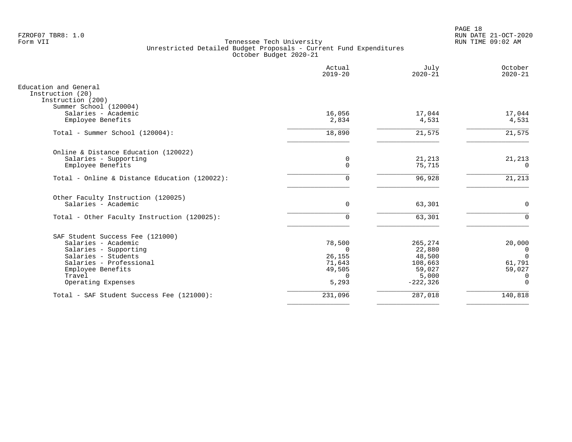PAGE 18 FZROF07 TBR8: 1.0 RUN DATE 21-OCT-2020

|                                                                                                                                                                                         | Actual<br>$2019 - 20$                                   | July<br>$2020 - 21$                                                      | October<br>$2020 - 21$                                             |
|-----------------------------------------------------------------------------------------------------------------------------------------------------------------------------------------|---------------------------------------------------------|--------------------------------------------------------------------------|--------------------------------------------------------------------|
| Education and General<br>Instruction (20)<br>Instruction (200)                                                                                                                          |                                                         |                                                                          |                                                                    |
| Summer School (120004)<br>Salaries - Academic<br>Employee Benefits                                                                                                                      | 16,056<br>2,834                                         | 17,044<br>4,531                                                          | 17,044<br>4,531                                                    |
| Total - Summer School (120004):                                                                                                                                                         | 18,890                                                  | 21,575                                                                   | 21,575                                                             |
| Online & Distance Education (120022)<br>Salaries - Supporting<br>Employee Benefits                                                                                                      | 0<br>$\mathbf 0$                                        | 21,213<br>75,715                                                         | 21,213<br>$\Omega$                                                 |
| Total - Online & Distance Education (120022):                                                                                                                                           | 0                                                       | 96,928                                                                   | 21,213                                                             |
| Other Faculty Instruction (120025)<br>Salaries - Academic                                                                                                                               | $\mathbf 0$                                             | 63,301                                                                   | $\mathbf 0$                                                        |
| Total - Other Faculty Instruction (120025):                                                                                                                                             | $\mathbf 0$                                             | 63,301                                                                   | $\mathbf 0$                                                        |
| SAF Student Success Fee (121000)<br>Salaries - Academic<br>Salaries - Supporting<br>Salaries - Students<br>Salaries - Professional<br>Employee Benefits<br>Travel<br>Operating Expenses | 78,500<br>0<br>26,155<br>71,643<br>49,505<br>0<br>5,293 | 265,274<br>22,880<br>48,500<br>108,663<br>59,027<br>5,000<br>$-222, 326$ | 20,000<br>0<br>$\Omega$<br>61,791<br>59,027<br>0<br>$\overline{0}$ |
| Total - SAF Student Success Fee (121000):                                                                                                                                               | 231,096                                                 | 287,018                                                                  | 140,818                                                            |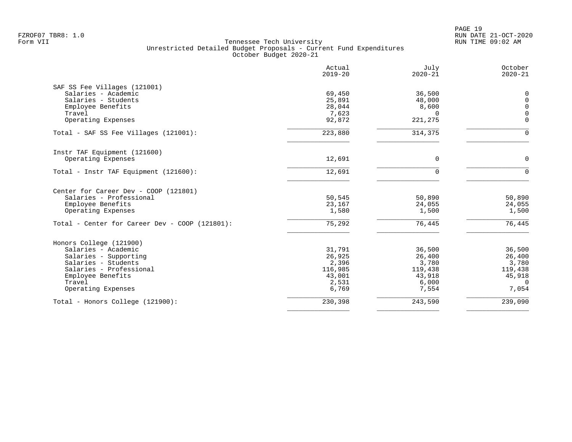|                                                | Actual<br>$2019 - 20$ | July<br>$2020 - 21$ | October<br>$2020 - 21$ |
|------------------------------------------------|-----------------------|---------------------|------------------------|
| SAF SS Fee Villages (121001)                   |                       |                     |                        |
| Salaries - Academic                            | 69,450                | 36,500              | 0                      |
| Salaries - Students                            | 25,891                | 48,000              | $\mathsf{O}$           |
| Employee Benefits                              | 28,044                | 8,600               | $\mathbf 0$            |
| Travel                                         | 7,623                 | $\Omega$            | $\mathsf{O}\xspace$    |
| Operating Expenses                             | 92,872                | 221,275             | $\mathbf 0$            |
| Total - SAF SS Fee Villages (121001):          | 223,880               | 314,375             | $\Omega$               |
| Instr TAF Equipment (121600)                   |                       |                     |                        |
| Operating Expenses                             | 12,691                | 0                   | $\mathbf 0$            |
| Total - Instr TAF Equipment (121600):          | 12,691                | $\Omega$            | $\Omega$               |
| Center for Career Dev - COOP (121801)          |                       |                     |                        |
| Salaries - Professional                        | 50,545                | 50,890              | 50,890                 |
| Employee Benefits                              | 23,167                | 24,055              | 24,055                 |
| Operating Expenses                             | 1,580                 | 1,500               | 1,500                  |
| Total - Center for Career Dev - COOP (121801): | 75,292                | 76,445              | 76,445                 |
| Honors College (121900)                        |                       |                     |                        |
| Salaries - Academic                            | 31,791                | 36,500              | 36,500                 |
| Salaries - Supporting                          | 26,925                | 26,400              | 26,400                 |
| Salaries - Students                            | 2,396                 | 3,780               | 3,780                  |
| Salaries - Professional                        | 116,985               | 119,438             | 119,438                |
| Employee Benefits                              | 43,001                | 43,918              | 45,918                 |
| Travel<br>Operating Expenses                   | 2,531<br>6,769        | 6,000<br>7,554      | $\Omega$<br>7,054      |
|                                                |                       |                     |                        |
| Total - Honors College (121900):               | 230,398               | 243,590             | 239,090                |
|                                                |                       |                     |                        |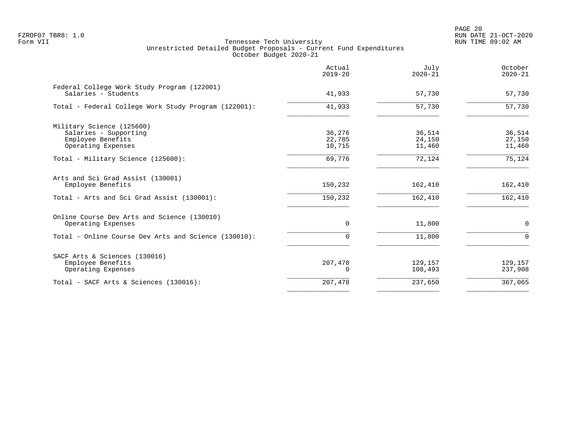PAGE 20 FZROF07 TBR8: 1.0 RUN DATE 21-OCT-2020

|                                                                                               | Actual<br>$2019 - 20$      | July<br>$2020 - 21$        | October<br>$2020 - 21$     |
|-----------------------------------------------------------------------------------------------|----------------------------|----------------------------|----------------------------|
| Federal College Work Study Program (122001)<br>Salaries - Students                            | 41,933                     | 57,730                     | 57,730                     |
| Total - Federal College Work Study Program (122001):                                          | 41,933                     | 57,730                     | 57,730                     |
| Military Science (125600)<br>Salaries - Supporting<br>Employee Benefits<br>Operating Expenses | 36,276<br>22,785<br>10,715 | 36,514<br>24,150<br>11,460 | 36,514<br>27,150<br>11,460 |
| Total - Military Science (125600):                                                            | 69,776                     | 72,124                     | 75,124                     |
| Arts and Sci Grad Assist (130001)<br>Employee Benefits                                        | 150,232                    | 162,410                    | 162,410                    |
| Total - Arts and Sci Grad Assist (130001):                                                    | 150,232                    | 162,410                    | 162,410                    |
| Online Course Dev Arts and Science (130010)<br>Operating Expenses                             | $\Omega$                   | 11,800                     | $\mathbf 0$                |
| Total - Online Course Dev Arts and Science (130010):                                          | 0                          | 11,800                     | $\Omega$                   |
| SACF Arts & Sciences (130016)<br>Employee Benefits<br>Operating Expenses                      | 207,478<br>0               | 129,157<br>108,493         | 129,157<br>237,908         |
| Total - SACF Arts & Sciences (130016):                                                        | 207,478                    | 237,650                    | 367,065                    |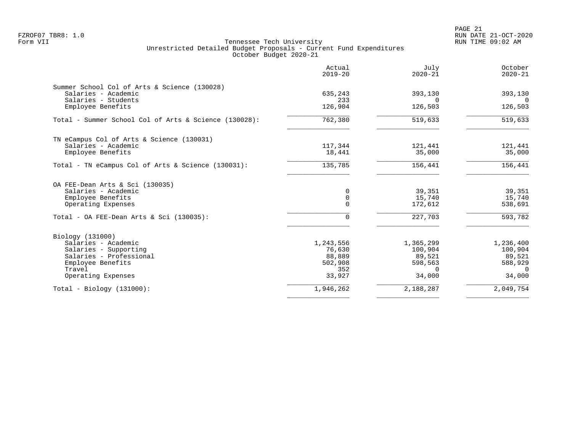| Actual<br>$2019 - 20$ | July<br>$2020 - 21$                                                             | October<br>$2020 - 21$                                                                           |
|-----------------------|---------------------------------------------------------------------------------|--------------------------------------------------------------------------------------------------|
|                       |                                                                                 |                                                                                                  |
|                       |                                                                                 | 393,130<br>$\Omega$                                                                              |
| 126,904               | 126,503                                                                         | 126,503                                                                                          |
| 762,380               | 519,633                                                                         | 519,633                                                                                          |
|                       |                                                                                 |                                                                                                  |
| 117,344               | 121,441                                                                         | 121,441                                                                                          |
|                       |                                                                                 | 35,000                                                                                           |
| 135,785               | 156,441                                                                         | 156,441                                                                                          |
|                       |                                                                                 |                                                                                                  |
| 0                     | 39,351                                                                          | 39,351                                                                                           |
|                       |                                                                                 | 15,740                                                                                           |
|                       |                                                                                 | 538,691                                                                                          |
| $\Omega$              | 227,703                                                                         | 593,782                                                                                          |
|                       |                                                                                 |                                                                                                  |
| 1,243,556             | 1,365,299                                                                       | 1,236,400                                                                                        |
| 76,630                | 100,904                                                                         | 100,904                                                                                          |
|                       |                                                                                 | 89,521                                                                                           |
|                       |                                                                                 | 588,929                                                                                          |
| 33,927                | 34,000                                                                          | $\Omega$<br>34,000                                                                               |
| 1,946,262             |                                                                                 | 2,049,754                                                                                        |
|                       | 635,243<br>233<br>18,441<br>$\mathbf 0$<br>$\Omega$<br>88,889<br>502,908<br>352 | 393,130<br>$\Omega$<br>35,000<br>15,740<br>172,612<br>89,521<br>598,563<br>$\Omega$<br>2,188,287 |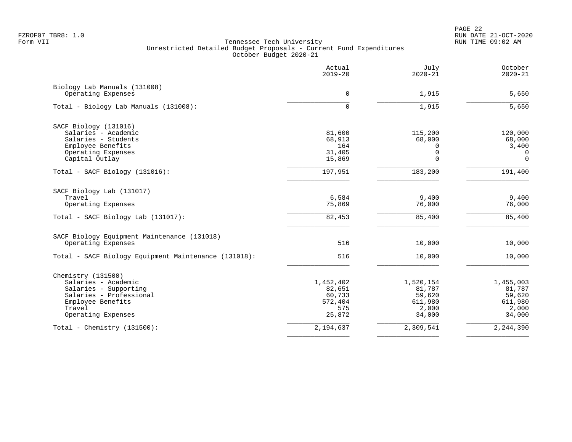PAGE 22 FZROF07 TBR8: 1.0 RUN DATE 21-OCT-2020

|                                                      | Actual<br>$2019 - 20$ | July<br>$2020 - 21$ | October<br>$2020 - 21$ |
|------------------------------------------------------|-----------------------|---------------------|------------------------|
| Biology Lab Manuals (131008)<br>Operating Expenses   | $\Omega$              | 1,915               | 5,650                  |
| Total - Biology Lab Manuals (131008):                | 0                     | 1,915               | 5,650                  |
| SACF Biology (131016)                                |                       |                     |                        |
| Salaries - Academic                                  | 81,600                | 115,200             | 120,000                |
| Salaries - Students                                  | 68,913                | 68,000              | 68,000                 |
| Employee Benefits                                    | 164                   | $\Omega$            | 3,400                  |
| Operating Expenses                                   | 31,405                | $\Omega$            | $\Omega$               |
| Capital Outlay                                       | 15,869                | $\Omega$            | $\mathbf 0$            |
| Total - SACF Biology (131016):                       | 197,951               | 183,200             | 191,400                |
| SACF Biology Lab (131017)                            |                       |                     |                        |
| Travel                                               | 6,584                 | 9,400               | 9,400                  |
| Operating Expenses                                   | 75,869                | 76,000              | 76,000                 |
| Total - SACF Biology Lab (131017):                   | 82,453                | 85,400              | 85,400                 |
| SACF Biology Equipment Maintenance (131018)          |                       |                     |                        |
| Operating Expenses                                   | 516                   | 10,000              | 10,000                 |
| Total - SACF Biology Equipment Maintenance (131018): | 516                   | 10,000              | 10,000                 |
| Chemistry (131500)                                   |                       |                     |                        |
| Salaries - Academic                                  | 1,452,402             | 1,520,154           | 1,455,003              |
| Salaries - Supporting                                | 82,651                | 81,787              | 81,787                 |
| Salaries - Professional                              | 60,733                | 59,620              | 59,620                 |
| Employee Benefits<br>Travel                          | 572,404               | 611,980             | 611,980                |
| Operating Expenses                                   | 575<br>25,872         | 2,000<br>34,000     | 2,000<br>34,000        |
| Total - Chemistry $(131500)$ :                       | 2,194,637             | 2,309,541           | 2,244,390              |
|                                                      |                       |                     |                        |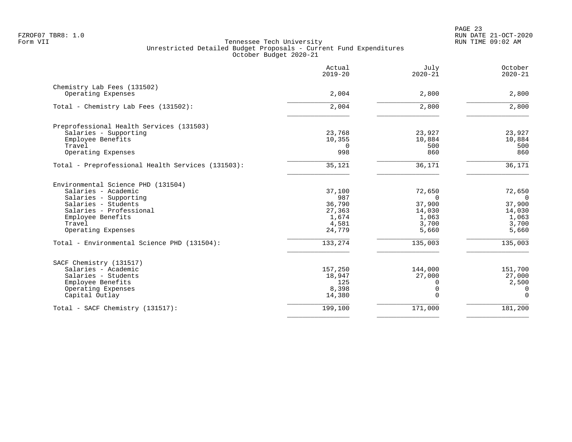|                                                   | Actual<br>$2019 - 20$ | July<br>$2020 - 21$ | October<br>$2020 - 21$ |
|---------------------------------------------------|-----------------------|---------------------|------------------------|
| Chemistry Lab Fees (131502)                       |                       |                     |                        |
| Operating Expenses                                | 2,004                 | 2,800               | 2,800                  |
| Total - Chemistry Lab Fees (131502):              | 2,004                 | 2,800               | 2,800                  |
| Preprofessional Health Services (131503)          |                       |                     |                        |
| Salaries - Supporting                             | 23,768                | 23,927              | 23,927                 |
| Employee Benefits                                 | 10,355                | 10,884              | 10,884                 |
| Travel                                            | $\Omega$              | 500                 | 500                    |
| Operating Expenses                                | 998                   | 860                 | 860                    |
| Total - Preprofessional Health Services (131503): | 35,121                | 36,171              | 36,171                 |
| Environmental Science PHD (131504)                |                       |                     |                        |
| Salaries - Academic                               | 37,100                | 72,650              | 72,650                 |
| Salaries - Supporting                             | 987                   | $\Omega$            | $\overline{0}$         |
| Salaries - Students                               | 36,790                | 37,900              | 37,900                 |
| Salaries - Professional                           | 27,363                | 14,030              | 14,030                 |
| Employee Benefits                                 | 1,674                 | 1,063               | 1,063                  |
| Travel<br>Operating Expenses                      | 4,581<br>24,779       | 3,700<br>5,660      | 3,700<br>5,660         |
|                                                   |                       |                     |                        |
| Total - Environmental Science PHD (131504):       | 133,274               | 135,003             | 135,003                |
| SACF Chemistry (131517)                           |                       |                     |                        |
| Salaries - Academic                               | 157,250               | 144,000             | 151,700                |
| Salaries - Students                               | 18,947                | 27,000              | 27,000                 |
| Employee Benefits                                 | 125                   | O                   | 2,500                  |
| Operating Expenses                                | 8,398                 | 0                   | $\Omega$               |
| Capital Outlay                                    | 14,380                | $\Omega$            | $\Omega$               |
| Total - SACF Chemistry (131517):                  | 199,100               | 171,000             | 181,200                |
|                                                   |                       |                     |                        |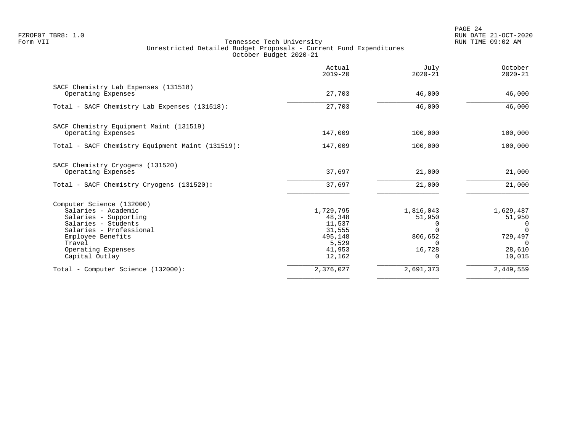PAGE 24 FZROF07 TBR8: 1.0 RUN DATE 21-OCT-2020

|                                                            | Actual<br>$2019 - 20$ | July<br>$2020 - 21$ | October<br>$2020 - 21$ |
|------------------------------------------------------------|-----------------------|---------------------|------------------------|
| SACF Chemistry Lab Expenses (131518)<br>Operating Expenses | 27,703                | 46,000              | 46,000                 |
| Total - SACF Chemistry Lab Expenses (131518):              | 27,703                | 46,000              | 46,000                 |
| SACF Chemistry Equipment Maint (131519)                    |                       |                     |                        |
| Operating Expenses                                         | 147,009               | 100,000             | 100,000                |
| Total - SACF Chemistry Equipment Maint (131519):           | 147,009               | 100,000             | 100,000                |
| SACF Chemistry Cryogens (131520)                           |                       |                     |                        |
| Operating Expenses                                         | 37,697                | 21,000              | 21,000                 |
| Total - SACF Chemistry Cryogens (131520):                  | 37,697                | 21,000              | 21,000                 |
| Computer Science (132000)                                  |                       |                     |                        |
| Salaries - Academic                                        | 1,729,795             | 1,816,043           | 1,629,487              |
| Salaries - Supporting<br>Salaries - Students               | 48,348<br>11,537      | 51,950              | 51,950                 |
| Salaries - Professional                                    | 31,555                | 0                   | 0<br>$\Omega$          |
| Employee Benefits                                          | 495,148               | 806,652             | 729,497                |
| Travel                                                     | 5,529                 |                     | $\Omega$               |
| Operating Expenses                                         | 41,953                | 16,728              | 28,610                 |
| Capital Outlay                                             | 12,162                |                     | 10,015                 |
| Total - Computer Science (132000):                         | 2,376,027             | 2,691,373           | 2,449,559              |
|                                                            |                       |                     |                        |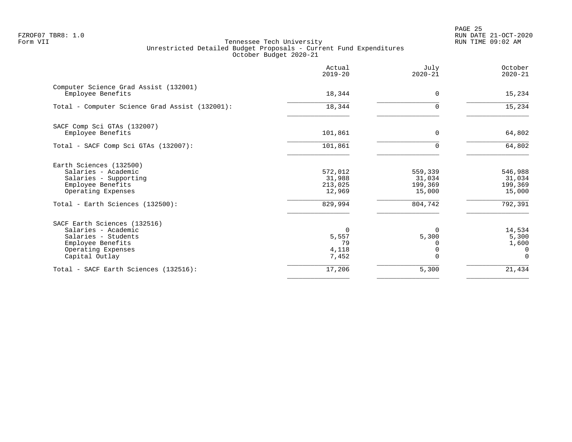PAGE 25 FZROF07 TBR8: 1.0 RUN DATE 21-OCT-2020

|                                                                                                                                         | Actual<br>$2019 - 20$                     | July<br>$2020 - 21$                    | October<br>$2020 - 21$                           |
|-----------------------------------------------------------------------------------------------------------------------------------------|-------------------------------------------|----------------------------------------|--------------------------------------------------|
| Computer Science Grad Assist (132001)<br>Employee Benefits                                                                              | 18,344                                    | $\Omega$                               | 15,234                                           |
| Total - Computer Science Grad Assist (132001):                                                                                          | 18,344                                    |                                        | 15,234                                           |
| SACF Comp Sci GTAs (132007)<br>Employee Benefits                                                                                        | 101,861                                   | $\Omega$                               | 64,802                                           |
| Total - SACF Comp Sci GTAs (132007):                                                                                                    | 101,861                                   | U                                      | 64,802                                           |
| Earth Sciences (132500)<br>Salaries - Academic<br>Salaries - Supporting<br>Employee Benefits<br>Operating Expenses                      | 572,012<br>31,988<br>213,025<br>12,969    | 559,339<br>31,034<br>199,369<br>15,000 | 546,988<br>31,034<br>199,369<br>15,000           |
| Total - Earth Sciences (132500):                                                                                                        | 829,994                                   | 804,742                                | 792,391                                          |
| SACF Earth Sciences (132516)<br>Salaries - Academic<br>Salaries - Students<br>Employee Benefits<br>Operating Expenses<br>Capital Outlay | $\Omega$<br>5,557<br>79<br>4,118<br>7,452 | $\Omega$<br>5,300                      | 14,534<br>5,300<br>1,600<br>$\Omega$<br>$\Omega$ |
| Total - SACF Earth Sciences (132516):                                                                                                   | 17,206                                    | 5,300                                  | 21,434                                           |
|                                                                                                                                         |                                           |                                        |                                                  |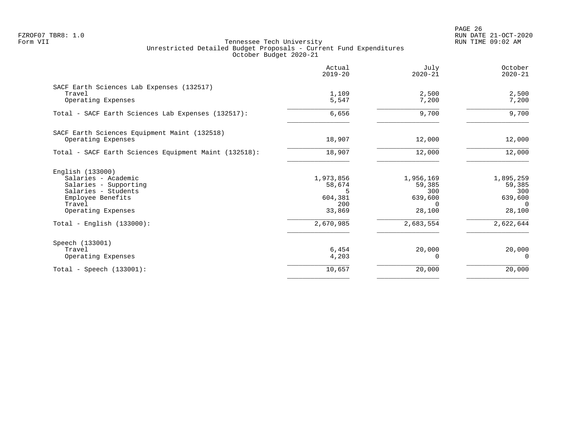PAGE 26 FZROF07 TBR8: 1.0 RUN DATE 21-OCT-2020

|                                                       | Actual<br>$2019 - 20$ | July<br>$2020 - 21$ | October<br>$2020 - 21$ |
|-------------------------------------------------------|-----------------------|---------------------|------------------------|
| SACF Earth Sciences Lab Expenses (132517)<br>Travel   | 1,109                 | 2,500               | 2,500                  |
| Operating Expenses                                    | 5,547                 | 7,200               | 7,200                  |
| Total - SACF Earth Sciences Lab Expenses (132517):    | 6,656                 | 9,700               | 9,700                  |
| SACF Earth Sciences Equipment Maint (132518)          |                       |                     |                        |
| Operating Expenses                                    | 18,907                | 12,000              | 12,000                 |
| Total - SACF Earth Sciences Equipment Maint (132518): | 18,907                | 12,000              | 12,000                 |
| English (133000)                                      |                       |                     |                        |
| Salaries - Academic                                   | 1,973,856             | 1,956,169           | 1,895,259              |
| Salaries - Supporting<br>Salaries - Students          | 58,674<br>5           | 59,385<br>300       | 59,385<br>300          |
| Employee Benefits                                     | 604,381               | 639,600             | 639,600                |
| Travel                                                | 200                   | $\Omega$            | $\Omega$               |
| Operating Expenses                                    | 33,869                | 28,100              | 28,100                 |
| $Total - English (133000):$                           | 2,670,985             | 2,683,554           | 2,622,644              |
| Speech (133001)                                       |                       |                     |                        |
| Travel                                                | 6,454                 | 20,000              | 20,000                 |
| Operating Expenses                                    | 4,203                 | $\Omega$            | $\Omega$               |
| Total - Speech $(133001)$ :                           | 10,657                | 20,000              | 20,000                 |
|                                                       |                       |                     |                        |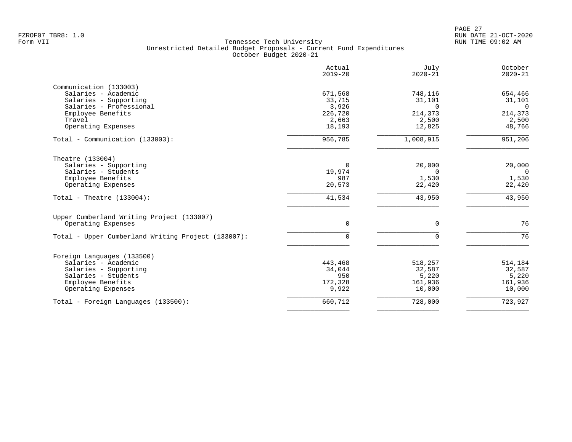| Actual<br>$2019 - 20$ | July<br>$2020 - 21$                                              | October<br>$2020 - 21$                                               |
|-----------------------|------------------------------------------------------------------|----------------------------------------------------------------------|
|                       |                                                                  |                                                                      |
| 671,568               | 748,116                                                          | 654,466                                                              |
| 33,715                | 31,101                                                           | 31,101                                                               |
| 3,926                 | $\Omega$                                                         | $\overline{0}$                                                       |
| 226,720               | 214,373                                                          | 214,373                                                              |
| 2,663                 | 2,500                                                            | 2,500                                                                |
| 18,193                | 12,825                                                           | 48,766                                                               |
| 956,785               | 1,008,915                                                        | 951,206                                                              |
|                       |                                                                  |                                                                      |
|                       |                                                                  | 20,000                                                               |
|                       |                                                                  | $\overline{0}$                                                       |
|                       |                                                                  | 1,530                                                                |
| 20,573                | 22,420                                                           | 22,420                                                               |
| 41,534                | 43,950                                                           | 43,950                                                               |
|                       |                                                                  |                                                                      |
| $\Omega$              | $\Omega$                                                         | 76                                                                   |
| $\Omega$              | $\Omega$                                                         | 76                                                                   |
|                       |                                                                  |                                                                      |
|                       |                                                                  | 514,184                                                              |
|                       |                                                                  | 32,587                                                               |
|                       |                                                                  | 5,220                                                                |
|                       |                                                                  | 161,936                                                              |
| 9,922                 | 10,000                                                           | 10,000                                                               |
| 660,712               | 728,000                                                          | 723,927                                                              |
|                       | $\Omega$<br>19,974<br>987<br>443,468<br>34,044<br>950<br>172,328 | 20,000<br>$\Omega$<br>1,530<br>518,257<br>32,587<br>5,220<br>161,936 |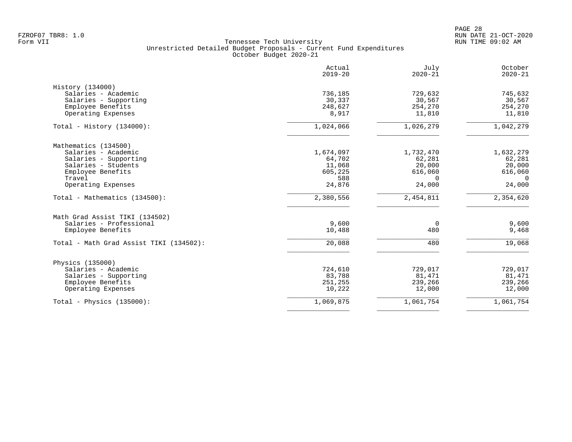|                                         | Actual<br>$2019 - 20$ | July<br>$2020 - 21$ | October<br>$2020 - 21$ |
|-----------------------------------------|-----------------------|---------------------|------------------------|
| History (134000)                        |                       |                     |                        |
| Salaries - Academic                     | 736,185               | 729,632             | 745,632                |
| Salaries - Supporting                   | 30,337                | 30,567              | 30,567                 |
| Employee Benefits                       | 248,627               | 254,270             | 254,270                |
| Operating Expenses                      | 8,917                 | 11,810              | 11,810                 |
| Total - History $(134000)$ :            | 1,024,066             | 1,026,279           | 1,042,279              |
| Mathematics (134500)                    |                       |                     |                        |
| Salaries - Academic                     | 1,674,097             | 1,732,470           | 1,632,279              |
| Salaries - Supporting                   | 64,702                | 62,281              | 62,281                 |
| Salaries - Students                     | 11,068                | 20,000              | 20,000                 |
| Employee Benefits                       | 605,225               | 616,060             | 616,060                |
| Travel                                  | 588                   | $\Omega$            | $\Omega$               |
| Operating Expenses                      | 24,876                | 24,000              | 24,000                 |
| Total - Mathematics (134500):           | 2,380,556             | 2,454,811           | 2,354,620              |
| Math Grad Assist TIKI (134502)          |                       |                     |                        |
| Salaries - Professional                 | 9,600                 | 0                   | 9,600                  |
| Employee Benefits                       | 10,488                | 480                 | 9,468                  |
| Total - Math Grad Assist TIKI (134502): | 20,088                | 480                 | 19,068                 |
| Physics (135000)                        |                       |                     |                        |
| Salaries - Academic                     | 724,610               | 729,017             | 729,017                |
| Salaries - Supporting                   | 83,788                | 81,471              | 81,471                 |
| Employee Benefits                       | 251,255               | 239,266             | 239,266                |
| Operating Expenses                      | 10,222                | 12,000              | 12,000                 |
| Total - Physics $(135000)$ :            | 1,069,875             | 1,061,754           | 1,061,754              |
|                                         |                       |                     |                        |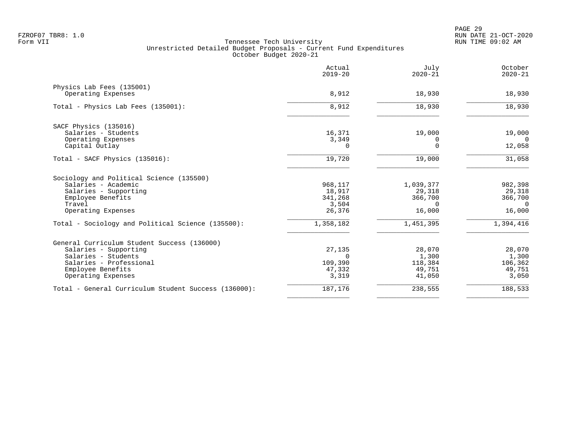|                                                                                                                                                                   | Actual<br>$2019 - 20$                           | July<br>$2020 - 21$                                  | October<br>$2020 - 21$                             |
|-------------------------------------------------------------------------------------------------------------------------------------------------------------------|-------------------------------------------------|------------------------------------------------------|----------------------------------------------------|
| Physics Lab Fees (135001)<br>Operating Expenses                                                                                                                   | 8,912                                           | 18,930                                               | 18,930                                             |
| Total - Physics Lab Fees (135001):                                                                                                                                | 8,912                                           | 18,930                                               | 18,930                                             |
| SACF Physics (135016)<br>Salaries - Students<br>Operating Expenses                                                                                                | 16,371<br>3,349                                 | 19,000<br>0                                          | 19,000<br>$\Omega$                                 |
| Capital Outlay                                                                                                                                                    | $\Omega$                                        | $\Omega$                                             | 12,058                                             |
| Total - SACF Physics (135016):                                                                                                                                    | 19,720                                          | 19,000                                               | 31,058                                             |
| Sociology and Political Science (135500)<br>Salaries - Academic<br>Salaries - Supporting<br>Employee Benefits<br>Travel<br>Operating Expenses                     | 968,117<br>18,917<br>341,268<br>3,504<br>26,376 | 1,039,377<br>29,318<br>366,700<br>$\Omega$<br>16,000 | 982,398<br>29,318<br>366,700<br>$\Omega$<br>16,000 |
| Total - Sociology and Political Science (135500):                                                                                                                 | 1,358,182                                       | 1,451,395                                            | 1,394,416                                          |
| General Curriculum Student Success (136000)<br>Salaries - Supporting<br>Salaries - Students<br>Salaries - Professional<br>Employee Benefits<br>Operating Expenses | 27,135<br>$\cap$<br>109,390<br>47,332<br>3,319  | 28,070<br>1,300<br>118,384<br>49,751<br>41,050       | 28,070<br>1,300<br>106,362<br>49,751<br>3,050      |
| Total - General Curriculum Student Success (136000):                                                                                                              | 187,176                                         | 238,555                                              | 188,533                                            |
|                                                                                                                                                                   |                                                 |                                                      |                                                    |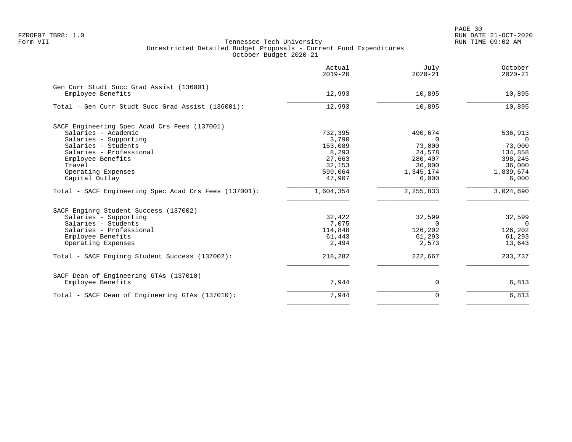|                                                               | Actual<br>$2019 - 20$ | July<br>$2020 - 21$ | October<br>$2020 - 21$ |
|---------------------------------------------------------------|-----------------------|---------------------|------------------------|
| Gen Curr Studt Succ Grad Assist (136001)<br>Employee Benefits | 12,993                | 10,895              | 10,895                 |
|                                                               |                       |                     |                        |
| Total - Gen Curr Studt Succ Grad Assist (136001):             | 12,993                | 10,895              | 10,895                 |
| SACF Engineering Spec Acad Crs Fees (137001)                  |                       |                     |                        |
| Salaries - Academic                                           | 732,395               | 490,674             | 536,913                |
| Salaries - Supporting                                         | 3,790                 | $\Omega$            | - 0                    |
| Salaries - Students                                           | 153,089               | 73,000              | 73,000                 |
| Salaries - Professional                                       | 8,293                 | 24,578              | 134,858                |
| Employee Benefits                                             | 27,663                | 280,407             | 398,245                |
| Travel                                                        | 32,153                | 36,000              | 36,000                 |
| Operating Expenses                                            | 599,064               | 1,345,174           | 1,839,674              |
| Capital Outlay                                                | 47,907                | 6,000               | 6,000                  |
| Total - SACF Engineering Spec Acad Crs Fees (137001):         | 1,604,354             | 2, 255, 833         | 3,024,690              |
| SACF Enginrg Student Success (137002)                         |                       |                     |                        |
| Salaries - Supporting                                         | 32,422                | 32,599              | 32,599                 |
| Salaries - Students                                           | 7,075                 | $\Omega$            | $\overline{0}$         |
| Salaries - Professional                                       | 114,848               | 126,202             | 126,202                |
| Employee Benefits                                             | 61,443                | 61,293              | 61,293                 |
| Operating Expenses                                            | 2,494                 | 2,573               | 13,643                 |
| Total - SACF Enginrg Student Success (137002):                | 218,282               | 222,667             | 233,737                |
| SACF Dean of Engineering GTAs (137010)                        |                       |                     |                        |
| Employee Benefits                                             | 7,944                 | 0                   | 6,813                  |
| Total - SACF Dean of Engineering GTAs (137010):               | 7,944                 | $\Omega$            | 6,813                  |
|                                                               |                       |                     |                        |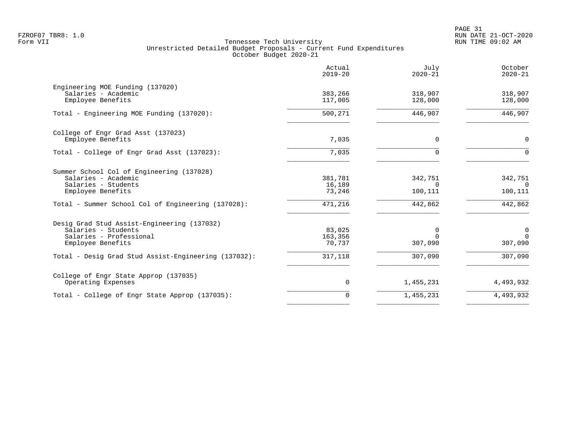|                                                                                                                                                                            | Actual<br>$2019 - 20$                  | Julv<br>$2020 - 21$                       | October<br>$2020 - 21$                        |
|----------------------------------------------------------------------------------------------------------------------------------------------------------------------------|----------------------------------------|-------------------------------------------|-----------------------------------------------|
| Engineering MOE Funding (137020)<br>Salaries - Academic<br>Employee Benefits                                                                                               | 383,266<br>117,005                     | 318,907<br>128,000                        | 318,907<br>128,000                            |
| Total - Engineering MOE Funding (137020):                                                                                                                                  | 500,271                                | 446,907                                   | 446,907                                       |
| College of Engr Grad Asst (137023)<br>Employee Benefits                                                                                                                    | 7,035                                  | 0                                         | $\mathbf 0$                                   |
| Total - College of Engr Grad Asst (137023):                                                                                                                                | 7,035                                  | $\mathbf 0$                               | $\Omega$                                      |
| Summer School Col of Engineering (137028)<br>Salaries - Academic<br>Salaries - Students<br>Employee Benefits<br>Total - Summer School Col of Engineering (137028):         | 381,781<br>16,189<br>73,246<br>471,216 | 342,751<br>$\Omega$<br>100,111<br>442,862 | 342,751<br>$\Omega$<br>100,111<br>442,862     |
| Desig Grad Stud Assist-Engineering (137032)<br>Salaries - Students<br>Salaries - Professional<br>Employee Benefits<br>Total - Desig Grad Stud Assist-Engineering (137032): | 83,025<br>163,356<br>70,737<br>317,118 | 0<br>$\Omega$<br>307,090<br>307,090       | $\mathbf 0$<br>$\Omega$<br>307,090<br>307,090 |
| College of Engr State Approp (137035)<br>Operating Expenses                                                                                                                | 0                                      | 1,455,231                                 | 4,493,932                                     |
| Total - College of Engr State Approp (137035):                                                                                                                             | 0                                      | 1,455,231                                 | 4,493,932                                     |
|                                                                                                                                                                            |                                        |                                           |                                               |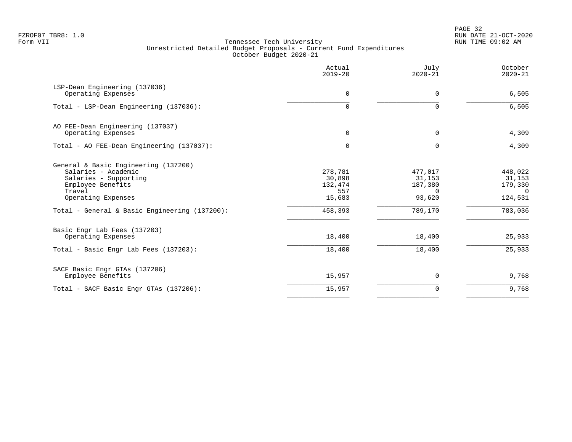PAGE 32 FZROF07 TBR8: 1.0 RUN DATE 21-OCT-2020

|                                                                                                                                           | Actual<br>$2019 - 20$                         | July<br>$2020 - 21$                                | October<br>$2020 - 21$                              |
|-------------------------------------------------------------------------------------------------------------------------------------------|-----------------------------------------------|----------------------------------------------------|-----------------------------------------------------|
| LSP-Dean Engineering (137036)<br>Operating Expenses                                                                                       | $\mathbf 0$                                   | $\mathbf 0$                                        | 6,505                                               |
| Total - LSP-Dean Engineering (137036):                                                                                                    | 0                                             | $\Omega$                                           | 6,505                                               |
| AO FEE-Dean Engineering (137037)<br>Operating Expenses                                                                                    | $\Omega$                                      | 0                                                  | 4,309                                               |
| Total - AO FEE-Dean Engineering (137037):                                                                                                 | $\Omega$                                      | $\Omega$                                           | 4,309                                               |
| General & Basic Engineering (137200)<br>Salaries - Academic<br>Salaries - Supporting<br>Employee Benefits<br>Travel<br>Operating Expenses | 278,781<br>30,898<br>132,474<br>557<br>15,683 | 477,017<br>31,153<br>187,380<br>$\Omega$<br>93,620 | 448,022<br>31,153<br>179,330<br>$\Omega$<br>124,531 |
| Total - General & Basic Engineering (137200):                                                                                             | 458,393                                       | 789,170                                            | 783,036                                             |
| Basic Engr Lab Fees (137203)<br>Operating Expenses                                                                                        | 18,400                                        | 18,400                                             | 25,933                                              |
| Total - Basic Engr Lab Fees (137203):                                                                                                     | 18,400                                        | 18,400                                             | 25,933                                              |
| SACF Basic Engr GTAs (137206)<br>Employee Benefits                                                                                        | 15,957                                        | 0                                                  | 9,768                                               |
| Total - SACF Basic Engr GTAs (137206):                                                                                                    | 15,957                                        | $\mathbf 0$                                        | 9,768                                               |
|                                                                                                                                           |                                               |                                                    |                                                     |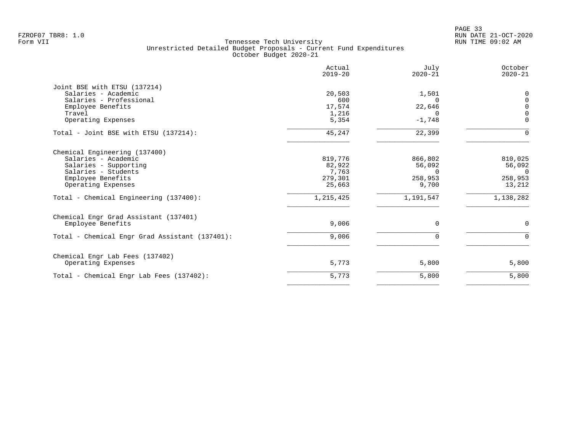|                                                | Actual<br>$2019 - 20$ | July<br>$2020 - 21$ | October<br>$2020 - 21$ |
|------------------------------------------------|-----------------------|---------------------|------------------------|
| Joint BSE with ETSU (137214)                   |                       |                     |                        |
| Salaries - Academic                            | 20,503                | 1,501               | $\Omega$               |
| Salaries - Professional                        | 600                   | $\Omega$            | $\Omega$               |
| Employee Benefits                              | 17,574                | 22,646              | $\Omega$               |
| Travel                                         | 1,216                 | $\Omega$            | $\Omega$               |
| Operating Expenses                             | 5,354                 | $-1,748$            | $\Omega$               |
| Total - Joint BSE with ETSU (137214):          | 45,247                | 22,399              | $\Omega$               |
| Chemical Engineering (137400)                  |                       |                     |                        |
| Salaries - Academic                            | 819,776               | 866,802             | 810,025                |
| Salaries - Supporting                          | 82,922                | 56,092              | 56,092                 |
| Salaries - Students                            | 7,763                 | $\Omega$            | $\Omega$               |
| Employee Benefits                              | 279,301               | 258,953             | 258,953                |
| Operating Expenses                             | 25,663                | 9,700               | 13,212                 |
| Total - Chemical Engineering (137400):         | 1,215,425             | 1,191,547           | 1,138,282              |
| Chemical Engr Grad Assistant (137401)          |                       |                     |                        |
| Employee Benefits                              | 9,006                 | $\Omega$            | $\Omega$               |
| Total - Chemical Engr Grad Assistant (137401): | 9,006                 | $\Omega$            | $\Omega$               |
| Chemical Engr Lab Fees (137402)                |                       |                     |                        |
| Operating Expenses                             | 5,773                 | 5,800               | 5,800                  |
| Total - Chemical Engr Lab Fees (137402):       | 5,773                 | 5,800               | 5,800                  |
|                                                |                       |                     |                        |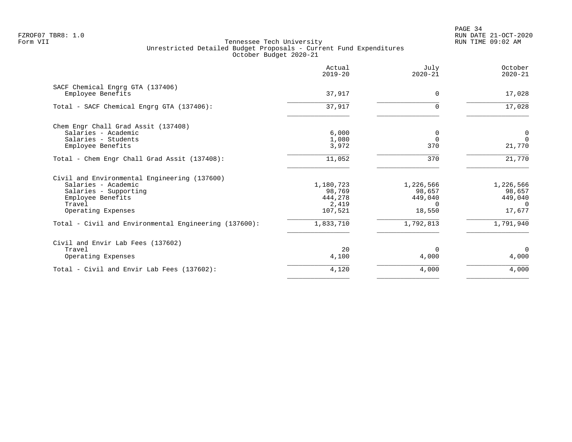PAGE 34 FZROF07 TBR8: 1.0 RUN DATE 21-OCT-2020

|                                                       | Actual<br>$2019 - 20$ | July<br>$2020 - 21$ | October<br>$2020 - 21$ |
|-------------------------------------------------------|-----------------------|---------------------|------------------------|
| SACF Chemical Engrg GTA (137406)                      |                       |                     |                        |
| Employee Benefits                                     | 37,917                | $\Omega$            | 17,028                 |
| Total - SACF Chemical Engrg GTA (137406):             | 37,917                |                     | 17,028                 |
| Chem Engr Chall Grad Assit (137408)                   |                       |                     |                        |
| Salaries - Academic                                   | 6,000                 | 0                   | $\mathbf 0$            |
| Salaries - Students                                   | 1,080                 |                     | $\Omega$               |
| Employee Benefits                                     | 3,972                 | 370                 | 21,770                 |
| Total - Chem Engr Chall Grad Assit (137408):          | 11,052                | 370                 | 21,770                 |
| Civil and Environmental Engineering (137600)          |                       |                     |                        |
| Salaries - Academic                                   | 1,180,723             | 1,226,566           | 1,226,566              |
| Salaries - Supporting                                 | 98,769                | 98,657              | 98,657                 |
| Employee Benefits                                     | 444,278               | 449,040             | 449,040                |
| Travel                                                | 2,419                 | <sup>n</sup>        | $\cap$                 |
| Operating Expenses                                    | 107,521               | 18,550              | 17,677                 |
| Total - Civil and Environmental Engineering (137600): | 1,833,710             | 1,792,813           | 1,791,940              |
| Civil and Envir Lab Fees (137602)                     |                       |                     |                        |
| Travel                                                | 20                    | $\Omega$            | $\Omega$               |
| Operating Expenses                                    | 4,100                 | 4,000               | 4,000                  |
| Total - Civil and Envir Lab Fees (137602):            | 4,120                 | 4,000               | 4,000                  |
|                                                       |                       |                     |                        |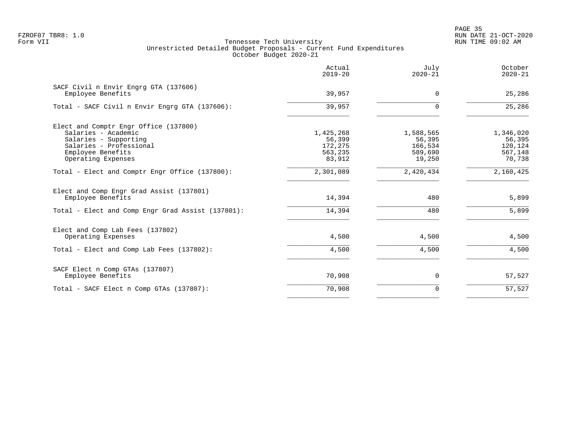en and the state of the state of the state of the state of the state of the state of the state of the state of the state of the state of the state of the state of the state of the state of the state of the state of the sta FZROF07 TBR8: 1.0 RUN DATE 21-OCT-2020

|                                                                                                                                       | Actual<br>$2019 - 20$                     | July<br>$2020 - 21$                       | October<br>$2020 - 21$                    |
|---------------------------------------------------------------------------------------------------------------------------------------|-------------------------------------------|-------------------------------------------|-------------------------------------------|
| SACF Civil n Envir Engrg GTA (137606)<br>Employee Benefits                                                                            | 39,957                                    | $\mathbf 0$                               | 25,286                                    |
| Total - SACF Civil n Envir Engrg GTA (137606):                                                                                        | 39,957                                    | $\Omega$                                  | 25,286                                    |
| Elect and Comptr Engr Office (137800)<br>Salaries - Academic<br>Salaries - Supporting<br>Salaries - Professional<br>Employee Benefits | 1,425,268<br>56,399<br>172,275<br>563,235 | 1,588,565<br>56,395<br>166,534<br>589,690 | 1,346,020<br>56,395<br>120,124<br>567,148 |
| Operating Expenses                                                                                                                    | 83,912                                    | 19,250                                    | 70,738                                    |
| Total - Elect and Comptr Engr Office (137800):                                                                                        | 2,301,089                                 | 2,420,434                                 | 2,160,425                                 |
| Elect and Comp Engr Grad Assist (137801)<br>Employee Benefits                                                                         | 14,394                                    | 480                                       | 5,899                                     |
| Total - Elect and Comp Engr Grad Assist (137801):                                                                                     | 14,394                                    | 480                                       | 5,899                                     |
| Elect and Comp Lab Fees (137802)<br>Operating Expenses                                                                                | 4,500                                     | 4,500                                     | 4,500                                     |
| Total - Elect and Comp Lab Fees (137802):                                                                                             | 4,500                                     | 4,500                                     | 4,500                                     |
| SACF Elect n Comp GTAs (137807)<br>Employee Benefits                                                                                  | 70,908                                    | 0                                         | 57,527                                    |
| Total - SACF Elect n Comp GTAs (137807):                                                                                              | 70,908                                    | $\Omega$                                  | 57,527                                    |
|                                                                                                                                       |                                           |                                           |                                           |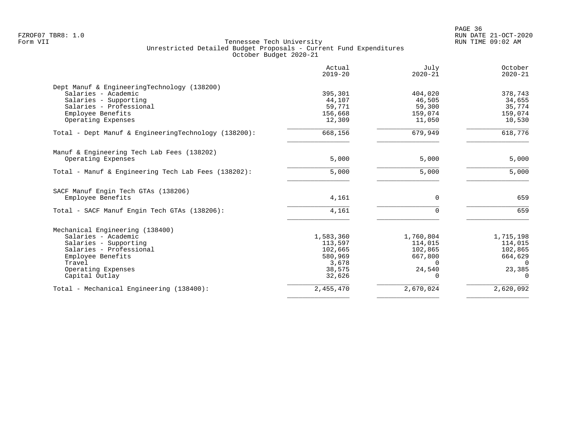|                                                      | Actual<br>$2019 - 20$ | July<br>$2020 - 21$ | October<br>$2020 - 21$ |
|------------------------------------------------------|-----------------------|---------------------|------------------------|
| Dept Manuf & EngineeringTechnology (138200)          |                       |                     |                        |
| Salaries - Academic                                  | 395,301               | 404,020             | 378,743                |
| Salaries - Supporting                                | 44,107                | 46,505              | 34,655                 |
| Salaries - Professional                              | 59,771                | 59,300              | 35,774                 |
| Employee Benefits                                    | 156,668               | 159,074             | 159,074                |
| Operating Expenses                                   | 12,309                | 11,050              | 10,530                 |
| Total - Dept Manuf & EngineeringTechnology (138200): | 668,156               | 679,949             | 618,776                |
| Manuf & Engineering Tech Lab Fees (138202)           |                       |                     |                        |
| Operating Expenses                                   | 5,000                 | 5,000               | 5,000                  |
| Total - Manuf & Engineering Tech Lab Fees (138202):  | 5,000                 | 5,000               | 5,000                  |
| SACF Manuf Engin Tech GTAs (138206)                  |                       |                     |                        |
| Employee Benefits                                    | 4,161                 | $\mathbf 0$         | 659                    |
| Total - SACF Manuf Engin Tech GTAs (138206):         | 4,161                 | $\Omega$            | 659                    |
| Mechanical Engineering (138400)                      |                       |                     |                        |
| Salaries - Academic                                  | 1,583,360             | 1,760,804           | 1,715,198              |
| Salaries - Supporting                                | 113,597               | 114,015             | 114,015                |
| Salaries - Professional                              | 102,665               | 102,865             | 102,865                |
| Employee Benefits                                    | 580,969               | 667,800             | 664,629                |
| Travel                                               | 3,678                 | $\Omega$            | $\Omega$               |
| Operating Expenses                                   | 38,575                | 24,540              | 23,385                 |
| Capital Outlay                                       | 32,626                | $\Omega$            | $\Omega$               |
| Total - Mechanical Engineering (138400):             | 2,455,470             | 2,670,024           | 2,620,092              |
|                                                      |                       |                     |                        |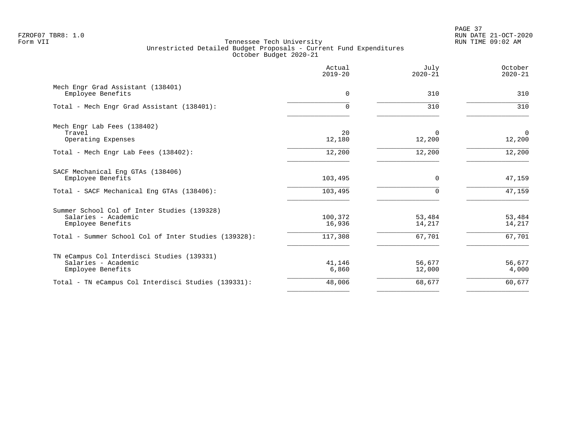PAGE 37 FZROF07 TBR8: 1.0 RUN DATE 21-OCT-2020

|                                                                                         | Actual<br>$2019 - 20$ | July<br>$2020 - 21$ | October<br>$2020 - 21$ |
|-----------------------------------------------------------------------------------------|-----------------------|---------------------|------------------------|
| Mech Engr Grad Assistant (138401)<br>Employee Benefits                                  | 0                     | 310                 | 310                    |
| Total - Mech Engr Grad Assistant (138401):                                              | 0                     | 310                 | 310                    |
| Mech Engr Lab Fees (138402)<br>Travel<br>Operating Expenses                             | 20<br>12,180          | 0<br>12,200         | $\mathbf 0$<br>12,200  |
| Total - Mech Engr Lab Fees (138402):                                                    | 12,200                | 12,200              | 12,200                 |
| SACF Mechanical Eng GTAs (138406)<br>Employee Benefits                                  | 103,495               | 0                   | 47,159                 |
| Total - SACF Mechanical Eng GTAs (138406):                                              | 103,495               | 0                   | 47,159                 |
| Summer School Col of Inter Studies (139328)<br>Salaries - Academic<br>Employee Benefits | 100,372<br>16,936     | 53,484<br>14,217    | 53,484<br>14,217       |
| Total - Summer School Col of Inter Studies (139328):                                    | 117,308               | 67,701              | 67,701                 |
| TN eCampus Col Interdisci Studies (139331)<br>Salaries - Academic<br>Employee Benefits  | 41,146<br>6,860       | 56,677<br>12,000    | 56,677<br>4,000        |
| Total - TN eCampus Col Interdisci Studies (139331):                                     | 48,006                | 68,677              | 60,677                 |
|                                                                                         |                       |                     |                        |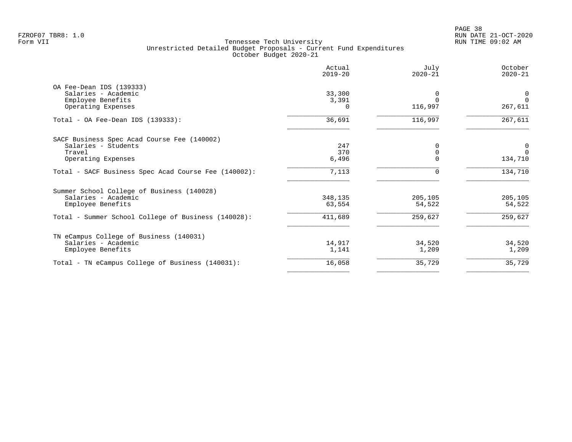PAGE 38 FZROF07 TBR8: 1.0 RUN DATE 21-OCT-2020

|                                                      | Actual<br>$2019 - 20$ | July<br>$2020 - 21$ | October<br>$2020 - 21$ |
|------------------------------------------------------|-----------------------|---------------------|------------------------|
| OA Fee-Dean IDS (139333)                             |                       |                     |                        |
| Salaries - Academic                                  | 33,300                |                     | $\mathbf 0$            |
| Employee Benefits                                    | 3,391                 |                     | $\Omega$               |
| Operating Expenses                                   | 0                     | 116,997             | 267,611                |
| Total - OA Fee-Dean IDS $(139333)$ :                 | 36,691                | 116,997             | 267,611                |
| SACF Business Spec Acad Course Fee (140002)          |                       |                     |                        |
| Salaries - Students                                  | 247                   |                     | 0                      |
| Travel                                               | 370                   | $\Omega$            | $\Omega$               |
| Operating Expenses                                   | 6,496                 |                     | 134,710                |
| Total - SACF Business Spec Acad Course Fee (140002): | 7,113                 | $\Omega$            | 134,710                |
| Summer School College of Business (140028)           |                       |                     |                        |
| Salaries - Academic                                  | 348,135               | 205,105             | 205,105                |
| Employee Benefits                                    | 63,554                | 54,522              | 54,522                 |
| Total - Summer School College of Business (140028):  | 411,689               | 259,627             | 259,627                |
| TN eCampus College of Business (140031)              |                       |                     |                        |
| Salaries - Academic                                  | 14,917                | 34,520              | 34,520                 |
| Employee Benefits                                    | 1,141                 | 1,209               | 1,209                  |
| Total - TN eCampus College of Business (140031):     | 16,058                | 35,729              | 35,729                 |
|                                                      |                       |                     |                        |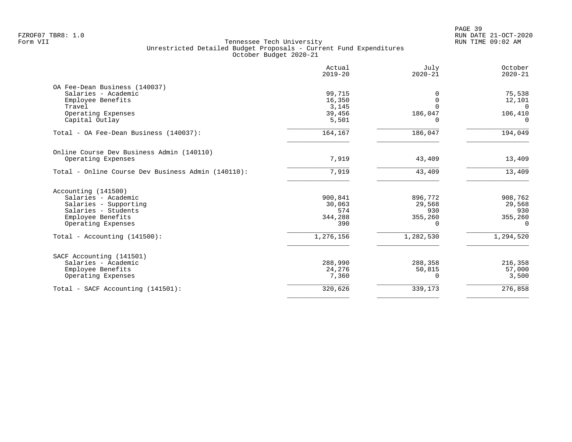|                                                    | Actual<br>$2019 - 20$ | July<br>$2020 - 21$ | October<br>$2020 - 21$ |
|----------------------------------------------------|-----------------------|---------------------|------------------------|
| OA Fee-Dean Business (140037)                      |                       |                     |                        |
| Salaries - Academic                                | 99,715                | $\Omega$            | 75,538                 |
| Employee Benefits                                  | 16,350                | $\Omega$            | 12,101                 |
| Travel                                             | 3,145                 | $\Omega$            | $\Omega$               |
| Operating Expenses                                 | 39,456                | 186,047             | 106,410                |
| Capital Outlay                                     | 5,501                 | <sup>0</sup>        | $\Omega$               |
| Total - OA Fee-Dean Business (140037):             | 164,167               | 186,047             | 194,049                |
| Online Course Dev Business Admin (140110)          |                       |                     |                        |
| Operating Expenses                                 | 7,919                 | 43,409              | 13,409                 |
| Total - Online Course Dev Business Admin (140110): | 7,919                 | 43,409              | 13,409                 |
|                                                    |                       |                     |                        |
| Accounting (141500)                                |                       |                     |                        |
| Salaries - Academic                                | 900,841               | 896,772             | 908,762                |
| Salaries - Supporting                              | 30,063                | 29,568              | 29,568                 |
| Salaries - Students                                | 574                   | 930                 | 930                    |
| Employee Benefits                                  | 344,288               | 355,260             | 355,260                |
| Operating Expenses                                 | 390                   | $\Omega$            | $\Omega$               |
| Total - Accounting $(141500)$ :                    | 1,276,156             | 1,282,530           | 1,294,520              |
| SACF Accounting (141501)                           |                       |                     |                        |
| Salaries - Academic                                | 288,990               | 288,358             | 216,358                |
| Employee Benefits                                  | 24,276                | 50,815              | 57,000                 |
| Operating Expenses                                 | 7,360                 | $\Omega$            | 3,500                  |
| Total - SACF Accounting (141501):                  | 320,626               | 339,173             | 276,858                |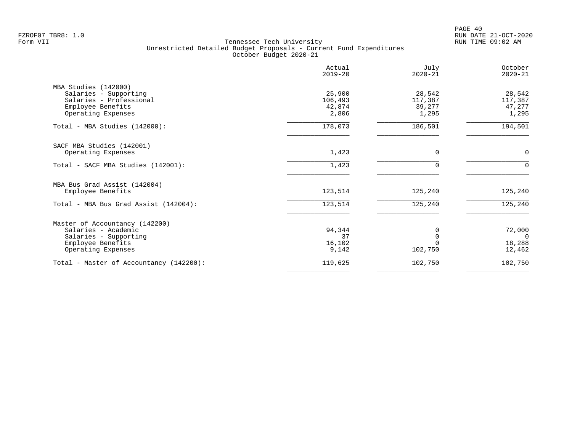PAGE 40 FZROF07 TBR8: 1.0 RUN DATE 21-OCT-2020

|                                                                                                                           | Actual<br>$2019 - 20$                | July<br>$2020 - 21$                  | October<br>$2020 - 21$                 |
|---------------------------------------------------------------------------------------------------------------------------|--------------------------------------|--------------------------------------|----------------------------------------|
| MBA Studies (142000)<br>Salaries - Supporting<br>Salaries - Professional<br>Employee Benefits<br>Operating Expenses       | 25,900<br>106,493<br>42,874<br>2,806 | 28,542<br>117,387<br>39,277<br>1,295 | 28,542<br>117,387<br>47,277<br>1,295   |
| Total - MBA Studies (142000):                                                                                             | 178,073                              | 186,501                              | 194,501                                |
| SACF MBA Studies (142001)<br>Operating Expenses                                                                           | 1,423                                | 0                                    | 0                                      |
| Total - SACF MBA Studies (142001):                                                                                        | 1,423                                | $\Omega$                             | $\Omega$                               |
| MBA Bus Grad Assist (142004)<br>Employee Benefits                                                                         | 123,514                              | 125,240                              | 125,240                                |
| Total - MBA Bus Grad Assist (142004):                                                                                     | 123,514                              | 125,240                              | 125,240                                |
| Master of Accountancy (142200)<br>Salaries - Academic<br>Salaries - Supporting<br>Employee Benefits<br>Operating Expenses | 94,344<br>37<br>16,102<br>9,142      | 0<br>$\Omega$<br>102,750             | 72,000<br>$\Omega$<br>18,288<br>12,462 |
| Total - Master of Accountancy (142200):                                                                                   | 119,625                              | 102,750                              | 102,750                                |
|                                                                                                                           |                                      |                                      |                                        |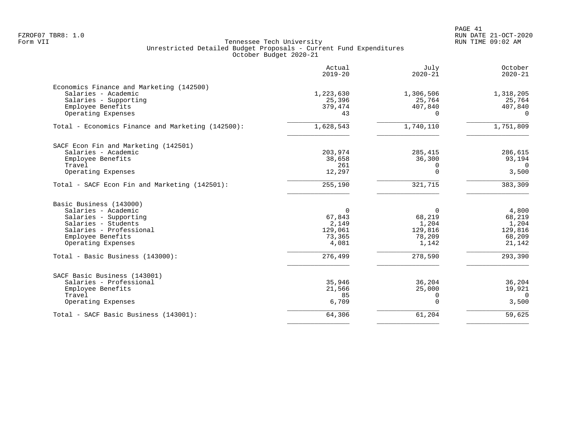|                                                                                                               | Actual<br>$2019 - 20$          | July<br>$2020 - 21$            | October<br>$2020 - 21$         |
|---------------------------------------------------------------------------------------------------------------|--------------------------------|--------------------------------|--------------------------------|
| Economics Finance and Marketing (142500)<br>Salaries - Academic<br>Salaries - Supporting<br>Employee Benefits | 1,223,630<br>25,396<br>379,474 | 1,306,506<br>25,764<br>407,840 | 1,318,205<br>25,764<br>407,840 |
| Operating Expenses                                                                                            | 43                             | $\Omega$                       | $\Omega$                       |
| Total - Economics Finance and Marketing (142500):                                                             | 1,628,543                      | 1,740,110                      | 1,751,809                      |
| SACF Econ Fin and Marketing (142501)                                                                          |                                |                                |                                |
| Salaries - Academic                                                                                           | 203,974                        | 285,415                        | 286,615                        |
| Employee Benefits                                                                                             | 38,658                         | 36,300                         | 93,194                         |
| Travel                                                                                                        | 261                            | $\Omega$                       | $\Omega$                       |
| Operating Expenses                                                                                            | 12,297                         | $\Omega$                       | 3,500                          |
| Total - SACF Econ Fin and Marketing (142501):                                                                 | 255,190                        | 321,715                        | 383,309                        |
| Basic Business (143000)                                                                                       |                                |                                |                                |
| Salaries - Academic                                                                                           | $\Omega$                       | $\Omega$                       | 4,800                          |
| Salaries - Supporting                                                                                         | 67,843                         | 68,219                         | 68,219                         |
| Salaries - Students                                                                                           | 2,149                          | 1,204                          | 1,204                          |
| Salaries - Professional                                                                                       | 129,061                        | 129,816                        | 129,816                        |
| Employee Benefits                                                                                             | 73,365                         | 78,209                         | 68,209                         |
| Operating Expenses                                                                                            | 4,081                          | 1,142                          | 21,142                         |
| Total - Basic Business (143000):                                                                              | 276,499                        | 278,590                        | 293,390                        |
| SACF Basic Business (143001)                                                                                  |                                |                                |                                |
| Salaries - Professional                                                                                       | 35,946                         | 36,204                         | 36,204                         |
| Employee Benefits                                                                                             | 21,566                         | 25,000                         | 19,921                         |
| Travel                                                                                                        | 85                             | n                              | $\Omega$                       |
| Operating Expenses                                                                                            | 6,709                          | $\Omega$                       | 3,500                          |
| Total - SACF Basic Business (143001):                                                                         | 64,306                         | 61,204                         | 59,625                         |
|                                                                                                               |                                |                                |                                |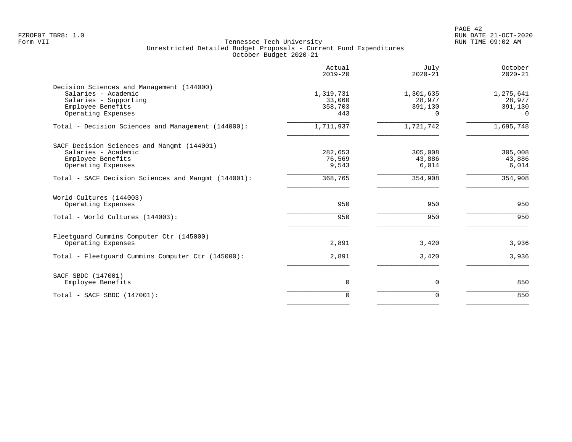|                                                                                                                                      | Actual<br>$2019 - 20$                 | July<br>$2020 - 21$                        | October<br>$2020 - 21$                     |
|--------------------------------------------------------------------------------------------------------------------------------------|---------------------------------------|--------------------------------------------|--------------------------------------------|
| Decision Sciences and Management (144000)<br>Salaries - Academic<br>Salaries - Supporting<br>Employee Benefits<br>Operating Expenses | 1,319,731<br>33,060<br>358,703<br>443 | 1,301,635<br>28,977<br>391,130<br>$\Omega$ | 1,275,641<br>28,977<br>391,130<br>$\Omega$ |
| Total - Decision Sciences and Management (144000):                                                                                   | 1,711,937                             | 1,721,742                                  | 1,695,748                                  |
| SACF Decision Sciences and Mangmt (144001)<br>Salaries - Academic<br>Employee Benefits<br>Operating Expenses                         | 282,653<br>76,569<br>9,543            | 305,008<br>43,886<br>6,014                 | 305,008<br>43,886<br>6,014                 |
| Total - SACF Decision Sciences and Mangmt (144001):                                                                                  | 368,765                               | 354,908                                    | 354,908                                    |
| World Cultures (144003)<br>Operating Expenses<br>Total - World Cultures (144003):                                                    | 950<br>950                            | 950<br>950                                 | 950<br>950                                 |
| Fleetquard Cummins Computer Ctr (145000)<br>Operating Expenses<br>Total - Fleetquard Cummins Computer Ctr (145000):                  | 2,891<br>2,891                        | 3,420<br>3,420                             | 3,936<br>3,936                             |
| SACF SBDC (147001)<br>Employee Benefits                                                                                              | $\mathbf 0$                           | $\mathbf 0$                                | 850                                        |
| $Total - SACF SBDC (147001):$                                                                                                        | $\Omega$                              | $\Omega$                                   | 850                                        |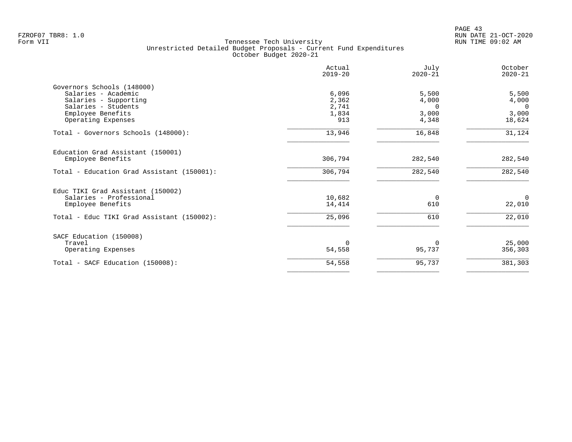PAGE 43 FZROF07 TBR8: 1.0 RUN DATE 21-OCT-2020

| Actual<br>$2019 - 20$ | July<br>$2020 - 21$   | October<br>$2020 - 21$ |
|-----------------------|-----------------------|------------------------|
|                       |                       |                        |
| 6,096                 | 5,500                 | 5,500                  |
| 2,362                 | 4,000                 | 4,000                  |
|                       | $\Omega$              | $\Omega$               |
|                       |                       | 3,000                  |
|                       |                       | 18,624                 |
| 13,946                | 16,848                | 31,124                 |
|                       |                       |                        |
| 306,794               | 282,540               | 282,540                |
| 306,794               | 282,540               | 282,540                |
|                       |                       |                        |
| 10,682                | $\Omega$              | $\Omega$               |
| 14,414                | 610                   | 22,010                 |
| 25,096                | 610                   | 22,010                 |
|                       |                       |                        |
| $\Omega$              | $\Omega$              | 25,000                 |
| 54,558                | 95,737                | 356,303                |
| 54,558                | 95,737                | 381,303                |
|                       | 2,741<br>1,834<br>913 | 3,000<br>4,348         |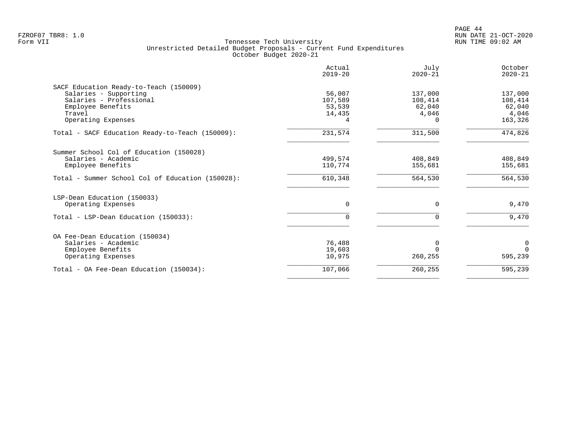PAGE 44 FZROF07 TBR8: 1.0 RUN DATE 21-OCT-2020

|                                                       | Actual<br>$2019 - 20$ | July<br>$2020 - 21$ | October<br>$2020 - 21$ |
|-------------------------------------------------------|-----------------------|---------------------|------------------------|
| SACF Education Ready-to-Teach (150009)                |                       |                     |                        |
| Salaries - Supporting                                 | 56,007                | 137,000             | 137,000                |
| Salaries - Professional                               | 107,589               | 108,414             | 108,414                |
| Employee Benefits                                     | 53,539                | 62,040              | 62,040                 |
| Travel                                                | 14,435                | 4,046               | 4,046                  |
| Operating Expenses                                    | 4                     | 0                   | 163,326                |
| Total - SACF Education Ready-to-Teach (150009):       | 231,574               | 311,500             | 474,826                |
| Summer School Col of Education (150028)               |                       |                     |                        |
| Salaries - Academic                                   | 499,574               | 408,849             | 408,849                |
| Employee Benefits                                     | 110,774               | 155,681             | 155,681                |
| Total - Summer School Col of Education (150028):      | 610,348               | 564,530             | 564,530                |
| LSP-Dean Education (150033)                           |                       |                     |                        |
| Operating Expenses                                    | $\Omega$              | $\Omega$            | 9,470                  |
| Total - LSP-Dean Education (150033):                  | $\Omega$              | $\Omega$            | 9,470                  |
|                                                       |                       |                     |                        |
| OA Fee-Dean Education (150034)<br>Salaries - Academic | 76,488                |                     |                        |
| Employee Benefits                                     | 19,603                | 0                   | 0<br>$\Omega$          |
| Operating Expenses                                    | 10,975                | 260,255             | 595,239                |
| Total - OA Fee-Dean Education (150034):               | 107,066               | 260,255             | 595,239                |
|                                                       |                       |                     |                        |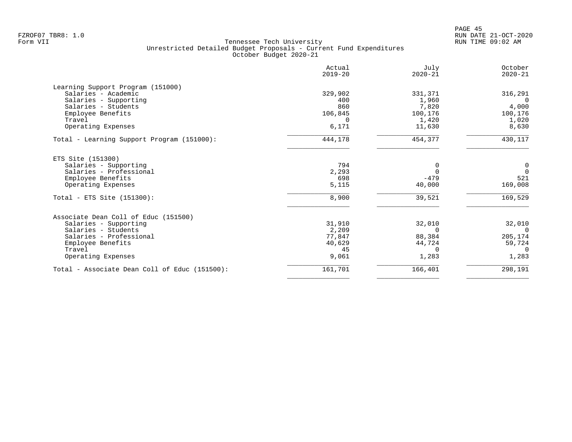| Actual<br>$2019 - 20$ | July<br>$2020 - 21$ | October<br>$2020 - 21$ |
|-----------------------|---------------------|------------------------|
|                       |                     |                        |
| 329,902               | 331,371             | 316,291                |
| 400                   | 1,960               | $\Omega$               |
| 860                   | 7,820               | 4,000                  |
| 106,845               | 100,176             | 100,176                |
| $\Omega$              | 1,420               | 1,020                  |
| 6,171                 | 11,630              | 8,630                  |
| 444,178               | 454,377             | 430,117                |
|                       |                     |                        |
| 794                   | $\Omega$            | 0                      |
| 2,293                 | $\Omega$            | $\overline{0}$         |
| 698                   | $-479$              | 521                    |
| 5,115                 | 40,000              | 169,008                |
| 8,900                 | 39,521              | 169,529                |
|                       |                     |                        |
|                       |                     | 32,010                 |
|                       | $\Omega$            | $\Omega$               |
| 77,847                | 88,384              | 205,174                |
| 40,629                | 44,724              | 59,724                 |
| 45                    | $\Omega$            | $\Omega$               |
| 9,061                 | 1,283               | 1,283                  |
| 161,701               |                     | 298,191                |
|                       | 31,910<br>2,209     | 32,010<br>166,401      |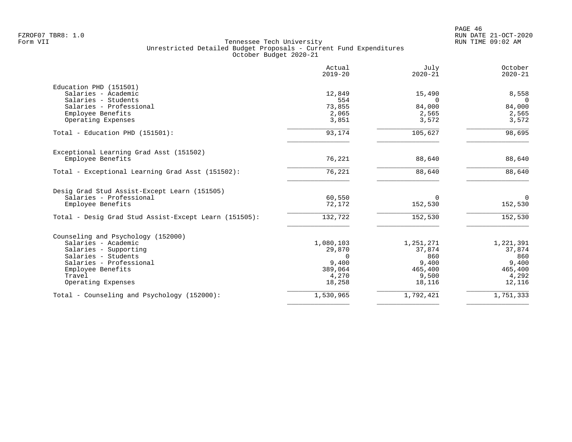PAGE 46 FZROF07 TBR8: 1.0 RUN DATE 21-OCT-2020

|                                                       | Actual<br>$2019 - 20$ | July<br>$2020 - 21$ | October<br>$2020 - 21$ |
|-------------------------------------------------------|-----------------------|---------------------|------------------------|
| Education PHD (151501)                                |                       |                     |                        |
| Salaries - Academic                                   | 12,849                | 15,490              | 8,558                  |
| Salaries - Students                                   | 554                   | $\Omega$            | $\Omega$               |
| Salaries - Professional                               | 73,855                | 84,000              | 84,000                 |
| Employee Benefits                                     | 2,065                 | 2,565               | 2,565                  |
| Operating Expenses                                    | 3,851                 | 3,572               | 3,572                  |
| Total - Education PHD (151501):                       | 93,174                | 105,627             | 98,695                 |
| Exceptional Learning Grad Asst (151502)               |                       |                     |                        |
| Employee Benefits                                     | 76,221                | 88,640              | 88,640                 |
| Total - Exceptional Learning Grad Asst (151502):      | 76,221                | 88,640              | 88,640                 |
| Desig Grad Stud Assist-Except Learn (151505)          |                       |                     |                        |
| Salaries - Professional                               | 60,550                | $\Omega$            | $\Omega$               |
| Employee Benefits                                     | 72,172                | 152,530             | 152,530                |
| Total - Desig Grad Stud Assist-Except Learn (151505): | 132,722               | 152,530             | 152,530                |
| Counseling and Psychology (152000)                    |                       |                     |                        |
| Salaries - Academic                                   | 1,080,103             | 1,251,271           | 1,221,391              |
| Salaries - Supporting                                 | 29,870                | 37,874              | 37,874                 |
| Salaries - Students                                   | $\Omega$              | 860                 | 860                    |
| Salaries - Professional                               | 9,400                 | 9,400               | 9,400                  |
| Employee Benefits                                     | 389,064               | 465,400             | 465,400                |
| Travel                                                | 4,270                 | 9,500               | 4,292                  |
| Operating Expenses                                    | 18,258                | 18,116              | 12,116                 |
| Total - Counseling and Psychology (152000):           | 1,530,965             | 1,792,421           | 1,751,333              |
|                                                       |                       |                     |                        |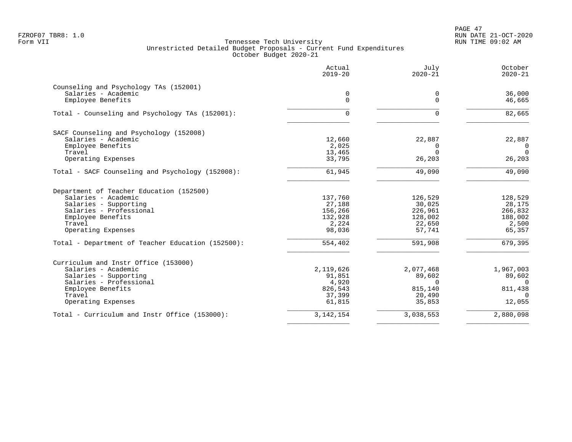PAGE 47 FZROF07 TBR8: 1.0 RUN DATE 21-OCT-2020

| Actual<br>$2019 - 20$ | July<br>$2020 - 21$                                                                                              | October<br>$2020 - 21$                                                                            |
|-----------------------|------------------------------------------------------------------------------------------------------------------|---------------------------------------------------------------------------------------------------|
|                       |                                                                                                                  |                                                                                                   |
|                       |                                                                                                                  | 36,000                                                                                            |
|                       |                                                                                                                  | 46,665                                                                                            |
| $\Omega$              | $\Omega$                                                                                                         | 82,665                                                                                            |
|                       |                                                                                                                  |                                                                                                   |
| 12,660                | 22,887                                                                                                           | 22,887                                                                                            |
|                       | 0                                                                                                                | $\overline{0}$                                                                                    |
|                       |                                                                                                                  | $\Omega$                                                                                          |
|                       |                                                                                                                  | 26,203                                                                                            |
| 61,945                | 49,090                                                                                                           | 49,090                                                                                            |
|                       |                                                                                                                  |                                                                                                   |
| 137,760               | 126,529                                                                                                          | 128,529                                                                                           |
| 27,188                | 30,025                                                                                                           | 28,175                                                                                            |
| 156,266               | 226,961                                                                                                          | 266,832                                                                                           |
|                       |                                                                                                                  | 188,002                                                                                           |
|                       |                                                                                                                  | 2,500                                                                                             |
|                       |                                                                                                                  | 65,357                                                                                            |
| 554,402               | 591,908                                                                                                          | 679,395                                                                                           |
|                       |                                                                                                                  |                                                                                                   |
| 2,119,626             | 2,077,468                                                                                                        | 1,967,003                                                                                         |
| 91,851                | 89,602                                                                                                           | 89,602                                                                                            |
|                       | $\Omega$                                                                                                         | $\cap$                                                                                            |
|                       |                                                                                                                  | 811,438                                                                                           |
|                       |                                                                                                                  | $\Omega$                                                                                          |
|                       |                                                                                                                  | 12,055                                                                                            |
| 3, 142, 154           | 3,038,553                                                                                                        | 2,880,098                                                                                         |
|                       | 0<br>$\Omega$<br>2,025<br>13,465<br>33,795<br>132,928<br>2,224<br>98,036<br>4,920<br>826,543<br>37,399<br>61,815 | 0<br>$\Omega$<br>$\Omega$<br>26,203<br>128,002<br>22,650<br>57,741<br>815,140<br>20,490<br>35,853 |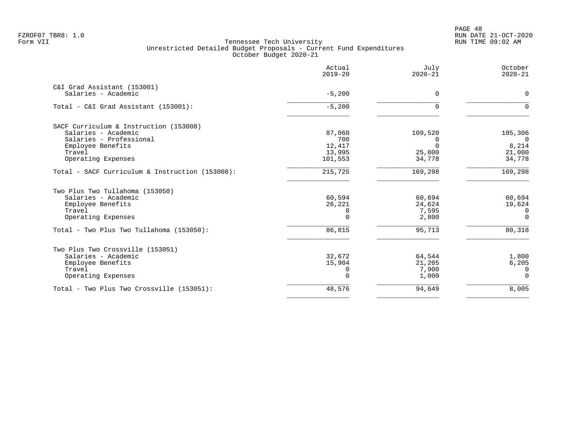PAGE 48 FZROF07 TBR8: 1.0 RUN DATE 21-OCT-2020

|                                                 | Actual<br>$2019 - 20$ | July<br>$2020 - 21$ | October<br>$2020 - 21$ |
|-------------------------------------------------|-----------------------|---------------------|------------------------|
| C&I Grad Assistant (153001)                     |                       |                     |                        |
| Salaries - Academic                             | $-5,200$              | 0                   | $\mathbf 0$            |
| Total - C&I Grad Assistant (153001):            | $-5,200$              | $\Omega$            | $\Omega$               |
| SACF Curriculum & Instruction (153008)          |                       |                     |                        |
| Salaries - Academic                             | 87,060                | 109,520             | 105,306                |
| Salaries - Professional                         | 700                   | 0                   | $\Omega$               |
| Employee Benefits                               | 12,417                |                     | 8,214                  |
| Travel                                          | 13,995                | 25,000              | 21,000                 |
| Operating Expenses                              | 101,553               | 34,778              | 34,778                 |
| Total - SACF Curriculum & Instruction (153008): | 215,725               | 169,298             | 169,298                |
| Two Plus Two Tullahoma (153050)                 |                       |                     |                        |
| Salaries - Academic                             | 60,594                | 60,694              | 60,694                 |
| Employee Benefits                               | 26,221                | 24,624              | 19,624                 |
| Travel                                          | 0                     | 7,595               | $\Omega$               |
| Operating Expenses                              | $\Omega$              | 2,800               | $\Omega$               |
| Total - Two Plus Two Tullahoma (153050):        | 86,815                | 95,713              | 80,318                 |
| Two Plus Two Crossville (153051)                |                       |                     |                        |
| Salaries - Academic                             | 32,672                | 64,544              | 1,800                  |
| Employee Benefits                               | 15,904                | 21,205              | 6,205                  |
| Travel                                          | 0                     | 7,900               | 0                      |
| Operating Expenses                              | $\Omega$              | 1,000               | $\Omega$               |
| Total - Two Plus Two Crossville (153051):       | 48,576                | 94,649              | 8,005                  |
|                                                 |                       |                     |                        |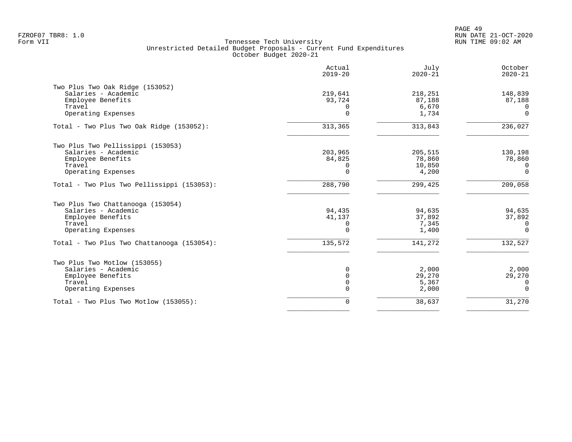|                                                                                                               | Actual<br>$2019 - 20$                     | July<br>$2020 - 21$                  | October<br>$2020 - 21$                    |
|---------------------------------------------------------------------------------------------------------------|-------------------------------------------|--------------------------------------|-------------------------------------------|
| Two Plus Two Oak Ridge (153052)<br>Salaries - Academic<br>Employee Benefits<br>Travel<br>Operating Expenses   | 219,641<br>93,724<br>$\Omega$<br>$\Omega$ | 218,251<br>87,188<br>6,670<br>1,734  | 148,839<br>87,188<br>$\Omega$<br>$\Omega$ |
| Total - Two Plus Two Oak Ridge (153052):                                                                      | 313,365                                   | 313,843                              | 236,027                                   |
| Two Plus Two Pellissippi (153053)<br>Salaries - Academic<br>Employee Benefits<br>Travel<br>Operating Expenses | 203,965<br>84,825<br>$\Omega$<br>$\Omega$ | 205,515<br>78,860<br>10,850<br>4,200 | 130,198<br>78,860<br>$\Omega$<br>$\Omega$ |
| Total - Two Plus Two Pellissippi (153053):                                                                    | 288,790                                   | 299,425                              | 209,058                                   |
| Two Plus Two Chattanooga (153054)<br>Salaries - Academic<br>Employee Benefits<br>Travel<br>Operating Expenses | 94,435<br>41,137<br>0<br>$\Omega$         | 94,635<br>37,892<br>7,345<br>1,400   | 94,635<br>37,892<br>0<br>$\Omega$         |
| Total - Two Plus Two Chattanooga (153054):                                                                    | 135,572                                   | 141,272                              | 132,527                                   |
| Two Plus Two Motlow (153055)<br>Salaries - Academic<br>Employee Benefits<br>Travel<br>Operating Expenses      | $\Omega$<br>$\Omega$<br>0<br>$\Omega$     | 2,000<br>29,270<br>5,367<br>2,000    | 2,000<br>29,270<br>0<br>$\Omega$          |
| Total - Two Plus Two Motlow (153055):                                                                         | 0                                         | 38,637                               | 31,270                                    |
|                                                                                                               |                                           |                                      |                                           |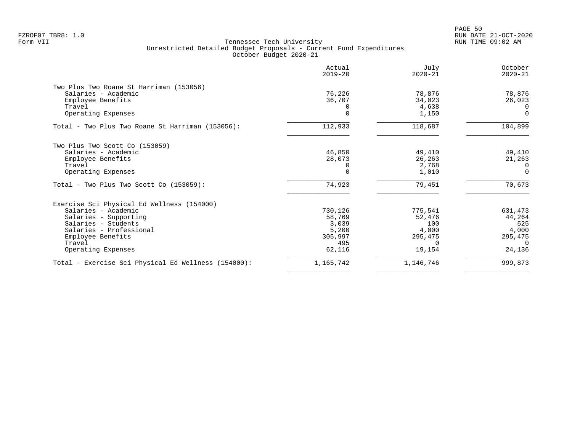|                                                     | Actual<br>$2019 - 20$ | July<br>$2020 - 21$ | October<br>$2020 - 21$ |
|-----------------------------------------------------|-----------------------|---------------------|------------------------|
| Two Plus Two Roane St Harriman (153056)             |                       |                     |                        |
| Salaries - Academic                                 | 76,226                | 78,876              | 78,876                 |
| Employee Benefits                                   | 36,707                | 34,023              | 26,023                 |
| Travel                                              |                       | 4,638               | $\Omega$               |
| Operating Expenses                                  |                       | 1,150               | $\Omega$               |
| Total - Two Plus Two Roane St Harriman (153056):    | 112,933               | 118,687             | 104,899                |
| Two Plus Two Scott Co (153059)                      |                       |                     |                        |
| Salaries - Academic                                 | 46,850                | 49,410              | 49,410                 |
| Employee Benefits                                   | 28,073                | 26,263              | 21,263                 |
| Travel                                              |                       | 2,768               | $\Omega$               |
| Operating Expenses                                  |                       | 1,010               | $\Omega$               |
| $Total - Two Plus Two Scott Co (153059):$           | 74,923                | 79,451              | 70,673                 |
| Exercise Sci Physical Ed Wellness (154000)          |                       |                     |                        |
| Salaries - Academic                                 | 730,126               | 775,541             | 631,473                |
| Salaries - Supporting                               | 58,769                | 52,476              | 44,264                 |
| Salaries - Students                                 | 3,039                 | 100                 | 525                    |
| Salaries - Professional                             | 5,200                 | 4,000               | 4,000                  |
| Employee Benefits                                   | 305,997               | 295,475             | 295,475                |
| Travel                                              | 495                   | $\Omega$            | $\Omega$               |
| Operating Expenses                                  | 62,116                | 19,154              | 24,136                 |
| Total - Exercise Sci Physical Ed Wellness (154000): | 1,165,742             | 1,146,746           | 999,873                |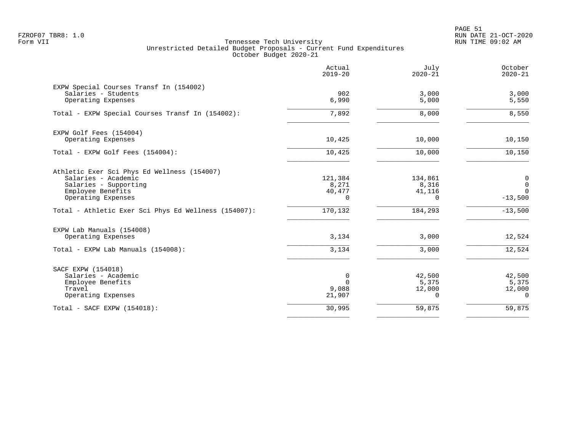PAGE 51 FZROF07 TBR8: 1.0 RUN DATE 21-OCT-2020

|                                                                                                                                        | Actual<br>$2019 - 20$                  | July<br>$2020 - 21$                    | October<br>$2020 - 21$                    |
|----------------------------------------------------------------------------------------------------------------------------------------|----------------------------------------|----------------------------------------|-------------------------------------------|
| EXPW Special Courses Transf In (154002)<br>Salaries - Students<br>Operating Expenses                                                   | 902<br>6,990                           | 3.000<br>5,000                         | 3,000<br>5,550                            |
| Total - EXPW Special Courses Transf In (154002):                                                                                       | 7,892                                  | 8,000                                  | 8,550                                     |
| EXPW Golf Fees (154004)<br>Operating Expenses                                                                                          | 10,425                                 | 10,000                                 | 10,150                                    |
| Total - EXPW Golf Fees (154004):                                                                                                       | 10,425                                 | 10,000                                 | 10,150                                    |
| Athletic Exer Sci Phys Ed Wellness (154007)<br>Salaries - Academic<br>Salaries - Supporting<br>Employee Benefits<br>Operating Expenses | 121,384<br>8,271<br>40,477<br>$\Omega$ | 134,861<br>8,316<br>41,116<br>$\Omega$ | 0<br>$\mathbf 0$<br>$\Omega$<br>$-13,500$ |
| Total - Athletic Exer Sci Phys Ed Wellness (154007):                                                                                   | 170,132                                | 184,293                                | $-13,500$                                 |
| EXPW Lab Manuals (154008)<br>Operating Expenses                                                                                        | 3,134                                  | 3,000                                  | 12,524                                    |
| Total - EXPW Lab Manuals (154008):                                                                                                     | 3,134                                  | 3,000                                  | 12,524                                    |
| SACF EXPW (154018)<br>Salaries - Academic<br>Employee Benefits<br>Travel<br>Operating Expenses                                         | 0<br>$\Omega$<br>9,088<br>21,907       | 42,500<br>5,375<br>12,000<br>$\Omega$  | 42,500<br>5,375<br>12,000<br>$\Omega$     |
| Total - SACF EXPW (154018):                                                                                                            | 30,995                                 | 59,875                                 | 59,875                                    |
|                                                                                                                                        |                                        |                                        |                                           |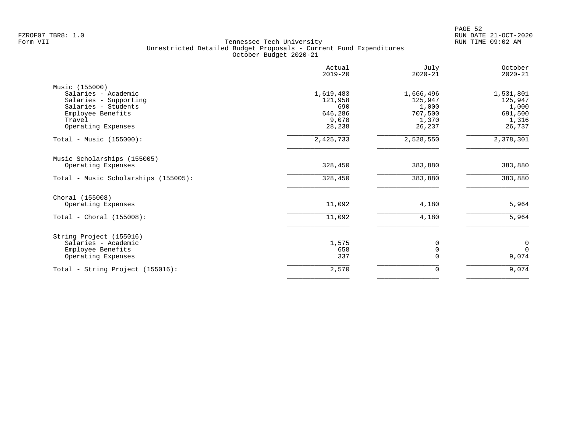|                                      | Actual<br>$2019 - 20$ | July<br>$2020 - 21$ | October<br>$2020 - 21$ |
|--------------------------------------|-----------------------|---------------------|------------------------|
| Music (155000)                       |                       |                     |                        |
| Salaries - Academic                  | 1,619,483             | 1,666,496           | 1,531,801              |
| Salaries - Supporting                | 121,958               | 125,947             | 125,947                |
| Salaries - Students                  | 690                   | 1,000               | 1,000                  |
| Employee Benefits                    | 646,286               | 707,500             | 691,500                |
| Travel                               | 9,078                 | 1,370               | 1,316                  |
| Operating Expenses                   | 28,238                | 26,237              | 26,737                 |
| Total - Music (155000):              | 2,425,733             | 2,528,550           | 2,378,301              |
| Music Scholarships (155005)          |                       |                     |                        |
| Operating Expenses                   | 328,450               | 383,880             | 383,880                |
| Total - Music Scholarships (155005): | 328,450               | 383,880             | 383,880                |
| Choral (155008)                      |                       |                     |                        |
| Operating Expenses                   | 11,092                | 4,180               | 5,964                  |
| Total - Choral $(155008)$ :          | 11,092                | 4,180               | 5,964                  |
| String Project (155016)              |                       |                     |                        |
| Salaries - Academic                  | 1,575                 | 0                   | 0                      |
| Employee Benefits                    | 658                   | 0                   | $\mathbf 0$            |
| Operating Expenses                   | 337                   | $\Omega$            | 9,074                  |
| Total - String Project (155016):     | 2,570                 | 0                   | 9,074                  |
|                                      |                       |                     |                        |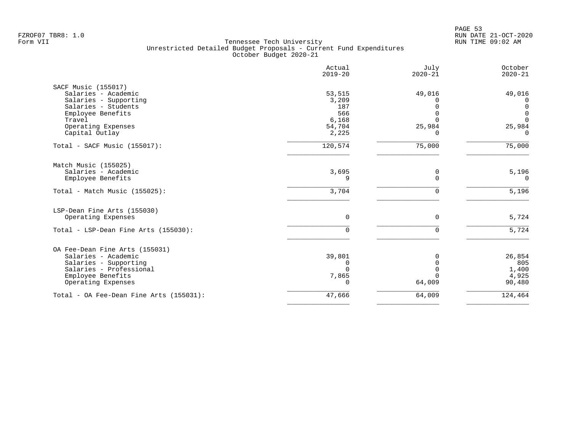|                                         | Actual<br>$2019 - 20$ | July<br>$2020 - 21$ | October<br>$2020 - 21$     |
|-----------------------------------------|-----------------------|---------------------|----------------------------|
| SACF Music (155017)                     |                       |                     |                            |
| Salaries - Academic                     | 53,515                | 49,016              | 49,016                     |
| Salaries - Supporting                   | 3,209                 |                     | 0                          |
| Salaries - Students                     | 187                   | $\Omega$            | $\mathbf 0$                |
| Employee Benefits<br>Travel             | 566<br>6,168          | ∩<br>$\Omega$       | $\overline{0}$<br>$\Omega$ |
| Operating Expenses                      | 54,704                | 25,984              | 25,984                     |
| Capital Outlay                          | 2,225                 | O                   | $\Omega$                   |
| Total - SACF Music (155017):            | 120,574               | 75,000              | 75,000                     |
| Match Music (155025)                    |                       |                     |                            |
| Salaries - Academic                     | 3,695                 | 0                   | 5,196                      |
| Employee Benefits                       | 9                     | $\Omega$            | $\Omega$                   |
| Total - Match Music (155025):           | 3,704                 | 0                   | 5,196                      |
| LSP-Dean Fine Arts (155030)             |                       |                     |                            |
| Operating Expenses                      | $\mathbf 0$           | 0                   | 5,724                      |
| Total - LSP-Dean Fine Arts (155030):    | $\Omega$              | 0                   | 5,724                      |
| OA Fee-Dean Fine Arts (155031)          |                       |                     |                            |
| Salaries - Academic                     | 39,801                | $\Omega$            | 26,854                     |
| Salaries - Supporting                   | 0                     | $\Omega$            | 805                        |
| Salaries - Professional                 | $\Omega$              |                     | 1,400                      |
| Employee Benefits                       | 7,865                 | ∩                   | 4,925                      |
| Operating Expenses                      | $\Omega$              | 64,009              | 90,480                     |
| Total - OA Fee-Dean Fine Arts (155031): | 47,666                | 64,009              | 124,464                    |
|                                         |                       |                     |                            |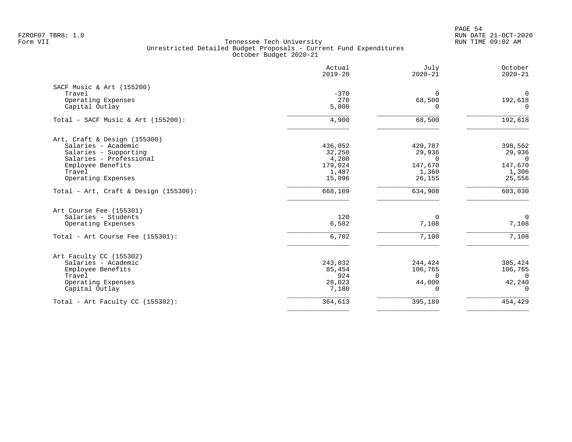PAGE 54 FZROF07 TBR8: 1.0 RUN DATE 21-OCT-2020

|                                       | Actual<br>$2019 - 20$ | July<br>$2020 - 21$    | October<br>$2020 - 21$ |
|---------------------------------------|-----------------------|------------------------|------------------------|
| SACF Music & Art (155200)             |                       |                        |                        |
| Travel<br>Operating Expenses          | $-370$<br>270         | $\Omega$               | $\mathsf{O}$           |
| Capital Outlay                        | 5,000                 | 68,500<br><sup>n</sup> | 192,618<br>$\Omega$    |
| Total - SACF Music & Art (155200):    | 4,900                 | 68,500                 | 192,618                |
| Art, Craft & Design (155300)          |                       |                        |                        |
| Salaries - Academic                   | 436,052               | 429,787                | 398,562                |
| Salaries - Supporting                 | 32,250                | 29,936                 | 29,936                 |
| Salaries - Professional               | 4,200                 | $\Omega$               | $\Omega$               |
| Employee Benefits                     | 179,024               | 147,670                | 147,670                |
| Travel<br>Operating Expenses          | 1,487<br>15,096       | 1,360<br>26,155        | 1,306<br>25,556        |
|                                       |                       |                        |                        |
| Total - Art, Craft & Design (155300): | 668,109               | 634,908                | 603,030                |
| Art Course Fee (155301)               |                       |                        |                        |
| Salaries - Students                   | 120                   | $\Omega$               | $\overline{0}$         |
| Operating Expenses                    | 6,582                 | 7,108                  | 7,108                  |
| Total - Art Course Fee (155301):      | 6,702                 | 7,108                  | 7,108                  |
| Art Faculty CC (155302)               |                       |                        |                        |
| Salaries - Academic                   | 243,032               | 244,424                | 305,424                |
| Employee Benefits                     | 85,454                | 106,765                | 106,765                |
| Travel                                | 924                   | $\Omega$               | $\Omega$               |
| Operating Expenses<br>Capital Outlay  | 28,023<br>7,180       | 44,000<br>$\Omega$     | 42,240<br>$\Omega$     |
| Total - Art Faculty CC $(155302)$ :   | 364,613               | 395,189                | 454,429                |
|                                       |                       |                        |                        |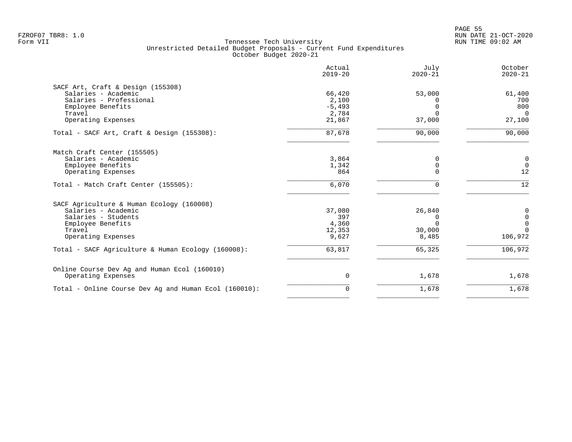|                                                       | Actual<br>$2019 - 20$ | July<br>$2020 - 21$ | October<br>$2020 - 21$ |
|-------------------------------------------------------|-----------------------|---------------------|------------------------|
| SACF Art, Craft & Design (155308)                     |                       |                     |                        |
| Salaries - Academic                                   | 66,420                | 53,000              | 61,400                 |
| Salaries - Professional                               | 2,100                 |                     | 700                    |
| Employee Benefits                                     | $-5,493$              |                     | 800                    |
| Travel                                                | 2,784                 | $\cap$              | $\Omega$               |
| Operating Expenses                                    | 21,867                | 37,000              | 27,100                 |
| Total - SACF Art, Craft & Design (155308):            | 87,678                | 90,000              | 90,000                 |
| Match Craft Center (155505)                           |                       |                     |                        |
| Salaries - Academic                                   | 3,864                 | $\Omega$            | 0                      |
| Employee Benefits                                     | 1,342                 | 0                   | $\overline{0}$         |
| Operating Expenses                                    | 864                   | $\Omega$            | 12                     |
| Total - Match Craft Center (155505):                  | 6,070                 |                     | 12                     |
| SACF Agriculture & Human Ecology (160008)             |                       |                     |                        |
| Salaries - Academic                                   | 37,080                | 26,840              | 0                      |
| Salaries - Students                                   | 397                   |                     | $\mathbf 0$            |
| Employee Benefits                                     | 4,360                 | $\Omega$            | $\mathbf 0$            |
| Travel                                                | 12,353                | 30,000              | $\Omega$               |
| Operating Expenses                                    | 9,627                 | 8,485               | 106,972                |
| Total - SACF Agriculture & Human Ecology (160008):    | 63,817                | 65,325              | 106,972                |
| Online Course Dev Ag and Human Ecol (160010)          |                       |                     |                        |
| Operating Expenses                                    | 0                     | 1,678               | 1,678                  |
| Total - Online Course Dev Ag and Human Ecol (160010): | 0                     | 1,678               | 1,678                  |
|                                                       |                       |                     |                        |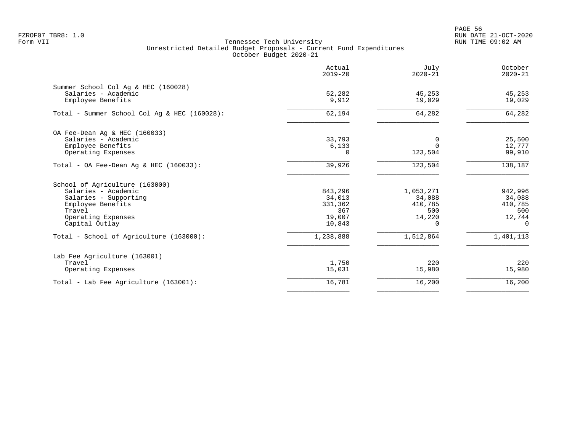PAGE 56 FZROF07 TBR8: 1.0 RUN DATE 21-OCT-2020

|                                                                                                                                                       | Actual<br>$2019 - 20$                                   | July<br>$2020 - 21$                                             | October<br>$2020 - 21$                                    |
|-------------------------------------------------------------------------------------------------------------------------------------------------------|---------------------------------------------------------|-----------------------------------------------------------------|-----------------------------------------------------------|
| Summer School Col Aq & HEC (160028)<br>Salaries - Academic<br>Employee Benefits                                                                       | 52,282<br>9,912                                         | 45,253<br>19,029                                                | 45,253<br>19,029                                          |
| Total - Summer School Col Aq & HEC (160028):                                                                                                          | 62,194                                                  | 64,282                                                          | 64,282                                                    |
| OA Fee-Dean Aq & HEC (160033)<br>Salaries - Academic<br>Employee Benefits<br>Operating Expenses                                                       | 33,793<br>6,133<br>$\Omega$                             | 0<br>$\Omega$<br>123,504                                        | 25,500<br>12,777<br>99,910                                |
| Total - OA Fee-Dean Aq & HEC $(160033)$ :                                                                                                             | 39,926                                                  | 123,504                                                         | 138,187                                                   |
| School of Agriculture (163000)<br>Salaries - Academic<br>Salaries - Supporting<br>Employee Benefits<br>Travel<br>Operating Expenses<br>Capital Outlay | 843,296<br>34,013<br>331,362<br>367<br>19,007<br>10,843 | 1,053,271<br>34,088<br>410,785<br>500<br>14,220<br><sup>n</sup> | 942,996<br>34,088<br>410,785<br>500<br>12,744<br>$\Omega$ |
| Total - School of Agriculture (163000):                                                                                                               | 1,238,888                                               | 1,512,864                                                       | 1,401,113                                                 |
| Lab Fee Agriculture (163001)<br>Travel<br>Operating Expenses                                                                                          | 1,750<br>15,031                                         | 220<br>15,980                                                   | 220<br>15,980                                             |
| Total - Lab Fee Agriculture (163001):                                                                                                                 | 16,781                                                  | 16,200                                                          | 16,200                                                    |
|                                                                                                                                                       |                                                         |                                                                 |                                                           |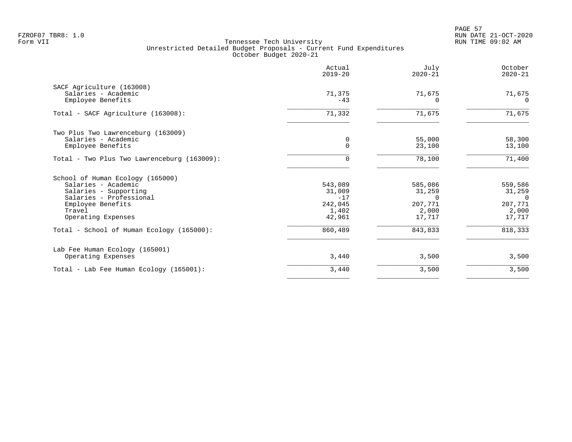|                                                                                                                                                                  | Actual<br>$2019 - 20$                                    | July<br>$2020 - 21$                                       | October<br>$2020 - 21$                                      |
|------------------------------------------------------------------------------------------------------------------------------------------------------------------|----------------------------------------------------------|-----------------------------------------------------------|-------------------------------------------------------------|
| SACF Agriculture (163008)<br>Salaries - Academic<br>Employee Benefits                                                                                            | 71,375<br>$-43$                                          | 71,675<br><sup>0</sup>                                    | 71,675<br>$\Omega$                                          |
| Total - SACF Agriculture (163008):                                                                                                                               | 71,332                                                   | 71,675                                                    | 71,675                                                      |
| Two Plus Two Lawrenceburg (163009)<br>Salaries - Academic<br>Employee Benefits                                                                                   | 0<br>$\Omega$                                            | 55,000<br>23,100                                          | 58,300<br>13,100                                            |
| Total - Two Plus Two Lawrenceburg (163009):                                                                                                                      | 0                                                        | 78,100                                                    | 71,400                                                      |
| School of Human Ecology (165000)<br>Salaries - Academic<br>Salaries - Supporting<br>Salaries - Professional<br>Employee Benefits<br>Travel<br>Operating Expenses | 543,089<br>31,009<br>$-17$<br>242,045<br>1,402<br>42,961 | 585,086<br>31,259<br>$\cap$<br>207,771<br>2,000<br>17,717 | 559,586<br>31,259<br>$\Omega$<br>207,771<br>2,000<br>17,717 |
| Total - School of Human Ecology (165000):                                                                                                                        | 860,489                                                  | 843,833                                                   | 818,333                                                     |
| Lab Fee Human Ecology (165001)<br>Operating Expenses                                                                                                             | 3,440                                                    | 3,500                                                     | 3,500                                                       |
| Total - Lab Fee Human Ecology (165001):                                                                                                                          | 3,440                                                    | 3,500                                                     | 3,500                                                       |
|                                                                                                                                                                  |                                                          |                                                           |                                                             |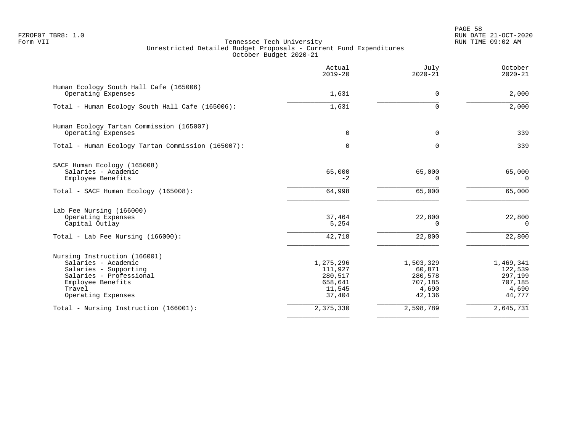|                                                                                                                                                              | Actual<br>$2019 - 20$                                          | July<br>$2020 - 21$                                          | October<br>$2020 - 21$                                        |
|--------------------------------------------------------------------------------------------------------------------------------------------------------------|----------------------------------------------------------------|--------------------------------------------------------------|---------------------------------------------------------------|
| Human Ecology South Hall Cafe (165006)<br>Operating Expenses                                                                                                 | 1,631                                                          | 0                                                            | 2,000                                                         |
| Total - Human Ecology South Hall Cafe (165006):                                                                                                              | 1,631                                                          | $\Omega$                                                     | 2,000                                                         |
| Human Ecology Tartan Commission (165007)<br>Operating Expenses                                                                                               | $\Omega$                                                       | 0                                                            | 339                                                           |
| Total - Human Ecology Tartan Commission (165007):                                                                                                            | 0                                                              | 0                                                            | 339                                                           |
| SACF Human Ecology (165008)<br>Salaries - Academic<br>Employee Benefits                                                                                      | 65,000<br>$-2$                                                 | 65,000<br>0                                                  | 65,000<br>0                                                   |
| Total - SACF Human Ecology (165008):                                                                                                                         | 64,998                                                         | 65,000                                                       | 65,000                                                        |
| Lab Fee Nursing (166000)<br>Operating Expenses<br>Capital Outlay<br>Total - Lab Fee Nursing $(166000)$ :                                                     | 37,464<br>5,254<br>42,718                                      | 22,800<br>$\Omega$<br>22,800                                 | 22,800<br>$\Omega$<br>22,800                                  |
| Nursing Instruction (166001)<br>Salaries - Academic<br>Salaries - Supporting<br>Salaries - Professional<br>Employee Benefits<br>Travel<br>Operating Expenses | 1,275,296<br>111,927<br>280,517<br>658,641<br>11,545<br>37,404 | 1,503,329<br>60,871<br>280,578<br>707,185<br>4,690<br>42,136 | 1,469,341<br>122,539<br>297,199<br>707,185<br>4,690<br>44,777 |
| Total - Nursing Instruction (166001):                                                                                                                        | 2,375,330                                                      | 2,598,789                                                    | 2,645,731                                                     |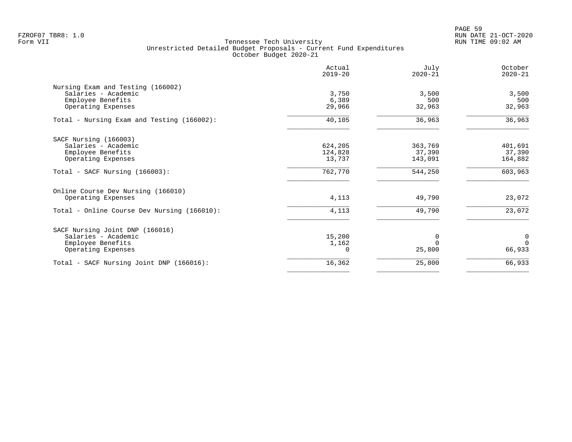|                                             | Actual<br>$2019 - 20$ | July<br>$2020 - 21$ | October<br>$2020 - 21$ |
|---------------------------------------------|-----------------------|---------------------|------------------------|
| Nursing Exam and Testing (166002)           |                       |                     |                        |
| Salaries - Academic                         | 3,750                 | 3,500               | 3,500                  |
| Employee Benefits                           | 6,389                 | 500                 | 500                    |
| Operating Expenses                          | 29,966                | 32,963              | 32,963                 |
| Total - Nursing Exam and Testing (166002):  | 40,105                | 36,963              | 36,963                 |
| SACF Nursing (166003)                       |                       |                     |                        |
| Salaries - Academic                         | 624,205               | 363,769             | 401,691                |
| Employee Benefits                           | 124,828               | 37,390              | 37,390                 |
| Operating Expenses                          | 13,737                | 143,091             | 164,882                |
| Total - SACF Nursing (166003):              | 762,770               | 544,250             | 603,963                |
| Online Course Dev Nursing (166010)          |                       |                     |                        |
| Operating Expenses                          | 4,113                 | 49,790              | 23,072                 |
| Total - Online Course Dev Nursing (166010): | 4,113                 | 49,790              | 23,072                 |
| SACF Nursing Joint DNP (166016)             |                       |                     |                        |
| Salaries - Academic                         | 15,200                | 0                   | 0                      |
| Employee Benefits                           | 1,162                 | $\Omega$            | $\Omega$               |
| Operating Expenses                          | O                     | 25,800              | 66,933                 |
| Total - SACF Nursing Joint DNP (166016):    | 16,362                | 25,800              | 66,933                 |
|                                             |                       |                     |                        |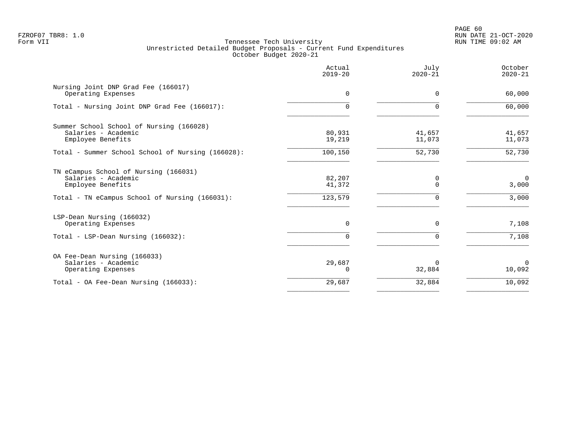# PAGE 60 FZROF07 TBR8: 1.0 RUN DATE 21-OCT-2020

|                                                                                      | Actual<br>$2019 - 20$ | July<br>$2020 - 21$ | October<br>$2020 - 21$ |
|--------------------------------------------------------------------------------------|-----------------------|---------------------|------------------------|
| Nursing Joint DNP Grad Fee (166017)<br>Operating Expenses                            | $\Omega$              | $\Omega$            | 60,000                 |
| Total - Nursing Joint DNP Grad Fee (166017):                                         | $\Omega$              | $\Omega$            | 60,000                 |
| Summer School School of Nursing (166028)<br>Salaries - Academic<br>Employee Benefits | 80,931<br>19,219      | 41,657<br>11,073    | 41,657<br>11,073       |
| Total - Summer School School of Nursing (166028):                                    | 100,150               | 52,730              | 52,730                 |
| TN eCampus School of Nursing (166031)<br>Salaries - Academic<br>Employee Benefits    | 82,207<br>41,372      | 0<br>$\Omega$       | $\Omega$<br>3,000      |
| Total - TN eCampus School of Nursing (166031):                                       | 123,579               | $\Omega$            | 3,000                  |
| LSP-Dean Nursing (166032)<br>Operating Expenses                                      | $\Omega$              | $\Omega$            | 7,108                  |
| Total - LSP-Dean Nursing (166032):                                                   | $\Omega$              | $\Omega$            | 7,108                  |
| OA Fee-Dean Nursing (166033)<br>Salaries - Academic<br>Operating Expenses            | 29,687<br>$\Omega$    | 0<br>32,884         | $\Omega$<br>10,092     |
| Total - OA Fee-Dean Nursing (166033):                                                | 29,687                | 32,884              | 10,092                 |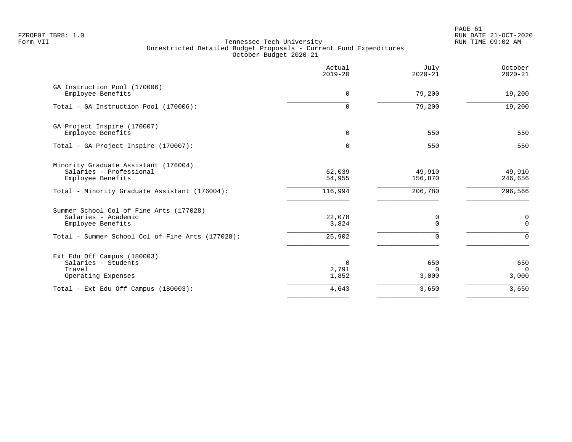PAGE 61 FZROF07 TBR8: 1.0 RUN DATE 21-OCT-2020

|                                                                                                                                         | Actual<br>$2019 - 20$      | July<br>$2020 - 21$       | October<br>$2020 - 21$    |
|-----------------------------------------------------------------------------------------------------------------------------------------|----------------------------|---------------------------|---------------------------|
| GA Instruction Pool (170006)<br>Employee Benefits                                                                                       | $\mathbf 0$                | 79,200                    | 19,200                    |
| Total - GA Instruction Pool (170006):                                                                                                   | $\mathbf 0$                | 79,200                    | 19,200                    |
| GA Project Inspire (170007)<br>Employee Benefits                                                                                        | $\Omega$                   | 550                       | 550                       |
| Total - GA Project Inspire (170007):                                                                                                    | 0                          | 550                       | 550                       |
| Minority Graduate Assistant (176004)<br>Salaries - Professional<br>Employee Benefits                                                    | 62,039<br>54,955           | 49,910<br>156,870         | 49,910<br>246,656         |
| Total - Minority Graduate Assistant (176004):                                                                                           | 116,994                    | 206,780                   | 296,566                   |
| Summer School Col of Fine Arts (177028)<br>Salaries - Academic<br>Employee Benefits<br>Total - Summer School Col of Fine Arts (177028): | 22,078<br>3,824<br>25,902  | 0<br>$\Omega$<br>$\Omega$ | 0<br>$\Omega$<br>$\Omega$ |
| Ext Edu Off Campus (180003)<br>Salaries - Students<br>Travel<br>Operating Expenses                                                      | $\Omega$<br>2,791<br>1,852 | 650<br>$\Omega$<br>3,000  | 650<br>$\Omega$<br>3,000  |
| Total - Ext Edu Off Campus (180003):                                                                                                    | 4,643                      | 3,650                     | 3,650                     |
|                                                                                                                                         |                            |                           |                           |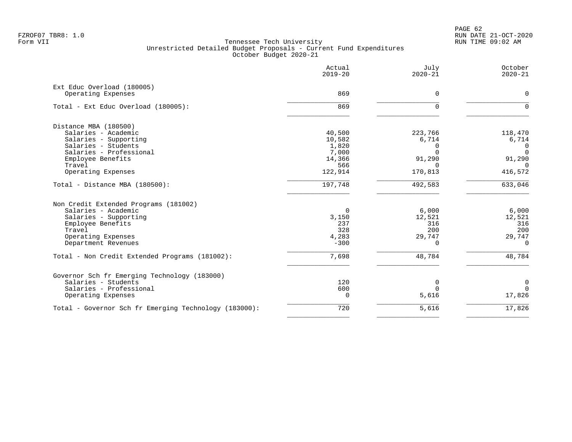PAGE 62 FZROF07 TBR8: 1.0 RUN DATE 21-OCT-2020

|                                                       | Actual<br>$2019 - 20$ | July<br>$2020 - 21$ | October<br>$2020 - 21$ |
|-------------------------------------------------------|-----------------------|---------------------|------------------------|
| Ext Educ Overload (180005)                            |                       |                     |                        |
| Operating Expenses                                    | 869                   | $\Omega$            | $\Omega$               |
| Total - Ext Educ Overload (180005):                   | 869                   | $\Omega$            | $\Omega$               |
| Distance MBA (180500)                                 |                       |                     |                        |
| Salaries - Academic                                   | 40,500                | 223,766             | 118,470                |
| Salaries - Supporting                                 | 10,582                | 6,714               | 6,714                  |
| Salaries - Students                                   | 1,820                 | $\Omega$            | 0                      |
| Salaries - Professional                               | 7,000                 | $\Omega$            | $\Omega$               |
| Employee Benefits                                     | 14,366                | 91,290              | 91,290                 |
| Travel                                                | 566                   | $\Omega$            | $\Omega$               |
| Operating Expenses                                    | 122,914               | 170,813             | 416,572                |
| Total - Distance MBA (180500):                        | 197,748               | 492,583             | 633,046                |
| Non Credit Extended Programs (181002)                 |                       |                     |                        |
| Salaries - Academic                                   | $\Omega$              | 6,000               | 6,000                  |
| Salaries - Supporting                                 | 3,150                 | 12,521              | 12,521                 |
| Employee Benefits                                     | 237                   | 316                 | 316                    |
| Travel                                                | 328                   | 200                 | 200                    |
| Operating Expenses                                    | 4,283                 | 29,747              | 29,747                 |
| Department Revenues                                   | $-300$                | $\Omega$            | $\Omega$               |
| Total - Non Credit Extended Programs (181002):        | 7,698                 | 48,784              | 48,784                 |
| Governor Sch fr Emerging Technology (183000)          |                       |                     |                        |
| Salaries - Students                                   | 120                   | 0                   | $\mathbf 0$            |
| Salaries - Professional                               | 600                   | $\Omega$            | $\Omega$               |
| Operating Expenses                                    | $\Omega$              | 5,616               | 17,826                 |
| Total - Governor Sch fr Emerging Technology (183000): | 720                   | 5,616               | 17,826                 |
|                                                       |                       |                     |                        |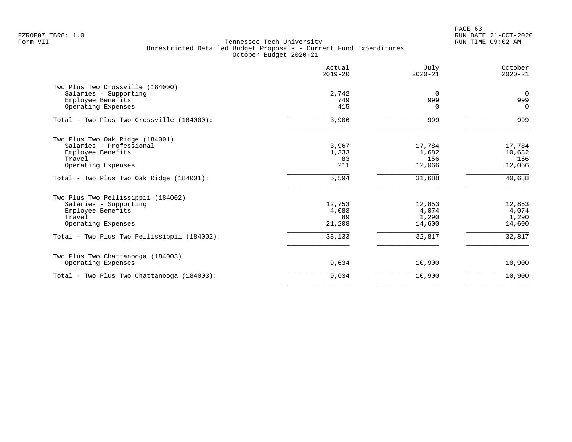PAGE 63 FZROF07 TBR8: 1.0 RUN DATE 21-OCT-2020

|                                             | Actual<br>$2019 - 20$ | July<br>$2020 - 21$ | October<br>$2020 - 21$ |
|---------------------------------------------|-----------------------|---------------------|------------------------|
| Two Plus Two Crossville (184000)            |                       |                     |                        |
| Salaries - Supporting                       | 2,742                 | $\Omega$            | $\overline{0}$         |
| Employee Benefits                           | 749                   | 999                 | 999                    |
| Operating Expenses                          | 415                   | $\Omega$            | $\Omega$               |
| Total - Two Plus Two Crossville (184000):   | 3,906                 | 999                 | 999                    |
| Two Plus Two Oak Ridge (184001)             |                       |                     |                        |
| Salaries - Professional                     | 3,967                 | 17,784              | 17,784                 |
| Employee Benefits                           | 1,333                 | 1,682               | 10,682                 |
| Travel                                      | 83                    | 156                 | 156                    |
| Operating Expenses                          | 211                   | 12,066              | 12,066                 |
| Total - Two Plus Two Oak Ridge (184001):    | 5,594                 | 31,688              | 40,688                 |
| Two Plus Two Pellissippii (184002)          |                       |                     |                        |
| Salaries - Supporting                       | 12,753                | 12,853              | 12,853                 |
| Employee Benefits                           | 4,083                 | 4,074               | 4,074                  |
| Travel                                      | 89                    | 1,290               | 1,290                  |
| Operating Expenses                          | 21,208                | 14,600              | 14,600                 |
| Total - Two Plus Two Pellissippii (184002): | 38,133                | 32,817              | 32,817                 |
| Two Plus Two Chattanooga (184003)           |                       |                     |                        |
| Operating Expenses                          | 9,634                 | 10,900              | 10,900                 |
| Total - Two Plus Two Chattanooga (184003):  | 9,634                 | 10,900              | 10,900                 |
|                                             |                       |                     |                        |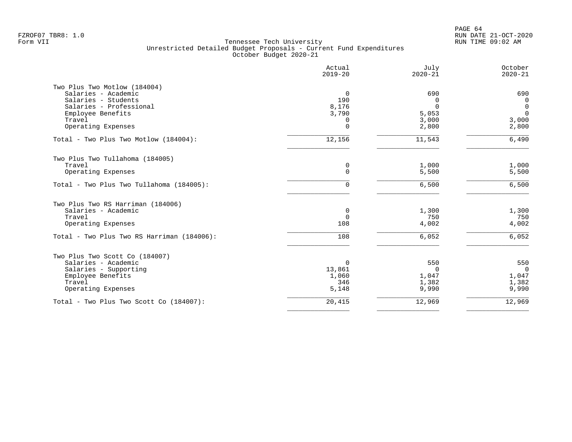|                                            | Actual<br>$2019 - 20$ | July<br>$2020 - 21$ | October<br>$2020 - 21$ |
|--------------------------------------------|-----------------------|---------------------|------------------------|
| Two Plus Two Motlow (184004)               |                       |                     |                        |
| Salaries - Academic                        | $\Omega$              | 690                 | 690                    |
| Salaries - Students                        | 190                   | $\Omega$            | $\mathbf 0$            |
| Salaries - Professional                    | 8,176                 | $\Omega$            | $\mathbf 0$            |
| Employee Benefits                          | 3,790                 | 5,053               | $\Omega$               |
| Travel<br>Operating Expenses               | 0<br>$\Omega$         | 3,000<br>2,800      | 3,000                  |
|                                            |                       |                     | 2,800                  |
| Total - Two Plus Two Motlow (184004):      | 12,156                | 11,543              | 6,490                  |
| Two Plus Two Tullahoma (184005)            |                       |                     |                        |
| Travel                                     | 0                     | 1,000               | 1,000                  |
| Operating Expenses                         | 0                     | 5,500               | 5,500                  |
| Total - Two Plus Two Tullahoma (184005):   | 0                     | 6,500               | 6,500                  |
| Two Plus Two RS Harriman (184006)          |                       |                     |                        |
| Salaries - Academic                        | 0                     | 1,300               | 1,300                  |
| Travel                                     | $\mathbf 0$           | 750                 | 750                    |
| Operating Expenses                         | 108                   | 4,002               | 4,002                  |
| Total - Two Plus Two RS Harriman (184006): | 108                   | 6,052               | 6,052                  |
| Two Plus Two Scott Co (184007)             |                       |                     |                        |
| Salaries - Academic                        | 0                     | 550                 | 550                    |
| Salaries - Supporting                      | 13,861                | $\Omega$            | $\Omega$               |
| Employee Benefits                          | 1,060                 | 1,047               | 1,047                  |
| Travel                                     | 346                   | 1,382               | 1,382                  |
| Operating Expenses                         | 5,148                 | 9,990               | 9,990                  |
| Total - Two Plus Two Scott Co (184007):    | 20,415                | 12,969              | 12,969                 |
|                                            |                       |                     |                        |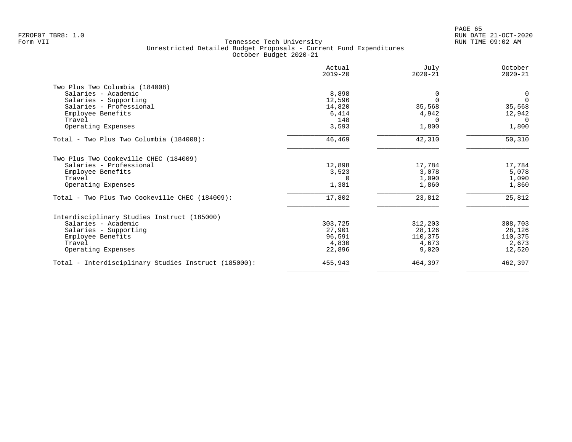|                                                                  | Actual<br>$2019 - 20$ | July<br>$2020 - 21$ | October<br>$2020 - 21$ |
|------------------------------------------------------------------|-----------------------|---------------------|------------------------|
| Two Plus Two Columbia (184008)                                   |                       |                     |                        |
| Salaries - Academic                                              | 8,898                 | 0                   | 0                      |
| Salaries - Supporting                                            | 12,596                |                     | $\Omega$               |
| Salaries - Professional                                          | 14,820                | 35,568              | 35,568                 |
| Employee Benefits                                                | 6,414                 | 4,942               | 12,942                 |
| Travel                                                           | 148                   | $\Omega$            | 0                      |
| Operating Expenses                                               | 3,593                 | 1,800               | 1,800                  |
| Total - Two Plus Two Columbia (184008):                          | 46,469                | 42,310              | 50,310                 |
| Two Plus Two Cookeville CHEC (184009)<br>Salaries - Professional | 12,898                | 17,784              | 17,784                 |
| Employee Benefits                                                | 3,523                 | 3,078               | 5,078                  |
| Travel                                                           | $\Omega$              | 1,090               | 1,090                  |
| Operating Expenses                                               | 1,381                 | 1,860               | 1,860                  |
|                                                                  |                       |                     |                        |
| Total - Two Plus Two Cookeville CHEC (184009):                   | 17,802                | 23,812              | 25,812                 |
| Interdisciplinary Studies Instruct (185000)                      |                       |                     |                        |
| Salaries - Academic                                              | 303,725               | 312,203             | 308,703                |
| Salaries - Supporting                                            | 27,901                | 28,126              | 28,126                 |
| Employee Benefits                                                | 96,591                | 110,375             | 110,375                |
| Travel                                                           | 4,830                 | 4,673               | 2,673                  |
| Operating Expenses                                               | 22,896                | 9,020               | 12,520                 |
| Total - Interdisciplinary Studies Instruct (185000):             | 455,943               | 464,397             | 462,397                |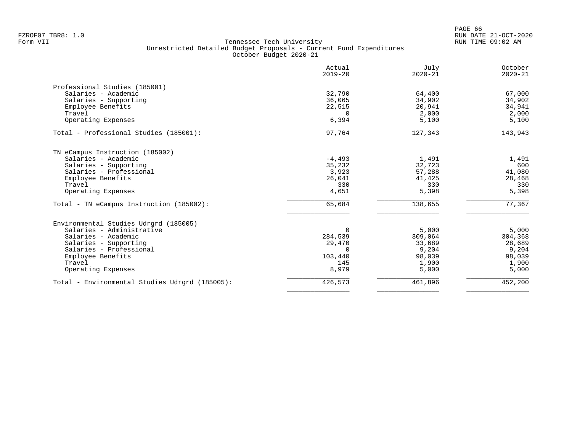|                                                | Actual<br>$2019 - 20$ | July<br>$2020 - 21$ | October<br>$2020 - 21$ |
|------------------------------------------------|-----------------------|---------------------|------------------------|
| Professional Studies (185001)                  |                       |                     |                        |
| Salaries - Academic                            | 32,790                | 64,400              | 67,000                 |
| Salaries - Supporting                          | 36,065                | 34,902              | 34,902                 |
| Employee Benefits                              | 22,515                | 20,941              | 34,941                 |
| Travel                                         | $\Omega$              | 2,000               | 2,000                  |
| Operating Expenses                             | 6,394                 | 5,100               | 5,100                  |
| Total - Professional Studies (185001):         | 97,764                | 127,343             | 143,943                |
| TN eCampus Instruction (185002)                |                       |                     |                        |
| Salaries - Academic                            | $-4,493$              | 1,491               | 1,491                  |
| Salaries - Supporting                          | 35,232                | 32,723              | 600                    |
| Salaries - Professional                        | 3,923                 | 57,288              | 41,080                 |
| Employee Benefits                              | 26,041                | 41,425              | 28,468                 |
| Travel                                         | 330                   | 330                 | 330                    |
| Operating Expenses                             | 4,651                 | 5,398               | 5,398                  |
| Total - TN eCampus Instruction (185002):       | 65,684                | 138,655             | 77,367                 |
| Environmental Studies Udrgrd (185005)          |                       |                     |                        |
| Salaries - Administrative                      | $\Omega$              | 5,000               | 5,000                  |
| Salaries - Academic                            | 284,539               | 309,064             | 304,368                |
| Salaries - Supporting                          | 29,470                | 33,689              | 28,689                 |
| Salaries - Professional                        | $\cap$                | 9,204               | 9,204                  |
| Employee Benefits                              | 103,440               | 98,039              | 98,039                 |
| Travel                                         | 145                   | 1,900               | 1,900                  |
| Operating Expenses                             | 8,979                 | 5,000               | 5,000                  |
| Total - Environmental Studies Udrgrd (185005): | 426,573               | 461,896             | 452,200                |
|                                                |                       |                     |                        |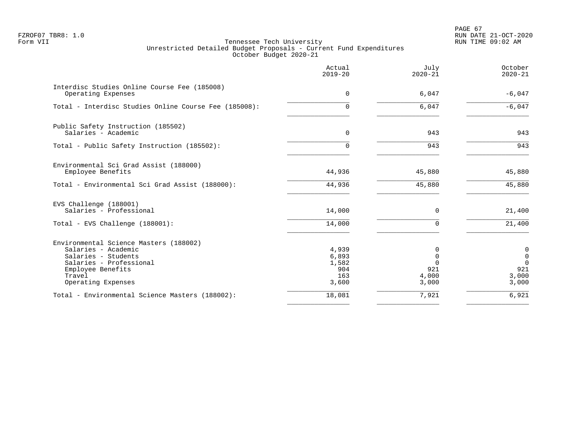PAGE 67 FZROF07 TBR8: 1.0 RUN DATE 21-OCT-2020

|                                                                                                                                                                      | Actual<br>$2019 - 20$                          | July<br>$2020 - 21$                                   | October<br>$2020 - 21$                                             |
|----------------------------------------------------------------------------------------------------------------------------------------------------------------------|------------------------------------------------|-------------------------------------------------------|--------------------------------------------------------------------|
| Interdisc Studies Online Course Fee (185008)<br>Operating Expenses                                                                                                   | $\mathbf 0$                                    | 6,047                                                 | $-6,047$                                                           |
| Total - Interdisc Studies Online Course Fee (185008):                                                                                                                | 0                                              | 6,047                                                 | $-6,047$                                                           |
| Public Safety Instruction (185502)<br>Salaries - Academic                                                                                                            | $\Omega$                                       | 943                                                   | 943                                                                |
| Total - Public Safety Instruction (185502):                                                                                                                          | 0                                              | 943                                                   | 943                                                                |
| Environmental Sci Grad Assist (188000)<br>Employee Benefits                                                                                                          | 44,936                                         | 45,880                                                | 45,880                                                             |
| Total - Environmental Sci Grad Assist (188000):                                                                                                                      | 44,936                                         | 45,880                                                | 45,880                                                             |
| EVS Challenge (188001)<br>Salaries - Professional                                                                                                                    | 14,000                                         | $\mathbf 0$                                           | 21,400                                                             |
| Total - EVS Challenge (188001):                                                                                                                                      | 14,000                                         | $\mathbf 0$                                           | 21,400                                                             |
| Environmental Science Masters (188002)<br>Salaries - Academic<br>Salaries - Students<br>Salaries - Professional<br>Employee Benefits<br>Travel<br>Operating Expenses | 4,939<br>6,893<br>1,582<br>904<br>163<br>3,600 | 0<br>$\mathbf 0$<br>$\Omega$<br>921<br>4,000<br>3,000 | $\mathbf 0$<br>$\mathbf 0$<br>$\mathbf 0$<br>921<br>3,000<br>3,000 |
| Total - Environmental Science Masters (188002):                                                                                                                      | 18,081                                         | 7,921                                                 | 6,921                                                              |
|                                                                                                                                                                      |                                                |                                                       |                                                                    |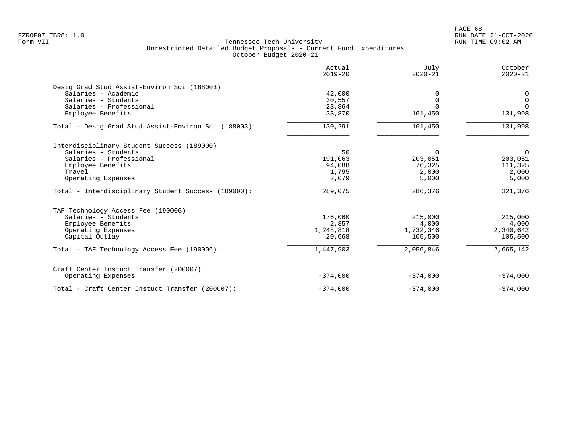|                                                      | Actual<br>$2019 - 20$ | July<br>$2020 - 21$ | October<br>$2020 - 21$ |
|------------------------------------------------------|-----------------------|---------------------|------------------------|
| Desig Grad Stud Assist-Environ Sci (188003)          |                       |                     |                        |
| Salaries - Academic                                  | 42,000                |                     | 0                      |
| Salaries - Students                                  | 30,557                | $\Omega$            | $\mathbf 0$            |
| Salaries - Professional                              | 23,864                |                     | $\Omega$               |
| Employee Benefits                                    | 33,870                | 161,450             | 131,998                |
| Total - Desig Grad Stud Assist-Environ Sci (188003): | 130,291               | 161,450             | 131,998                |
| Interdisciplinary Student Success (189000)           |                       |                     |                        |
| Salaries - Students                                  | 50                    | $\Omega$            | $\overline{0}$         |
| Salaries - Professional                              | 191,063               | 203,051             | 203,051                |
| Employee Benefits                                    | 94,088                | 76,325              | 111,325                |
| Travel                                               | 1,795                 | 2,000               | 2,000                  |
| Operating Expenses                                   | 2,079                 | 5,000               | 5,000                  |
| Total - Interdisciplinary Student Success (189000):  | 289,075               | 286,376             | 321,376                |
| TAF Technology Access Fee (190006)                   |                       |                     |                        |
| Salaries - Students                                  | 176,060               | 215,000             | 215,000                |
| Employee Benefits                                    | 2,357                 | 4,000               | 4,000                  |
| Operating Expenses                                   | 1,248,818             | 1,732,346           | 2,340,642              |
| Capital Outlay                                       | 20,668                | 105,500             | 105,500                |
| Total - TAF Technology Access Fee (190006):          | 1,447,903             | 2,056,846           | 2,665,142              |
| Craft Center Instuct Transfer (200007)               |                       |                     |                        |
| Operating Expenses                                   | $-374,000$            | $-374,000$          | $-374,000$             |
| Total - Craft Center Instuct Transfer (200007):      | $-374,000$            | $-374,000$          | $-374,000$             |
|                                                      |                       |                     |                        |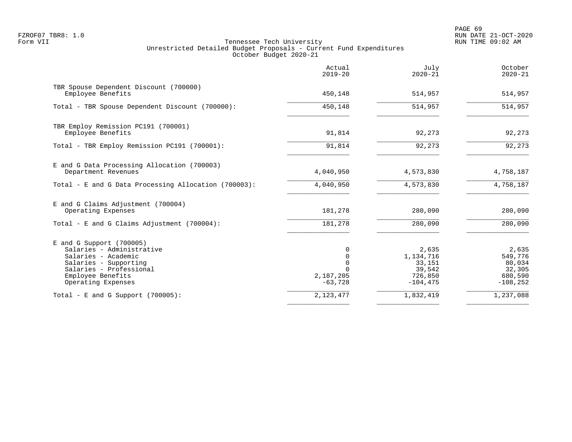|                                                                                                                                                                               | Actual<br>$2019 - 20$                                                 | July<br>$2020 - 21$                                              | October<br>$2020 - 21$                                         |
|-------------------------------------------------------------------------------------------------------------------------------------------------------------------------------|-----------------------------------------------------------------------|------------------------------------------------------------------|----------------------------------------------------------------|
| TBR Spouse Dependent Discount (700000)<br>Employee Benefits                                                                                                                   | 450,148                                                               | 514,957                                                          | 514,957                                                        |
| Total - TBR Spouse Dependent Discount (700000):                                                                                                                               | 450,148                                                               | 514,957                                                          | 514,957                                                        |
| TBR Employ Remission PC191 (700001)<br>Employee Benefits                                                                                                                      | 91,814                                                                | 92,273                                                           | 92,273                                                         |
| Total - TBR Employ Remission PC191 (700001):                                                                                                                                  | 91,814                                                                | 92,273                                                           | 92, 273                                                        |
| E and G Data Processing Allocation (700003)<br>Department Revenues                                                                                                            | 4,040,950                                                             | 4,573,830                                                        | 4,758,187                                                      |
| Total - E and G Data Processing Allocation (700003):                                                                                                                          | 4,040,950                                                             | 4,573,830                                                        | 4,758,187                                                      |
| E and G Claims Adjustment (700004)<br>Operating Expenses                                                                                                                      | 181,278                                                               | 280,090                                                          | 280,090                                                        |
| Total - E and G Claims Adjustment $(700004)$ :                                                                                                                                | 181,278                                                               | 280,090                                                          | 280,090                                                        |
| $E$ and G Support (700005)<br>Salaries - Administrative<br>Salaries - Academic<br>Salaries - Supporting<br>Salaries - Professional<br>Employee Benefits<br>Operating Expenses | 0<br>$\mathbf 0$<br>$\mathbf 0$<br>$\Omega$<br>2,187,205<br>$-63,728$ | 2,635<br>1,134,716<br>33,151<br>39,542<br>726,850<br>$-104, 475$ | 2,635<br>549,776<br>80,034<br>32,305<br>680,590<br>$-108, 252$ |
| Total - E and G Support $(700005)$ :                                                                                                                                          | 2, 123, 477                                                           | 1,832,419                                                        | 1,237,088                                                      |
|                                                                                                                                                                               |                                                                       |                                                                  |                                                                |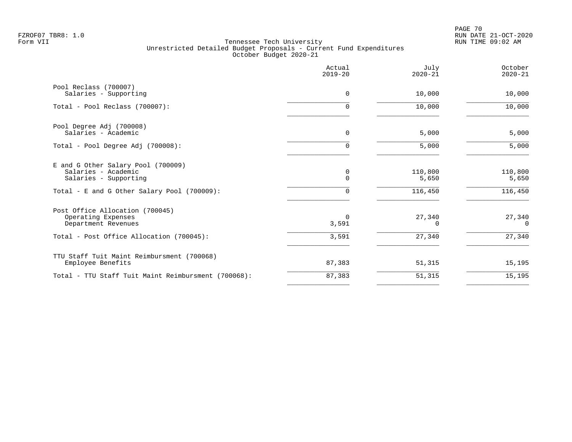PAGE 70 FZROF07 TBR8: 1.0 RUN DATE 21-OCT-2020

|                                                                                                                                   | Actual<br>$2019 - 20$ | July<br>$2020 - 21$         | October<br>$2020 - 21$      |
|-----------------------------------------------------------------------------------------------------------------------------------|-----------------------|-----------------------------|-----------------------------|
| Pool Reclass (700007)<br>Salaries - Supporting                                                                                    | $\Omega$              | 10,000                      | 10,000                      |
| Total - Pool Reclass (700007):                                                                                                    | $\Omega$              | 10,000                      | 10,000                      |
| Pool Degree Adj (700008)<br>Salaries - Academic                                                                                   | 0                     | 5,000                       | 5,000                       |
| Total - Pool Degree Adj (700008):                                                                                                 | $\mathbf 0$           | 5,000                       | 5,000                       |
| E and G Other Salary Pool (700009)<br>Salaries - Academic<br>Salaries - Supporting<br>Total - E and G Other Salary Pool (700009): | 0<br>$\Omega$<br>0    | 110,800<br>5,650<br>116,450 | 110,800<br>5,650<br>116,450 |
| Post Office Allocation (700045)<br>Operating Expenses<br>Department Revenues                                                      | $\Omega$<br>3,591     | 27,340<br>$\Omega$          | 27,340<br>$\Omega$          |
| Total - Post Office Allocation (700045):                                                                                          | 3,591                 | 27,340                      | 27,340                      |
| TTU Staff Tuit Maint Reimbursment (700068)<br>Employee Benefits                                                                   | 87,383                | 51,315                      | 15,195                      |
| Total - TTU Staff Tuit Maint Reimbursment (700068):                                                                               | 87,383                | 51,315                      | 15,195                      |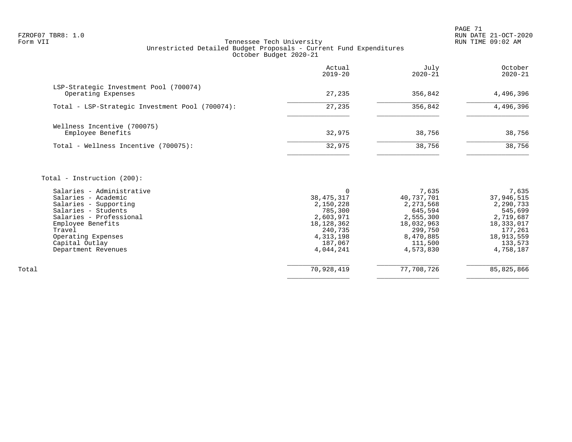PAGE 71 FZROF07 TBR8: 1.0 RUN DATE 21-OCT-2020

# Tennessee Tech University Unrestricted Detailed Budget Proposals - Current Fund Expenditures October Budget 2020-21

|                                                              | Actual<br>$2019 - 20$ | July<br>$2020 - 21$ | October<br>$2020 - 21$ |
|--------------------------------------------------------------|-----------------------|---------------------|------------------------|
| LSP-Strategic Investment Pool (700074)<br>Operating Expenses | 27,235                | 356,842             | 4,496,396              |
| Total - LSP-Strategic Investment Pool (700074):              | 27,235                | 356,842             | 4,496,396              |
| Wellness Incentive (700075)<br>Employee Benefits             | 32,975                | 38,756              | 38,756                 |
| Total - Wellness Incentive (700075):                         | 32,975                | 38,756              | 38,756                 |

Total - Instruction (200):

|       | Salaries - Administrative |              | 7,635       | 7,635      |
|-------|---------------------------|--------------|-------------|------------|
|       | Salaries - Academic       | 38, 475, 317 | 40,737,701  | 37,946,515 |
|       | Salaries - Supporting     | 2,150,228    | 2, 273, 568 | 2,290,733  |
|       | Salaries - Students       | 785,300      | 645,594     | 545,699    |
|       | Salaries - Professional   | 2,603,971    | 2,555,300   | 2,719,687  |
|       | Employee Benefits         | 18,128,362   | 18,032,963  | 18,333,017 |
|       | Travel                    | 240,735      | 299,750     | 177,261    |
|       | Operating Expenses        | 4,313,198    | 8,470,885   | 18,913,559 |
|       | Capital Outlay            | 187,067      | 111,500     | 133,573    |
|       | Department Revenues       | 4,044,241    | 4,573,830   | 4,758,187  |
|       |                           |              |             |            |
| Total |                           | 70,928,419   | 77,708,726  | 85,825,866 |
|       |                           |              |             |            |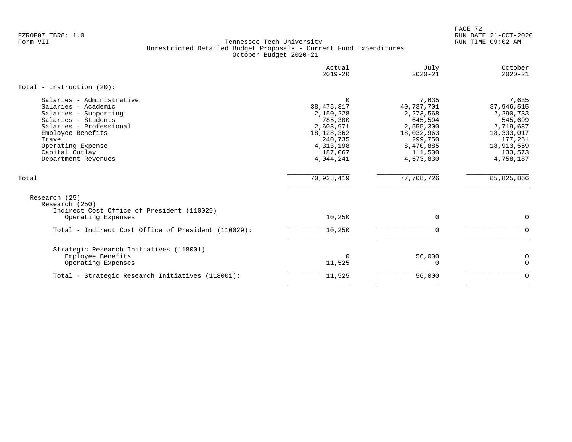PAGE 72 FZROF07 TBR8: 1.0 RUN DATE 21-OCT-2020

|                                                                                                                                                                                                                          | Actual<br>$2019 - 20$                                                                                                         | July<br>$2020 - 21$                                                                                                      | October<br>$2020 - 21$                                                                                                  |
|--------------------------------------------------------------------------------------------------------------------------------------------------------------------------------------------------------------------------|-------------------------------------------------------------------------------------------------------------------------------|--------------------------------------------------------------------------------------------------------------------------|-------------------------------------------------------------------------------------------------------------------------|
| Total - Instruction $(20)$ :                                                                                                                                                                                             |                                                                                                                               |                                                                                                                          |                                                                                                                         |
| Salaries - Administrative<br>Salaries - Academic<br>Salaries - Supporting<br>Salaries - Students<br>Salaries - Professional<br>Employee Benefits<br>Travel<br>Operating Expense<br>Capital Outlay<br>Department Revenues | $\Omega$<br>38, 475, 317<br>2,150,228<br>785,300<br>2,603,971<br>18,128,362<br>240,735<br>4, 313, 198<br>187,067<br>4,044,241 | 7,635<br>40,737,701<br>2, 273, 568<br>645,594<br>2,555,300<br>18,032,963<br>299,750<br>8,470,885<br>111,500<br>4,573,830 | 7,635<br>37,946,515<br>2,290,733<br>545,699<br>2,719,687<br>18,333,017<br>177,261<br>18,913,559<br>133,573<br>4,758,187 |
| Total                                                                                                                                                                                                                    | 70,928,419                                                                                                                    | 77,708,726                                                                                                               | 85, 825, 866                                                                                                            |
| Research (25)<br>Research (250)<br>Indirect Cost Office of President (110029)<br>Operating Expenses                                                                                                                      | 10,250                                                                                                                        | $\mathbf 0$                                                                                                              | $\mathbf 0$                                                                                                             |
| Total - Indirect Cost Office of President (110029):                                                                                                                                                                      | 10,250                                                                                                                        | $\Omega$                                                                                                                 | $\Omega$                                                                                                                |
| Strategic Research Initiatives (118001)<br>Employee Benefits<br>Operating Expenses                                                                                                                                       | $\mathbf 0$<br>11,525                                                                                                         | 56,000<br>0                                                                                                              | 0<br>$\Omega$                                                                                                           |
| Total - Strategic Research Initiatives (118001):                                                                                                                                                                         | 11,525                                                                                                                        | 56,000                                                                                                                   | $\mathbf 0$                                                                                                             |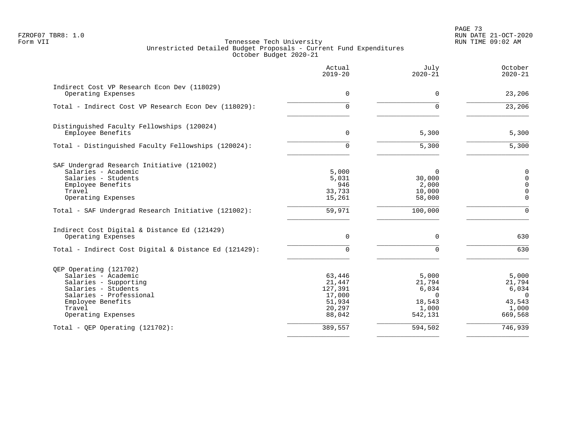PAGE 73 FZROF07 TBR8: 1.0 RUN DATE 21-OCT-2020

|                                                       | Actual<br>$2019 - 20$ | July<br>$2020 - 21$ | October<br>$2020 - 21$     |
|-------------------------------------------------------|-----------------------|---------------------|----------------------------|
| Indirect Cost VP Research Econ Dev (118029)           | $\Omega$              | $\Omega$            |                            |
| Operating Expenses                                    |                       |                     | 23,206                     |
| Total - Indirect Cost VP Research Econ Dev (118029):  | 0                     | $\Omega$            | 23,206                     |
| Distinguished Faculty Fellowships (120024)            |                       |                     |                            |
| Employee Benefits                                     | $\mathbf 0$           | 5,300               | 5,300                      |
| Total - Distinguished Faculty Fellowships (120024):   | $\Omega$              | 5,300               | 5,300                      |
| SAF Undergrad Research Initiative (121002)            |                       |                     |                            |
| Salaries - Academic                                   | 5,000                 | $\Omega$            | 0                          |
| Salaries - Students                                   | 5,031                 | 30,000              | 0                          |
| Employee Benefits<br>Travel                           | 946<br>33,733         | 2,000<br>10,000     | $\mathbf 0$<br>$\mathbf 0$ |
| Operating Expenses                                    | 15,261                | 58,000              | $\mathbf 0$                |
| Total - SAF Undergrad Research Initiative (121002):   | 59,971                | 100,000             | $\Omega$                   |
| Indirect Cost Digital & Distance Ed (121429)          |                       |                     |                            |
| Operating Expenses                                    | $\Omega$              | $\Omega$            | 630                        |
| Total - Indirect Cost Digital & Distance Ed (121429): | 0                     | $\Omega$            | 630                        |
| QEP Operating (121702)                                |                       |                     |                            |
| Salaries - Academic                                   | 63,446                | 5,000               | 5,000                      |
| Salaries - Supporting                                 | 21,447                | 21,794              | 21,794                     |
| Salaries - Students                                   | 127,391               | 6,034               | 6,034                      |
| Salaries - Professional<br>Employee Benefits          | 17,000<br>51,934      | $\Omega$<br>18,543  | $\Omega$<br>43,543         |
| Travel                                                | 20,297                | 1,000               | 1,000                      |
| Operating Expenses                                    | 88,042                | 542,131             | 669,568                    |
| $Total - OEP Operating (121702):$                     | 389,557               | 594,502             | 746,939                    |
|                                                       |                       |                     |                            |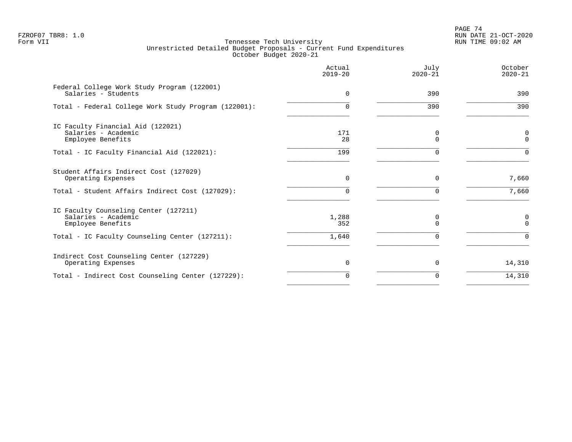PAGE 74 FZROF07 TBR8: 1.0 RUN DATE 21-OCT-2020

|                                                                                   | Actual<br>$2019 - 20$ | July<br>$2020 - 21$ | October<br>$2020 - 21$      |
|-----------------------------------------------------------------------------------|-----------------------|---------------------|-----------------------------|
| Federal College Work Study Program (122001)<br>Salaries - Students                | 0                     | 390                 | 390                         |
| Total - Federal College Work Study Program (122001):                              | 0                     | 390                 | 390                         |
| IC Faculty Financial Aid (122021)<br>Salaries - Academic<br>Employee Benefits     | 171<br>28             | 0<br>$\Omega$       | $\mathbf 0$<br>$\mathbf{0}$ |
| Total - IC Faculty Financial Aid (122021):                                        | 199                   | $\Omega$            | $\Omega$                    |
| Student Affairs Indirect Cost (127029)<br>Operating Expenses                      | $\Omega$              | $\Omega$            | 7,660                       |
| Total - Student Affairs Indirect Cost (127029):                                   | O.                    | <sup>n</sup>        | 7,660                       |
| IC Faculty Counseling Center (127211)<br>Salaries - Academic<br>Employee Benefits | 1,288<br>352          | 0<br>$\Omega$       | 0<br>$\Omega$               |
| Total - IC Faculty Counseling Center (127211):                                    | 1,640                 | $\Omega$            | $\Omega$                    |
| Indirect Cost Counseling Center (127229)<br>Operating Expenses                    | 0                     | 0                   | 14,310                      |
| Total - Indirect Cost Counseling Center (127229):                                 | 0                     | $\Omega$            | 14,310                      |
|                                                                                   |                       |                     |                             |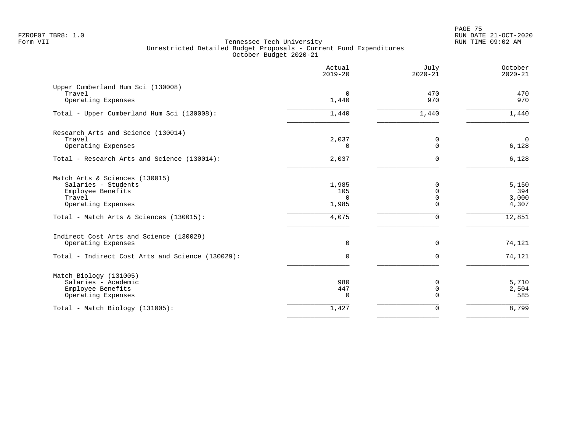|                                                  | Actual<br>$2019 - 20$ | July<br>$2020 - 21$  | October<br>$2020 - 21$  |
|--------------------------------------------------|-----------------------|----------------------|-------------------------|
| Upper Cumberland Hum Sci (130008)<br>Travel      | $\mathbf 0$           | 470                  | 470                     |
| Operating Expenses                               | 1,440                 | 970                  | 970                     |
| Total - Upper Cumberland Hum Sci (130008):       | 1,440                 | 1,440                | 1,440                   |
| Research Arts and Science (130014)               |                       |                      |                         |
| Travel<br>Operating Expenses                     | 2,037<br>$\Omega$     | 0<br>$\Omega$        | $\overline{0}$<br>6,128 |
| Total - Research Arts and Science (130014):      | 2,037                 | $\Omega$             | 6,128                   |
| Match Arts & Sciences (130015)                   |                       |                      |                         |
| Salaries - Students<br>Employee Benefits         | 1,985<br>105          | $\Omega$<br>$\Omega$ | 5,150<br>394            |
| Travel                                           | $\Omega$              | $\Omega$             | 3,000                   |
| Operating Expenses                               | 1,985                 | $\Omega$             | 4,307                   |
| Total - Match Arts & Sciences (130015):          | 4,075                 | $\Omega$             | 12,851                  |
| Indirect Cost Arts and Science (130029)          |                       |                      |                         |
| Operating Expenses                               | 0                     | $\mathbf 0$          | 74,121                  |
| Total - Indirect Cost Arts and Science (130029): | 0                     | $\Omega$             | 74,121                  |
| Match Biology (131005)                           |                       |                      |                         |
| Salaries - Academic<br>Employee Benefits         | 980<br>447            | 0<br>0               | 5,710<br>2,504          |
| Operating Expenses                               | $\Omega$              | $\Omega$             | 585                     |
| Total - Match Biology (131005):                  | 1,427                 | 0                    | 8,799                   |
|                                                  |                       |                      |                         |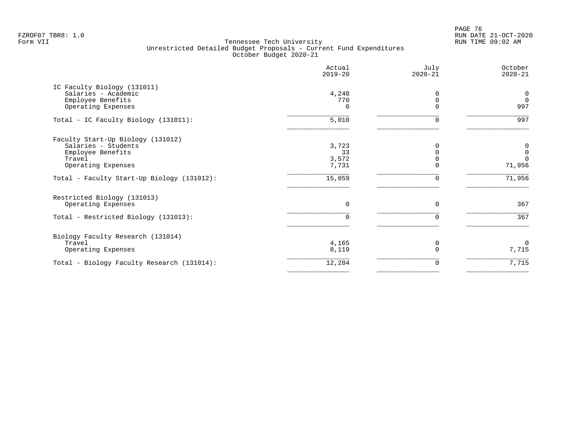en and the set of the set of the set of the set of the set of the set of the set of the set of the set of the set of the set of the set of the set of the set of the set of the set of the set of the set of the set of the se FZROF07 TBR8: 1.0 RUN DATE 21-OCT-2020

|                                                                                                               | Actual<br>$2019 - 20$         | July<br>$2020 - 21$ | October<br>$2020 - 21$                 |
|---------------------------------------------------------------------------------------------------------------|-------------------------------|---------------------|----------------------------------------|
| IC Faculty Biology (131011)<br>Salaries - Academic<br>Employee Benefits<br>Operating Expenses                 | 4,240<br>770<br>$\Omega$      |                     | 0<br>$\Omega$<br>997                   |
| Total - IC Faculty Biology (131011):                                                                          | 5,010                         | ∩                   | 997                                    |
| Faculty Start-Up Biology (131012)<br>Salaries - Students<br>Employee Benefits<br>Travel<br>Operating Expenses | 3,723<br>33<br>3,572<br>7,731 |                     | 0<br>$\mathbf 0$<br>$\Omega$<br>71,956 |
| Total - Faculty Start-Up Biology (131012):                                                                    | 15,059                        |                     | 71,956                                 |
| Restricted Biology (131013)<br>Operating Expenses<br>Total - Restricted Biology (131013):                     | 0                             | $\Omega$            | 367<br>367                             |
| Biology Faculty Research (131014)<br>Travel<br>Operating Expenses                                             | 4,165<br>8,119                |                     | $\Omega$<br>7,715                      |
| Total - Biology Faculty Research (131014):                                                                    | 12,284                        |                     | 7,715                                  |
|                                                                                                               |                               |                     |                                        |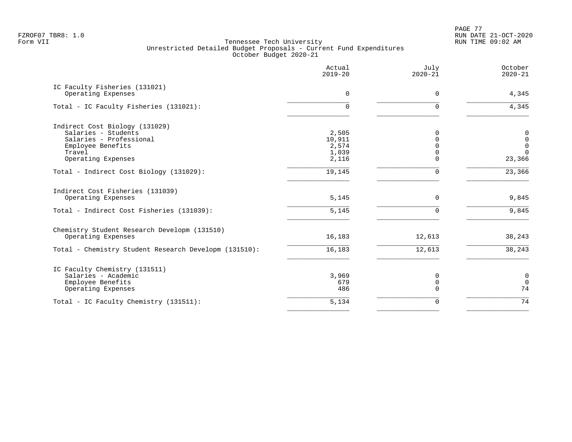PAGE 77 FZROF07 TBR8: 1.0 RUN DATE 21-OCT-2020

|                                                        | Actual<br>$2019 - 20$ | July<br>$2020 - 21$ | October<br>$2020 - 21$ |
|--------------------------------------------------------|-----------------------|---------------------|------------------------|
| IC Faculty Fisheries (131021)                          |                       |                     |                        |
| Operating Expenses                                     | $\Omega$              | $\Omega$            | 4,345                  |
| Total - IC Faculty Fisheries (131021):                 | $\Omega$              | U                   | 4,345                  |
| Indirect Cost Biology (131029)                         |                       |                     |                        |
| Salaries - Students                                    | 2,505                 | $\Omega$            | $\pmb{0}$              |
| Salaries - Professional                                | 10,911                | $\Omega$            | $\mathsf 0$            |
| Employee Benefits                                      | 2,574                 |                     | $\mathsf 0$            |
| Travel                                                 | 1,039                 | $\Omega$            | $\Omega$               |
| Operating Expenses                                     | 2,116                 | $\Omega$            | 23,366                 |
| Total - Indirect Cost Biology (131029):                | 19,145                | $\Omega$            | 23,366                 |
| Indirect Cost Fisheries (131039)<br>Operating Expenses | 5,145                 | $\Omega$            | 9,845                  |
| Total - Indirect Cost Fisheries (131039):              |                       | $\Omega$            | 9,845                  |
|                                                        | 5,145                 |                     |                        |
| Chemistry Student Research Developm (131510)           |                       |                     |                        |
| Operating Expenses                                     | 16,183                | 12,613              | 38,243                 |
| Total - Chemistry Student Research Developm (131510):  | 16,183                | 12,613              | 38,243                 |
| IC Faculty Chemistry (131511)                          |                       |                     |                        |
| Salaries - Academic                                    | 3,969                 | 0                   | $\mathbf 0$            |
| Employee Benefits                                      | 679                   | 0                   | $\mathsf 0$            |
| Operating Expenses                                     | 486                   | $\Omega$            | 74                     |
| Total - IC Faculty Chemistry (131511):                 | 5,134                 | $\Omega$            | 74                     |
|                                                        |                       |                     |                        |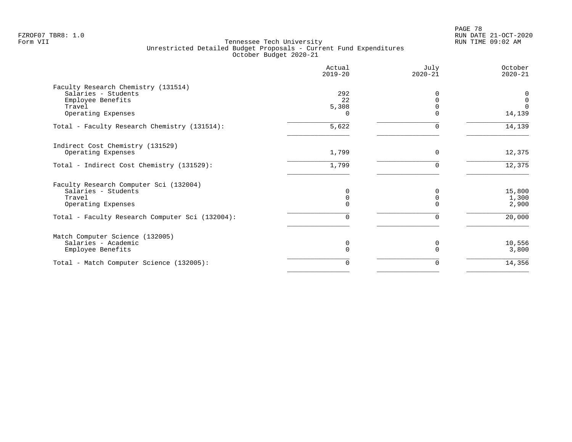|                                                 | Actual<br>$2019 - 20$ | July<br>$2020 - 21$ | October<br>$2020 - 21$ |
|-------------------------------------------------|-----------------------|---------------------|------------------------|
| Faculty Research Chemistry (131514)             |                       |                     |                        |
| Salaries - Students                             | 292                   |                     | 0                      |
| Employee Benefits                               | 22                    |                     | $\mathbf 0$            |
| Travel<br>Operating Expenses                    | 5,308<br>0            | $\Omega$            | $\cap$<br>14,139       |
|                                                 |                       |                     |                        |
| Total - Faculty Research Chemistry (131514):    | 5,622                 |                     | 14,139                 |
| Indirect Cost Chemistry (131529)                |                       |                     |                        |
| Operating Expenses                              | 1,799                 | $\Omega$            | 12,375                 |
| Total - Indirect Cost Chemistry (131529):       | 1,799                 | $\Omega$            | 12,375                 |
| Faculty Research Computer Sci (132004)          |                       |                     |                        |
| Salaries - Students                             | 0                     | $\Omega$            | 15,800                 |
| Travel                                          | $\Omega$              | $\Omega$            | 1,300                  |
| Operating Expenses                              | 0                     |                     | 2,900                  |
| Total - Faculty Research Computer Sci (132004): | 0                     |                     | 20,000                 |
| Match Computer Science (132005)                 |                       |                     |                        |
| Salaries - Academic                             | 0                     | <sup>0</sup>        | 10,556                 |
| Employee Benefits                               | 0                     |                     | 3,800                  |
| Total - Match Computer Science (132005):        | 0                     | $\Omega$            | 14,356                 |
|                                                 |                       |                     |                        |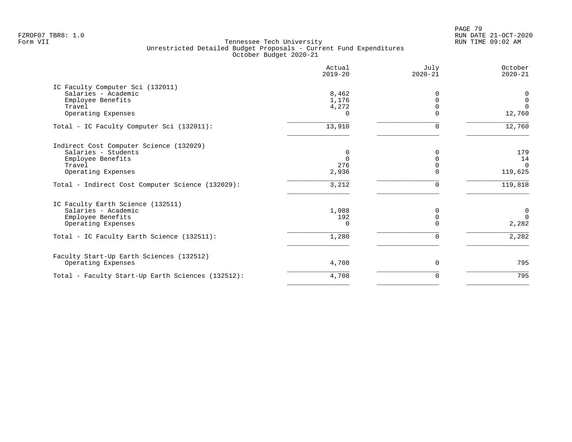PAGE 79 FZROF07 TBR8: 1.0 RUN DATE 21-OCT-2020

| Actual<br>$2019 - 20$ | July<br>$2020 - 21$ | October<br>$2020 - 21$ |
|-----------------------|---------------------|------------------------|
|                       |                     |                        |
| 8,462                 | $\Omega$            | 0                      |
| 1,176                 |                     | $\mathbf 0$            |
| 4,272                 |                     | $\Omega$               |
| $\cap$                |                     | 12,760                 |
| 13,910                | 0                   | 12,760                 |
|                       |                     |                        |
| 0                     |                     | 179                    |
| $\Omega$              |                     | 14                     |
| 276                   |                     | $\Omega$               |
| 2,936                 |                     | 119,625                |
| 3,212                 |                     | 119,818                |
|                       |                     |                        |
|                       |                     | $\mathbf 0$            |
|                       |                     | $\Omega$               |
| $\Omega$              |                     | 2,282                  |
| 1,280                 |                     | 2,282                  |
|                       |                     |                        |
| 4,708                 | $\Omega$            | 795                    |
| 4,708                 | O                   | 795                    |
|                       | 1,088<br>192        |                        |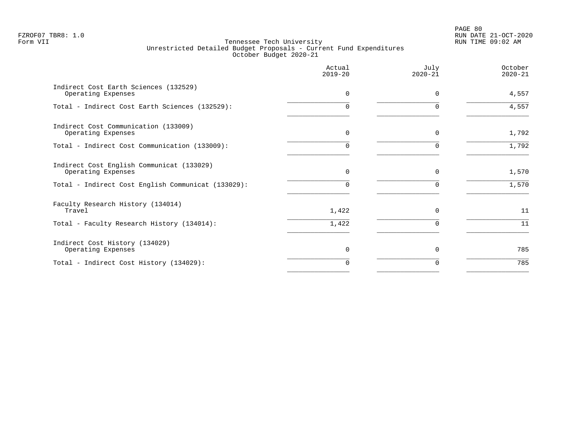PAGE 80 FZROF07 TBR8: 1.0 RUN DATE 21-OCT-2020

|                                                                 | Actual<br>$2019 - 20$ | July<br>$2020 - 21$ | October<br>$2020 - 21$ |
|-----------------------------------------------------------------|-----------------------|---------------------|------------------------|
| Indirect Cost Earth Sciences (132529)<br>Operating Expenses     | $\Omega$              | $\Omega$            | 4,557                  |
| Total - Indirect Cost Earth Sciences (132529):                  | U                     | ∩                   | 4,557                  |
| Indirect Cost Communication (133009)<br>Operating Expenses      | $\Omega$              | $\Omega$            | 1,792                  |
| Total - Indirect Cost Communication (133009):                   | U                     | ∩                   | 1,792                  |
| Indirect Cost English Communicat (133029)<br>Operating Expenses | $\Omega$              | $\Omega$            | 1,570                  |
| Total - Indirect Cost English Communicat (133029):              | U                     | 0                   | 1,570                  |
| Faculty Research History (134014)<br>Travel                     | 1,422                 | $\Omega$            | 11                     |
| Total - Faculty Research History (134014):                      | 1,422                 | $\Omega$            | 11                     |
| Indirect Cost History (134029)<br>Operating Expenses            | $\Omega$              | $\Omega$            | 785                    |
| Total - Indirect Cost History (134029):                         | 0                     | 0                   | 785                    |
|                                                                 |                       |                     |                        |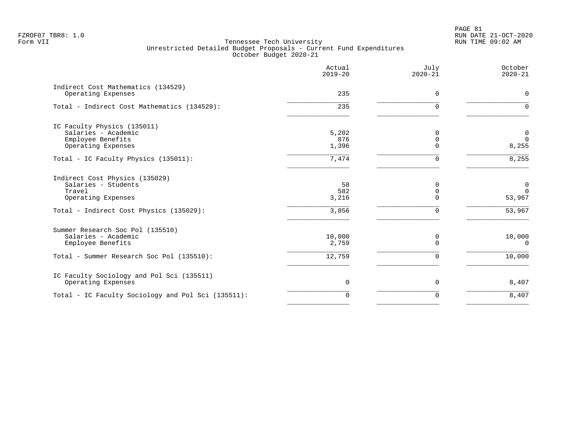|                                                                                               | Actual<br>$2019 - 20$ | July<br>$2020 - 21$       | October<br>$2020 - 21$   |
|-----------------------------------------------------------------------------------------------|-----------------------|---------------------------|--------------------------|
| Indirect Cost Mathematics (134529)<br>Operating Expenses                                      | 235                   | $\Omega$                  | 0                        |
| Total - Indirect Cost Mathematics (134529):                                                   | 235                   | $\Omega$                  | $\Omega$                 |
| IC Faculty Physics (135011)<br>Salaries - Academic<br>Employee Benefits<br>Operating Expenses | 5,202<br>876<br>1,396 | $\Omega$<br>0<br>$\Omega$ | 0<br>$\Omega$<br>8,255   |
| Total - IC Faculty Physics (135011):                                                          | 7,474                 | $\mathbf 0$               | 8,255                    |
| Indirect Cost Physics (135029)<br>Salaries - Students<br>Travel<br>Operating Expenses         | 58<br>582<br>3,216    | $\Omega$<br>0<br>$\Omega$ | 0<br>$\Omega$<br>53,967  |
| Total - Indirect Cost Physics (135029):                                                       | 3,856                 | $\mathbf 0$               | $\overline{53,967}$      |
| Summer Research Soc Pol (135510)<br>Salaries - Academic<br>Employee Benefits                  | 10,000<br>2,759       | 0<br>$\Omega$             | 10,000<br>$\overline{0}$ |
| Total - Summer Research Soc Pol (135510):                                                     | 12,759                | $\mathbf 0$               | 10,000                   |
| IC Faculty Sociology and Pol Sci (135511)<br>Operating Expenses                               | $\mathbf 0$           | $\mathbf 0$               | 8,407                    |
| Total - IC Faculty Sociology and Pol Sci (135511):                                            | $\mathbf 0$           | $\Omega$                  | 8,407                    |
|                                                                                               |                       |                           |                          |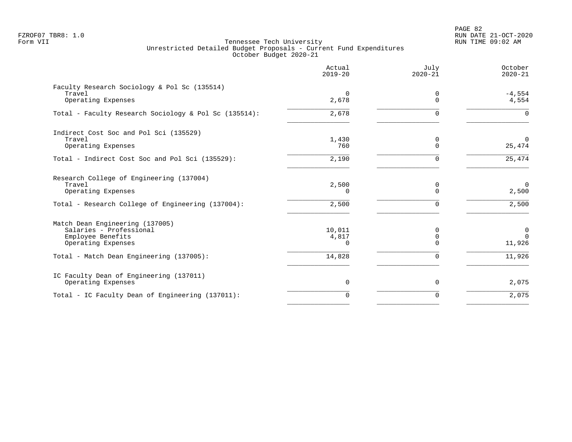PAGE 82 FZROF07 TBR8: 1.0 RUN DATE 21-OCT-2020

|                                                        | Actual<br>$2019 - 20$ | July<br>$2020 - 21$ | October<br>$2020 - 21$  |
|--------------------------------------------------------|-----------------------|---------------------|-------------------------|
| Faculty Research Sociology & Pol Sc (135514)<br>Travel | $\Omega$              | 0                   | $-4,554$                |
| Operating Expenses                                     | 2,678                 | $\Omega$            | 4,554                   |
| Total - Faculty Research Sociology & Pol Sc (135514):  | 2,678                 | $\Omega$            | $\Omega$                |
| Indirect Cost Soc and Pol Sci (135529)                 |                       |                     |                         |
| Travel<br>Operating Expenses                           | 1,430<br>760          | 0<br>$\Omega$       | $\Omega$<br>25,474      |
| Total - Indirect Cost Soc and Pol Sci (135529):        | 2,190                 | 0                   | 25,474                  |
| Research College of Engineering (137004)               |                       |                     |                         |
| Travel<br>Operating Expenses                           | 2,500<br>$\Omega$     | 0<br>$\Omega$       | $\overline{0}$<br>2,500 |
| Total - Research College of Engineering (137004):      | 2,500                 | 0                   | 2,500                   |
| Match Dean Engineering (137005)                        |                       |                     |                         |
| Salaries - Professional<br>Employee Benefits           | 10,011<br>4,817       | 0<br>$\mathbf 0$    | 0<br>$\Omega$           |
| Operating Expenses                                     | $\Omega$              | $\Omega$            | 11,926                  |
| Total - Match Dean Engineering (137005):               | 14,828                | $\mathbf 0$         | 11,926                  |
| IC Faculty Dean of Engineering (137011)                |                       |                     |                         |
| Operating Expenses                                     | 0                     | 0                   | 2,075                   |
| Total - IC Faculty Dean of Engineering (137011):       | $\Omega$              | $\Omega$            | 2,075                   |
|                                                        |                       |                     |                         |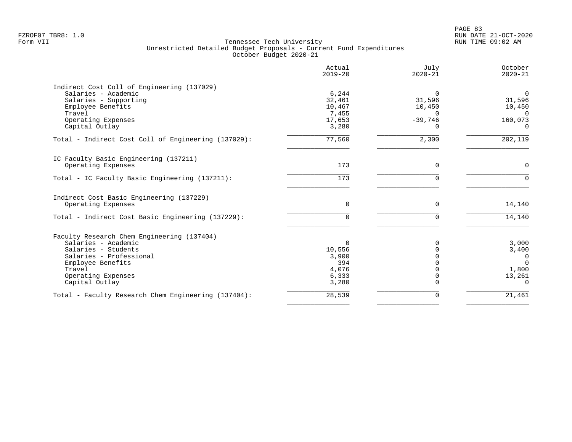|                                                                                                                                                                                            | Actual<br>$2019 - 20$                                         | July<br>$2020 - 21$                                               | October<br>$2020 - 21$                                                      |
|--------------------------------------------------------------------------------------------------------------------------------------------------------------------------------------------|---------------------------------------------------------------|-------------------------------------------------------------------|-----------------------------------------------------------------------------|
| Indirect Cost Coll of Engineering (137029)<br>Salaries - Academic<br>Salaries - Supporting<br>Employee Benefits<br>Travel<br>Operating Expenses<br>Capital Outlay                          | 6,244<br>32,461<br>10,467<br>7,455<br>17,653<br>3,280         | $\Omega$<br>31,596<br>10,450<br>$\Omega$<br>$-39,746$<br>$\Omega$ | $\overline{0}$<br>31,596<br>10,450<br>$\Omega$<br>160,073<br>$\Omega$       |
| Total - Indirect Cost Coll of Engineering (137029):                                                                                                                                        | 77,560                                                        | 2,300                                                             | 202,119                                                                     |
| IC Faculty Basic Engineering (137211)<br>Operating Expenses                                                                                                                                | 173                                                           | $\mathbf 0$                                                       | 0                                                                           |
| Total - IC Faculty Basic Engineering (137211):                                                                                                                                             | 173                                                           | $\Omega$                                                          | $\Omega$                                                                    |
| Indirect Cost Basic Engineering (137229)<br>Operating Expenses                                                                                                                             | $\mathbf 0$                                                   | $\mathbf 0$                                                       | 14,140                                                                      |
| Total - Indirect Cost Basic Engineering (137229):                                                                                                                                          | 0                                                             | $\mathbf 0$                                                       | 14,140                                                                      |
| Faculty Research Chem Engineering (137404)<br>Salaries - Academic<br>Salaries - Students<br>Salaries - Professional<br>Employee Benefits<br>Travel<br>Operating Expenses<br>Capital Outlay | $\Omega$<br>10,556<br>3,900<br>394<br>4,076<br>6,333<br>3,280 |                                                                   | 3,000<br>3,400<br>$\overline{0}$<br>$\Omega$<br>1,800<br>13,261<br>$\Omega$ |
| Total - Faculty Research Chem Engineering (137404):                                                                                                                                        | 28,539                                                        | $\mathbf 0$                                                       | 21,461                                                                      |
|                                                                                                                                                                                            |                                                               |                                                                   |                                                                             |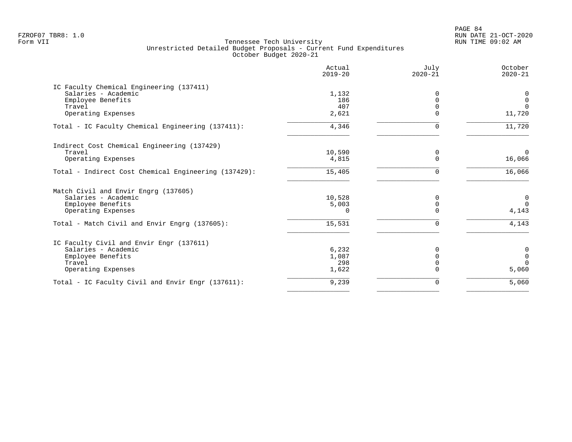PAGE 84 FZROF07 TBR8: 1.0 RUN DATE 21-OCT-2020

|                                                      | Actual<br>$2019 - 20$ | July<br>$2020 - 21$ | October<br>$2020 - 21$ |
|------------------------------------------------------|-----------------------|---------------------|------------------------|
| IC Faculty Chemical Engineering (137411)             |                       |                     |                        |
| Salaries - Academic                                  | 1,132                 | 0                   | 0                      |
| Employee Benefits                                    | 186                   |                     | $\overline{0}$         |
| Travel                                               | 407                   |                     | $\Omega$               |
| Operating Expenses                                   | 2,621                 | $\Omega$            | 11,720                 |
| Total - IC Faculty Chemical Engineering (137411):    | 4,346                 | U                   | 11,720                 |
| Indirect Cost Chemical Engineering (137429)          |                       |                     |                        |
| Travel                                               | 10,590                | 0                   | $\Omega$               |
| Operating Expenses                                   | 4,815                 |                     | 16,066                 |
| Total - Indirect Cost Chemical Engineering (137429): | 15,405                | 0                   | 16,066                 |
| Match Civil and Envir Engrg (137605)                 |                       |                     |                        |
| Salaries - Academic                                  | 10,528                | 0                   | $\mathbf 0$            |
| Employee Benefits                                    | 5,003                 | $\Omega$            | $\Omega$               |
| Operating Expenses                                   | $\cap$                | ∩                   | 4,143                  |
| Total - Match Civil and Envir Engrg (137605):        | 15,531                | U                   | 4,143                  |
| IC Faculty Civil and Envir Engr (137611)             |                       |                     |                        |
| Salaries - Academic                                  | 6,232                 |                     | 0                      |
| Employee Benefits                                    | 1,087                 | $\Omega$            | $\overline{0}$         |
| Travel                                               | 298                   |                     | $\Omega$               |
| Operating Expenses                                   | 1,622                 |                     | 5,060                  |
| Total - IC Faculty Civil and Envir Engr (137611):    | 9,239                 | $\Omega$            | 5,060                  |
|                                                      |                       |                     |                        |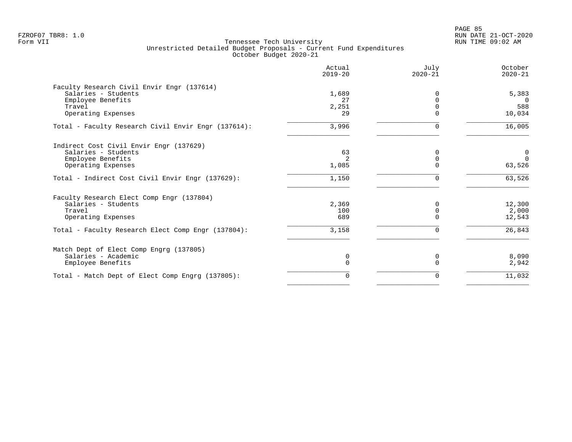|                                                     | Actual<br>$2019 - 20$ | July<br>$2020 - 21$ | October<br>$2020 - 21$ |
|-----------------------------------------------------|-----------------------|---------------------|------------------------|
| Faculty Research Civil Envir Engr (137614)          |                       |                     |                        |
| Salaries - Students                                 | 1,689                 | O                   | 5,383                  |
| Employee Benefits                                   | 27                    | $\Omega$            | $\Omega$               |
| Travel                                              | 2,251                 | $\Omega$            | 588                    |
| Operating Expenses                                  | 29                    | $\Omega$            | 10,034                 |
| Total - Faculty Research Civil Envir Engr (137614): | 3,996                 | $\Omega$            | 16,005                 |
| Indirect Cost Civil Envir Engr (137629)             |                       |                     |                        |
| Salaries - Students                                 | 63                    | $\Omega$            | 0                      |
| Employee Benefits                                   | $\overline{2}$        | $\Omega$            | $\Omega$               |
| Operating Expenses                                  | 1,085                 |                     | 63,526                 |
| Total - Indirect Cost Civil Envir Engr (137629):    | 1,150                 | $\Omega$            | 63,526                 |
| Faculty Research Elect Comp Engr (137804)           |                       |                     |                        |
| Salaries - Students                                 | 2,369                 | $\Omega$            | 12,300                 |
| Travel                                              | 100                   | $\Omega$            | 2,000                  |
| Operating Expenses                                  | 689                   | $\Omega$            | 12,543                 |
| Total - Faculty Research Elect Comp Engr (137804):  | 3,158                 | $\Omega$            | 26,843                 |
| Match Dept of Elect Comp Engrg (137805)             |                       |                     |                        |
| Salaries - Academic                                 | 0                     | 0                   | 8,090                  |
| Employee Benefits                                   | $\Omega$              | $\cap$              | 2,942                  |
| Total - Match Dept of Elect Comp Engrg (137805):    | 0                     | 0                   | 11,032                 |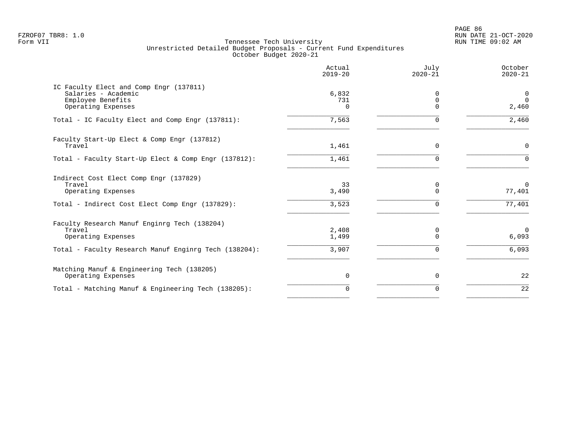PAGE 86 FZROF07 TBR8: 1.0 RUN DATE 21-OCT-2020

|                                                                | Actual<br>$2019 - 20$ | July<br>$2020 - 21$ | October<br>$2020 - 21$ |
|----------------------------------------------------------------|-----------------------|---------------------|------------------------|
| IC Faculty Elect and Comp Engr (137811)<br>Salaries - Academic | 6,832                 | $\Omega$            | $\mathbf 0$            |
| Employee Benefits                                              | 731                   | $\Omega$            | $\Omega$               |
| Operating Expenses                                             | U                     | $\Omega$            | 2,460                  |
| Total - IC Faculty Elect and Comp Engr (137811):               | 7,563                 | $\Omega$            | 2,460                  |
| Faculty Start-Up Elect & Comp Engr (137812)                    |                       |                     |                        |
| Travel                                                         | 1,461                 | $\Omega$            | $\mathbf 0$            |
| Total - Faculty Start-Up Elect & Comp Engr (137812):           | 1,461                 | $\Omega$            | $\Omega$               |
| Indirect Cost Elect Comp Engr (137829)                         |                       |                     |                        |
| Travel<br>Operating Expenses                                   | 33<br>3,490           | 0<br>$\Omega$       | $\Omega$<br>77,401     |
|                                                                |                       |                     |                        |
| Total - Indirect Cost Elect Comp Engr (137829):                | 3,523                 | ∩                   | 77,401                 |
| Faculty Research Manuf Enginrg Tech (138204)                   |                       |                     |                        |
| Travel<br>Operating Expenses                                   | 2,408<br>1,499        | 0<br>$\Omega$       | $\Omega$<br>6,093      |
| Total - Faculty Research Manuf Enginrg Tech (138204):          | 3,907                 | 0                   | 6,093                  |
| Matching Manuf & Engineering Tech (138205)                     |                       |                     |                        |
| Operating Expenses                                             | $\mathbf 0$           | 0                   | 22                     |
| Total - Matching Manuf & Engineering Tech (138205):            | $\Omega$              | 0                   | 22                     |
|                                                                |                       |                     |                        |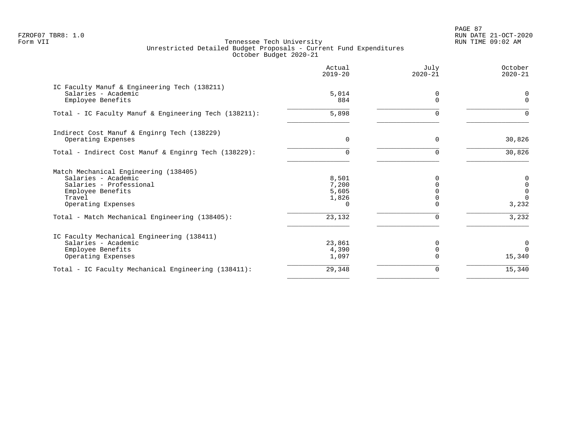PAGE 87 FZROF07 TBR8: 1.0 RUN DATE 21-OCT-2020

|                                                                                          | Actual<br>$2019 - 20$ | July<br>$2020 - 21$ | October<br>$2020 - 21$ |
|------------------------------------------------------------------------------------------|-----------------------|---------------------|------------------------|
| IC Faculty Manuf & Engineering Tech (138211)<br>Salaries - Academic<br>Employee Benefits | 5,014<br>884          | 0<br>$\Omega$       | $\Omega$<br>$\Omega$   |
|                                                                                          |                       |                     |                        |
| Total - IC Faculty Manuf & Engineering Tech (138211):                                    | 5,898                 | $\Omega$            | $\Omega$               |
| Indirect Cost Manuf & Enginrg Tech (138229)<br>Operating Expenses                        | $\Omega$              | $\Omega$            | 30,826                 |
|                                                                                          |                       |                     |                        |
| Total - Indirect Cost Manuf & Enginrg Tech (138229):                                     | 0                     |                     | 30,826                 |
| Match Mechanical Engineering (138405)                                                    |                       |                     |                        |
| Salaries - Academic                                                                      | 8,501                 | n                   | 0                      |
| Salaries - Professional<br>Employee Benefits                                             | 7,200<br>5,605        |                     | 0<br>$\mathsf{O}$      |
| Travel                                                                                   | 1,826                 |                     | $\Omega$               |
| Operating Expenses                                                                       | $\Omega$              |                     | 3,232                  |
| Total - Match Mechanical Engineering (138405):                                           | 23,132                | $\Omega$            | 3,232                  |
| IC Faculty Mechanical Engineering (138411)                                               |                       |                     |                        |
| Salaries - Academic                                                                      | 23,861                | $\Omega$            | 0                      |
| Employee Benefits                                                                        | 4,390                 | $\Omega$            | $\Omega$               |
| Operating Expenses                                                                       | 1,097                 |                     | 15,340                 |
| Total - IC Faculty Mechanical Engineering (138411):                                      | 29,348                | 0                   | 15,340                 |
|                                                                                          |                       |                     |                        |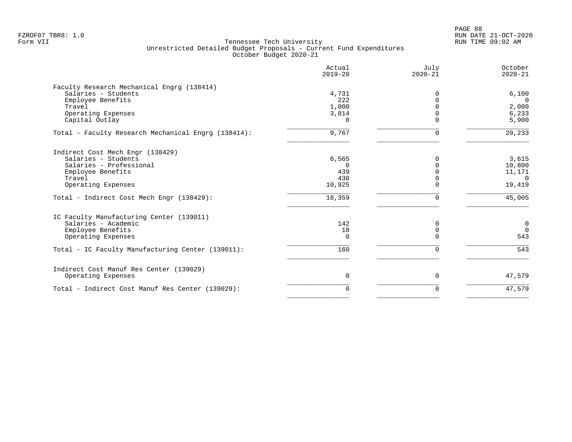|                                                     | Actual<br>$2019 - 20$ | July<br>$2020 - 21$ | October<br>$2020 - 21$ |
|-----------------------------------------------------|-----------------------|---------------------|------------------------|
| Faculty Research Mechanical Engrg (138414)          |                       |                     |                        |
| Salaries - Students                                 | 4,731                 | $\Omega$            | 6,100                  |
| Employee Benefits                                   | 222                   | $\Omega$            | $\Omega$               |
| Travel                                              | 1,000                 |                     | 2,000                  |
| Operating Expenses                                  | 3,814                 |                     | 6,233                  |
| Capital Outlay                                      | $\Omega$              | $\Omega$            | 5,900                  |
| Total - Faculty Research Mechanical Engrg (138414): | 9,767                 | 0                   | 20,233                 |
| Indirect Cost Mech Engr (138429)                    |                       |                     |                        |
| Salaries - Students                                 | 6,565                 | $\Omega$            | 3,615                  |
| Salaries - Professional                             | $\Omega$              | $\Omega$            | 10,800                 |
| Employee Benefits                                   | 439                   |                     | 11,171                 |
| Travel                                              | 430                   |                     | $\overline{0}$         |
| Operating Expenses                                  | 10,925                | $\Omega$            | 19,419                 |
| Total - Indirect Cost Mech Engr (138429):           | 18,359                | $\Omega$            | 45,005                 |
| IC Faculty Manufacturing Center (139011)            |                       |                     |                        |
| Salaries - Academic                                 | 142                   | $\Omega$            | $\overline{0}$         |
| Employee Benefits                                   | 18                    | 0                   | $\Omega$               |
| Operating Expenses                                  | $\Omega$              | $\Omega$            | 543                    |
| Total - IC Faculty Manufacturing Center (139011):   | 160                   | $\Omega$            | 543                    |
| Indirect Cost Manuf Res Center (139029)             |                       |                     |                        |
| Operating Expenses                                  | 0                     | $\mathbf 0$         | 47,579                 |
| Total - Indirect Cost Manuf Res Center (139029):    | $\mathbf 0$           | $\Omega$            | 47,579                 |
|                                                     |                       |                     |                        |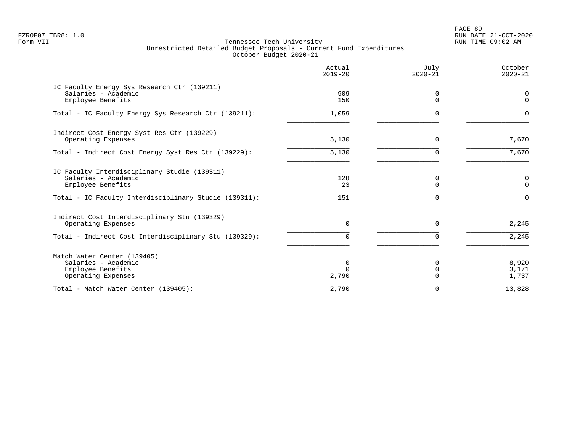PAGE 89 FZROF07 TBR8: 1.0 RUN DATE 21-OCT-2020

|                                                                                                                                                   | Actual<br>$2019 - 20$ | July<br>$2020 - 21$ | October<br>$2020 - 21$    |
|---------------------------------------------------------------------------------------------------------------------------------------------------|-----------------------|---------------------|---------------------------|
| IC Faculty Energy Sys Research Ctr (139211)<br>Salaries - Academic<br>Employee Benefits                                                           | 909<br>150            | $\Omega$            | 0<br>0                    |
| Total - IC Faculty Energy Sys Research Ctr (139211):                                                                                              | 1,059                 | ∩                   | $\Omega$                  |
| Indirect Cost Energy Syst Res Ctr (139229)<br>Operating Expenses                                                                                  | 5,130                 | $\Omega$            | 7,670                     |
| Total - Indirect Cost Energy Syst Res Ctr (139229):                                                                                               | 5,130                 | $\Omega$            | 7,670                     |
| IC Faculty Interdisciplinary Studie (139311)<br>Salaries - Academic<br>Employee Benefits<br>Total - IC Faculty Interdisciplinary Studie (139311): | 128<br>23<br>151      | $\Omega$<br>$\cap$  | 0<br>$\Omega$<br>$\Omega$ |
| Indirect Cost Interdisciplinary Stu (139329)<br>Operating Expenses                                                                                | 0                     | $\Omega$            | 2,245                     |
| Total - Indirect Cost Interdisciplinary Stu (139329):                                                                                             | U                     |                     | 2,245                     |
| Match Water Center (139405)<br>Salaries - Academic<br>Employee Benefits<br>Operating Expenses                                                     | 0<br>2,790            |                     | 8,920<br>3,171<br>1,737   |
| Total - Match Water Center (139405):                                                                                                              | 2,790                 | $\Omega$            | 13,828                    |
|                                                                                                                                                   |                       |                     |                           |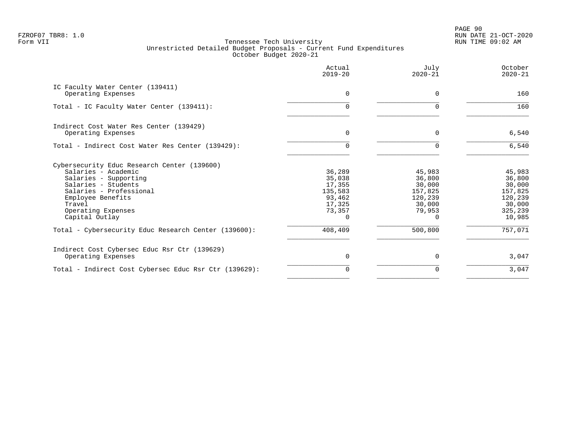PAGE 90 FZROF07 TBR8: 1.0 RUN DATE 21-OCT-2020

|                                                        | Actual<br>$2019 - 20$ | July<br>$2020 - 21$ | October<br>$2020 - 21$ |
|--------------------------------------------------------|-----------------------|---------------------|------------------------|
| IC Faculty Water Center (139411)<br>Operating Expenses | 0                     | $\Omega$            | 160                    |
| Total - IC Faculty Water Center (139411):              | <sup>n</sup>          | ∩                   | 160                    |
| Indirect Cost Water Res Center (139429)                |                       |                     |                        |
| Operating Expenses                                     | 0                     | $\Omega$            | 6,540                  |
| Total - Indirect Cost Water Res Center (139429):       | 0                     | $\Omega$            | $6,540$                |
| Cybersecurity Educ Research Center (139600)            |                       |                     |                        |
| Salaries - Academic                                    | 36,289                | 45,983              | 45,983                 |
| Salaries - Supporting                                  | 35,038                | 36,800              | 36,800                 |
| Salaries - Students                                    | 17,355                | 30,000              | 30,000                 |
| Salaries - Professional                                | 135,583               | 157,825             | 157,825                |
| Employee Benefits<br>Travel                            | 93,462<br>17,325      | 120,239<br>30,000   | 120,239<br>30,000      |
| Operating Expenses                                     | 73,357                | 79,953              | 325,239                |
| Capital Outlay                                         | $\Omega$              | O                   | 10,985                 |
| Total - Cybersecurity Educ Research Center (139600):   | 408,409               | 500,800             | 757,071                |
| Indirect Cost Cybersec Educ Rsr Ctr (139629)           |                       |                     |                        |
| Operating Expenses                                     | $\Omega$              | $\Omega$            | 3,047                  |
| Total - Indirect Cost Cybersec Educ Rsr Ctr (139629):  | 0                     | $\Omega$            | 3,047                  |
|                                                        |                       |                     |                        |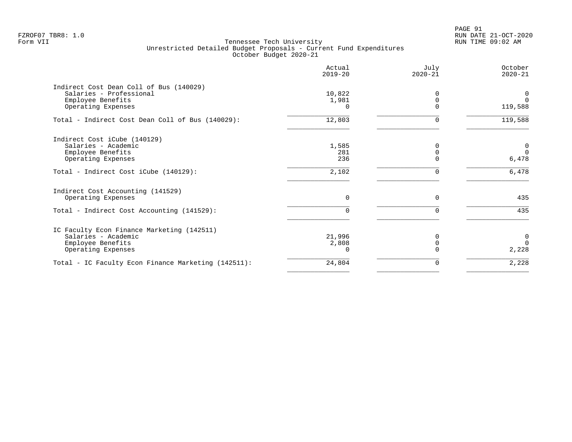PAGE 91 FZROF07 TBR8: 1.0 RUN DATE 21-OCT-2020

|                                                     | Actual<br>$2019 - 20$ | July<br>$2020 - 21$ | October<br>$2020 - 21$ |
|-----------------------------------------------------|-----------------------|---------------------|------------------------|
| Indirect Cost Dean Coll of Bus (140029)             |                       |                     |                        |
| Salaries - Professional                             | 10,822                |                     | 0                      |
| Employee Benefits                                   | 1,981                 |                     | $\Omega$               |
| Operating Expenses                                  | $\Omega$              |                     | 119,588                |
| Total - Indirect Cost Dean Coll of Bus (140029):    | 12,803                | U                   | 119,588                |
| Indirect Cost iCube (140129)                        |                       |                     |                        |
| Salaries - Academic                                 | 1,585                 |                     | $\overline{0}$         |
| Employee Benefits                                   | 281                   |                     | $\Omega$               |
| Operating Expenses                                  | 236                   |                     | 6,478                  |
| Total - Indirect Cost iCube (140129):               | 2,102                 |                     | 6,478                  |
| Indirect Cost Accounting (141529)                   |                       |                     |                        |
| Operating Expenses                                  | $\Omega$              | $\Omega$            | 435                    |
| Total - Indirect Cost Accounting (141529):          |                       |                     | 435                    |
| IC Faculty Econ Finance Marketing (142511)          |                       |                     |                        |
| Salaries - Academic                                 | 21,996                |                     | $\overline{0}$         |
| Employee Benefits                                   | 2,808                 |                     | $\Omega$               |
| Operating Expenses                                  |                       |                     | 2,228                  |
| Total - IC Faculty Econ Finance Marketing (142511): | 24,804                | 0                   | 2,228                  |
|                                                     |                       |                     |                        |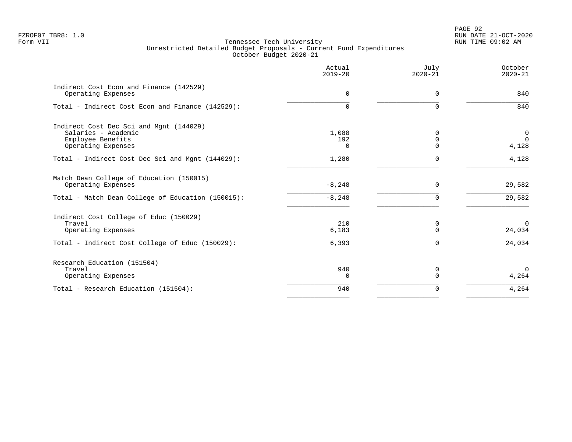|                                                                                                                           | Actual<br>$2019 - 20$    | July<br>$2020 - 21$ | October<br>$2020 - 21$           |
|---------------------------------------------------------------------------------------------------------------------------|--------------------------|---------------------|----------------------------------|
| Indirect Cost Econ and Finance (142529)<br>Operating Expenses                                                             | 0                        | $\Omega$            | 840                              |
| Total - Indirect Cost Econ and Finance (142529):                                                                          | $\Omega$                 | $\Omega$            | 840                              |
| Indirect Cost Dec Sci and Mgnt (144029)<br>Salaries - Academic<br>Employee Benefits<br>Operating Expenses                 | 1,088<br>192<br>$\Omega$ | N<br>$\Omega$<br>U  | $\mathbf 0$<br>$\Omega$<br>4,128 |
| Total - Indirect Cost Dec Sci and Mgnt (144029):                                                                          | 1,280                    | $\Omega$            | 4,128                            |
| Match Dean College of Education (150015)<br>Operating Expenses<br>Total - Match Dean College of Education (150015):       | $-8,248$<br>$-8, 248$    | $\Omega$<br>U       | 29,582<br>29,582                 |
| Indirect Cost College of Educ (150029)<br>Travel<br>Operating Expenses<br>Total - Indirect Cost College of Educ (150029): | 210<br>6,183<br>6,393    | 0<br>U<br>U         | $\Omega$<br>24,034<br>24,034     |
| Research Education (151504)<br>Travel<br>Operating Expenses                                                               | 940<br>$\Omega$          | 0                   | $\Omega$<br>4,264                |
| Total - Research Education (151504):                                                                                      | 940                      | $\Omega$            | 4,264                            |
|                                                                                                                           |                          |                     |                                  |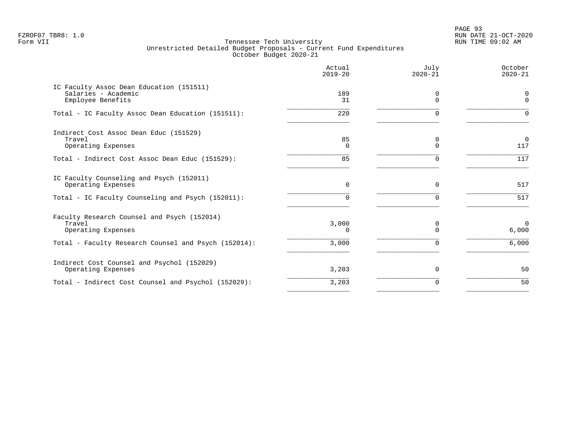PAGE 93 FZROF07 TBR8: 1.0 RUN DATE 21-OCT-2020

|                                                                                      | Actual<br>$2019 - 20$ | July<br>$2020 - 21$ | October<br>$2020 - 21$  |
|--------------------------------------------------------------------------------------|-----------------------|---------------------|-------------------------|
| IC Faculty Assoc Dean Education (151511)<br>Salaries - Academic<br>Employee Benefits | 189<br>31             | 0<br>$\Omega$       | $\Omega$<br>$\Omega$    |
| Total - IC Faculty Assoc Dean Education (151511):                                    | 220                   | ∩                   | $\Omega$                |
| Indirect Cost Assoc Dean Educ (151529)<br>Travel<br>Operating Expenses               | 85<br>0               |                     | $\mathbf 0$<br>117      |
| Total - Indirect Cost Assoc Dean Educ (151529):                                      | 85                    |                     | 117                     |
| IC Faculty Counseling and Psych (152011)<br>Operating Expenses                       | 0                     | $\Omega$            | 517                     |
| Total - IC Faculty Counseling and Psych (152011):                                    | U                     | ∩                   | 517                     |
| Faculty Research Counsel and Psych (152014)<br>Travel<br>Operating Expenses          | 3,000<br><sup>n</sup> | $\Omega$<br>$\cap$  | $\overline{0}$<br>6,000 |
| Total - Faculty Research Counsel and Psych (152014):                                 | 3,000                 |                     | 6,000                   |
| Indirect Cost Counsel and Psychol (152029)<br>Operating Expenses                     | 3,203                 | $\Omega$            | 50                      |
| Total - Indirect Cost Counsel and Psychol (152029):                                  | 3,203                 | $\Omega$            | 50                      |
|                                                                                      |                       |                     |                         |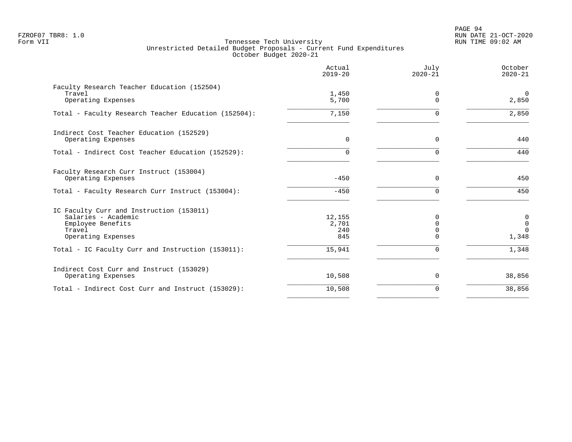PAGE 94 FZROF07 TBR8: 1.0 RUN DATE 21-OCT-2020

|                                                                                                                      | Actual<br>$2019 - 20$         | July<br>$2020 - 21$                          | October<br>$2020 - 21$                        |
|----------------------------------------------------------------------------------------------------------------------|-------------------------------|----------------------------------------------|-----------------------------------------------|
| Faculty Research Teacher Education (152504)<br>Travel<br>Operating Expenses                                          | 1,450<br>5,700                | 0<br>$\Omega$                                | $\mathbf 0$<br>2,850                          |
| Total - Faculty Research Teacher Education (152504):                                                                 | 7,150                         | $\Omega$                                     | 2,850                                         |
| Indirect Cost Teacher Education (152529)<br>Operating Expenses                                                       | $\Omega$                      | $\Omega$                                     | 440                                           |
| Total - Indirect Cost Teacher Education (152529):                                                                    | 0                             | $\Omega$                                     | 440                                           |
| Faculty Research Curr Instruct (153004)<br>Operating Expenses                                                        | $-450$                        | $\Omega$                                     | 450                                           |
| Total - Faculty Research Curr Instruct (153004):                                                                     | $-450$                        | $\Omega$                                     | 450                                           |
| IC Faculty Curr and Instruction (153011)<br>Salaries - Academic<br>Employee Benefits<br>Travel<br>Operating Expenses | 12,155<br>2,701<br>240<br>845 | $\Omega$<br>$\Omega$<br>$\Omega$<br>$\Omega$ | $\pmb{0}$<br>$\mathbf 0$<br>$\Omega$<br>1,348 |
| Total - IC Faculty Curr and Instruction (153011):                                                                    | 15,941                        | $\Omega$                                     | 1,348                                         |
| Indirect Cost Curr and Instruct (153029)<br>Operating Expenses                                                       | 10,508                        | 0                                            | 38,856                                        |
| Total - Indirect Cost Curr and Instruct (153029):                                                                    | 10,508                        | $\Omega$                                     | 38,856                                        |
|                                                                                                                      |                               |                                              |                                               |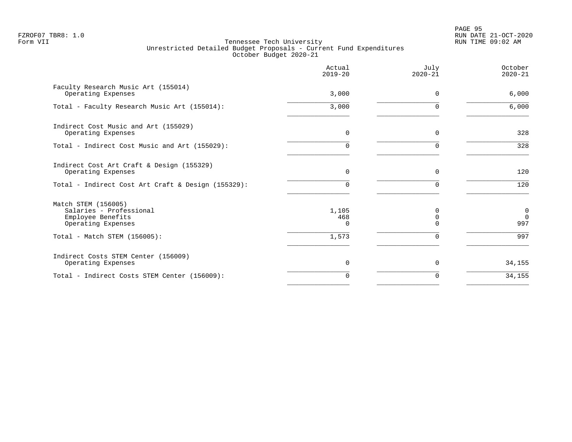PAGE 95 FZROF07 TBR8: 1.0 RUN DATE 21-OCT-2020

|                                                                                           | Actual<br>$2019 - 20$    | July<br>$2020 - 21$ | October<br>$2020 - 21$         |
|-------------------------------------------------------------------------------------------|--------------------------|---------------------|--------------------------------|
| Faculty Research Music Art (155014)<br>Operating Expenses                                 | 3,000                    | $\Omega$            | 6,000                          |
| Total - Faculty Research Music Art (155014):                                              | 3,000                    | U                   | 6,000                          |
| Indirect Cost Music and Art (155029)<br>Operating Expenses                                | 0                        | $\Omega$            | 328                            |
| Total - Indirect Cost Music and Art (155029):                                             | $\Omega$                 | U                   | 328                            |
| Indirect Cost Art Craft & Design (155329)<br>Operating Expenses                           | $\Omega$                 | $\Omega$            | 120                            |
| Total - Indirect Cost Art Craft & Design (155329):                                        | $\cap$                   | ∩                   | 120                            |
| Match STEM (156005)<br>Salaries - Professional<br>Employee Benefits<br>Operating Expenses | 1,105<br>468<br>$\Omega$ | U                   | $\mathbf 0$<br>$\Omega$<br>997 |
| Total - Match STEM (156005):                                                              | 1,573                    | $\Omega$            | 997                            |
| Indirect Costs STEM Center (156009)<br>Operating Expenses                                 | $\Omega$                 | $\Omega$            | 34,155                         |
| Total - Indirect Costs STEM Center (156009):                                              | $\Omega$                 | U                   | 34,155                         |
|                                                                                           |                          |                     |                                |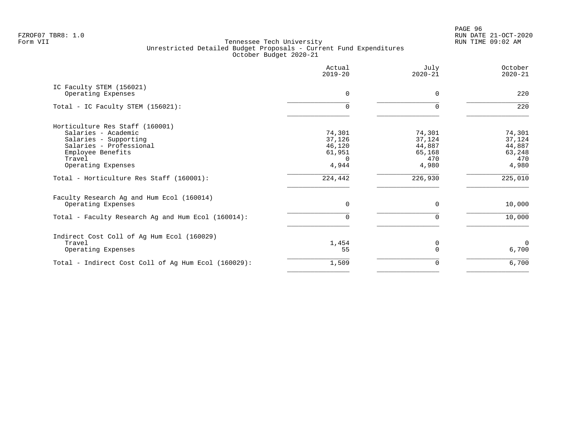|                                                     | Actual<br>$2019 - 20$ | July<br>$2020 - 21$ | October<br>$2020 - 21$ |
|-----------------------------------------------------|-----------------------|---------------------|------------------------|
| IC Faculty STEM (156021)<br>Operating Expenses      | $\Omega$              | $\Omega$            | 220                    |
| Total - IC Faculty STEM (156021):                   | $\Omega$              | $\Omega$            | 220                    |
| Horticulture Res Staff (160001)                     |                       |                     |                        |
| Salaries - Academic                                 | 74,301                | 74,301              | 74,301                 |
| Salaries - Supporting<br>Salaries - Professional    | 37,126<br>46,120      | 37,124<br>44,887    | 37,124<br>44,887       |
| Employee Benefits                                   | 61,951                | 65,168              | 63,248                 |
| Travel                                              | $\Omega$              | 470                 | 470                    |
| Operating Expenses                                  | 4,944                 | 4,980               | 4,980                  |
| Total - Horticulture Res Staff (160001):            | 224,442               | 226,930             | 225,010                |
| Faculty Research Ag and Hum Ecol (160014)           |                       |                     |                        |
| Operating Expenses                                  | 0                     | $\Omega$            | 10,000                 |
| Total - Faculty Research Ag and Hum Ecol (160014):  | U                     |                     | 10,000                 |
| Indirect Cost Coll of Ag Hum Ecol (160029)          |                       |                     |                        |
| Travel                                              | 1,454                 | 0                   | $\Omega$               |
| Operating Expenses                                  | 55                    | $\Omega$            | 6,700                  |
| Total - Indirect Cost Coll of Ag Hum Ecol (160029): | 1,509                 | 0                   | 6,700                  |
|                                                     |                       |                     |                        |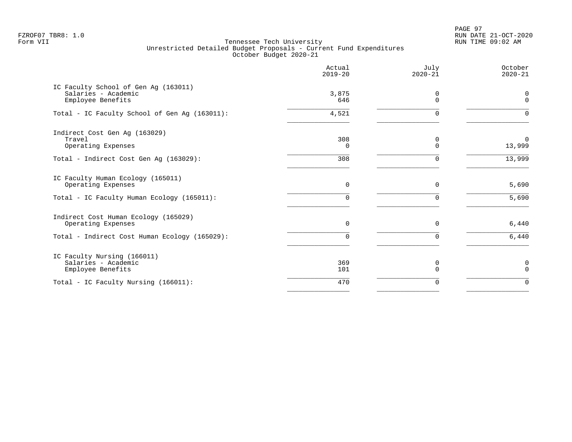PAGE 97 FZROF07 TBR8: 1.0 RUN DATE 21-OCT-2020

|                                                                                  | Actual<br>$2019 - 20$ | July<br>$2020 - 21$ | October<br>$2020 - 21$ |
|----------------------------------------------------------------------------------|-----------------------|---------------------|------------------------|
| IC Faculty School of Gen Aq (163011)<br>Salaries - Academic<br>Employee Benefits | 3,875<br>646          | 0<br>$\Omega$       | 0<br>$\mathbf{0}$      |
| Total - IC Faculty School of Gen Ag (163011):                                    | 4,521                 | $\Omega$            | $\Omega$               |
| Indirect Cost Gen Ag (163029)<br>Travel<br>Operating Expenses                    | 308<br>$\Omega$       | 0<br>$\Omega$       | $\Omega$<br>13,999     |
| Total - Indirect Cost Gen Aq (163029):                                           | 308                   | $\Omega$            | 13,999                 |
| IC Faculty Human Ecology (165011)<br>Operating Expenses                          | $\mathbf 0$           | $\Omega$            | 5,690                  |
| Total - IC Faculty Human Ecology (165011):                                       | 0                     | $\Omega$            | 5,690                  |
| Indirect Cost Human Ecology (165029)<br>Operating Expenses                       | $\Omega$              | $\Omega$            | 6,440                  |
| Total - Indirect Cost Human Ecology (165029):                                    | 0                     | $\Omega$            | 6,440                  |
| IC Faculty Nursing (166011)<br>Salaries - Academic<br>Employee Benefits          | 369<br>101            | 0<br>$\Omega$       | 0<br>$\Omega$          |
| Total - IC Faculty Nursing (166011):                                             | 470                   | $\Omega$            | $\Omega$               |
|                                                                                  |                       |                     |                        |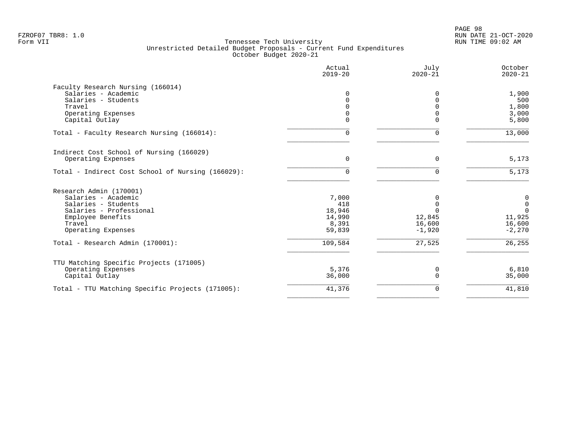|                                                   | Actual<br>$2019 - 20$ | July<br>$2020 - 21$ | October<br>$2020 - 21$ |
|---------------------------------------------------|-----------------------|---------------------|------------------------|
| Faculty Research Nursing (166014)                 |                       |                     |                        |
| Salaries - Academic                               | $\Omega$              | $\Omega$            | 1,900                  |
| Salaries - Students                               | 0                     | $\Omega$            | 500                    |
| Travel                                            | 0                     |                     | 1,800                  |
| Operating Expenses                                | 0                     |                     | 3,000                  |
| Capital Outlay                                    | 0                     | $\Omega$            | 5,800                  |
| Total - Faculty Research Nursing (166014):        | $\Omega$              | 0                   | 13,000                 |
| Indirect Cost School of Nursing (166029)          |                       |                     |                        |
| Operating Expenses                                | $\Omega$              | $\Omega$            | 5,173                  |
| Total - Indirect Cost School of Nursing (166029): | 0                     | $\Omega$            | 5,173                  |
| Research Admin (170001)                           |                       |                     |                        |
| Salaries - Academic                               | 7,000                 | 0                   | 0                      |
| Salaries - Students                               | 418                   | $\Omega$            | $\mathbf{0}$           |
| Salaries - Professional                           | 18,946                | $\Omega$            | $\Omega$               |
| Employee Benefits                                 | 14,990                | 12,845              | 11,925                 |
| Travel                                            | 8,391                 | 16,600              | 16,600                 |
| Operating Expenses                                | 59,839                | $-1,920$            | $-2,270$               |
| Total - Research Admin (170001):                  | 109,584               | 27,525              | 26,255                 |
|                                                   |                       |                     |                        |
| TTU Matching Specific Projects (171005)           |                       |                     |                        |
| Operating Expenses<br>Capital Outlay              | 5,376<br>36,000       | 0<br>$\Omega$       | 6,810<br>35,000        |
|                                                   |                       |                     |                        |
| Total - TTU Matching Specific Projects (171005):  | 41,376                | 0                   | 41,810                 |
|                                                   |                       |                     |                        |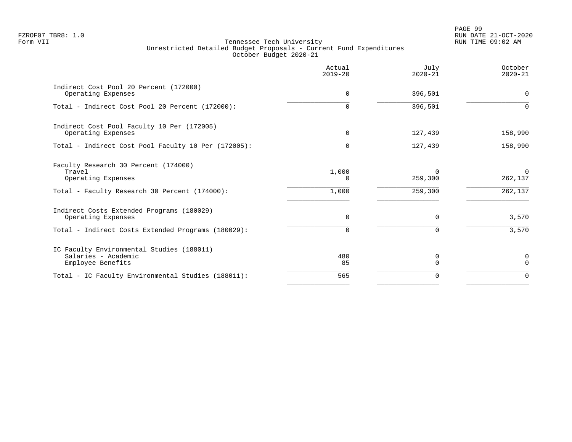PAGE 99 FZROF07 TBR8: 1.0 RUN DATE 21-OCT-2020

|                                                                                       | Actual<br>$2019 - 20$ | July<br>$2020 - 21$ | October<br>$2020 - 21$ |
|---------------------------------------------------------------------------------------|-----------------------|---------------------|------------------------|
| Indirect Cost Pool 20 Percent (172000)<br>Operating Expenses                          | $\Omega$              | 396,501             | $\Omega$               |
| Total - Indirect Cost Pool 20 Percent (172000):                                       | 0                     | 396,501             | $\Omega$               |
| Indirect Cost Pool Faculty 10 Per (172005)<br>Operating Expenses                      | $\Omega$              | 127,439             | 158,990                |
| Total - Indirect Cost Pool Faculty 10 Per (172005):                                   | 0                     | 127,439             | 158,990                |
| Faculty Research 30 Percent (174000)<br>Travel<br>Operating Expenses                  | 1,000<br>0            | $\Omega$<br>259,300 | $\Omega$<br>262,137    |
| Total - Faculty Research 30 Percent (174000):                                         | 1,000                 | 259,300             | 262,137                |
| Indirect Costs Extended Programs (180029)<br>Operating Expenses                       | $\mathbf 0$           | $\mathbf 0$         | 3,570                  |
| Total - Indirect Costs Extended Programs (180029):                                    | $\Omega$              | $\Omega$            | 3,570                  |
| IC Faculty Environmental Studies (188011)<br>Salaries - Academic<br>Employee Benefits | 480<br>85             | 0<br>$\Omega$       | 0<br>$\Omega$          |
| Total - IC Faculty Environmental Studies (188011):                                    | 565                   | $\Omega$            | $\Omega$               |
|                                                                                       |                       |                     |                        |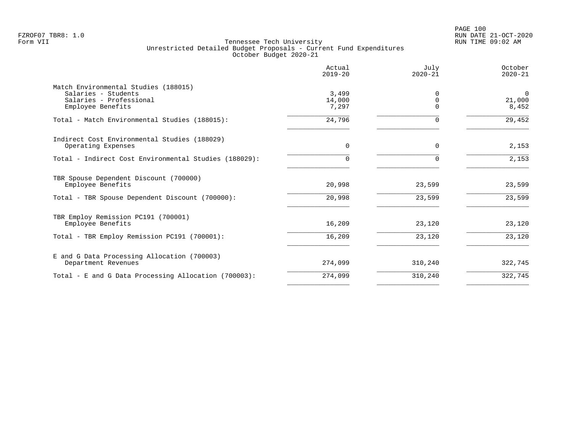|                                                       | Actual<br>$2019 - 20$ | July<br>$2020 - 21$     | October<br>$2020 - 21$ |
|-------------------------------------------------------|-----------------------|-------------------------|------------------------|
| Match Environmental Studies (188015)                  |                       |                         |                        |
| Salaries - Students<br>Salaries - Professional        | 3,499<br>14,000       | $\Omega$<br>$\mathbf 0$ | $\mathbf 0$<br>21,000  |
| Employee Benefits                                     | 7,297                 | ∩                       | 8,452                  |
| Total - Match Environmental Studies (188015):         | 24,796                | 0                       | 29,452                 |
| Indirect Cost Environmental Studies (188029)          |                       |                         |                        |
| Operating Expenses                                    | $\Omega$              | $\Omega$                | 2,153                  |
| Total - Indirect Cost Environmental Studies (188029): | $\Omega$              | $\Omega$                | 2,153                  |
| TBR Spouse Dependent Discount (700000)                |                       |                         |                        |
| Employee Benefits                                     | 20,998                | 23,599                  | 23,599                 |
| Total - TBR Spouse Dependent Discount (700000):       | 20,998                | 23,599                  | 23,599                 |
| TBR Employ Remission PC191 (700001)                   |                       |                         |                        |
| Employee Benefits                                     | 16,209                | 23,120                  | 23,120                 |
| Total - TBR Employ Remission PC191 (700001):          | 16,209                | 23,120                  | 23,120                 |
| E and G Data Processing Allocation (700003)           |                       |                         |                        |
| Department Revenues                                   | 274,099               | 310,240                 | 322,745                |
| Total - E and G Data Processing Allocation (700003):  | 274,099               | 310,240                 | 322,745                |
|                                                       |                       |                         |                        |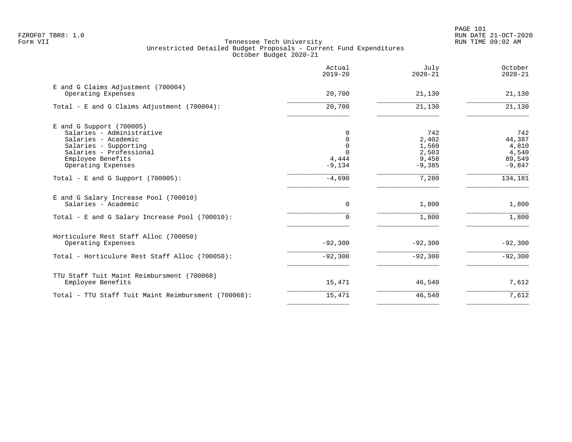|                                                                                                                                                         | Actual<br>$2019 - 20$          | July<br>$2020 - 21$                     | October<br>$2020 - 21$                    |
|---------------------------------------------------------------------------------------------------------------------------------------------------------|--------------------------------|-----------------------------------------|-------------------------------------------|
| E and G Claims Adjustment (700004)<br>Operating Expenses                                                                                                | 20,700                         | 21,130                                  | 21,130                                    |
| Total - E and G Claims Adjustment (700004):                                                                                                             | 20,700                         | 21,130                                  | 21,130                                    |
| $E$ and G Support (700005)<br>Salaries - Administrative<br>Salaries - Academic<br>Salaries - Supporting<br>Salaries - Professional<br>Employee Benefits | 0<br>0<br>0<br>$\cap$<br>4,444 | 742<br>2,402<br>1,560<br>2,503<br>9,458 | 742<br>44,387<br>4,810<br>4,540<br>89,549 |
| Operating Expenses<br>Total - E and G Support $(700005)$ :                                                                                              | $-9,134$<br>$-4,690$           | $-9,385$<br>7,280                       | $-9,847$<br>134,181                       |
| E and G Salary Increase Pool (700010)<br>Salaries - Academic<br>Total - E and G Salary Increase Pool (700010):                                          | $\mathbf 0$<br>$\Omega$        | 1,800<br>1,800                          | 1,800<br>1,800                            |
| Horticulure Rest Staff Alloc (700050)<br>Operating Expenses                                                                                             | $-92,300$                      | $-92,300$                               | $-92,300$                                 |
| Total - Horticulure Rest Staff Alloc (700050):                                                                                                          | $-92,300$                      | $-92,300$                               | $-92,300$                                 |
| TTU Staff Tuit Maint Reimbursment (700068)<br>Employee Benefits                                                                                         | 15,471                         | 46,540                                  | 7,612                                     |
| Total - TTU Staff Tuit Maint Reimbursment (700068):                                                                                                     | 15,471                         | 46,540                                  | 7,612                                     |
|                                                                                                                                                         |                                |                                         |                                           |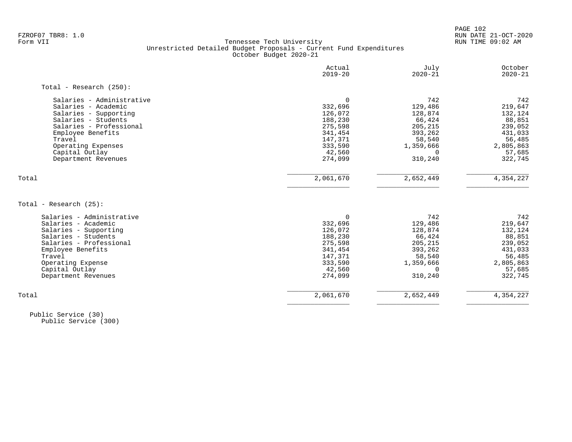PAGE 102

# FZROF07 TBR8: 1.0 RUN DATE 21-OCT-2020 Tennessee Tech University Unrestricted Detailed Budget Proposals - Current Fund Expenditures October Budget 2020-21

|                            | Actual<br>$2019 - 20$ | July<br>$2020 - 21$ | October<br>$2020 - 21$ |
|----------------------------|-----------------------|---------------------|------------------------|
| Total - Research $(250)$ : |                       |                     |                        |
| Salaries - Administrative  | $\Omega$              | 742                 | 742                    |
| Salaries - Academic        | 332,696               | 129,486             | 219,647                |
| Salaries - Supporting      | 126,072               | 128,874             | 132,124                |
| Salaries - Students        | 188,230               | 66,424              | 88,851                 |
| Salaries - Professional    | 275,598               | 205,215             | 239,052                |
| Employee Benefits          | 341,454               | 393,262             | 431,033                |
| Travel                     | 147,371               | 58,540              | 56,485                 |
| Operating Expenses         | 333,590               | 1,359,666           | 2,805,863              |
| Capital Outlay             | 42,560                | 0                   | 57,685                 |
| Department Revenues        | 274,099               | 310,240             | 322,745                |
| Total                      | 2,061,670             | 2,652,449           | 4,354,227              |
| Total - Research (25):     |                       |                     |                        |
| Salaries - Administrative  | $\Omega$              | 742                 | 742                    |
| Salaries - Academic        | 332,696               | 129,486             | 219,647                |
| Salaries - Supporting      | 126,072               | 128,874             | 132,124                |
| Salaries - Students        | 188,230               | 66,424              | 88,851                 |
| Salaries - Professional    | 275,598               | 205,215             | 239,052                |
| Employee Benefits          | 341,454               | 393,262             | 431,033                |
| Travel                     | 147,371               | 58,540              | 56,485                 |
| Operating Expense          | 333,590               | 1,359,666           | 2,805,863              |
| Capital Outlay             | 42,560                | $\Omega$            | 57,685                 |
| Department Revenues        | 274,099               | 310,240             | 322,745                |
|                            |                       |                     |                        |

 Public Service (30) Public Service (300)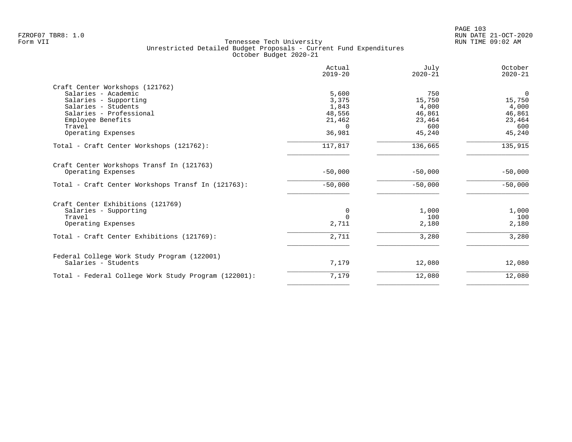|                                                      | Actual<br>$2019 - 20$ | July<br>$2020 - 21$ | October<br>$2020 - 21$ |
|------------------------------------------------------|-----------------------|---------------------|------------------------|
| Craft Center Workshops (121762)                      |                       |                     |                        |
| Salaries - Academic                                  | 5,600                 | 750                 | $\mathbf 0$            |
| Salaries - Supporting                                | 3,375                 | 15,750              | 15,750                 |
| Salaries - Students                                  | 1,843                 | 4,000               | 4,000                  |
| Salaries - Professional                              | 48,556                | 46,861              | 46,861                 |
| Employee Benefits                                    | 21,462                | 23,464              | 23,464                 |
| Travel                                               | $\Omega$              | 600                 | 600                    |
| Operating Expenses                                   | 36,981                | 45,240              | 45,240                 |
| Total - Craft Center Workshops (121762):             | 117,817               | 136,665             | 135,915                |
| Craft Center Workshops Transf In (121763)            |                       |                     |                        |
| Operating Expenses                                   | $-50,000$             | $-50,000$           | $-50,000$              |
| Total - Craft Center Workshops Transf In (121763):   | $-50,000$             | $-50,000$           | $-50,000$              |
| Craft Center Exhibitions (121769)                    |                       |                     |                        |
| Salaries - Supporting                                | 0                     | 1,000               | 1,000                  |
| Travel                                               | $\Omega$              | 100                 | 100                    |
| Operating Expenses                                   | 2,711                 | 2,180               | 2,180                  |
| Total - Craft Center Exhibitions (121769):           | 2,711                 | 3,280               | 3,280                  |
|                                                      |                       |                     |                        |
| Federal College Work Study Program (122001)          |                       |                     |                        |
| Salaries - Students                                  | 7,179                 | 12,080              | 12,080                 |
| Total - Federal College Work Study Program (122001): | 7,179                 | 12,080              | 12,080                 |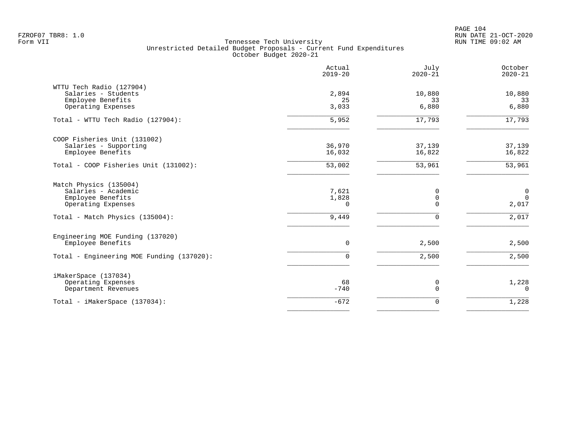PAGE 104 FZROF07 TBR8: 1.0 RUN DATE 21-OCT-2020

|                                                                                            | Actual<br>$2019 - 20$      | July<br>$2020 - 21$   | October<br>$2020 - 21$                    |
|--------------------------------------------------------------------------------------------|----------------------------|-----------------------|-------------------------------------------|
| WTTU Tech Radio (127904)<br>Salaries - Students<br>Employee Benefits<br>Operating Expenses | 2,894<br>25<br>3,033       | 10,880<br>33<br>6,880 | 10,880<br>33<br>6,880                     |
| Total - WTTU Tech Radio (127904):                                                          | 5,952                      | 17,793                | 17,793                                    |
| COOP Fisheries Unit (131002)<br>Salaries - Supporting<br>Employee Benefits                 | 36,970<br>16,032           | 37,139<br>16,822      | 37,139<br>16,822                          |
| Total - COOP Fisheries Unit (131002):                                                      | 53,002                     | 53,961                | 53,961                                    |
| Match Physics (135004)<br>Salaries - Academic<br>Employee Benefits<br>Operating Expenses   | 7,621<br>1,828<br>$\Omega$ | 0<br>0<br>$\Omega$    | $\overline{0}$<br>$\overline{0}$<br>2,017 |
| Total - Match Physics (135004):                                                            | 9,449                      | $\Omega$              | 2,017                                     |
| Engineering MOE Funding (137020)<br>Employee Benefits                                      | $\mathbf 0$                | 2,500                 | 2,500                                     |
| Total - Engineering MOE Funding (137020):                                                  | $\Omega$                   | 2,500                 | 2,500                                     |
| iMakerSpace (137034)<br>Operating Expenses<br>Department Revenues                          | 68<br>$-740$               | 0<br>$\Omega$         | 1,228<br>$\Omega$                         |
| Total - iMakerSpace (137034):                                                              | $-672$                     | 0                     | 1,228                                     |
|                                                                                            |                            |                       |                                           |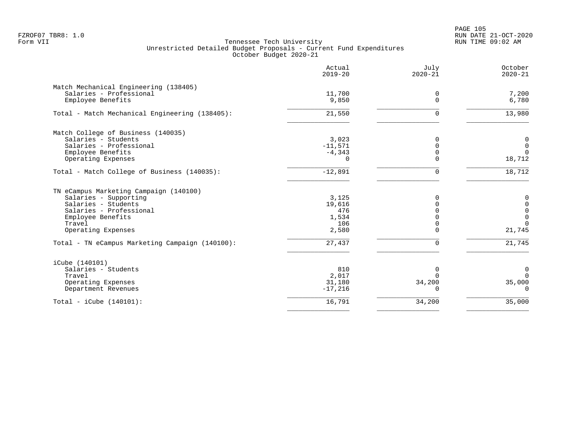PAGE 105 FZROF07 TBR8: 1.0 RUN DATE 21-OCT-2020

|                                                 | Actual<br>$2019 - 20$ | July<br>$2020 - 21$ | October<br>$2020 - 21$ |
|-------------------------------------------------|-----------------------|---------------------|------------------------|
| Match Mechanical Engineering (138405)           |                       |                     |                        |
| Salaries - Professional<br>Employee Benefits    | 11,700<br>9,850       | 0<br>$\Omega$       | 7,200<br>6,780         |
| Total - Match Mechanical Engineering (138405):  | 21,550                | $\Omega$            | 13,980                 |
| Match College of Business (140035)              |                       |                     |                        |
| Salaries - Students                             | 3,023                 | $\Omega$            | $\mathbf 0$            |
| Salaries - Professional                         | $-11,571$             | $\Omega$            | $\mathbf 0$            |
| Employee Benefits                               | $-4,343$              | 0                   | $\Omega$               |
| Operating Expenses                              | 0                     | $\Omega$            | 18,712                 |
| Total - Match College of Business (140035):     | $-12,891$             | $\Omega$            | 18,712                 |
| TN eCampus Marketing Campaign (140100)          |                       |                     |                        |
| Salaries - Supporting                           | 3,125                 | $\Omega$            | 0                      |
| Salaries - Students                             | 19,616                | $\Omega$            | $\mathsf{O}\xspace$    |
| Salaries - Professional                         | 476                   |                     | $\mathsf 0$            |
| Employee Benefits                               | 1,534                 |                     | $\mathbf 0$            |
| Travel                                          | 106                   |                     | $\Omega$               |
| Operating Expenses                              | 2,580                 | ∩                   | 21,745                 |
| Total - TN eCampus Marketing Campaign (140100): | 27,437                | $\Omega$            | 21,745                 |
| iCube (140101)                                  |                       |                     |                        |
| Salaries - Students                             | 810                   | 0                   | 0                      |
| Travel                                          | 2,017                 | ∩                   | $\Omega$               |
| Operating Expenses                              | 31,180                | 34,200              | 35,000                 |
| Department Revenues                             | $-17,216$             | $\Omega$            | $\Omega$               |
| Total - iCube $(140101)$ :                      | 16,791                | 34,200              | 35,000                 |
|                                                 |                       |                     |                        |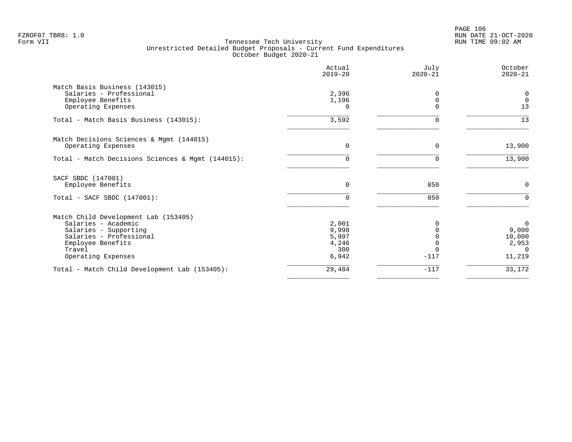|                                                   | Actual<br>$2019 - 20$ | July<br>$2020 - 21$ | October<br>$2020 - 21$ |
|---------------------------------------------------|-----------------------|---------------------|------------------------|
| Match Basis Business (143015)                     |                       |                     |                        |
| Salaries - Professional                           | 2,396                 |                     | $\overline{0}$         |
| Employee Benefits                                 | 1,196                 | O                   | $\overline{0}$         |
| Operating Expenses                                |                       |                     | 13                     |
| Total - Match Basis Business (143015):            | 3,592                 | 0                   | 13                     |
| Match Decisions Sciences & Mgmt (144015)          |                       |                     |                        |
| Operating Expenses                                | $\Omega$              | $\Omega$            | 13,900                 |
| Total - Match Decisions Sciences & Mgmt (144015): | 0                     | U                   | 13,900                 |
| SACF SBDC (147001)                                |                       |                     |                        |
| Employee Benefits                                 | $\Omega$              | 850                 | $\Omega$               |
| Total - SACF SBDC (147001):                       | $\Omega$              | 850                 | $\Omega$               |
| Match Child Development Lab (153405)              |                       |                     |                        |
| Salaries - Academic                               | 2,001                 |                     | $\overline{0}$         |
| Salaries - Supporting                             | 9,998                 |                     | 9,000                  |
| Salaries - Professional                           | 5,997                 |                     | 10,000                 |
| Employee Benefits                                 | 4,246                 |                     | 2,953                  |
| Travel<br>Operating Expenses                      | 300<br>6,942          | $-117$              | $\Omega$<br>11,219     |
|                                                   | 29,484                | $-117$              | 33,172                 |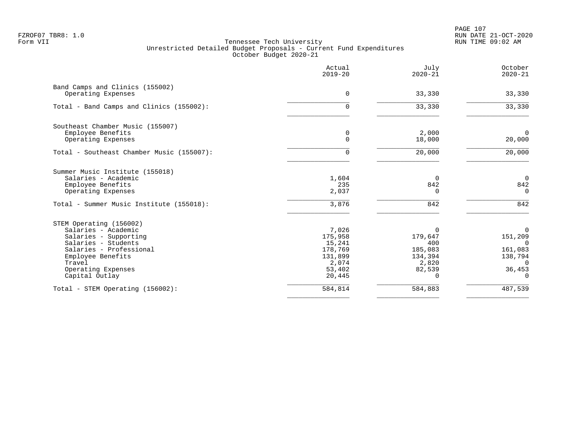|                                                       | Actual<br>$2019 - 20$ | July<br>$2020 - 21$ | October<br>$2020 - 21$ |
|-------------------------------------------------------|-----------------------|---------------------|------------------------|
| Band Camps and Clinics (155002)<br>Operating Expenses | $\mathbf 0$           | 33,330              | 33,330                 |
| Total - Band Camps and Clinics (155002):              | 0                     | 33,330              | 33,330                 |
| Southeast Chamber Music (155007)                      |                       | 2,000               | $\mathbf 0$            |
| Employee Benefits<br>Operating Expenses               | 0<br>$\Omega$         | 18,000              | 20,000                 |
| Total - Southeast Chamber Music (155007):             | $\Omega$              | 20,000              | 20,000                 |
| Summer Music Institute (155018)                       |                       |                     |                        |
| Salaries - Academic<br>Employee Benefits              | 1,604<br>235          | $\Omega$<br>842     | $\overline{0}$<br>842  |
| Operating Expenses                                    | 2,037                 | $\Omega$            | $\Omega$               |
| Total - Summer Music Institute (155018):              | 3,876                 | 842                 | 842                    |
| STEM Operating (156002)                               |                       |                     |                        |
| Salaries - Academic<br>Salaries - Supporting          | 7,026<br>175,958      | $\Omega$<br>179,647 | $\Omega$<br>151,209    |
| Salaries - Students                                   | 15,241                | 400                 | $\Omega$               |
| Salaries - Professional                               | 178,769               | 185,083             | 161,083                |
| Employee Benefits                                     | 131,899               | 134,394             | 138,794                |
| Travel                                                | 2,074                 | 2,820               | $\Omega$               |
| Operating Expenses                                    | 53,402                | 82,539<br>$\Omega$  | 36,453<br>$\mathbf 0$  |
| Capital Outlay                                        | 20,445                |                     |                        |
| Total - STEM Operating (156002):                      | 584,814               | 584,883             | 487,539                |
|                                                       |                       |                     |                        |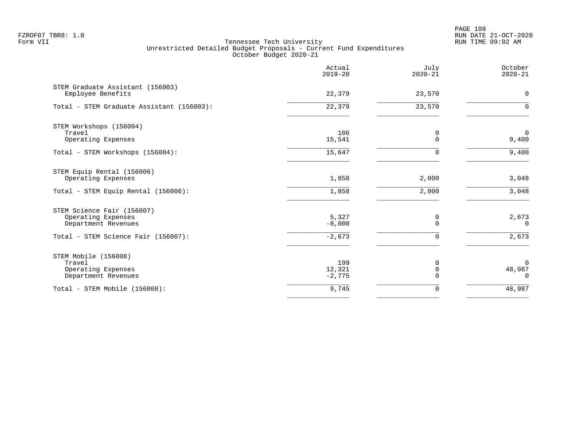PAGE 108 FZROF07 TBR8: 1.0 RUN DATE 21-OCT-2020

|                                                                             | Actual<br>$2019 - 20$     | July<br>$2020 - 21$       | October<br>$2020 - 21$         |
|-----------------------------------------------------------------------------|---------------------------|---------------------------|--------------------------------|
| STEM Graduate Assistant (156003)<br>Employee Benefits                       | 22,379                    | 23,570                    | $\mathbf 0$                    |
| Total - STEM Graduate Assistant (156003):                                   | 22,379                    | 23,570                    | $\Omega$                       |
| STEM Workshops (156004)<br>Travel<br>Operating Expenses                     | 106<br>15,541             | 0<br>$\Omega$             | $\mathbf 0$<br>9,400           |
| Total - STEM Workshops (156004):                                            | 15,647                    | $\Omega$                  | 9,400                          |
| STEM Equip Rental (156006)<br>Operating Expenses                            | 1,858                     | 2,000                     | 3,048                          |
| Total - STEM Equip Rental (156006):                                         | 1,858                     | 2,000                     | 3,048                          |
| STEM Science Fair (156007)<br>Operating Expenses<br>Department Revenues     | 5,327<br>$-8,000$         | 0<br>$\Omega$             | 2,673<br>$\Omega$              |
| Total - STEM Science Fair (156007):                                         | $-2,673$                  | $\Omega$                  | 2,673                          |
| STEM Mobile (156008)<br>Travel<br>Operating Expenses<br>Department Revenues | 199<br>12,321<br>$-2,775$ | $\Omega$<br>0<br>$\Omega$ | $\Omega$<br>48,987<br>$\Omega$ |
| Total - STEM Mobile (156008):                                               | 9,745                     | 0                         | 48,987                         |
|                                                                             |                           |                           |                                |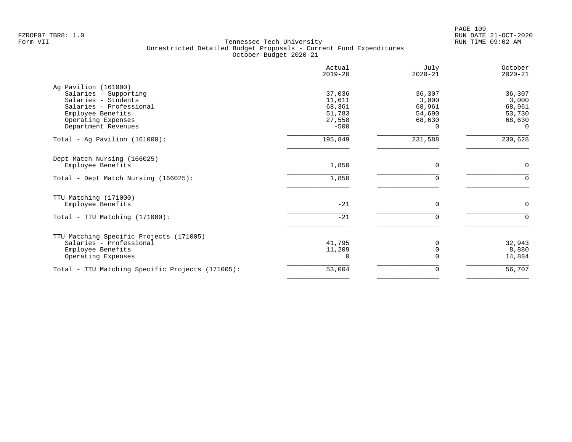|                                                  | Actual<br>$2019 - 20$ | July<br>$2020 - 21$ | October<br>$2020 - 21$ |
|--------------------------------------------------|-----------------------|---------------------|------------------------|
| Ag Pavilion (161000)                             |                       |                     |                        |
| Salaries - Supporting                            | 37,036                | 36,307              | 36,307                 |
| Salaries - Students<br>Salaries - Professional   | 11,611                | 3,000               | 3,000                  |
| Employee Benefits                                | 68,361<br>51,783      | 68,961<br>54,690    | 68,961<br>53,730       |
| Operating Expenses                               | 27,558                | 68,630              | 68,630                 |
| Department Revenues                              | $-500$                | 0                   | 0                      |
| Total - Ag Pavilion $(161000)$ :                 | 195,849               | 231,588             | 230,628                |
| Dept Match Nursing (166025)                      |                       |                     |                        |
| Employee Benefits                                | 1,850                 | $\mathbf 0$         | 0                      |
| Total - Dept Match Nursing (166025):             | 1,850                 | $\mathbf 0$         | $\Omega$               |
| TTU Matching (171000)                            |                       |                     |                        |
| Employee Benefits                                | $-21$                 | $\Omega$            | 0                      |
| Total - TTU Matching (171000):                   | $-21$                 | $\Omega$            | $\Omega$               |
| TTU Matching Specific Projects (171005)          |                       |                     |                        |
| Salaries - Professional                          | 41,795                | $\Omega$            | 32,943                 |
| Employee Benefits                                | 11,209                | $\Omega$            | 8,880                  |
| Operating Expenses                               | 0                     | $\Omega$            | 14,884                 |
| Total - TTU Matching Specific Projects (171005): | 53,004                | 0                   | 56,707                 |
|                                                  |                       |                     |                        |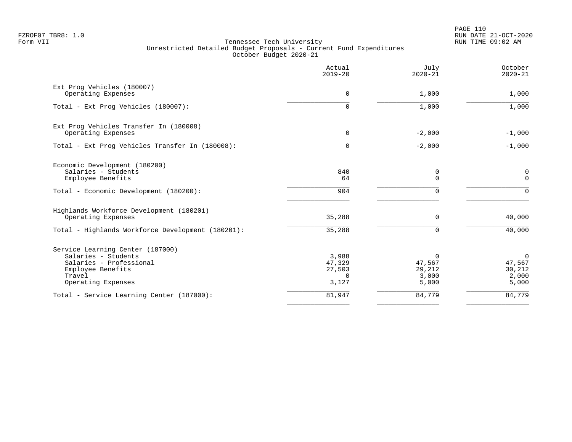PAGE 110 FZROF07 TBR8: 1.0 RUN DATE 21-OCT-2020

|                                                                                                                                         | Actual<br>$2019 - 20$                          | July<br>$2020 - 21$                     | October<br>$2020 - 21$                               |
|-----------------------------------------------------------------------------------------------------------------------------------------|------------------------------------------------|-----------------------------------------|------------------------------------------------------|
| Ext Prog Vehicles (180007)<br>Operating Expenses                                                                                        | $\Omega$                                       | 1,000                                   | 1,000                                                |
| Total - Ext Prog Vehicles (180007):                                                                                                     | 0                                              | 1,000                                   | 1,000                                                |
| Ext Prog Vehicles Transfer In (180008)<br>Operating Expenses                                                                            | 0                                              | $-2,000$                                | $-1,000$                                             |
| Total - Ext Prog Vehicles Transfer In (180008):                                                                                         | 0                                              | $-2,000$                                | $-1,000$                                             |
| Economic Development (180200)<br>Salaries - Students<br>Employee Benefits                                                               | 840<br>64                                      | 0<br>$\Omega$                           | 0<br>$\Omega$                                        |
| Total - Economic Development (180200):                                                                                                  | 904                                            | 0                                       | $\Omega$                                             |
| Highlands Workforce Development (180201)<br>Operating Expenses                                                                          | 35,288                                         | 0                                       | 40,000                                               |
| Total - Highlands Workforce Development (180201):                                                                                       | 35,288                                         | 0                                       | 40,000                                               |
| Service Learning Center (187000)<br>Salaries - Students<br>Salaries - Professional<br>Employee Benefits<br>Travel<br>Operating Expenses | 3,988<br>47,329<br>27,503<br>$\Omega$<br>3,127 | 0<br>47,567<br>29,212<br>3,000<br>5,000 | $\overline{0}$<br>47,567<br>30,212<br>2,000<br>5,000 |
| Total - Service Learning Center (187000):                                                                                               | 81,947                                         | 84,779                                  | 84,779                                               |
|                                                                                                                                         |                                                |                                         |                                                      |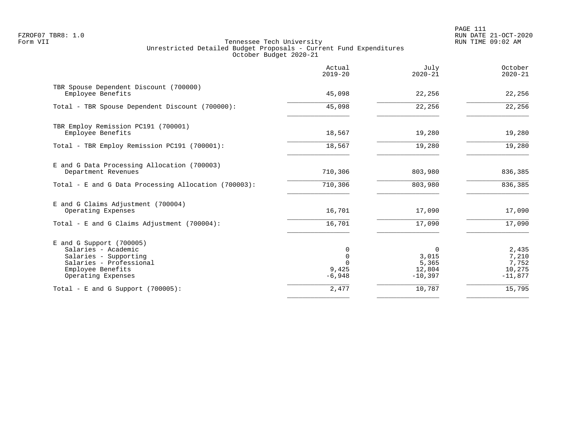|                                                                                                                                                  | Actual<br>$2019 - 20$  | July<br>$2020 - 21$                               | October<br>$2020 - 21$                         |
|--------------------------------------------------------------------------------------------------------------------------------------------------|------------------------|---------------------------------------------------|------------------------------------------------|
| TBR Spouse Dependent Discount (700000)<br>Employee Benefits                                                                                      | 45,098                 | 22,256                                            | 22,256                                         |
| Total - TBR Spouse Dependent Discount (700000):                                                                                                  | 45,098                 | 22,256                                            | 22,256                                         |
| TBR Employ Remission PC191 (700001)<br>Employee Benefits                                                                                         | 18,567                 | 19,280                                            | 19,280                                         |
| Total - TBR Employ Remission PC191 (700001):                                                                                                     | 18,567                 | 19,280                                            | 19,280                                         |
| E and G Data Processing Allocation (700003)<br>Department Revenues                                                                               | 710,306                | 803,980                                           | 836,385                                        |
| Total - E and G Data Processing Allocation (700003):                                                                                             | 710,306                | 803,980                                           | 836,385                                        |
| E and G Claims Adjustment (700004)<br>Operating Expenses                                                                                         | 16,701                 | 17,090                                            | 17,090                                         |
| Total - E and G Claims Adjustment $(700004)$ :                                                                                                   | 16,701                 | 17,090                                            | 17,090                                         |
| $E$ and G Support (700005)<br>Salaries - Academic<br>Salaries - Supporting<br>Salaries - Professional<br>Employee Benefits<br>Operating Expenses | 0<br>9,425<br>$-6,948$ | $\Omega$<br>3,015<br>5,365<br>12,804<br>$-10,397$ | 2,435<br>7,210<br>7,752<br>10,275<br>$-11,877$ |
| Total - E and G Support $(700005)$ :                                                                                                             | 2,477                  | 10,787                                            | 15,795                                         |
|                                                                                                                                                  |                        |                                                   |                                                |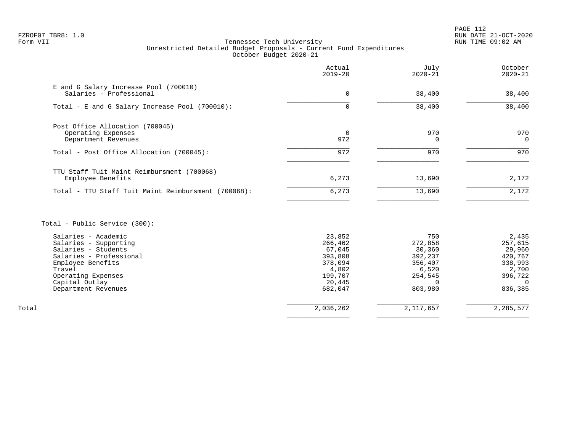PAGE 112 FZROF07 TBR8: 1.0 RUN DATE 21-OCT-2020

|                                                                              | Actual<br>$2019 - 20$ | July<br>$2020 - 21$ | October<br>$2020 - 21$ |
|------------------------------------------------------------------------------|-----------------------|---------------------|------------------------|
| E and G Salary Increase Pool (700010)<br>Salaries - Professional             | 0                     | 38,400              | 38,400                 |
| Total - E and G Salary Increase Pool (700010):                               | 0                     | 38,400              | 38,400                 |
| Post Office Allocation (700045)<br>Operating Expenses<br>Department Revenues | $\overline{0}$<br>972 | 970                 | 970<br>$\Omega$        |
| Total - Post Office Allocation (700045):                                     | 972                   | 970                 | 970                    |
| TTU Staff Tuit Maint Reimbursment (700068)<br>Employee Benefits              | 6,273                 | 13,690              | 2,172                  |
| Total - TTU Staff Tuit Maint Reimbursment (700068):                          | 6,273                 | 13,690              | 2,172                  |

|       | Salaries - Academic     | 23,852    | 750       | 2,435     |
|-------|-------------------------|-----------|-----------|-----------|
|       | Salaries - Supporting   | 266,462   | 272,858   | 257,615   |
|       | Salaries - Students     | 67,045    | 30,360    | 29,960    |
|       | Salaries - Professional | 393,808   | 392,237   | 420,767   |
|       | Employee Benefits       | 378,094   | 356,407   | 338,993   |
|       | Travel                  | 4,802     | 6,520     | 2,700     |
|       | Operating Expenses      | 199,707   | 254,545   | 396,722   |
|       | Capital Outlay          | 20,445    |           |           |
|       | Department Revenues     | 682,047   | 803,980   | 836,385   |
| Total |                         | 2,036,262 | 2,117,657 | 2,285,577 |
|       |                         |           |           |           |
|       |                         |           |           |           |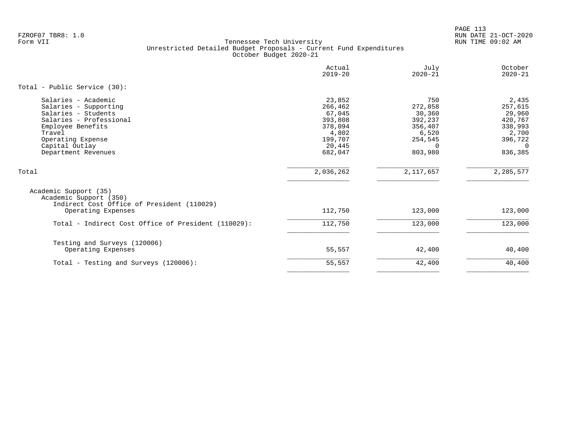PAGE 113 FZROF07 TBR8: 1.0 RUN DATE 21-OCT-2020

|                                                                                                                                                                                             | Actual<br>$2019 - 20$                                                                      | July<br>$2020 - 21$                                                                       | October<br>$2020 - 21$                                                               |
|---------------------------------------------------------------------------------------------------------------------------------------------------------------------------------------------|--------------------------------------------------------------------------------------------|-------------------------------------------------------------------------------------------|--------------------------------------------------------------------------------------|
| Total - Public Service (30):                                                                                                                                                                |                                                                                            |                                                                                           |                                                                                      |
| Salaries - Academic<br>Salaries - Supporting<br>Salaries - Students<br>Salaries - Professional<br>Employee Benefits<br>Travel<br>Operating Expense<br>Capital Outlay<br>Department Revenues | 23,852<br>266,462<br>67,045<br>393,808<br>378,094<br>4,802<br>199,707<br>20,445<br>682,047 | 750<br>272,858<br>30,360<br>392,237<br>356,407<br>6,520<br>254,545<br>$\Omega$<br>803,980 | 2,435<br>257,615<br>29,960<br>420,767<br>338,993<br>2,700<br>396,722<br>0<br>836,385 |
| Total                                                                                                                                                                                       | 2,036,262                                                                                  | 2,117,657                                                                                 | 2, 285, 577                                                                          |
| Academic Support (35)<br>Academic Support (350)<br>Indirect Cost Office of President (110029)<br>Operating Expenses                                                                         | 112,750                                                                                    | 123,000                                                                                   | 123,000                                                                              |
| Total - Indirect Cost Office of President (110029):                                                                                                                                         | 112,750                                                                                    | 123,000                                                                                   | 123,000                                                                              |
| Testing and Surveys (120006)<br>Operating Expenses                                                                                                                                          | 55,557                                                                                     | 42,400                                                                                    | 40,400                                                                               |
| Total - Testing and Surveys (120006):                                                                                                                                                       | 55,557                                                                                     | 42,400                                                                                    | 40,400                                                                               |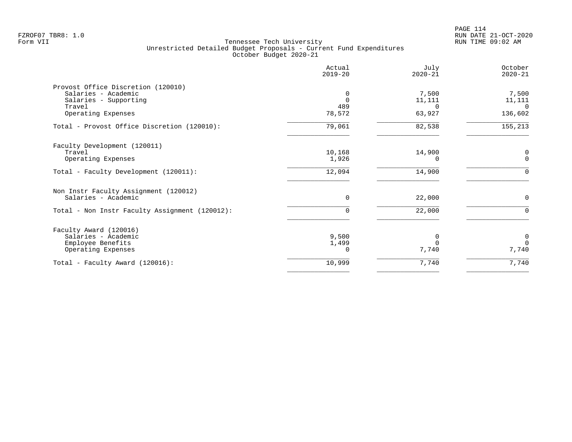|                                                | Actual<br>$2019 - 20$ | July<br>$2020 - 21$ | October<br>$2020 - 21$ |
|------------------------------------------------|-----------------------|---------------------|------------------------|
| Provost Office Discretion (120010)             |                       |                     |                        |
| Salaries - Academic                            | $\Omega$              | 7,500               | 7,500                  |
| Salaries - Supporting                          | $\Omega$              | 11,111              | 11,111                 |
| Travel                                         | 489                   | $\Omega$            | $\Omega$               |
| Operating Expenses                             | 78,572                | 63,927              | 136,602                |
| Total - Provost Office Discretion (120010):    | 79,061                | 82,538              | 155,213                |
| Faculty Development (120011)                   |                       |                     |                        |
| Travel                                         | 10,168                | 14,900              | 0                      |
| Operating Expenses                             | 1,926                 | <sup>0</sup>        | $\Omega$               |
| Total - Faculty Development (120011):          | 12,094                | 14,900              | $\Omega$               |
| Non Instr Faculty Assignment (120012)          |                       |                     |                        |
| Salaries - Academic                            | $\Omega$              | 22,000              | $\Omega$               |
| Total - Non Instr Faculty Assignment (120012): | 0                     | 22,000              | $\Omega$               |
| Faculty Award (120016)                         |                       |                     |                        |
| Salaries - Academic                            | 9,500                 | $\Omega$            | $\mathbf 0$            |
| Employee Benefits                              | 1,499                 |                     | $\Omega$               |
| Operating Expenses                             | $\Omega$              | 7,740               | 7,740                  |
| Total - Faculty Award (120016):                | 10,999                | 7,740               | 7,740                  |
|                                                |                       |                     |                        |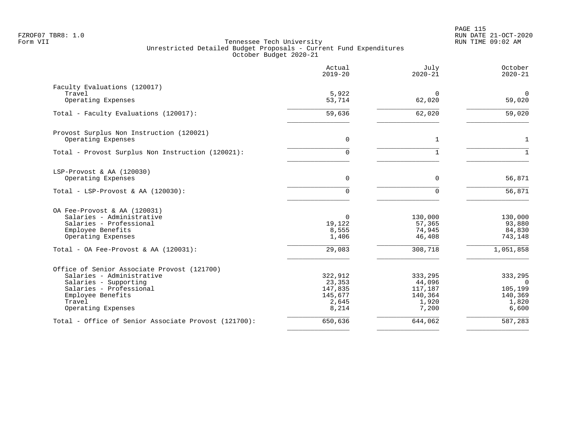|                                                      | Actual<br>$2019 - 20$ | July<br>$2020 - 21$ | October<br>$2020 - 21$ |
|------------------------------------------------------|-----------------------|---------------------|------------------------|
| Faculty Evaluations (120017)                         |                       |                     |                        |
| Travel                                               | 5,922                 | $\mathbf 0$         | $\mathbf 0$            |
| Operating Expenses                                   | 53,714                | 62,020              | 59,020                 |
| Total - Faculty Evaluations (120017):                | 59,636                | 62,020              | 59,020                 |
| Provost Surplus Non Instruction (120021)             |                       |                     |                        |
| Operating Expenses                                   | 0                     | $\mathbf 1$         | $\mathbf{1}$           |
| Total - Provost Surplus Non Instruction (120021):    | 0                     |                     | $\mathbf{1}$           |
| LSP-Provost & AA (120030)                            |                       |                     |                        |
| Operating Expenses                                   | 0                     | $\mathbf 0$         | 56,871                 |
| Total - LSP-Provost & AA $(120030)$ :                | $\Omega$              | $\mathbf 0$         | $\frac{1}{56,871}$     |
| OA Fee-Provost & AA (120031)                         |                       |                     |                        |
| Salaries - Administrative                            | 0                     | 130,000             | 130,000                |
| Salaries - Professional                              | 19,122                | 57,365              | 93,880                 |
| Employee Benefits<br>Operating Expenses              | 8,555<br>1,406        | 74,945<br>46,408    | 84,830<br>743,148      |
|                                                      | 29,083                |                     | 1,051,858              |
| Total - OA Fee-Provost & AA $(120031)$ :             |                       | 308,718             |                        |
| Office of Senior Associate Provost (121700)          |                       |                     |                        |
| Salaries - Administrative                            | 322,912               | 333,295             | 333,295                |
| Salaries - Supporting                                | 23,353                | 44,096              | $\Omega$               |
| Salaries - Professional                              | 147,835               | 117,187             | 105,199                |
| Employee Benefits                                    | 145,677               | 140,364             | 140,369                |
| Travel<br>Operating Expenses                         | 2,645                 | 1,920<br>7,200      | 1,820                  |
|                                                      | 8,214                 |                     | 6,600                  |
| Total - Office of Senior Associate Provost (121700): | 650,636               | 644,062             | 587,283                |
|                                                      |                       |                     |                        |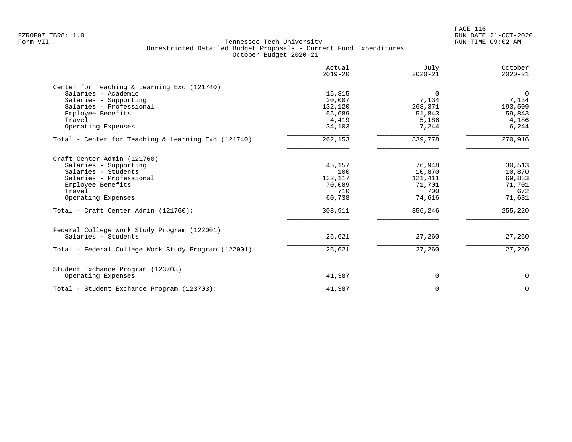PAGE 116 FZROF07 TBR8: 1.0 RUN DATE 21-OCT-2020

|                                                                                                                                                                                                     | Actual<br>$2019 - 20$                                          | July<br>$2020 - 21$                                               | October<br>$2020 - 21$                                           |
|-----------------------------------------------------------------------------------------------------------------------------------------------------------------------------------------------------|----------------------------------------------------------------|-------------------------------------------------------------------|------------------------------------------------------------------|
| Center for Teaching & Learning Exc (121740)<br>Salaries - Academic<br>Salaries - Supporting<br>Salaries - Professional<br>Employee Benefits<br>Travel<br>Operating Expenses                         | 15,815<br>20,007<br>132,120<br>55,689<br>4,419<br>34,103       | $\Omega$<br>7,134<br>268,371<br>51,843<br>5,186<br>7,244          | $\mathbf 0$<br>7,134<br>193,509<br>59,843<br>4,186<br>6,244      |
| Total - Center for Teaching & Learning Exc (121740):                                                                                                                                                | 262,153                                                        | 339,778                                                           | 270,916                                                          |
| Craft Center Admin (121760)<br>Salaries - Supporting<br>Salaries - Students<br>Salaries - Professional<br>Employee Benefits<br>Travel<br>Operating Expenses<br>Total - Craft Center Admin (121760): | 45,157<br>100<br>132,117<br>70,089<br>710<br>60,738<br>308,911 | 76,948<br>10,870<br>121,411<br>71,701<br>700<br>74,616<br>356,246 | 30,513<br>10,870<br>69,833<br>71,701<br>672<br>71,631<br>255,220 |
|                                                                                                                                                                                                     |                                                                |                                                                   |                                                                  |
| Federal College Work Study Program (122001)<br>Salaries - Students                                                                                                                                  | 26,621                                                         | 27,260                                                            | 27,260                                                           |
| Total - Federal College Work Study Program (122001):                                                                                                                                                | 26,621                                                         | 27,260                                                            | 27,260                                                           |
| Student Exchance Program (123703)<br>Operating Expenses                                                                                                                                             | 41,387                                                         | 0                                                                 | 0                                                                |
| Total - Student Exchance Program (123703):                                                                                                                                                          | 41,387                                                         | $\Omega$                                                          | $\Omega$                                                         |
|                                                                                                                                                                                                     |                                                                |                                                                   |                                                                  |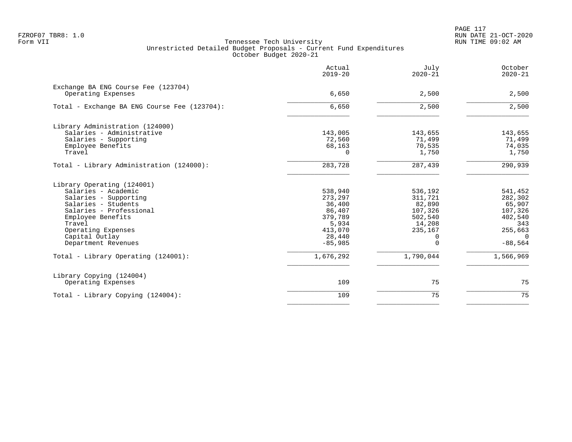PAGE 117 FZROF07 TBR8: 1.0 RUN DATE 21-OCT-2020

|                                                           | Actual<br>$2019 - 20$ | July<br>$2020 - 21$ | October<br>$2020 - 21$ |
|-----------------------------------------------------------|-----------------------|---------------------|------------------------|
| Exchange BA ENG Course Fee (123704)<br>Operating Expenses | 6,650                 | 2,500               | 2,500                  |
| Total - Exchange BA ENG Course Fee (123704):              | 6,650                 | 2,500               | 2,500                  |
| Library Administration (124000)                           |                       |                     |                        |
| Salaries - Administrative                                 | 143,005               | 143,655             | 143,655                |
| Salaries - Supporting                                     | 72,560                | 71,499              | 71,499                 |
| Employee Benefits                                         | 68,163                | 70,535              | 74,035                 |
| Travel                                                    | $\Omega$              | 1,750               | 1,750                  |
| Total - Library Administration (124000):                  | 283,728               | 287,439             | 290,939                |
| Library Operating (124001)                                |                       |                     |                        |
| Salaries - Academic                                       | 538,940               | 536,192             | 541,452                |
| Salaries - Supporting                                     | 273,297               | 311,721             | 282,302                |
| Salaries - Students                                       | 36,400                | 82,890              | 65,907                 |
| Salaries - Professional                                   | 86,407                | 107,326             | 107,326                |
| Employee Benefits                                         | 379,789               | 502,540             | 402,540                |
| Travel                                                    | 5,934                 | 14,208              | 343                    |
| Operating Expenses                                        | 413,070               | 235,167             | 255,663                |
| Capital Outlay                                            | 28,440                | 0                   | $\Omega$               |
| Department Revenues                                       | $-85,985$             | $\Omega$            | $-88,564$              |
| Total - Library Operating (124001):                       | 1,676,292             | 1,790,044           | 1,566,969              |
| Library Copying (124004)                                  |                       |                     |                        |
| Operating Expenses                                        | 109                   | 75                  | 75                     |
| Total - Library Copying (124004):                         | 109                   | 75                  | 75                     |
|                                                           |                       |                     |                        |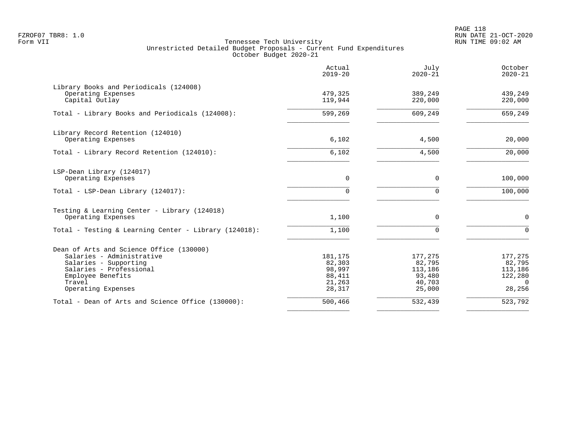PAGE 118 FZROF07 TBR8: 1.0 RUN DATE 21-OCT-2020

|                                                                                                                                                                                | Actual<br>$2019 - 20$                                     | July<br>$2020 - 21$                                        | October<br>$2020 - 21$                                        |
|--------------------------------------------------------------------------------------------------------------------------------------------------------------------------------|-----------------------------------------------------------|------------------------------------------------------------|---------------------------------------------------------------|
| Library Books and Periodicals (124008)<br>Operating Expenses<br>Capital Outlay                                                                                                 | 479,325<br>119,944                                        | 389,249<br>220,000                                         | 439,249<br>220,000                                            |
| Total - Library Books and Periodicals (124008):                                                                                                                                | 599,269                                                   | 609,249                                                    | 659,249                                                       |
| Library Record Retention (124010)<br>Operating Expenses                                                                                                                        | 6,102                                                     | 4,500                                                      | 20,000                                                        |
| Total - Library Record Retention (124010):                                                                                                                                     | 6,102                                                     | 4,500                                                      | 20,000                                                        |
| LSP-Dean Library (124017)<br>Operating Expenses                                                                                                                                | 0                                                         | $\mathbf 0$                                                | 100,000                                                       |
| Total - LSP-Dean Library (124017):                                                                                                                                             | 0                                                         | $\Omega$                                                   | 100,000                                                       |
| Testing & Learning Center - Library (124018)<br>Operating Expenses                                                                                                             | 1,100                                                     | $\Omega$                                                   | $\Omega$                                                      |
| Total - Testing & Learning Center - Library (124018):                                                                                                                          | 1,100                                                     | $\Omega$                                                   | $\cap$                                                        |
| Dean of Arts and Science Office (130000)<br>Salaries - Administrative<br>Salaries - Supporting<br>Salaries - Professional<br>Employee Benefits<br>Travel<br>Operating Expenses | 181,175<br>82,303<br>98,997<br>88,411<br>21,263<br>28,317 | 177,275<br>82,795<br>113,186<br>93,480<br>40,703<br>25,000 | 177,275<br>82,795<br>113,186<br>122,280<br>$\Omega$<br>28,256 |
| Total - Dean of Arts and Science Office (130000):                                                                                                                              | 500,466                                                   | 532,439                                                    | 523,792                                                       |
|                                                                                                                                                                                |                                                           |                                                            |                                                               |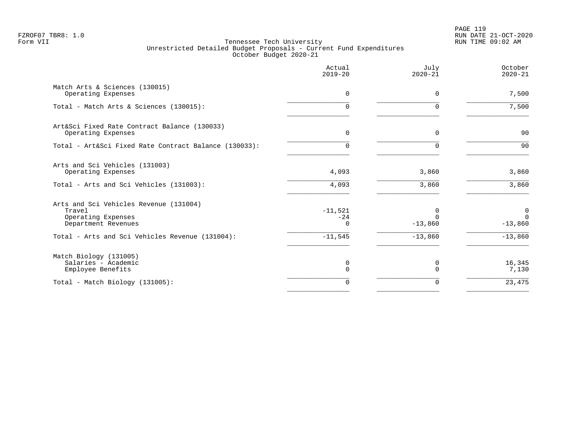PAGE 119 FZROF07 TBR8: 1.0 RUN DATE 21-OCT-2020

|                                                                                               | Actual<br>$2019 - 20$   | July<br>$2020 - 21$      | October<br>$2020 - 21$     |
|-----------------------------------------------------------------------------------------------|-------------------------|--------------------------|----------------------------|
| Match Arts & Sciences (130015)<br>Operating Expenses                                          | $\mathbf 0$             | 0                        | 7,500                      |
| Total - Match Arts & Sciences (130015):                                                       | $\Omega$                | 0                        | 7,500                      |
| Art&Sci Fixed Rate Contract Balance (130033)<br>Operating Expenses                            | $\Omega$                | 0                        | 90                         |
| Total - Art&Sci Fixed Rate Contract Balance (130033):                                         | 0                       | $\Omega$                 | 90                         |
| Arts and Sci Vehicles (131003)<br>Operating Expenses                                          | 4,093                   | 3,860                    | 3,860                      |
| Total - Arts and Sci Vehicles (131003):                                                       | 4,093                   | 3,860                    | 3,860                      |
| Arts and Sci Vehicles Revenue (131004)<br>Travel<br>Operating Expenses<br>Department Revenues | $-11,521$<br>$-24$<br>∩ | 0<br>$\cap$<br>$-13,860$ | 0<br>$\Omega$<br>$-13,860$ |
| Total - Arts and Sci Vehicles Revenue (131004):                                               | $-11,545$               | $-13,860$                | $-13,860$                  |
| Match Biology (131005)<br>Salaries - Academic<br>Employee Benefits                            | 0<br>0                  | 0<br>$\Omega$            | 16,345<br>7,130            |
| Total - Match Biology (131005):                                                               | $\Omega$                | 0                        | 23,475                     |
|                                                                                               |                         |                          |                            |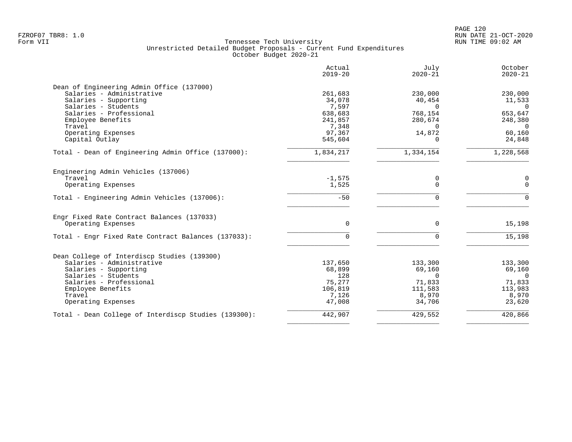| Actual<br>$2019 - 20$ | July<br>$2020 - 21$                                                                            | October<br>$2020 - 21$                                                                        |
|-----------------------|------------------------------------------------------------------------------------------------|-----------------------------------------------------------------------------------------------|
|                       |                                                                                                |                                                                                               |
|                       |                                                                                                | 230,000                                                                                       |
|                       |                                                                                                | 11,533<br>$\Omega$                                                                            |
|                       |                                                                                                | 653,647                                                                                       |
|                       |                                                                                                | 248,380                                                                                       |
| 7,348                 | $\Omega$                                                                                       | $\Omega$                                                                                      |
| 97,367                | 14,872                                                                                         | 60,160                                                                                        |
| 545,604               | $\Omega$                                                                                       | 24,848                                                                                        |
| 1,834,217             | 1,334,154                                                                                      | 1,228,568                                                                                     |
|                       |                                                                                                |                                                                                               |
| $-1,575$              | 0                                                                                              | 0                                                                                             |
|                       | $\Omega$                                                                                       | $\Omega$                                                                                      |
| $-50$                 | $\Omega$                                                                                       | $\Omega$                                                                                      |
|                       |                                                                                                |                                                                                               |
| 0                     | $\Omega$                                                                                       | 15,198                                                                                        |
| $\Omega$              | $\Omega$                                                                                       | 15,198                                                                                        |
|                       |                                                                                                |                                                                                               |
| 137,650               | 133,300                                                                                        | 133,300                                                                                       |
| 68,899                | 69,160                                                                                         | 69,160                                                                                        |
|                       |                                                                                                | $\Omega$                                                                                      |
|                       |                                                                                                | 71,833                                                                                        |
|                       |                                                                                                | 113,983                                                                                       |
| 47,008                | 34,706                                                                                         | 8,970<br>23,620                                                                               |
|                       |                                                                                                |                                                                                               |
|                       | 261,683<br>34,078<br>7,597<br>638,683<br>241,857<br>1,525<br>128<br>75,277<br>106,819<br>7,126 | 230,000<br>40,454<br>$\Omega$<br>768,154<br>280,674<br>$\Omega$<br>71,833<br>111,583<br>8,970 |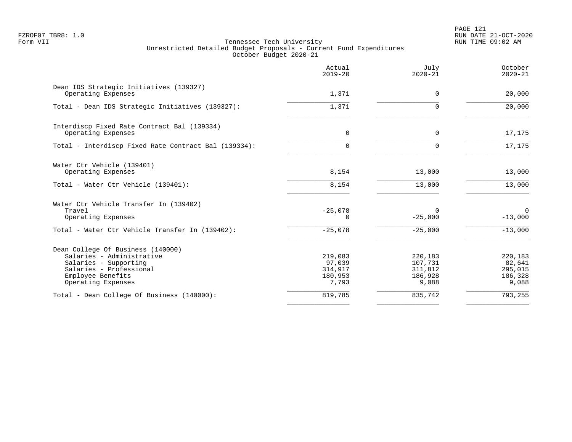PAGE 121 FZROF07 TBR8: 1.0 RUN DATE 21-OCT-2020

|                                                                                                                                                               | Actual<br>$2019 - 20$                            | July<br>$2020 - 21$                               | October<br>$2020 - 21$                           |
|---------------------------------------------------------------------------------------------------------------------------------------------------------------|--------------------------------------------------|---------------------------------------------------|--------------------------------------------------|
| Dean IDS Strategic Initiatives (139327)<br>Operating Expenses                                                                                                 | 1,371                                            | $\Omega$                                          | 20,000                                           |
| Total - Dean IDS Strategic Initiatives (139327):                                                                                                              | 1,371                                            |                                                   | 20,000                                           |
| Interdiscp Fixed Rate Contract Bal (139334)<br>Operating Expenses                                                                                             | 0                                                | 0                                                 | 17,175                                           |
| Total - Interdiscp Fixed Rate Contract Bal (139334):                                                                                                          | $\Omega$                                         | ∩                                                 | 17,175                                           |
| Water Ctr Vehicle (139401)<br>Operating Expenses                                                                                                              | 8,154                                            | 13,000                                            | 13,000                                           |
| Total - Water Ctr Vehicle (139401):                                                                                                                           | 8,154                                            | 13,000                                            | 13,000                                           |
| Water Ctr Vehicle Transfer In (139402)<br>Travel<br>Operating Expenses                                                                                        | $-25,078$<br>0                                   | $\Omega$<br>$-25,000$                             | $\mathbf 0$<br>$-13,000$                         |
| Total - Water Ctr Vehicle Transfer In (139402):                                                                                                               | $-25,078$                                        | $-25,000$                                         | $-13,000$                                        |
| Dean College Of Business (140000)<br>Salaries - Administrative<br>Salaries - Supporting<br>Salaries - Professional<br>Employee Benefits<br>Operating Expenses | 219,083<br>97,039<br>314,917<br>180,953<br>7,793 | 220,183<br>107,731<br>311,812<br>186,928<br>9,088 | 220,183<br>82,641<br>295,015<br>186,328<br>9,088 |
| Total - Dean College Of Business (140000):                                                                                                                    | 819,785                                          | 835,742                                           | 793,255                                          |
|                                                                                                                                                               |                                                  |                                                   |                                                  |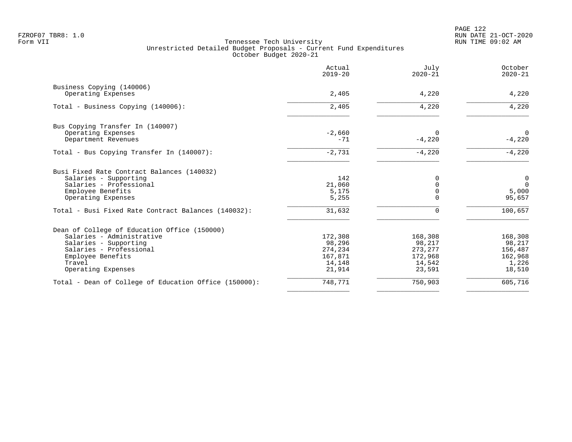|                                                       | Actual<br>$2019 - 20$ | July<br>$2020 - 21$ | October<br>$2020 - 21$ |
|-------------------------------------------------------|-----------------------|---------------------|------------------------|
| Business Copying (140006)                             |                       |                     |                        |
| Operating Expenses                                    | 2,405                 | 4,220               | 4,220                  |
| Total - Business Copying (140006):                    | 2,405                 | 4,220               | 4,220                  |
| Bus Copying Transfer In (140007)                      |                       |                     |                        |
| Operating Expenses                                    | $-2,660$              | $\Omega$            | $\overline{0}$         |
| Department Revenues                                   | $-71$                 | $-4,220$            | $-4,220$               |
| Total - Bus Copying Transfer In (140007):             | $-2,731$              | $-4,220$            | $-4,220$               |
| Busi Fixed Rate Contract Balances (140032)            |                       |                     |                        |
| Salaries - Supporting                                 | 142                   | $\Omega$            | $\overline{0}$         |
| Salaries - Professional                               | 21,060                |                     | $\overline{0}$         |
| Employee Benefits                                     | 5,175                 | $\Omega$            | 5,000                  |
| Operating Expenses                                    | 5,255                 |                     | 95,657                 |
| Total - Busi Fixed Rate Contract Balances (140032):   | 31,632                | $\Omega$            | 100,657                |
| Dean of College of Education Office (150000)          |                       |                     |                        |
| Salaries - Administrative                             | 172,308               | 168,308             | 168,308                |
| Salaries - Supporting                                 | 98,296                | 98,217              | 98,217                 |
| Salaries - Professional                               | 274,234               | 273, 277            | 156,487                |
| Employee Benefits<br>Travel                           | 167,871<br>14,148     | 172,968<br>14,542   | 162,968<br>1,226       |
| Operating Expenses                                    | 21,914                | 23,591              | 18,510                 |
|                                                       |                       |                     |                        |
| Total - Dean of College of Education Office (150000): | 748,771               | 750,903             | 605,716                |
|                                                       |                       |                     |                        |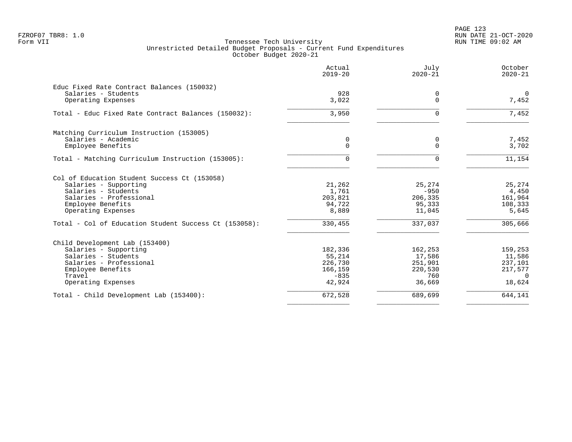PAGE 123 FZROF07 TBR8: 1.0 RUN DATE 21-OCT-2020

|                                                                                                                                                                    | Actual<br>$2019 - 20$                                       | July<br>$2020 - 21$                                      | October<br>$2020 - 21$                                        |
|--------------------------------------------------------------------------------------------------------------------------------------------------------------------|-------------------------------------------------------------|----------------------------------------------------------|---------------------------------------------------------------|
| Educ Fixed Rate Contract Balances (150032)<br>Salaries - Students<br>Operating Expenses                                                                            | 928<br>3,022                                                | 0<br>$\Omega$                                            | $\Omega$<br>7,452                                             |
| Total - Educ Fixed Rate Contract Balances (150032):                                                                                                                | 3,950                                                       | $\Omega$                                                 | 7,452                                                         |
| Matching Curriculum Instruction (153005)<br>Salaries - Academic<br>Employee Benefits                                                                               | 0<br>0                                                      | 0<br>$\mathbf 0$                                         | 7,452<br>3,702                                                |
| Total - Matching Curriculum Instruction (153005):                                                                                                                  | 0                                                           | $\Omega$                                                 | 11,154                                                        |
| Col of Education Student Success Ct (153058)<br>Salaries - Supporting<br>Salaries - Students<br>Salaries - Professional<br>Employee Benefits<br>Operating Expenses | 21,262<br>1,761<br>203,821<br>94,722<br>8,889               | 25,274<br>$-950$<br>206,335<br>95,333<br>11,045          | 25,274<br>4,450<br>161,964<br>108,333<br>5,645                |
| Total - Col of Education Student Success Ct (153058):                                                                                                              | 330,455                                                     | 337,037                                                  | 305,666                                                       |
| Child Development Lab (153400)<br>Salaries - Supporting<br>Salaries - Students<br>Salaries - Professional<br>Employee Benefits<br>Travel<br>Operating Expenses     | 182,336<br>55,214<br>226,730<br>166,159<br>$-835$<br>42,924 | 162,253<br>17,586<br>251,901<br>220,530<br>760<br>36,669 | 159,253<br>11,586<br>237,101<br>217,577<br>$\Omega$<br>18,624 |
| Total - Child Development Lab (153400):                                                                                                                            | 672,528                                                     | 689,699                                                  | 644,141                                                       |
|                                                                                                                                                                    |                                                             |                                                          |                                                               |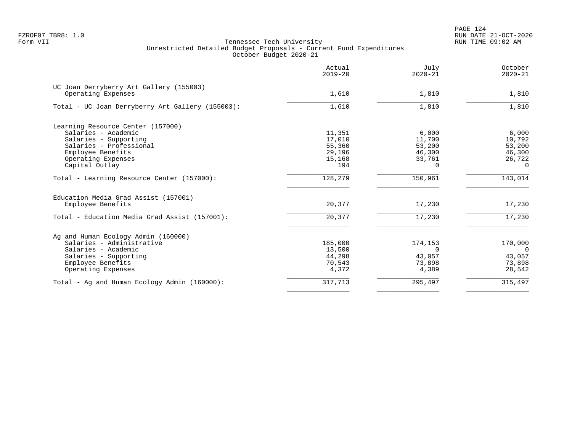PAGE 124 FZROF07 TBR8: 1.0 RUN DATE 21-OCT-2020

|                                                  | Actual<br>$2019 - 20$ | July<br>$2020 - 21$ | October<br>$2020 - 21$ |
|--------------------------------------------------|-----------------------|---------------------|------------------------|
| UC Joan Derryberry Art Gallery (155003)          |                       |                     |                        |
| Operating Expenses                               | 1,610                 | 1,810               | 1,810                  |
| Total - UC Joan Derryberry Art Gallery (155003): | 1,610                 | 1,810               | 1,810                  |
| Learning Resource Center (157000)                |                       |                     |                        |
| Salaries - Academic                              | 11,351                | 6,000               | 6,000                  |
| Salaries - Supporting                            | 17,010                | 11,700              | 10,792                 |
| Salaries - Professional                          | 55,360                | 53,200              | 53,200                 |
| Employee Benefits                                | 29,196                | 46,300              | 46,300                 |
| Operating Expenses                               | 15,168                | 33,761              | 26,722                 |
| Capital Outlay                                   | 194                   | 0                   | $\Omega$               |
| Total - Learning Resource Center (157000):       | 128,279               | 150,961             | 143,014                |
| Education Media Grad Assist (157001)             |                       |                     |                        |
| Employee Benefits                                | 20,377                | 17,230              | 17,230                 |
| Total - Education Media Grad Assist (157001):    | 20,377                | 17,230              | 17,230                 |
| Ag and Human Ecology Admin (160000)              |                       |                     |                        |
| Salaries - Administrative                        | 185,000               | 174,153             | 170,000                |
| Salaries - Academic                              | 13,500                | $\Omega$            | - 0                    |
| Salaries - Supporting                            | 44,298                | 43,057              | 43,057                 |
| Employee Benefits                                | 70,543                | 73,898              | 73,898                 |
| Operating Expenses                               | 4,372                 | 4,389               | 28,542                 |
| Total - Ag and Human Ecology Admin (160000):     | 317,713               | 295,497             | 315,497                |
|                                                  |                       |                     |                        |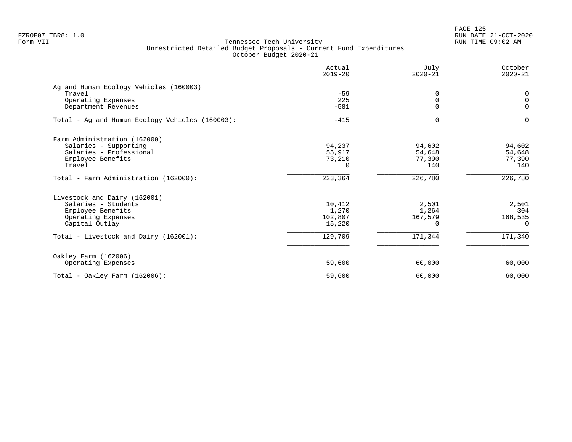PAGE 125 FZROF07 TBR8: 1.0 RUN DATE 21-OCT-2020

|                                                 | Actual<br>$2019 - 20$ | July<br>$2020 - 21$ | October<br>$2020 - 21$ |
|-------------------------------------------------|-----------------------|---------------------|------------------------|
| Ag and Human Ecology Vehicles (160003)          |                       |                     |                        |
| Travel                                          | $-59$                 | $\Omega$            | 0                      |
| Operating Expenses                              | 225                   | 0                   | $\mathbf 0$            |
| Department Revenues                             | $-581$                | $\Omega$            | $\Omega$               |
| Total - Ag and Human Ecology Vehicles (160003): | $-415$                | $\Omega$            | 0                      |
| Farm Administration (162000)                    |                       |                     |                        |
| Salaries - Supporting                           | 94,237                | 94,602              | 94,602                 |
| Salaries - Professional                         | 55,917                | 54,648              | 54,648                 |
| Employee Benefits                               | 73,210                | 77,390              | 77,390                 |
| Travel                                          | $\Omega$              | 140                 | 140                    |
| Total - Farm Administration (162000):           | 223,364               | 226,780             | 226,780                |
| Livestock and Dairy (162001)                    |                       |                     |                        |
| Salaries - Students                             | 10,412                | 2,501               | 2,501                  |
| Employee Benefits                               | 1,270                 | 1,264               | 304                    |
| Operating Expenses                              | 102,807               | 167,579             | 168,535                |
| Capital Outlay                                  | 15,220                | $\Omega$            | $\Omega$               |
| Total - Livestock and Dairy (162001):           | 129,709               | 171,344             | 171,340                |
| Oakley Farm (162006)                            |                       |                     |                        |
| Operating Expenses                              | 59,600                | 60,000              | 60,000                 |
| Total - Oakley Farm $(162006)$ :                | 59,600                | 60,000              | 60,000                 |
|                                                 |                       |                     |                        |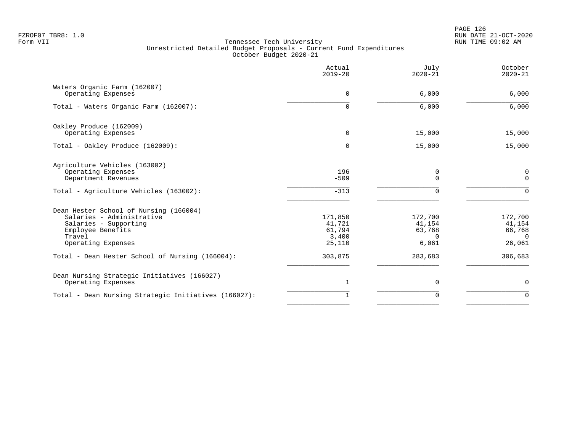PAGE 126 FZROF07 TBR8: 1.0 RUN DATE 21-OCT-2020

|                                                                                                                                                   | Actual<br>$2019 - 20$                          | July<br>$2020 - 21$                              | October<br>$2020 - 21$                            |
|---------------------------------------------------------------------------------------------------------------------------------------------------|------------------------------------------------|--------------------------------------------------|---------------------------------------------------|
| Waters Organic Farm (162007)<br>Operating Expenses                                                                                                | $\mathbf 0$                                    | 6,000                                            | 6,000                                             |
| Total - Waters Organic Farm (162007):                                                                                                             | $\Omega$                                       | 6,000                                            | 6,000                                             |
| Oakley Produce (162009)<br>Operating Expenses                                                                                                     | $\mathbf 0$                                    | 15,000                                           | 15,000                                            |
| Total - Oakley Produce (162009):                                                                                                                  | 0                                              | 15,000                                           | 15,000                                            |
| Agriculture Vehicles (163002)<br>Operating Expenses<br>Department Revenues                                                                        | 196<br>$-509$                                  | 0<br>$\Omega$                                    | $\mathsf 0$<br>$\mathsf{O}$                       |
| Total - Agriculture Vehicles (163002):                                                                                                            | $-313$                                         | 0                                                | $\mathbf 0$                                       |
| Dean Hester School of Nursing (166004)<br>Salaries - Administrative<br>Salaries - Supporting<br>Employee Benefits<br>Travel<br>Operating Expenses | 171,850<br>41,721<br>61,794<br>3,400<br>25,110 | 172,700<br>41,154<br>63,768<br>$\Omega$<br>6,061 | 172,700<br>41,154<br>66,768<br>$\Omega$<br>26,061 |
| Total - Dean Hester School of Nursing (166004):                                                                                                   | 303,875                                        | 283,683                                          | 306,683                                           |
| Dean Nursing Strategic Initiatives (166027)<br>Operating Expenses                                                                                 | $\mathbf 1$                                    | 0                                                | $\mathbf 0$                                       |
| Total - Dean Nursing Strategic Initiatives (166027):                                                                                              | $\mathbf{1}$                                   | 0                                                | $\mathbf 0$                                       |
|                                                                                                                                                   |                                                |                                                  |                                                   |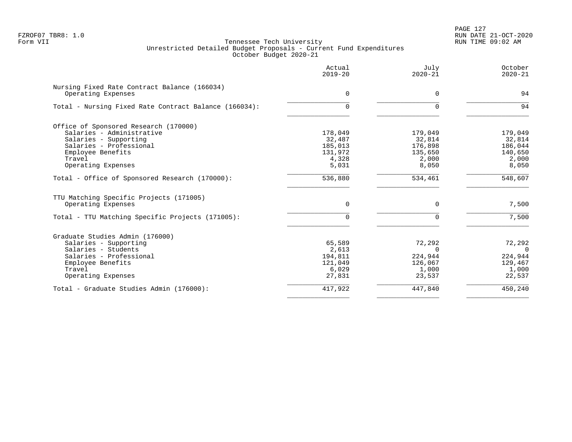|                                                                    | Actual<br>$2019 - 20$ | July<br>$2020 - 21$ | October<br>$2020 - 21$ |
|--------------------------------------------------------------------|-----------------------|---------------------|------------------------|
| Nursing Fixed Rate Contract Balance (166034)<br>Operating Expenses | $\Omega$              | $\mathbf 0$         | 94                     |
| Total - Nursing Fixed Rate Contract Balance (166034):              | $\Omega$              | $\Omega$            | 94                     |
| Office of Sponsored Research (170000)                              |                       |                     |                        |
| Salaries - Administrative                                          | 178,049               | 179,049             | 179,049                |
| Salaries - Supporting                                              | 32,487                | 32,814              | 32,814                 |
| Salaries - Professional                                            | 185,013               | 176,898             | 186,044                |
| Employee Benefits<br>Travel                                        | 131,972               | 135,650             | 140,650                |
| Operating Expenses                                                 | 4,328<br>5,031        | 2,000<br>8,050      | 2,000<br>8,050         |
|                                                                    |                       |                     |                        |
| Total - Office of Sponsored Research (170000):                     | 536,880               | 534,461             | 548,607                |
| TTU Matching Specific Projects (171005)                            |                       |                     |                        |
| Operating Expenses                                                 | 0                     | $\Omega$            | 7,500                  |
| Total - TTU Matching Specific Projects (171005):                   | 0                     | $\Omega$            | 7,500                  |
| Graduate Studies Admin (176000)                                    |                       |                     |                        |
| Salaries - Supporting                                              | 65,589                | 72,292              | 72,292                 |
| Salaries - Students                                                | 2,613                 | $\Omega$            | $\Omega$               |
| Salaries - Professional                                            | 194,811               | 224,944             | 224,944                |
| Employee Benefits                                                  | 121,049               | 126,067             | 129,467                |
| Travel                                                             | 6,029                 | 1,000               | 1,000                  |
| Operating Expenses                                                 | 27,831                | 23,537              | 22,537                 |
| Total - Graduate Studies Admin (176000):                           | 417,922               | 447,840             | 450,240                |
|                                                                    |                       |                     |                        |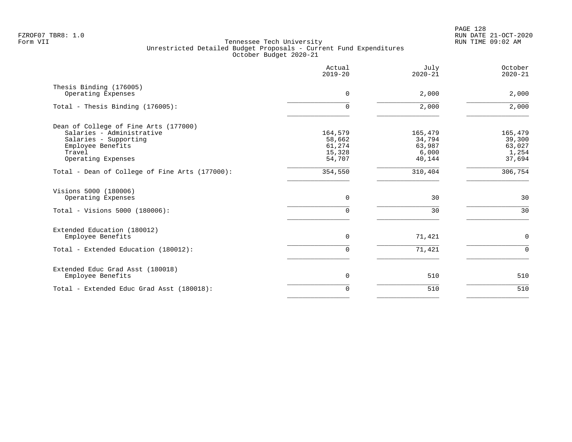|                                                                                                                                                  | Actual<br>$2019 - 20$                           | July<br>$2020 - 21$                            | October<br>$2020 - 21$                         |
|--------------------------------------------------------------------------------------------------------------------------------------------------|-------------------------------------------------|------------------------------------------------|------------------------------------------------|
| Thesis Binding (176005)<br>Operating Expenses                                                                                                    | 0                                               | 2,000                                          | 2,000                                          |
| Total - Thesis Binding (176005):                                                                                                                 | 0                                               | 2,000                                          | 2,000                                          |
| Dean of College of Fine Arts (177000)<br>Salaries - Administrative<br>Salaries - Supporting<br>Employee Benefits<br>Travel<br>Operating Expenses | 164,579<br>58,662<br>61,274<br>15,328<br>54,707 | 165,479<br>34,794<br>63,987<br>6,000<br>40,144 | 165,479<br>39,300<br>63,027<br>1,254<br>37,694 |
| Total - Dean of College of Fine Arts (177000):                                                                                                   | 354,550                                         | 310,404                                        | 306, 754                                       |
| Visions 5000 (180006)<br>Operating Expenses<br>Total - Visions 5000 (180006):                                                                    | $\mathbf 0$<br>0                                | 30<br>30                                       | 30<br>30                                       |
| Extended Education (180012)<br>Employee Benefits<br>Total - Extended Education (180012):                                                         | $\Omega$<br>$\Omega$                            | 71,421<br>71,421                               | $\mathbf 0$<br>$\Omega$                        |
|                                                                                                                                                  |                                                 |                                                |                                                |
| Extended Educ Grad Asst (180018)<br>Employee Benefits                                                                                            | 0                                               | 510                                            | 510                                            |
| Total - Extended Educ Grad Asst (180018):                                                                                                        | $\Omega$                                        | 510                                            | 510                                            |
|                                                                                                                                                  |                                                 |                                                |                                                |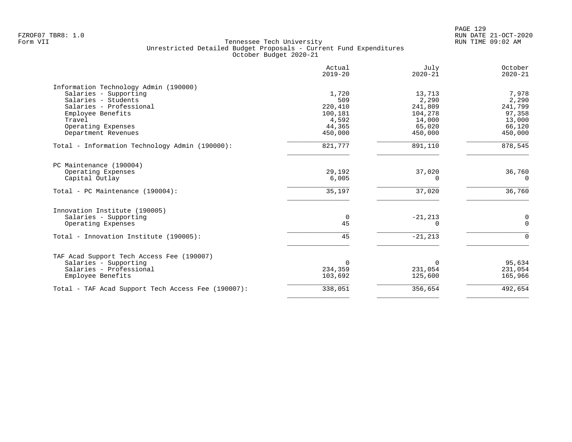|                                                    | Actual<br>$2019 - 20$ | July<br>$2020 - 21$ | October<br>$2020 - 21$ |
|----------------------------------------------------|-----------------------|---------------------|------------------------|
| Information Technology Admin (190000)              |                       |                     |                        |
| Salaries - Supporting                              | 1,720                 | 13,713              | 7,978                  |
| Salaries - Students                                | 509                   | 2,290               | 2,290                  |
| Salaries - Professional                            | 220,410               | 241,809             | 241,799                |
| Employee Benefits                                  | 100,181               | 104,278             | 97,358                 |
| Travel                                             | 4,592                 | 14,000              | 13,000                 |
| Operating Expenses                                 | 44,365                | 65,020              | 66,120                 |
| Department Revenues                                | 450,000               | 450,000             | 450,000                |
| Total - Information Technology Admin (190000):     | 821,777               | 891,110             | 878,545                |
| PC Maintenance (190004)                            |                       |                     |                        |
| Operating Expenses                                 | 29,192                | 37,020              | 36,760                 |
| Capital Outlay                                     | 6,005                 | $\Omega$            | $\Omega$               |
| Total - PC Maintenance (190004):                   | 35,197                | 37,020              | 36,760                 |
| Innovation Institute (190005)                      |                       |                     |                        |
| Salaries - Supporting                              | $\overline{0}$        | $-21, 213$          | 0                      |
| Operating Expenses                                 | 45                    | $\Omega$            | $\Omega$               |
| Total - Innovation Institute (190005):             | 45                    | $-21, 213$          | $\Omega$               |
| TAF Acad Support Tech Access Fee (190007)          |                       |                     |                        |
| Salaries - Supporting                              | $\Omega$              | $\Omega$            | 95,634                 |
| Salaries - Professional                            | 234,359               | 231,054             | 231,054                |
| Employee Benefits                                  | 103,692               | 125,600             | 165,966                |
| Total - TAF Acad Support Tech Access Fee (190007): | 338,051               | 356,654             | 492,654                |
|                                                    |                       |                     |                        |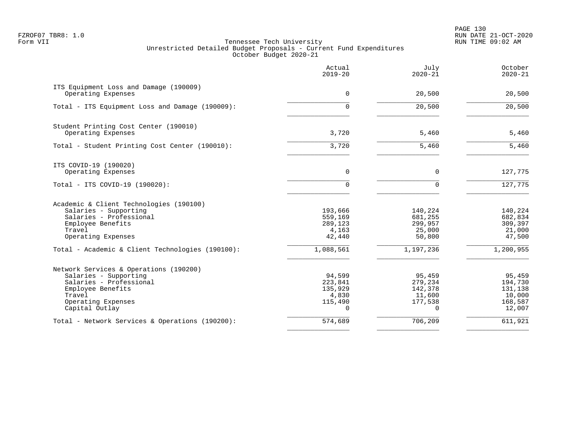PAGE 130 FZROF07 TBR8: 1.0 RUN DATE 21-OCT-2020

|                                                  | Actual<br>$2019 - 20$ | July<br>$2020 - 21$ | October<br>$2020 - 21$ |
|--------------------------------------------------|-----------------------|---------------------|------------------------|
| ITS Equipment Loss and Damage (190009)           |                       |                     |                        |
| Operating Expenses                               | $\mathbf 0$           | 20,500              | 20,500                 |
| Total - ITS Equipment Loss and Damage (190009):  | $\Omega$              | 20,500              | 20,500                 |
| Student Printing Cost Center (190010)            |                       |                     |                        |
| Operating Expenses                               | 3,720                 | 5,460               | 5,460                  |
| Total - Student Printing Cost Center (190010):   | 3,720                 | 5,460               | 5,460                  |
| ITS COVID-19 (190020)                            |                       |                     |                        |
| Operating Expenses                               | $\Omega$              | 0                   | 127,775                |
| Total - ITS COVID-19 (190020):                   | 0                     | $\mathbf 0$         | 127,775                |
| Academic & Client Technologies (190100)          |                       |                     |                        |
| Salaries - Supporting                            | 193,666               | 140,224             | 140,224                |
| Salaries - Professional<br>Employee Benefits     | 559,169<br>289,123    | 681,255<br>299,957  | 682,834<br>309,397     |
| Travel                                           | 4,163                 | 25,000              | 21,000                 |
| Operating Expenses                               | 42,440                | 50,800              | 47,500                 |
| Total - Academic & Client Technologies (190100): | 1,088,561             | 1,197,236           | 1,200,955              |
| Network Services & Operations (190200)           |                       |                     |                        |
| Salaries - Supporting                            | 94,599                | 95,459              | 95,459                 |
| Salaries - Professional                          | 223,841               | 279,234             | 194,730                |
| Employee Benefits                                | 135,929               | 142,378             | 131,138                |
| Travel                                           | 4,830                 | 11,600              | 10,000                 |
| Operating Expenses<br>Capital Outlay             | 115,490<br>$\cap$     | 177,538<br>∩        | 168,587<br>12,007      |
| Total - Network Services & Operations (190200):  | 574,689               | 706,209             | 611,921                |
|                                                  |                       |                     |                        |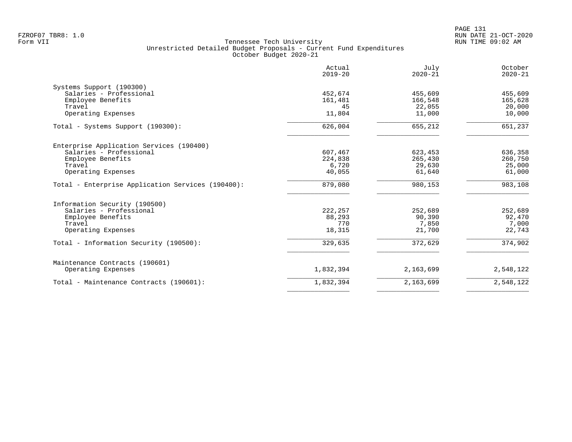|                                                   | Actual<br>$2019 - 20$ | July<br>$2020 - 21$ | October<br>$2020 - 21$ |
|---------------------------------------------------|-----------------------|---------------------|------------------------|
| Systems Support (190300)                          |                       |                     |                        |
| Salaries - Professional                           | 452,674               | 455,609             | 455,609                |
| Employee Benefits                                 | 161,481               | 166,548             | 165,628                |
| Travel                                            | 45                    | 22,055              | 20,000                 |
| Operating Expenses                                | 11,804                | 11,000              | 10,000                 |
| Total - Systems Support (190300):                 | 626,004               | 655,212             | 651,237                |
| Enterprise Application Services (190400)          |                       |                     |                        |
| Salaries - Professional                           | 607,467               | 623,453             | 636,358                |
| Employee Benefits                                 | 224,838               | 265,430             | 260,750                |
| Travel                                            | 6,720                 | 29,630              | 25,000                 |
| Operating Expenses                                | 40,055                | 61,640              | 61,000                 |
| Total - Enterprise Application Services (190400): | 879,080               | 980,153             | 983,108                |
| Information Security (190500)                     |                       |                     |                        |
| Salaries - Professional                           | 222, 257              | 252,689             | 252,689                |
| Employee Benefits                                 | 88,293                | 90,390              | 92,470                 |
| Travel                                            | 770                   | 7,850               | 7,000                  |
| Operating Expenses                                | 18,315                | 21,700              | 22,743                 |
| Total - Information Security (190500):            | 329,635               | 372,629             | 374,902                |
| Maintenance Contracts (190601)                    |                       |                     |                        |
| Operating Expenses                                | 1,832,394             | 2,163,699           | 2,548,122              |
| Total - Maintenance Contracts (190601):           | 1,832,394             | 2,163,699           | 2,548,122              |
|                                                   |                       |                     |                        |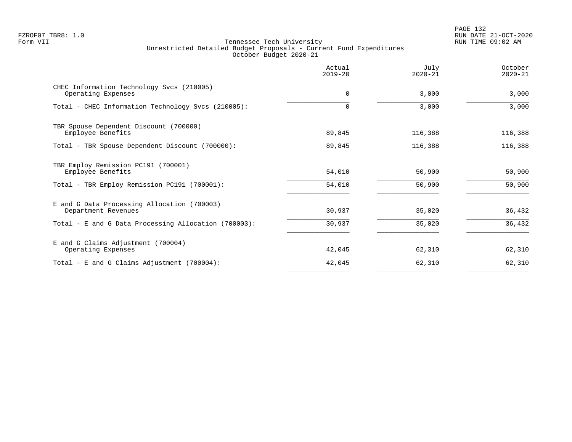PAGE 132 FZROF07 TBR8: 1.0 RUN DATE 21-OCT-2020

|                                                                    | Actual<br>$2019 - 20$ | July<br>$2020 - 21$ | October<br>$2020 - 21$ |
|--------------------------------------------------------------------|-----------------------|---------------------|------------------------|
| CHEC Information Technology Svcs (210005)<br>Operating Expenses    | $\mathbf 0$           | 3,000               | 3,000                  |
| Total - CHEC Information Technology Svcs (210005):                 |                       | 3,000               | 3,000                  |
| TBR Spouse Dependent Discount (700000)<br>Employee Benefits        | 89,845                | 116,388             | 116,388                |
| Total - TBR Spouse Dependent Discount (700000):                    | 89,845                | 116,388             | 116,388                |
| TBR Employ Remission PC191 (700001)<br>Employee Benefits           | 54,010                | 50,900              | 50,900                 |
| Total - TBR Employ Remission PC191 (700001):                       | 54,010                | 50,900              | 50,900                 |
| E and G Data Processing Allocation (700003)<br>Department Revenues | 30,937                | 35,020              | 36,432                 |
| Total - E and G Data Processing Allocation (700003):               | 30,937                | 35,020              | 36,432                 |
| E and G Claims Adjustment (700004)<br>Operating Expenses           | 42,045                | 62,310              | 62,310                 |
| Total - E and G Claims Adjustment (700004):                        | 42,045                | 62,310              | 62,310                 |
|                                                                    |                       |                     |                        |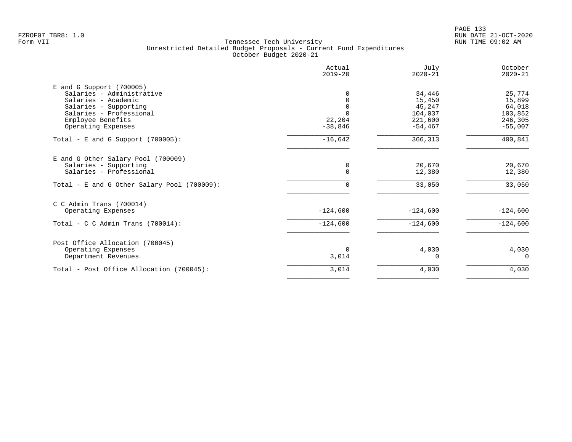|                                             | Actual<br>$2019 - 20$ | July<br>$2020 - 21$ | October<br>$2020 - 21$ |
|---------------------------------------------|-----------------------|---------------------|------------------------|
| $E$ and G Support (700005)                  |                       |                     |                        |
| Salaries - Administrative                   | 0                     | 34,446              | 25,774                 |
| Salaries - Academic                         |                       | 15,450              | 15,899                 |
| Salaries - Supporting                       | $\Omega$              | 45,247              | 64,018                 |
| Salaries - Professional                     |                       | 104,037             | 103,852                |
| Employee Benefits                           | 22,204                | 221,600             | 246,305                |
| Operating Expenses                          | $-38,846$             | $-54, 467$          | $-55,007$              |
| Total - E and G Support $(700005)$ :        | $-16,642$             | 366,313             | $\frac{400,841}{$      |
| E and G Other Salary Pool (700009)          |                       |                     |                        |
| Salaries - Supporting                       | 0                     | 20,670              | 20,670                 |
| Salaries - Professional                     | $\mathbf 0$           | 12,380              | 12,380                 |
| Total - E and G Other Salary Pool (700009): | $\Omega$              | 33,050              | 33,050                 |
| $C$ C Admin Trans (700014)                  |                       |                     |                        |
| Operating Expenses                          | $-124,600$            | $-124,600$          | $-124,600$             |
| Total - C C Admin Trans $(700014)$ :        | $-124,600$            | $-124,600$          | $-124,600$             |
| Post Office Allocation (700045)             |                       |                     |                        |
| Operating Expenses                          | $\Omega$              | 4,030               | 4,030                  |
| Department Revenues                         | 3,014                 | <sup>0</sup>        | $\Omega$               |
| Total - Post Office Allocation (700045):    | 3,014                 | 4,030               | 4,030                  |
|                                             |                       |                     |                        |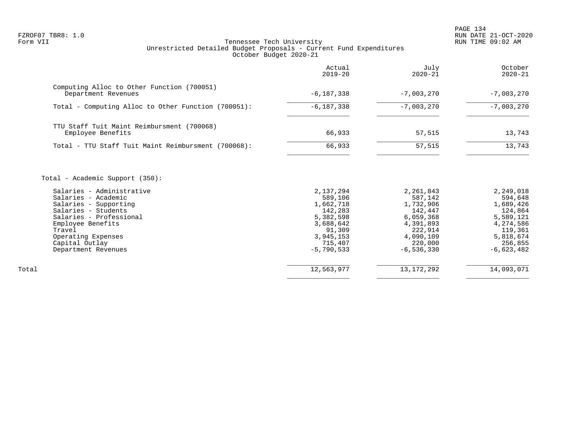PAGE 134 FZROF07 TBR8: 1.0 RUN DATE 21-OCT-2020

|                                                                                                                                                                                  | Actual<br>$2019 - 20$                                                                         | July<br>$2020 - 21$                                                                            | October<br>$2020 - 21$                                                                         |
|----------------------------------------------------------------------------------------------------------------------------------------------------------------------------------|-----------------------------------------------------------------------------------------------|------------------------------------------------------------------------------------------------|------------------------------------------------------------------------------------------------|
| Computing Alloc to Other Function (700051)<br>Department Revenues                                                                                                                | $-6, 187, 338$                                                                                | $-7,003,270$                                                                                   | $-7,003,270$                                                                                   |
| Total - Computing Alloc to Other Function (700051):                                                                                                                              | $-6, 187, 338$                                                                                | $-7,003,270$                                                                                   | $-7,003,270$                                                                                   |
| TTU Staff Tuit Maint Reimbursment (700068)<br>Employee Benefits                                                                                                                  | 66,933                                                                                        | 57,515                                                                                         | 13,743                                                                                         |
| Total - TTU Staff Tuit Maint Reimbursment (700068):                                                                                                                              | 66,933                                                                                        | 57,515                                                                                         | 13,743                                                                                         |
| Salaries - Administrative<br>Salaries - Academic<br>Salaries - Supporting<br>Salaries - Students<br>Salaries - Professional<br>Employee Benefits<br>Travel<br>Operating Expenses | 2,137,294<br>589,106<br>1,662,718<br>142,283<br>5,382,598<br>3,688,642<br>91,309<br>3,945,153 | 2,261,843<br>587,142<br>1,732,906<br>142,447<br>6,059,368<br>4,391,893<br>222,914<br>4,090,109 | 2,249,018<br>594,648<br>1,689,426<br>124,864<br>5,589,121<br>4,274,586<br>119,361<br>5,818,674 |
| Capital Outlay<br>Department Revenues                                                                                                                                            | 715,407                                                                                       | 220,000                                                                                        |                                                                                                |
|                                                                                                                                                                                  | $-5,790,533$                                                                                  | $-6, 536, 330$                                                                                 | 256,855<br>$-6,623,482$                                                                        |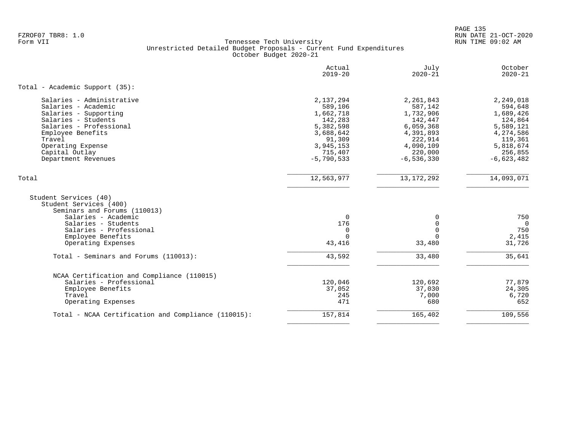PAGE 135 FZROF07 TBR8: 1.0 RUN DATE 21-OCT-2020

|                                                                                                                                                                                                                          | Actual<br>$2019 - 20$                                                                                                    | July<br>$2020 - 21$                                                                                                         | October<br>$2020 - 21$                                                                                                    |
|--------------------------------------------------------------------------------------------------------------------------------------------------------------------------------------------------------------------------|--------------------------------------------------------------------------------------------------------------------------|-----------------------------------------------------------------------------------------------------------------------------|---------------------------------------------------------------------------------------------------------------------------|
| Total - Academic Support (35):                                                                                                                                                                                           |                                                                                                                          |                                                                                                                             |                                                                                                                           |
| Salaries - Administrative<br>Salaries - Academic<br>Salaries - Supporting<br>Salaries - Students<br>Salaries - Professional<br>Employee Benefits<br>Travel<br>Operating Expense<br>Capital Outlay<br>Department Revenues | 2,137,294<br>589,106<br>1,662,718<br>142,283<br>5,382,598<br>3,688,642<br>91,309<br>3,945,153<br>715,407<br>$-5,790,533$ | 2,261,843<br>587,142<br>1,732,906<br>142,447<br>6,059,368<br>4,391,893<br>222,914<br>4,090,109<br>220,000<br>$-6, 536, 330$ | 2,249,018<br>594,648<br>1,689,426<br>124,864<br>5,589,121<br>4,274,586<br>119,361<br>5,818,674<br>256,855<br>$-6,623,482$ |
| Total                                                                                                                                                                                                                    | 12,563,977                                                                                                               | 13, 172, 292                                                                                                                | 14,093,071                                                                                                                |
| Student Services (40)<br>Student Services (400)<br>Seminars and Forums (110013)<br>Salaries - Academic<br>Salaries - Students<br>Salaries - Professional<br>Employee Benefits<br>Operating Expenses                      | $\mathbf 0$<br>176<br>$\mathbf 0$<br>$\Omega$<br>43,416                                                                  | 0<br>$\Omega$<br>$\Omega$<br>$\Omega$<br>33,480                                                                             | 750<br>$\Omega$<br>750<br>2,415<br>31,726                                                                                 |
| Total - Seminars and Forums (110013):                                                                                                                                                                                    | 43,592                                                                                                                   | 33,480                                                                                                                      | 35,641                                                                                                                    |
| NCAA Certification and Compliance (110015)<br>Salaries - Professional<br>Employee Benefits<br>Travel<br>Operating Expenses                                                                                               | 120,046<br>37,052<br>245<br>471                                                                                          | 120,692<br>37,030<br>7,000<br>680                                                                                           | 77,879<br>24,305<br>6,720<br>652                                                                                          |
| Total - NCAA Certification and Compliance (110015):                                                                                                                                                                      | 157,814                                                                                                                  | 165,402                                                                                                                     | 109,556                                                                                                                   |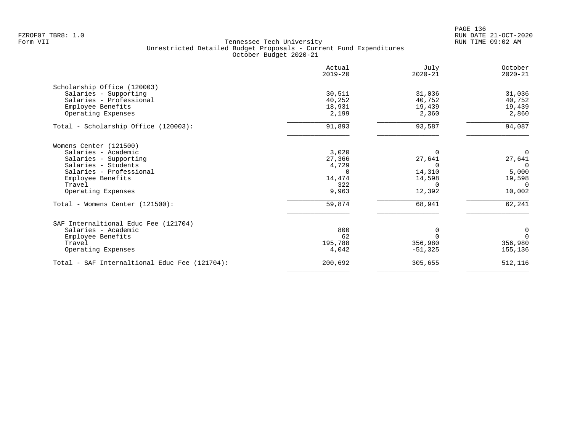|                                               | Actual<br>$2019 - 20$ | July<br>$2020 - 21$ | October<br>$2020 - 21$ |
|-----------------------------------------------|-----------------------|---------------------|------------------------|
| Scholarship Office (120003)                   |                       |                     |                        |
| Salaries - Supporting                         | 30,511                | 31,036              | 31,036                 |
| Salaries - Professional                       | 40,252                | 40,752              | 40,752                 |
| Employee Benefits                             | 18,931                | 19,439              | 19,439                 |
| Operating Expenses                            | 2,199                 | 2,360               | 2,860                  |
| Total - Scholarship Office (120003):          | 91,893                | 93,587              | 94,087                 |
| Womens Center (121500)                        |                       |                     |                        |
| Salaries - Academic                           | 3,020                 |                     | $\Omega$               |
| Salaries - Supporting                         | 27,366                | 27,641              | 27,641                 |
| Salaries - Students                           | 4,729                 | ∩                   | $\Omega$               |
| Salaries - Professional                       |                       | 14,310              | 5,000                  |
| Employee Benefits                             | 14,474                | 14,598              | 19,598                 |
| Travel                                        | 322                   | 0                   | $\Omega$               |
| Operating Expenses                            | 9,963                 | 12,392              | 10,002                 |
| Total - Womens Center (121500):               | 59,874                | 68,941              | 62,241                 |
| SAF Internaltional Educ Fee (121704)          |                       |                     |                        |
| Salaries - Academic                           | 800                   | $\Omega$            | $\mathbf 0$            |
| Employee Benefits                             | 62                    |                     | $\Omega$               |
| Travel                                        | 195,788               | 356,980             | 356,980                |
| Operating Expenses                            | 4,042                 | $-51,325$           | 155,136                |
| Total - SAF Internaltional Educ Fee (121704): | 200,692               | 305,655             | 512,116                |
|                                               |                       |                     |                        |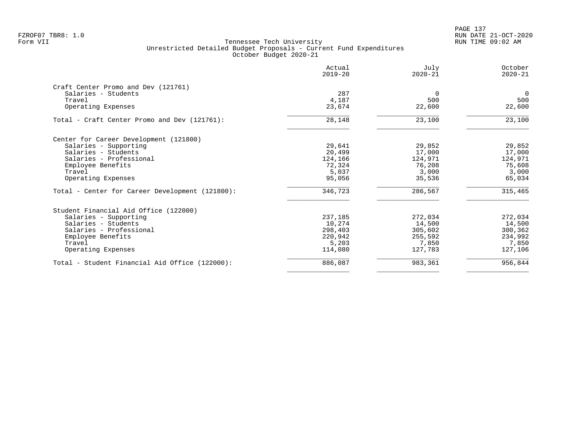| Actual<br>$2019 - 20$ | July<br>$2020 - 21$ | October<br>$2020 - 21$ |
|-----------------------|---------------------|------------------------|
|                       |                     |                        |
| 287                   | $\Omega$            | $\Omega$               |
|                       | 500                 | 500                    |
| 23,674                | 22,600              | 22,600                 |
| 28,148                | 23,100              | 23,100                 |
|                       |                     |                        |
| 29,641                | 29,852              | 29,852                 |
| 20,499                | 17,000              | 17,000                 |
| 124,166               | 124,971             | 124,971                |
| 72,324                | 76,208              | 75,608                 |
| 5,037                 | 3,000               | 3,000                  |
| 95,056                | 35,536              | 65,034                 |
| 346,723               | 286,567             | 315,465                |
|                       |                     |                        |
| 237,185               | 272,034             | 272,034                |
| 10,274                | 14,500              | 14,500                 |
| 298,403               | 305,602             | 300,362                |
| 220,942               | 255,592             | 234,992                |
| 5,203                 | 7,850               | 7,850                  |
| 114,080               | 127,783             | 127,106                |
|                       |                     | 956,844                |
|                       | 4,187               | 886,087<br>983,361     |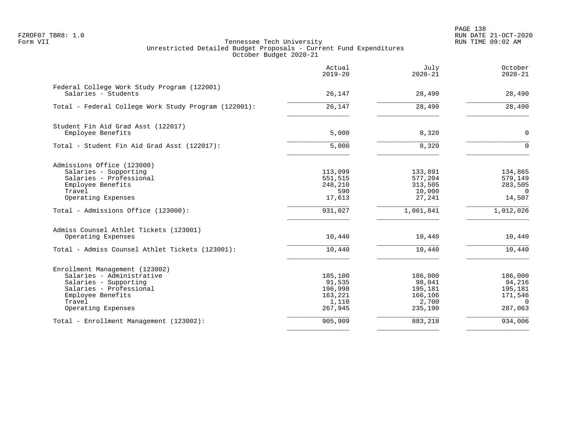PAGE 138 FZROF07 TBR8: 1.0 RUN DATE 21-OCT-2020

|                                                                    | Actual<br>$2019 - 20$ | July<br>$2020 - 21$ | October<br>$2020 - 21$ |
|--------------------------------------------------------------------|-----------------------|---------------------|------------------------|
| Federal College Work Study Program (122001)<br>Salaries - Students | 26,147                | 28,490              | 28,490                 |
|                                                                    |                       |                     |                        |
| Total - Federal College Work Study Program (122001):               | 26,147                | 28,490              | 28,490                 |
| Student Fin Aid Grad Asst (122017)                                 |                       |                     |                        |
| Employee Benefits                                                  | 5,000                 | 8,320               | $\mathbf 0$            |
| Total - Student Fin Aid Grad Asst (122017):                        | 5,000                 | 8,320               | $\Omega$               |
| Admissions Office (123000)                                         |                       |                     |                        |
| Salaries - Supporting                                              | 113,099               | 133,891             | 134,865                |
| Salaries - Professional                                            | 551,515               | 577,204             | 579,149                |
| Employee Benefits                                                  | 248,210               | 313,505             | 283,505                |
| Travel                                                             | 590                   | 10,000              | $\mathbf{0}$           |
| Operating Expenses                                                 | 17,613                | 27,241              | 14,507                 |
| Total - Admissions Office (123000):                                | 931,027               | 1,061,841           | 1,012,026              |
| Admiss Counsel Athlet Tickets (123001)                             |                       |                     |                        |
| Operating Expenses                                                 | 10,440                | 10,440              | 10,440                 |
| Total - Admiss Counsel Athlet Tickets (123001):                    | 10,440                | 10,440              | 10,440                 |
| Enrollment Management (123002)                                     |                       |                     |                        |
| Salaries - Administrative                                          | 185,100               | 186,000             | 186,000                |
| Salaries - Supporting                                              | 91,535                | 98,041              | 94,216                 |
| Salaries - Professional                                            | 196,998               | 195,181             | 195,181                |
| Employee Benefits                                                  | 163,221               | 166,106             | 171,546                |
| Travel                                                             | 1,110                 | 2,700               | $\Omega$               |
| Operating Expenses                                                 | 267,945               | 235,190             | 287,063                |
| Total - Enrollment Management (123002):                            | 905,909               | 883,218             | 934,006                |
|                                                                    |                       |                     |                        |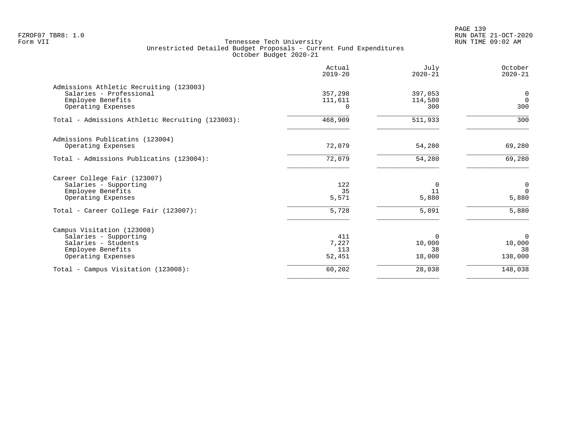PAGE 139 FZROF07 TBR8: 1.0 RUN DATE 21-OCT-2020

|                                                  | Actual<br>$2019 - 20$ | July<br>$2020 - 21$ | October<br>$2020 - 21$ |
|--------------------------------------------------|-----------------------|---------------------|------------------------|
| Admissions Athletic Recruiting (123003)          |                       |                     |                        |
| Salaries - Professional                          | 357,298               | 397,053             | $\mathbf 0$            |
| Employee Benefits                                | 111,611               | 114,580             | $\Omega$               |
| Operating Expenses                               | $\Omega$              | 300                 | 300                    |
| Total - Admissions Athletic Recruiting (123003): | 468,909               | 511,933             | 300                    |
| Admissions Publicatins (123004)                  |                       |                     |                        |
| Operating Expenses                               | 72,079                | 54,280              | 69,280                 |
| Total - Admissions Publicatins (123004):         | 72,079                | 54,280              | 69,280                 |
| Career College Fair (123007)                     |                       |                     |                        |
| Salaries - Supporting                            | 122                   | $\Omega$            | 0                      |
| Employee Benefits                                | 35                    | 11                  | $\Omega$               |
| Operating Expenses                               | 5,571                 | 5,880               | 5,880                  |
| Total - Career College Fair (123007):            | 5,728                 | 5,891               | 5,880                  |
| Campus Visitation (123008)                       |                       |                     |                        |
| Salaries - Supporting                            | 411                   | $\Omega$            | $\Omega$               |
| Salaries - Students                              | 7,227                 | 10,000              | 10,000                 |
| Employee Benefits                                | 113                   | 38                  | 38                     |
| Operating Expenses                               | 52,451                | 18,000              | 138,000                |
| Total - Campus Visitation (123008):              | 60,202                | 28,038              | 148,038                |
|                                                  |                       |                     |                        |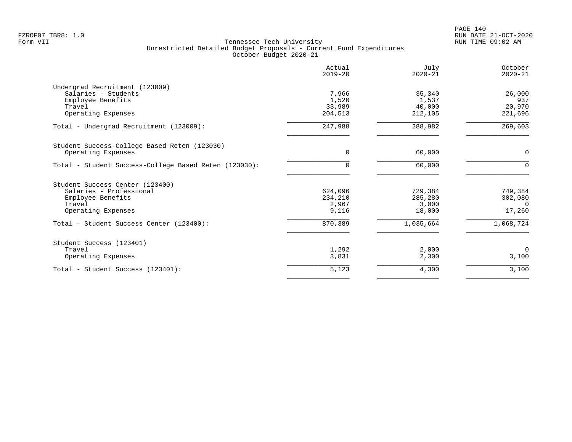|                                                       | Actual<br>$2019 - 20$ | July<br>$2020 - 21$ | October<br>$2020 - 21$ |
|-------------------------------------------------------|-----------------------|---------------------|------------------------|
| Undergrad Recruitment (123009)                        |                       |                     |                        |
| Salaries - Students                                   | 7,966                 | 35,340              | 26,000                 |
| Employee Benefits                                     | 1,520                 | 1,537               | 937                    |
| Travel                                                | 33,989                | 40,000              | 20,970                 |
| Operating Expenses                                    | 204,513               | 212,105             | 221,696                |
| Total - Undergrad Recruitment (123009):               | 247,988               | 288,982             | 269,603                |
| Student Success-College Based Reten (123030)          |                       |                     |                        |
| Operating Expenses                                    | 0                     | 60,000              | $\mathbf 0$            |
| Total - Student Success-College Based Reten (123030): | $\Omega$              | 60,000              | $\Omega$               |
| Student Success Center (123400)                       |                       |                     |                        |
| Salaries - Professional                               | 624,096               | 729,384             | 749,384                |
| Employee Benefits                                     | 234,210               | 285,280             | 302,080                |
| Travel                                                | 2,967                 | 3,000               | - 0                    |
| Operating Expenses                                    | 9,116                 | 18,000              | 17,260                 |
| Total - Student Success Center (123400):              | 870,389               | 1,035,664           | 1,068,724              |
| Student Success (123401)                              |                       |                     |                        |
| Travel                                                | 1,292                 | 2,000               | $\Omega$               |
| Operating Expenses                                    | 3,831                 | 2,300               | 3,100                  |
| Total - Student Success (123401):                     | 5,123                 | 4,300               | 3,100                  |
|                                                       |                       |                     |                        |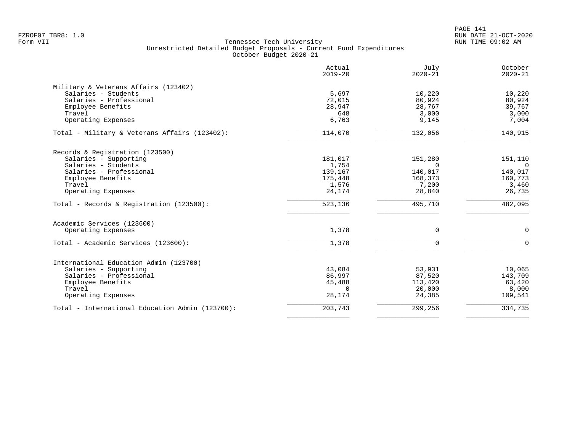| Actual<br>$2019 - 20$ | July<br>$2020 - 21$                                                | October<br>$2020 - 21$                                                          |
|-----------------------|--------------------------------------------------------------------|---------------------------------------------------------------------------------|
|                       |                                                                    |                                                                                 |
| 5,697                 | 10,220                                                             | 10,220                                                                          |
| 72,015                | 80,924                                                             | 80,924                                                                          |
| 28,947                | 28,767                                                             | 39,767                                                                          |
| 648                   | 3,000                                                              | 3,000                                                                           |
| 6,763                 | 9,145                                                              | 7,004                                                                           |
| 114,070               | 132,056                                                            | 140,915                                                                         |
|                       |                                                                    |                                                                                 |
| 181,017               | 151,280                                                            | 151,110                                                                         |
|                       | $\Omega$                                                           | $\Omega$                                                                        |
|                       |                                                                    | 140,017                                                                         |
|                       |                                                                    | 160,773                                                                         |
|                       |                                                                    | 3,460                                                                           |
| 24,174                | 28,840                                                             | 26,735                                                                          |
| 523,136               | 495,710                                                            | 482,095                                                                         |
|                       |                                                                    |                                                                                 |
| 1,378                 | $\Omega$                                                           | $\Omega$                                                                        |
| 1,378                 | $\Omega$                                                           | $\Omega$                                                                        |
|                       |                                                                    |                                                                                 |
|                       |                                                                    | 10,065                                                                          |
|                       |                                                                    | 143,709                                                                         |
|                       |                                                                    | 63,420                                                                          |
| $\Omega$              |                                                                    | 8,000                                                                           |
| 28,174                | 24,385                                                             | 109,541                                                                         |
| 203,743               |                                                                    | 334,735                                                                         |
|                       | 1,754<br>139,167<br>175,448<br>1,576<br>43,084<br>86,997<br>45,488 | 140,017<br>168,373<br>7,200<br>53,931<br>87,520<br>113,420<br>20,000<br>299,256 |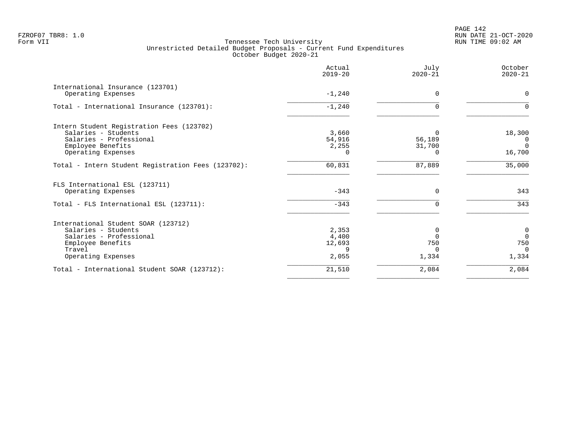|                                                        | Actual<br>$2019 - 20$ | July<br>$2020 - 21$ | October<br>$2020 - 21$ |
|--------------------------------------------------------|-----------------------|---------------------|------------------------|
| International Insurance (123701)<br>Operating Expenses | $-1,240$              | $\Omega$            | $\Omega$               |
|                                                        |                       |                     |                        |
| Total - International Insurance (123701):              | $-1,240$              |                     |                        |
| Intern Student Registration Fees (123702)              |                       |                     |                        |
| Salaries - Students                                    | 3,660                 | 0                   | 18,300                 |
| Salaries - Professional                                | 54,916                | 56,189              | $\overline{0}$         |
| Employee Benefits                                      | 2,255                 | 31,700              | $\Omega$               |
| Operating Expenses                                     |                       |                     | 16,700                 |
| Total - Intern Student Registration Fees (123702):     | 60,831                | 87,889              | 35,000                 |
| FLS International ESL (123711)                         |                       |                     |                        |
| Operating Expenses                                     | $-343$                | $\Omega$            | 343                    |
| Total - FLS International ESL (123711):                | $-343$                |                     | 343                    |
| International Student SOAR (123712)                    |                       |                     |                        |
| Salaries - Students                                    | 2,353                 | 0                   | $\overline{0}$         |
| Salaries - Professional                                | 4,400                 |                     | $\Omega$               |
| Employee Benefits                                      | 12,693                | 750                 | 750                    |
| Travel                                                 | 9                     | $\Omega$            | $\Omega$               |
| Operating Expenses                                     | 2,055                 | 1,334               | 1,334                  |
| Total - International Student SOAR (123712):           | 21,510                | 2,084               | 2,084                  |
|                                                        |                       |                     |                        |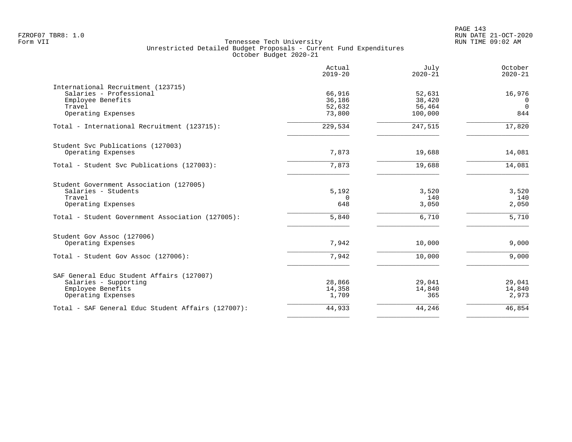|                                                    | Actual<br>$2019 - 20$ | July<br>$2020 - 21$ | October<br>$2020 - 21$ |
|----------------------------------------------------|-----------------------|---------------------|------------------------|
| International Recruitment (123715)                 |                       |                     |                        |
| Salaries - Professional                            | 66,916                | 52,631              | 16,976                 |
| Employee Benefits<br>Travel                        | 36,186<br>52,632      | 38,420<br>56,464    | 0<br>$\Omega$          |
| Operating Expenses                                 | 73,800                | 100,000             | 844                    |
| Total - International Recruitment (123715):        | 229,534               | 247,515             | 17,820                 |
| Student Svc Publications (127003)                  |                       |                     |                        |
| Operating Expenses                                 | 7,873                 | 19,688              | 14,081                 |
| Total - Student Svc Publications (127003):         | 7,873                 | 19,688              | 14,081                 |
| Student Government Association (127005)            |                       |                     |                        |
| Salaries - Students                                | 5,192                 | 3,520               | 3,520                  |
| Travel                                             | $\Omega$              | 140                 | 140                    |
| Operating Expenses                                 | 648                   | 3,050               | 2,050                  |
| Total - Student Government Association (127005):   | 5,840                 | 6,710               | 5,710                  |
| Student Gov Assoc (127006)                         |                       |                     |                        |
| Operating Expenses                                 | 7,942                 | 10,000              | 9,000                  |
| Total - Student Gov Assoc (127006):                | 7,942                 | 10,000              | 9,000                  |
| SAF General Educ Student Affairs (127007)          |                       |                     |                        |
| Salaries - Supporting                              | 28,866                | 29,041              | 29,041                 |
| Employee Benefits                                  | 14,358                | 14,840              | 14,840                 |
| Operating Expenses                                 | 1,709                 | 365                 | 2,973                  |
| Total - SAF General Educ Student Affairs (127007): | 44,933                | 44,246              | 46,854                 |
|                                                    |                       |                     |                        |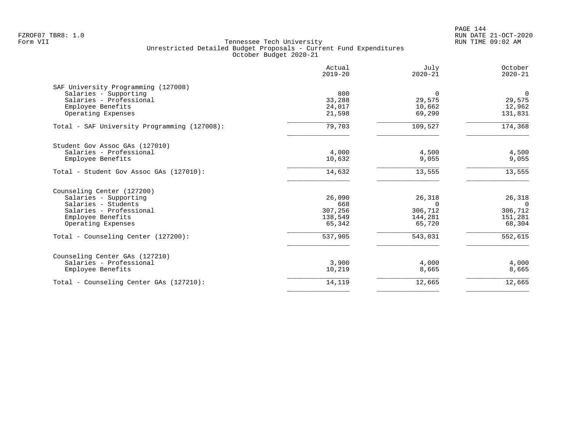PAGE 144 FZROF07 TBR8: 1.0 RUN DATE 21-OCT-2020

|                                              | Actual<br>$2019 - 20$ | July<br>$2020 - 21$ | October<br>$2020 - 21$ |
|----------------------------------------------|-----------------------|---------------------|------------------------|
| SAF University Programming (127008)          |                       |                     |                        |
| Salaries - Supporting                        | 800                   | $\Omega$            | $\Omega$               |
| Salaries - Professional                      | 33,288                | 29,575              | 29,575                 |
| Employee Benefits                            | 24,017                | 10,662              | 12,962                 |
| Operating Expenses                           | 21,598                | 69,290              | 131,831                |
| Total - SAF University Programming (127008): | 79,703                | 109,527             | 174,368                |
| Student Gov Assoc GAs (127010)               |                       |                     |                        |
| Salaries - Professional                      | 4,000                 | 4,500               | 4,500                  |
| Employee Benefits                            | 10,632                | 9,055               | 9,055                  |
| Total - Student Gov Assoc GAs (127010):      | 14,632                | 13,555              | 13,555                 |
| Counseling Center (127200)                   |                       |                     |                        |
| Salaries - Supporting                        | 26,090                | 26,318              | 26,318                 |
| Salaries - Students                          | 668                   | $\Omega$            | $\Omega$               |
| Salaries - Professional                      | 307,256               | 306,712             | 306,712                |
| Employee Benefits                            | 138,549               | 144,281             | 151,281                |
| Operating Expenses                           | 65,342                | 65,720              | 68,304                 |
| Total - Counseling Center (127200):          | 537,905               | 543,031             | 552,615                |
| Counseling Center GAs (127210)               |                       |                     |                        |
| Salaries - Professional                      | 3,900                 | 4,000               | 4,000                  |
| Employee Benefits                            | 10,219                | 8,665               | 8,665                  |
| Total - Counseling Center GAs (127210):      | 14,119                | 12,665              | 12,665                 |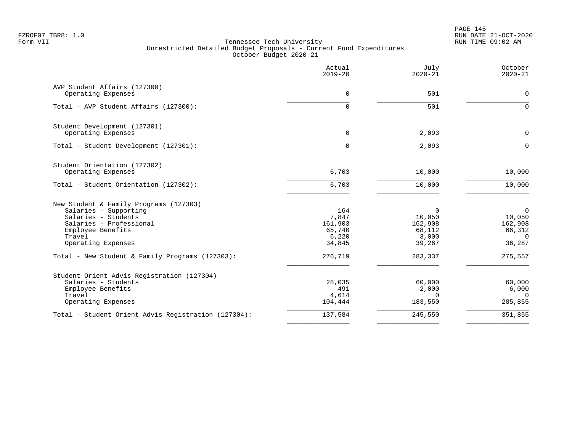PAGE 145 FZROF07 TBR8: 1.0 RUN DATE 21-OCT-2020

|                                                     | Actual<br>$2019 - 20$ | July<br>$2020 - 21$ | October<br>$2020 - 21$   |
|-----------------------------------------------------|-----------------------|---------------------|--------------------------|
| AVP Student Affairs (127300)<br>Operating Expenses  | 0                     | 501                 | $\Omega$                 |
|                                                     |                       |                     |                          |
| Total - AVP Student Affairs (127300):               | $\Omega$              | 501                 | $\Omega$                 |
| Student Development (127301)                        |                       |                     |                          |
| Operating Expenses                                  | $\mathbf 0$           | 2,093               | $\mathbf 0$              |
| Total - Student Development (127301):               | $\Omega$              | 2,093               | $\Omega$                 |
| Student Orientation (127302)                        |                       |                     |                          |
| Operating Expenses                                  | 6,703                 | 10,000              | 10,000                   |
| Total - Student Orientation (127302):               | 6,703                 | 10,000              | 10,000                   |
| New Student & Family Programs (127303)              |                       |                     |                          |
| Salaries - Supporting                               | 164                   | 0                   | $\overline{0}$           |
| Salaries - Students                                 | 7,847                 | 10,050              | 10,050                   |
| Salaries - Professional                             | 161,903               | 162,908             | 162,908                  |
| Employee Benefits<br>Travel                         | 65,740<br>6,220       | 68,112<br>3,000     | 66,312<br>$\overline{0}$ |
| Operating Expenses                                  | 34,845                | 39,267              | 36,287                   |
| Total - New Student & Family Programs (127303):     | 276,719               | 283,337             | 275,557                  |
| Student Orient Advis Registration (127304)          |                       |                     |                          |
| Salaries - Students                                 | 28,035                | 60,000              | 60,000                   |
| Employee Benefits                                   | 491                   | 2,000               | 6,000                    |
| Travel                                              | 4,614                 | $\Omega$            | $\Omega$                 |
| Operating Expenses                                  | 104,444               | 183,550             | 285,855                  |
| Total - Student Orient Advis Registration (127304): | 137,584               | 245,550             | 351,855                  |
|                                                     |                       |                     |                          |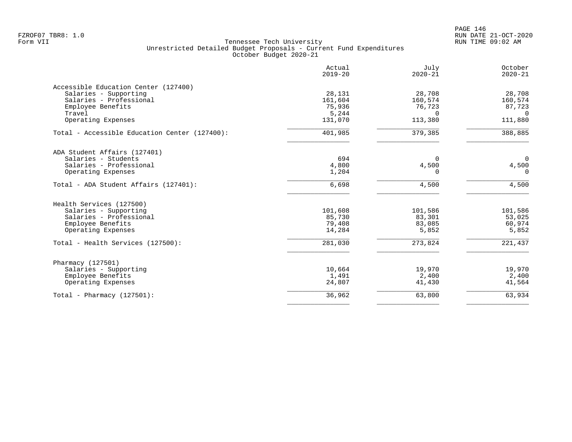PAGE 146 FZROF07 TBR8: 1.0 RUN DATE 21-OCT-2020

|                                               | Actual<br>$2019 - 20$ | July<br>$2020 - 21$ | October<br>$2020 - 21$ |
|-----------------------------------------------|-----------------------|---------------------|------------------------|
| Accessible Education Center (127400)          |                       |                     |                        |
| Salaries - Supporting                         | 28,131                | 28,708              | 28,708                 |
| Salaries - Professional                       | 161,604               | 160,574             | 160,574                |
| Employee Benefits                             | 75,936                | 76,723              | 87,723                 |
| Travel                                        | 5,244                 | $\Omega$            | $\Omega$               |
| Operating Expenses                            | 131,070               | 113,380             | 111,880                |
| Total - Accessible Education Center (127400): | 401,985               | 379,385             | 388,885                |
| ADA Student Affairs (127401)                  |                       |                     |                        |
| Salaries - Students                           | 694                   | $\Omega$            | $\mathbf 0$            |
| Salaries - Professional                       | 4,800                 | 4,500               | 4,500                  |
| Operating Expenses                            | 1,204                 | 0                   | 0                      |
| Total - ADA Student Affairs (127401):         | 6,698                 | 4,500               | 4,500                  |
| Health Services (127500)                      |                       |                     |                        |
| Salaries - Supporting                         | 101,608               | 101,586             | 101,586                |
| Salaries - Professional                       | 85,730                | 83,301              | 53,025                 |
| Employee Benefits                             | 79,408                | 83,085              | 60,974                 |
| Operating Expenses                            | 14,284                | 5,852               | 5,852                  |
| Total - Health Services (127500):             | 281,030               | 273,824             | 221,437                |
| Pharmacy (127501)                             |                       |                     |                        |
| Salaries - Supporting                         | 10,664                | 19,970              | 19,970                 |
| Employee Benefits                             | 1,491                 | 2,400               | 2,400                  |
| Operating Expenses                            | 24,807                | 41,430              | 41,564                 |
| Total - Pharmacy $(127501)$ :                 | 36,962                | 63,800              | 63,934                 |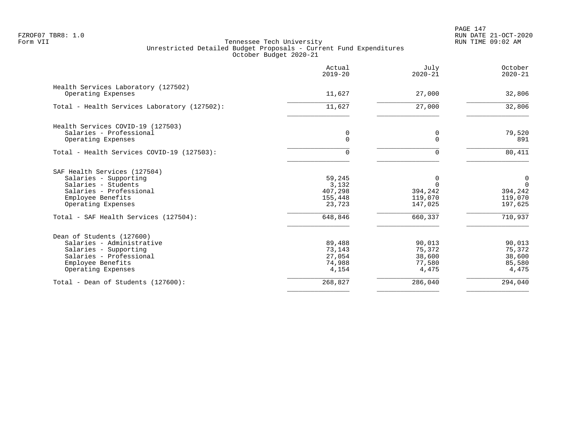PAGE 147 FZROF07 TBR8: 1.0 RUN DATE 21-OCT-2020

|                                                                                                                                                       | Actual<br>$2019 - 20$                           | July<br>$2020 - 21$                            | October<br>$2020 - 21$                            |
|-------------------------------------------------------------------------------------------------------------------------------------------------------|-------------------------------------------------|------------------------------------------------|---------------------------------------------------|
| Health Services Laboratory (127502)<br>Operating Expenses                                                                                             | 11,627                                          | 27,000                                         | 32,806                                            |
| Total - Health Services Laboratory (127502):                                                                                                          | 11,627                                          | 27,000                                         | 32,806                                            |
| Health Services COVID-19 (127503)<br>Salaries - Professional<br>Operating Expenses                                                                    | $\mathbf 0$<br>$\Omega$                         | $\mathbf 0$<br>$\Omega$                        | 79,520<br>891                                     |
| Total - Health Services COVID-19 (127503):                                                                                                            | $\Omega$                                        | $\Omega$                                       | 80,411                                            |
| SAF Health Services (127504)<br>Salaries - Supporting<br>Salaries - Students<br>Salaries - Professional<br>Employee Benefits<br>Operating Expenses    | 59,245<br>3,132<br>407,298<br>155,448<br>23,723 | 0<br>$\Omega$<br>394,242<br>119,070<br>147,025 | 0<br>$\mathbf 0$<br>394,242<br>119,070<br>197,625 |
| Total - SAF Health Services (127504):                                                                                                                 | 648,846                                         | 660,337                                        | 710,937                                           |
| Dean of Students (127600)<br>Salaries - Administrative<br>Salaries - Supporting<br>Salaries - Professional<br>Employee Benefits<br>Operating Expenses | 89,488<br>73,143<br>27,054<br>74,988<br>4,154   | 90,013<br>75,372<br>38,600<br>77,580<br>4,475  | 90,013<br>75,372<br>38,600<br>85,580<br>4,475     |
| Total - Dean of Students (127600):                                                                                                                    | 268,827                                         | 286,040                                        | 294,040                                           |
|                                                                                                                                                       |                                                 |                                                |                                                   |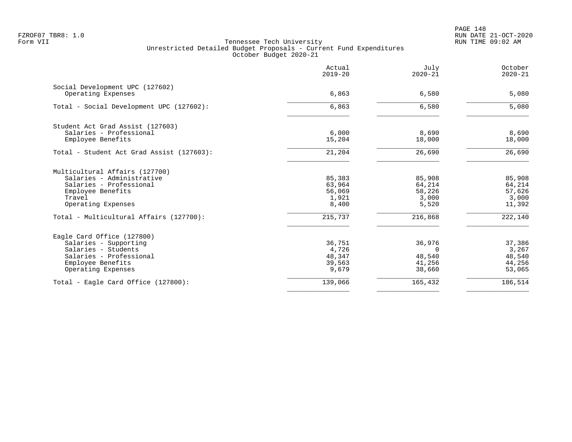|                                                       | Actual<br>$2019 - 20$ | July<br>$2020 - 21$ | October<br>$2020 - 21$ |
|-------------------------------------------------------|-----------------------|---------------------|------------------------|
| Social Development UPC (127602)<br>Operating Expenses | 6,863                 | 6,580               | 5,080                  |
|                                                       |                       |                     |                        |
| Total - Social Development UPC (127602):              | 6,863                 | 6,580               | 5,080                  |
| Student Act Grad Assist (127603)                      |                       |                     |                        |
| Salaries - Professional                               | 6,000                 | 8,690               | 8,690                  |
| Employee Benefits                                     | 15,204                | 18,000              | 18,000                 |
| Total - Student Act Grad Assist (127603):             | 21,204                | 26,690              | 26,690                 |
| Multicultural Affairs (127700)                        |                       |                     |                        |
| Salaries - Administrative                             | 85,383                | 85,908              | 85,908                 |
| Salaries - Professional                               | 63,964                | 64,214              | 64,214                 |
| Employee Benefits                                     | 56,069                | 58,226              | 57,626                 |
| Travel                                                | 1,921                 | 3,000               | 3,000                  |
| Operating Expenses                                    | 8,400                 | 5,520               | 11,392                 |
| Total - Multicultural Affairs (127700):               | 215,737               | 216,868             | 222,140                |
| Eagle Card Office (127800)                            |                       |                     |                        |
| Salaries - Supporting                                 | 36,751                | 36,976              | 37,386                 |
| Salaries - Students                                   | 4,726                 | $\Omega$            | 3,267                  |
| Salaries - Professional                               | 48,347                | 48,540              | 48,540                 |
| Employee Benefits                                     | 39,563                | 41,256              | 44,256                 |
| Operating Expenses                                    | 9,679                 | 38,660              | 53,065                 |
| Total - Eagle Card Office $(127800)$ :                | 139,066               | 165,432             | 186,514                |
|                                                       |                       |                     |                        |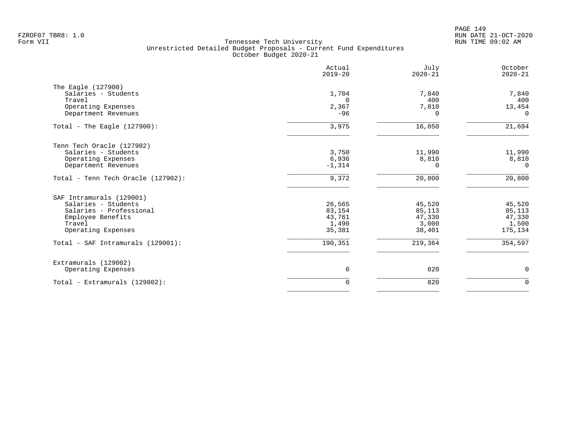|                                    | Actual<br>$2019 - 20$ | July<br>$2020 - 21$ | October<br>$2020 - 21$ |
|------------------------------------|-----------------------|---------------------|------------------------|
| The Eagle (127900)                 |                       |                     |                        |
| Salaries - Students<br>Travel      | 1,704                 | 7,840<br>400        | 7,840                  |
| Operating Expenses                 | $\Omega$<br>2,367     | 7,810               | 400<br>13,454          |
| Department Revenues                | $-96$                 | $\Omega$            | $\Omega$               |
| Total - The Eagle $(127900)$ :     | 3,975                 | 16,050              | 21,694                 |
| Tenn Tech Oracle (127902)          |                       |                     |                        |
| Salaries - Students                | 3,750                 | 11,990              | 11,990                 |
| Operating Expenses                 | 6,936                 | 8,810               | 8,810                  |
| Department Revenues                | $-1,314$              | $\Omega$            | $\Omega$               |
| Total - Tenn Tech Oracle (127902): | 9,372                 | 20,800              | 20,800                 |
| SAF Intramurals (129001)           |                       |                     |                        |
| Salaries - Students                | 26,565                | 45,520              | 45,520                 |
| Salaries - Professional            | 83,154                | 85,113              | 85,113                 |
| Employee Benefits<br>Travel        | 43,761                | 47,330              | 47,330                 |
| Operating Expenses                 | 1,490<br>35,381       | 3,000<br>38,401     | 1,500<br>175,134       |
| Total - SAF Intramurals (129001):  | 190,351               | 219,364             | 354,597                |
| Extramurals (129002)               |                       |                     |                        |
| Operating Expenses                 | 0                     | 820                 | $\mathbf 0$            |
| Total - Extramurals (129002):      | 0                     | 820                 | $\mathbf 0$            |
|                                    |                       |                     |                        |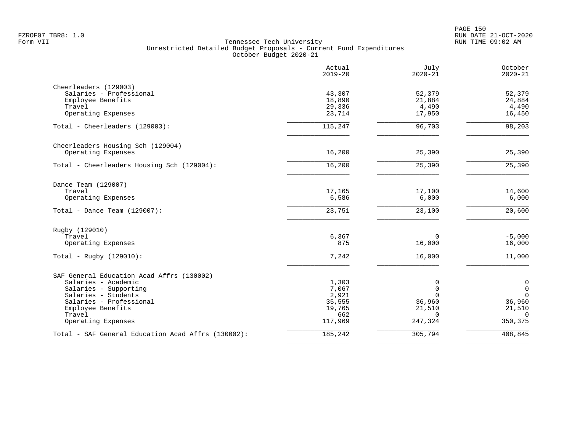|                                                    | Actual<br>$2019 - 20$ | July<br>$2020 - 21$ | October<br>$2020 - 21$ |
|----------------------------------------------------|-----------------------|---------------------|------------------------|
| Cheerleaders (129003)                              |                       |                     |                        |
| Salaries - Professional                            | 43,307                | 52,379              | 52,379                 |
| Employee Benefits                                  | 18,890                | 21,884              | 24,884                 |
| Travel                                             | 29,336                | 4,490               | 4,490                  |
| Operating Expenses                                 | 23,714                | 17,950              | 16,450                 |
| Total - Cheerleaders (129003):                     | 115,247               | 96,703              | 98,203                 |
| Cheerleaders Housing Sch (129004)                  |                       |                     |                        |
| Operating Expenses                                 | 16,200                | 25,390              | 25,390                 |
| Total - Cheerleaders Housing Sch (129004):         | 16,200                | 25,390              | 25,390                 |
| Dance Team (129007)                                |                       |                     |                        |
| Travel                                             | 17,165                | 17,100              | 14,600                 |
| Operating Expenses                                 | 6,586                 | 6,000               | 6,000                  |
| Total - Dance Team $(129007)$ :                    | 23,751                | 23,100              | 20,600                 |
| Rugby (129010)                                     |                       |                     |                        |
| Travel                                             | 6,367                 | $\Omega$            | $-5,000$               |
| Operating Expenses                                 | 875                   | 16,000              | 16,000                 |
| Total - Rugby $(129010)$ :                         | 7,242                 | 16,000              | 11,000                 |
| SAF General Education Acad Affrs (130002)          |                       |                     |                        |
| Salaries - Academic                                | 1,303                 | 0                   | $\mathsf{0}$           |
| Salaries - Supporting                              | 7,067                 | $\Omega$            | $\mathbf 0$            |
| Salaries - Students                                | 2,921                 | $\Omega$            | $\mathbf 0$            |
| Salaries - Professional                            | 35,555                | 36,960              | 36,960                 |
| Employee Benefits                                  | 19,765                | 21,510              | 21,510                 |
| Travel                                             | 662                   | $\Omega$            | $\Omega$               |
| Operating Expenses                                 | 117,969               | 247,324             | 350,375                |
| Total - SAF General Education Acad Affrs (130002): | 185,242               | 305,794             | 408,845                |
|                                                    |                       |                     |                        |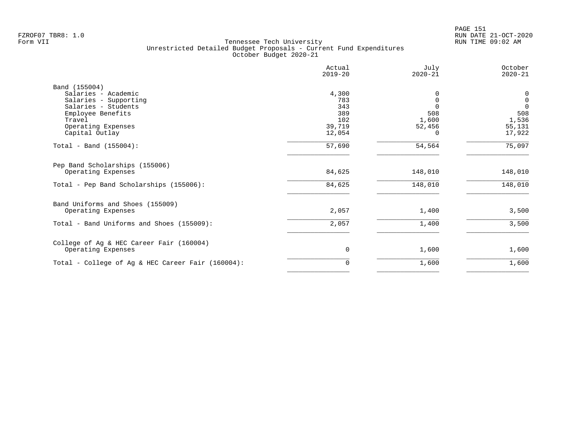|                                                   | Actual<br>$2019 - 20$ | July<br>$2020 - 21$ | October<br>$2020 - 21$ |
|---------------------------------------------------|-----------------------|---------------------|------------------------|
| Band (155004)                                     |                       |                     |                        |
| Salaries - Academic                               | 4,300                 |                     | 0                      |
| Salaries - Supporting                             | 783                   | $\Omega$            | $\mathbf 0$            |
| Salaries - Students                               | 343                   |                     | $\Omega$               |
| Employee Benefits                                 | 389                   | 508                 | 508                    |
| Travel                                            | 102                   | 1,600               | 1,536                  |
| Operating Expenses                                | 39,719                | 52,456              | 55,131                 |
| Capital Outlay                                    | 12,054                | <sup>0</sup>        | 17,922                 |
| Total - Band $(155004)$ :                         | 57,690                | 54,564              | 75,097                 |
| Pep Band Scholarships (155006)                    |                       |                     |                        |
| Operating Expenses                                | 84,625                | 148,010             | 148,010                |
| Total - Pep Band Scholarships (155006):           | 84,625                | 148,010             | 148,010                |
| Band Uniforms and Shoes (155009)                  |                       |                     |                        |
| Operating Expenses                                | 2,057                 | 1,400               | 3,500                  |
| Total - Band Uniforms and Shoes (155009):         | 2,057                 | 1,400               | 3,500                  |
| College of Ag & HEC Career Fair (160004)          |                       |                     |                        |
| Operating Expenses                                | 0                     | 1,600               | 1,600                  |
| Total - College of Ag & HEC Career Fair (160004): | 0                     | 1,600               | 1,600                  |
|                                                   |                       |                     |                        |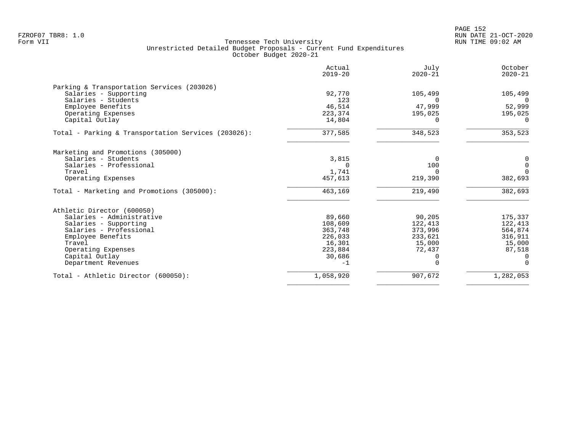|                                                     | Actual<br>$2019 - 20$ | July<br>$2020 - 21$ | October<br>$2020 - 21$ |
|-----------------------------------------------------|-----------------------|---------------------|------------------------|
| Parking & Transportation Services (203026)          |                       |                     |                        |
| Salaries - Supporting                               | 92,770                | 105,499             | 105,499                |
| Salaries - Students                                 | 123                   | $\Omega$            | $\Omega$               |
| Employee Benefits                                   | 46,514                | 47,999              | 52,999                 |
| Operating Expenses                                  | 223,374               | 195,025             | 195,025                |
| Capital Outlay                                      | 14,804                | <sup>0</sup>        | $\Omega$               |
| Total - Parking & Transportation Services (203026): | 377,585               | 348,523             | 353,523                |
| Marketing and Promotions (305000)                   |                       |                     |                        |
| Salaries - Students                                 | 3,815                 | $\Omega$            | 0                      |
| Salaries - Professional                             | $\Omega$              | 100                 | $\mathbf 0$            |
| Travel                                              | 1,741                 | $\Omega$            | $\Omega$               |
| Operating Expenses                                  | 457,613               | 219,390             | 382,693                |
| Total - Marketing and Promotions (305000):          | 463,169               | 219,490             | 382,693                |
| Athletic Director (600050)                          |                       |                     |                        |
| Salaries - Administrative                           | 89,660                | 90,205              | 175,337                |
| Salaries - Supporting                               | 108,609               | 122,413             | 122,413                |
| Salaries - Professional                             | 363,748               | 373,996             | 564,874                |
| Employee Benefits                                   | 226,033               | 233,621             | 316,911                |
| Travel                                              | 16,301                | 15,000              | 15,000                 |
| Operating Expenses                                  | 223,884               | 72,437              | 87,518                 |
| Capital Outlay                                      | 30,686                | $\Omega$            | $\Omega$               |
| Department Revenues                                 | $-1$                  | $\Omega$            | $\Omega$               |
| Total - Athletic Director (600050):                 | 1,058,920             | 907,672             | 1,282,053              |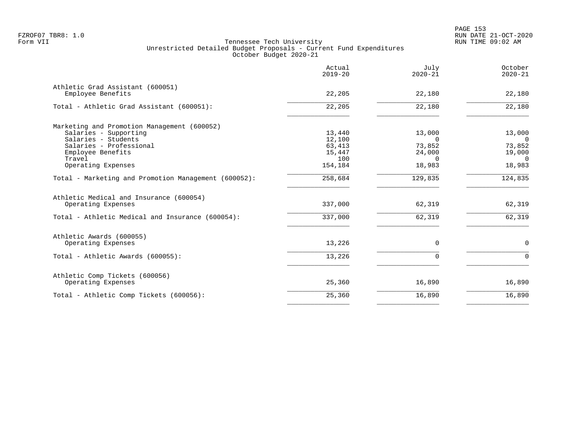|                                                       | Actual<br>$2019 - 20$ | July<br>$2020 - 21$ | October<br>$2020 - 21$ |
|-------------------------------------------------------|-----------------------|---------------------|------------------------|
| Athletic Grad Assistant (600051)<br>Employee Benefits | 22,205                | 22,180              | 22,180                 |
|                                                       |                       |                     |                        |
| Total - Athletic Grad Assistant (600051):             | 22,205                | 22,180              | 22,180                 |
| Marketing and Promotion Management (600052)           |                       |                     |                        |
| Salaries - Supporting                                 | 13,440                | 13,000              | 13,000                 |
| Salaries - Students                                   | 12,100                | $\Omega$            | $\Omega$               |
| Salaries - Professional                               | 63,413                | 73,852              | 73,852                 |
| Employee Benefits                                     | 15,447                | 24,000              | 19,000                 |
| Travel                                                | 100                   | $\Omega$            | $\Omega$               |
| Operating Expenses                                    | 154,184               | 18,983              | 18,983                 |
| Total - Marketing and Promotion Management (600052):  | 258,684               | 129,835             | 124,835                |
| Athletic Medical and Insurance (600054)               |                       |                     |                        |
| Operating Expenses                                    | 337,000               | 62,319              | 62,319                 |
| Total - Athletic Medical and Insurance (600054):      | 337,000               | 62,319              | 62,319                 |
| Athletic Awards (600055)                              |                       |                     |                        |
| Operating Expenses                                    | 13,226                | 0                   | 0                      |
| Total - Athletic Awards (600055):                     | 13,226                | $\Omega$            | $\Omega$               |
| Athletic Comp Tickets (600056)                        |                       |                     |                        |
| Operating Expenses                                    | 25,360                | 16,890              | 16,890                 |
| Total - Athletic Comp Tickets (600056):               | 25,360                | 16,890              | 16,890                 |
|                                                       |                       |                     |                        |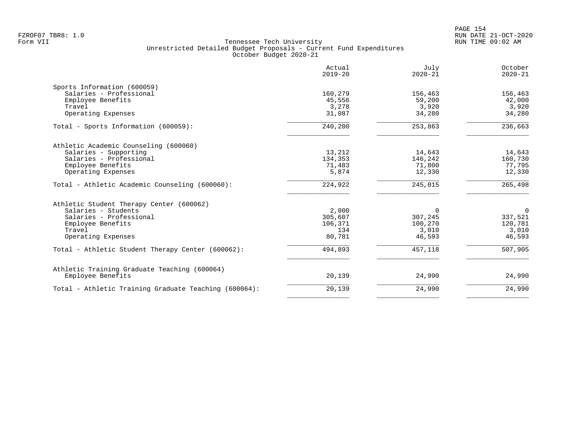|                                                       | Actual<br>$2019 - 20$ | July<br>$2020 - 21$ | October<br>$2020 - 21$ |
|-------------------------------------------------------|-----------------------|---------------------|------------------------|
| Sports Information (600059)                           |                       |                     |                        |
| Salaries - Professional                               | 160,279               | 156,463             | 156,463                |
| Employee Benefits                                     | 45,556                | 59,200              | 42,000                 |
| Travel                                                | 3,278                 | 3,920               | 3,920                  |
| Operating Expenses                                    | 31,087                | 34,280              | 34,280                 |
| Total - Sports Information (600059):                  | 240,200               | 253,863             | 236,663                |
| Athletic Academic Counseling (600060)                 |                       |                     |                        |
| Salaries - Supporting                                 | 13,212                | 14,643              | 14,643                 |
| Salaries - Professional                               | 134,353               | 146,242             | 160,730                |
| Employee Benefits                                     | 71,483                | 71,800              | 77,795                 |
| Operating Expenses                                    | 5,874                 | 12,330              | 12,330                 |
| Total - Athletic Academic Counseling (600060):        | 224,922               | 245,015             | 265,498                |
| Athletic Student Therapy Center (600062)              |                       |                     |                        |
| Salaries - Students                                   | 2,000                 | $\Omega$            | $\overline{0}$         |
| Salaries - Professional                               | 305,607               | 307,245             | 337,521                |
| Employee Benefits                                     | 106,371               | 100,270             | 120,781                |
| Travel                                                | 134                   | 3,010               | 3,010                  |
| Operating Expenses                                    | 80,781                | 46,593              | 46,593                 |
| Total - Athletic Student Therapy Center (600062):     | 494,893               | 457,118             | 507,905                |
| Athletic Training Graduate Teaching (600064)          |                       |                     |                        |
| Employee Benefits                                     | 20,139                | 24,990              | 24,990                 |
| Total - Athletic Training Graduate Teaching (600064): | 20,139                | 24,990              | 24,990                 |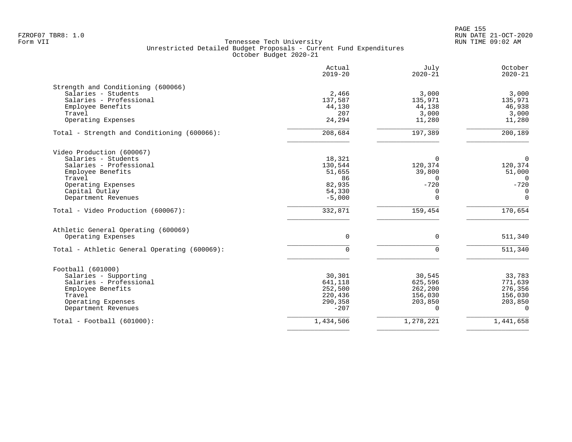en and the state of the state of the state of the state of the state of the state of the state of the state of the state of the state of the state of the state of the state of the state of the state of the state of the sta FZROF07 TBR8: 1.0 RUN DATE 21-OCT-2020

| 3,000<br>135,971<br>46,938 | July<br>$2020 - 21$    | Actual<br>$2019 - 20$ |                                              |
|----------------------------|------------------------|-----------------------|----------------------------------------------|
|                            |                        |                       | Strength and Conditioning (600066)           |
|                            | 3,000                  | 2,466                 | Salaries - Students                          |
|                            | 135,971                | 137,587               | Salaries - Professional                      |
|                            | 44,138                 | 44,130                | Employee Benefits                            |
| 3,000                      | 3,000                  | 207                   | Travel                                       |
| 11,280                     | 11,280                 | 24,294                | Operating Expenses                           |
| 200,189                    | 197,389                | 208,684               | Total - Strength and Conditioning (600066):  |
|                            |                        |                       | Video Production (600067)                    |
| $\Omega$                   | $\Omega$               | 18,321                | Salaries - Students                          |
| 120,374                    | 120,374                | 130,544               | Salaries - Professional                      |
| 51,000                     | 39,800                 | 51,655                | Employee Benefits                            |
| $\Omega$                   | $\Omega$               | 86                    | Travel                                       |
| $-720$                     | $-720$                 | 82,935                | Operating Expenses                           |
| $\overline{0}$             | 0                      | 54,330                | Capital Outlay                               |
| $\Omega$                   | $\Omega$               | $-5,000$              | Department Revenues                          |
| 170,654                    | 159,454                | 332,871               | Total - Video Production (600067):           |
|                            |                        |                       | Athletic General Operating (600069)          |
| 511,340                    | $\Omega$               | $\Omega$              | Operating Expenses                           |
| 511,340                    | $\Omega$               | $\Omega$              | Total - Athletic General Operating (600069): |
|                            |                        |                       | Football (601000)                            |
| 33,783                     | 30,545                 | 30,301                | Salaries - Supporting                        |
| 771,639                    | 625,596                | 641,118               | Salaries - Professional                      |
| 276,356                    | 262,200                | 252,500               | Employee Benefits                            |
| 156,030                    | 156,030                | 220,436               | Travel                                       |
| 203,850                    |                        |                       |                                              |
| $\Omega$                   |                        | $-207$                | Department Revenues                          |
|                            | 1,278,221<br>1,441,658 | 1,434,506             | $Total - Football (601000):$                 |
|                            | 203,850                | 290,358               | Operating Expenses                           |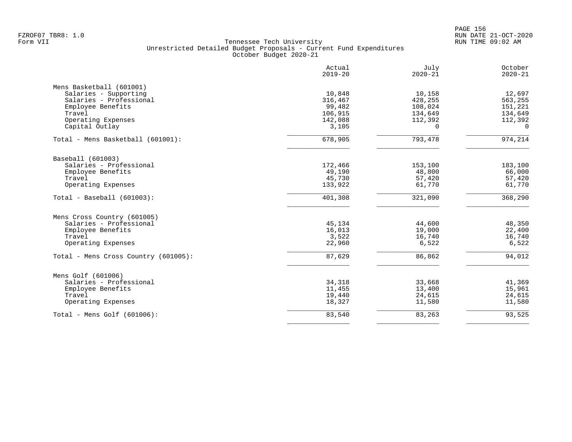en and the set of the set of the set of the set of the set of the set of the set of the set of the set of the set of the set of the set of the set of the set of the set of the set of the set of the set of the set of the se FZROF07 TBR8: 1.0 RUN DATE 21-OCT-2020

|                                      | Actual<br>$2019 - 20$ | July<br>$2020 - 21$ | October<br>$2020 - 21$ |
|--------------------------------------|-----------------------|---------------------|------------------------|
| Mens Basketball (601001)             |                       |                     |                        |
| Salaries - Supporting                | 10,848                | 10,158              | 12,697                 |
| Salaries - Professional              | 316,467               | 428,255             | 563,255                |
| Employee Benefits                    | 99,482                | 108,024             | 151,221                |
| Travel                               | 106,915               | 134,649             | 134,649                |
| Operating Expenses                   | 142,088               | 112,392             | 112,392                |
| Capital Outlay                       | 3,105                 | 0                   | $\mathbf 0$            |
| Total - Mens Basketball (601001):    | 678,905               | 793,478             | 974,214                |
| Baseball (601003)                    |                       |                     |                        |
| Salaries - Professional              | 172,466               | 153,100             | 183,100                |
| Employee Benefits                    | 49,190                | 48,800              | 66,000                 |
| Travel                               | 45,730                | 57,420              | 57,420                 |
| Operating Expenses                   | 133,922               | 61,770              | 61,770                 |
| $Total - Baseball (601003):$         | 401,308               | 321,090             | 368,290                |
| Mens Cross Country (601005)          |                       |                     |                        |
| Salaries - Professional              | 45,134                | 44,600              | 48,350                 |
| Employee Benefits                    | 16,013                | 19,000              | 22,400                 |
| Travel                               | 3,522                 | 16,740              | 16,740                 |
| Operating Expenses                   | 22,960                | 6,522               | 6,522                  |
| Total - Mens Cross Country (601005): | 87,629                | 86,862              | 94,012                 |
| Mens Golf (601006)                   |                       |                     |                        |
| Salaries - Professional              | 34,318                | 33,668              | 41,369                 |
| Employee Benefits                    | 11,455                | 13,400              | 15,961                 |
| Travel                               | 19,440                | 24,615              | 24,615                 |
| Operating Expenses                   | 18,327                | 11,580              | 11,580                 |
| Total - Mens Golf (601006):          | 83,540                | 83,263              | 93,525                 |
|                                      |                       |                     |                        |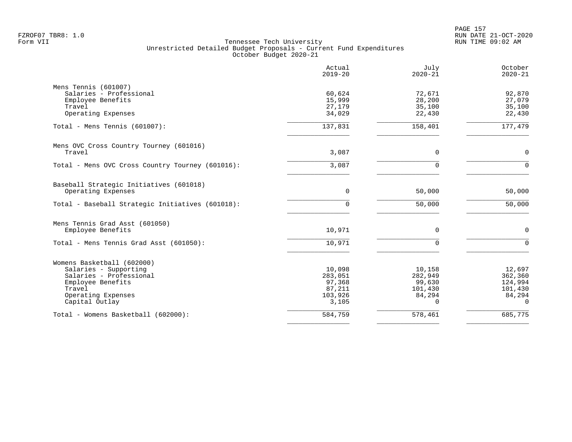|                                                  | Actual<br>$2019 - 20$ | July<br>$2020 - 21$ | October<br>$2020 - 21$ |
|--------------------------------------------------|-----------------------|---------------------|------------------------|
| Mens Tennis (601007)<br>Salaries - Professional  | 60,624                | 72,671              | 92,870                 |
| Employee Benefits                                | 15,999                | 28,200              | 27,079                 |
| Travel                                           | 27,179                | 35,100              | 35,100                 |
| Operating Expenses                               | 34,029                | 22,430              | 22,430                 |
| Total - Mens Tennis $(601007)$ :                 | 137,831               | 158,401             | 177,479                |
| Mens OVC Cross Country Tourney (601016)          |                       |                     |                        |
| Travel                                           | 3,087                 | $\mathbf 0$         | $\mathbf 0$            |
| Total - Mens OVC Cross Country Tourney (601016): | 3,087                 | $\Omega$            | $\Omega$               |
| Baseball Strategic Initiatives (601018)          |                       |                     |                        |
| Operating Expenses                               | 0                     | 50,000              | 50,000                 |
| Total - Baseball Strategic Initiatives (601018): | $\Omega$              | 50,000              | 50,000                 |
| Mens Tennis Grad Asst (601050)                   |                       |                     |                        |
| Employee Benefits                                | 10,971                | 0                   | $\mathbf 0$            |
| Total - Mens Tennis Grad Asst (601050):          | 10,971                | $\Omega$            | $\Omega$               |
| Womens Basketball (602000)                       |                       |                     |                        |
| Salaries - Supporting                            | 10,098                | 10,158              | 12,697                 |
| Salaries - Professional                          | 283,051               | 282,949             | 362,360                |
| Employee Benefits                                | 97,368                | 99,630              | 124,994                |
| Travel<br>Operating Expenses                     | 87,211<br>103,926     | 101,430             | 101,430                |
| Capital Outlay                                   | 3,105                 | 84,294<br>$\Omega$  | 84,294<br>$\Omega$     |
| Total - Womens Basketball (602000):              | 584,759               | 578,461             | 685,775                |
|                                                  |                       |                     |                        |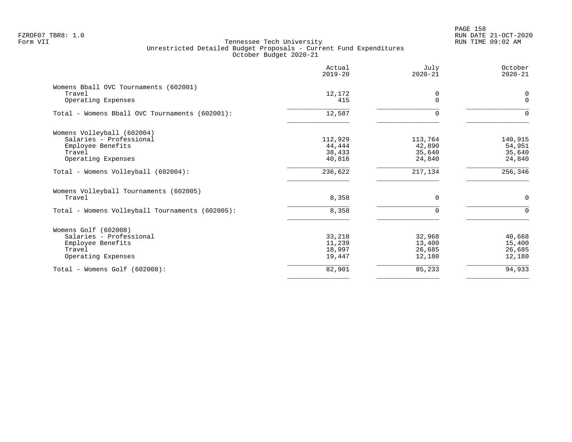PAGE 158 FZROF07 TBR8: 1.0 RUN DATE 21-OCT-2020

|                                                                                                            | Actual<br>$2019 - 20$                 | July<br>$2020 - 21$                   | October<br>$2020 - 21$                |
|------------------------------------------------------------------------------------------------------------|---------------------------------------|---------------------------------------|---------------------------------------|
| Womens Bball OVC Tournaments (602001)<br>Travel<br>Operating Expenses                                      | 12,172<br>415                         | 0<br>$\Omega$                         | $\mathbf 0$<br>$\Omega$               |
| Total - Womens Bball OVC Tournaments (602001):                                                             | 12,587                                | $\Omega$                              | $\Omega$                              |
| Womens Volleyball (602004)<br>Salaries - Professional<br>Employee Benefits<br>Travel<br>Operating Expenses | 112,929<br>44,444<br>38,433<br>40,816 | 113,764<br>42,890<br>35,640<br>24,840 | 140,915<br>54,951<br>35,640<br>24,840 |
| Total - Womens Volleyball (602004):                                                                        | 236,622                               | 217,134                               | 256,346                               |
| Womens Volleyball Tournaments (602005)<br>Travel<br>Total - Womens Volleyball Tournaments (602005):        | 8,358<br>8,358                        | $\mathbf 0$<br>$\Omega$               | $\mathbf 0$<br>$\Omega$               |
| Womens Golf (602008)<br>Salaries - Professional<br>Employee Benefits<br>Travel<br>Operating Expenses       | 33,218<br>11,239<br>18,997<br>19,447  | 32,968<br>13,400<br>26,685<br>12,180  | 40,668<br>15,400<br>26,685<br>12,180  |
| $Total - Womens Golf (602008):$                                                                            | 82,901                                | 85,233                                | 94,933                                |
|                                                                                                            |                                       |                                       |                                       |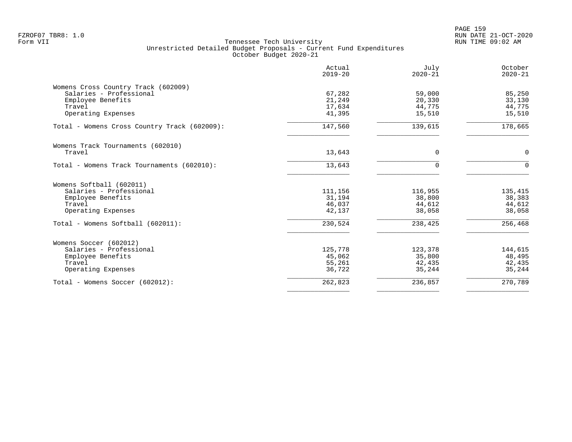|                                              | Actual<br>$2019 - 20$ | July<br>$2020 - 21$ | October<br>$2020 - 21$ |
|----------------------------------------------|-----------------------|---------------------|------------------------|
| Womens Cross Country Track (602009)          |                       |                     |                        |
| Salaries - Professional                      | 67,282                | 59,000              | 85,250                 |
| Employee Benefits                            | 21,249                | 20,330              | 33,130                 |
| Travel                                       | 17,634                | 44,775              | 44,775                 |
| Operating Expenses                           | 41,395                | 15,510              | 15,510                 |
| Total - Womens Cross Country Track (602009): | 147,560               | 139,615             | 178,665                |
| Womens Track Tournaments (602010)            |                       |                     |                        |
| Travel                                       | 13,643                | $\Omega$            | $\mathbf 0$            |
| Total - Womens Track Tournaments (602010):   | 13,643                | U                   | $\Omega$               |
| Womens Softball (602011)                     |                       |                     |                        |
| Salaries - Professional                      | 111,156               | 116,955             | 135,415                |
| Employee Benefits                            | 31,194                | 38,800              | 38,383                 |
| Travel                                       | 46,037                | 44,612              | 44,612                 |
| Operating Expenses                           | 42,137                | 38,058              | 38,058                 |
| Total - Womens Softball (602011):            | 230,524               | 238,425             | 256,468                |
| Womens Soccer (602012)                       |                       |                     |                        |
| Salaries - Professional                      | 125,778               | 123,378             | 144,615                |
| Employee Benefits                            | 45,062                | 35,800              | 48,495                 |
| Travel                                       | 55,261                | 42,435              | 42,435                 |
| Operating Expenses                           | 36,722                | 35,244              | 35,244                 |
| Total - Womens Soccer (602012):              | 262,823               | 236,857             | 270,789                |
|                                              |                       |                     |                        |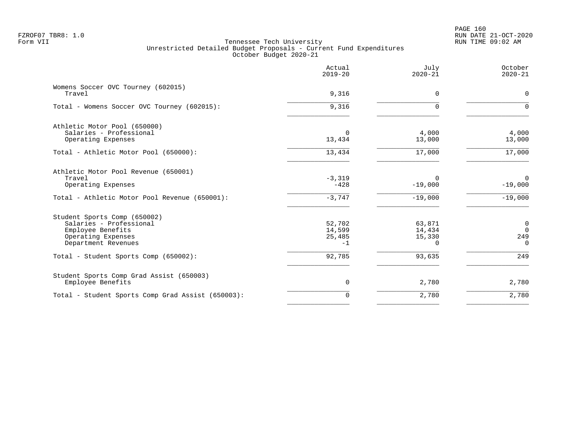PAGE 160 FZROF07 TBR8: 1.0 RUN DATE 21-OCT-2020

|                                                                                                                           | Actual<br>$2019 - 20$              | July<br>$2020 - 21$                    | October<br>$2020 - 21$                        |
|---------------------------------------------------------------------------------------------------------------------------|------------------------------------|----------------------------------------|-----------------------------------------------|
| Womens Soccer OVC Tourney (602015)<br>Travel                                                                              | 9,316                              | $\Omega$                               | $\mathbf 0$                                   |
| Total - Womens Soccer OVC Tourney (602015):                                                                               | 9,316                              | $\Omega$                               | $\Omega$                                      |
| Athletic Motor Pool (650000)<br>Salaries - Professional<br>Operating Expenses                                             | $\Omega$<br>13,434                 | 4,000<br>13,000                        | 4,000<br>13,000                               |
| Total - Athletic Motor Pool (650000):                                                                                     | 13,434                             | 17,000                                 | 17,000                                        |
| Athletic Motor Pool Revenue (650001)<br>Travel<br>Operating Expenses<br>Total - Athletic Motor Pool Revenue (650001):     | $-3,319$<br>$-428$<br>$-3,747$     | $\Omega$<br>$-19,000$<br>$-19,000$     | $\overline{0}$<br>$-19,000$<br>$-19,000$      |
| Student Sports Comp (650002)<br>Salaries - Professional<br>Employee Benefits<br>Operating Expenses<br>Department Revenues | 52,702<br>14,599<br>25,485<br>$-1$ | 63,871<br>14,434<br>15,330<br>$\Omega$ | $\overline{0}$<br>$\Omega$<br>249<br>$\Omega$ |
| Total - Student Sports Comp (650002):                                                                                     | 92,785                             | 93,635                                 | 249                                           |
| Student Sports Comp Grad Assist (650003)<br>Employee Benefits                                                             | 0                                  | 2,780                                  | 2,780                                         |
| Total - Student Sports Comp Grad Assist (650003):                                                                         | $\mathbf 0$                        | 2,780                                  | 2,780                                         |
|                                                                                                                           |                                    |                                        |                                               |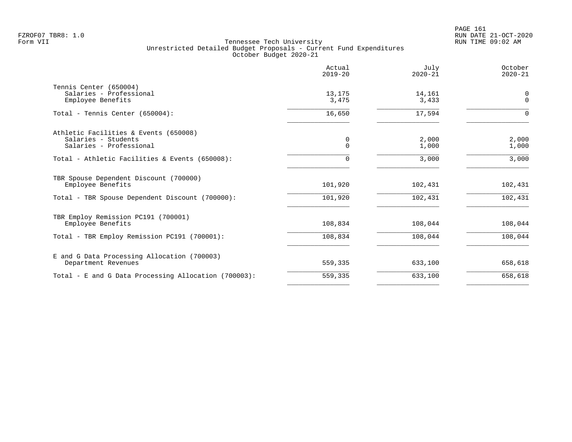|                                                                                         | Actual<br>$2019 - 20$ | July<br>$2020 - 21$ | October<br>$2020 - 21$ |
|-----------------------------------------------------------------------------------------|-----------------------|---------------------|------------------------|
| Tennis Center (650004)<br>Salaries - Professional<br>Employee Benefits                  | 13,175<br>3,475       | 14,161<br>3,433     | 0<br>$\mathbf 0$       |
| Total - Tennis Center (650004):                                                         | 16,650                | 17,594              | $\Omega$               |
| Athletic Facilities & Events (650008)<br>Salaries - Students<br>Salaries - Professional | 0<br>$\mathbf 0$      | 2,000<br>1,000      | 2,000<br>1,000         |
| Total - Athletic Facilities & Events (650008):                                          | 0                     | 3,000               | 3,000                  |
| TBR Spouse Dependent Discount (700000)<br>Employee Benefits                             | 101,920               | 102,431             | 102,431                |
| Total - TBR Spouse Dependent Discount (700000):                                         | 101,920               | 102,431             | 102,431                |
| TBR Employ Remission PC191 (700001)<br>Employee Benefits                                | 108,834               | 108,044             | 108,044                |
| Total - TBR Employ Remission PC191 (700001):                                            | 108,834               | 108,044             | 108,044                |
| E and G Data Processing Allocation (700003)<br>Department Revenues                      | 559,335               | 633,100             | 658,618                |
| Total - E and G Data Processing Allocation (700003):                                    | 559,335               | 633,100             | 658,618                |
|                                                                                         |                       |                     |                        |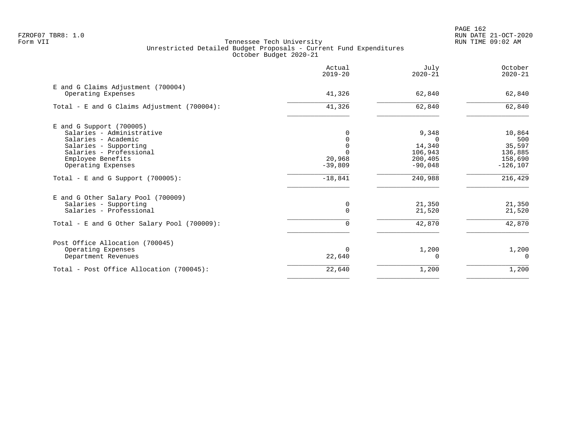|                                                          | Actual<br>$2019 - 20$ | July<br>$2020 - 21$ | October<br>$2020 - 21$ |
|----------------------------------------------------------|-----------------------|---------------------|------------------------|
| E and G Claims Adjustment (700004)<br>Operating Expenses | 41,326                | 62,840              | 62,840                 |
| Total - E and G Claims Adjustment (700004):              | 41,326                | 62,840              | 62,840                 |
| $E$ and G Support (700005)                               |                       |                     |                        |
| Salaries - Administrative                                |                       | 9,348               | 10,864                 |
| Salaries - Academic                                      |                       | <sup>n</sup>        | 500                    |
| Salaries - Supporting                                    |                       | 14,340              | 35,597                 |
| Salaries - Professional                                  |                       | 106,943             | 136,885                |
| Employee Benefits                                        | 20,968                | 200,405             | 158,690                |
| Operating Expenses                                       | $-39,809$             | $-90,048$           | $-126, 107$            |
| Total - E and G Support $(700005)$ :                     | $-18,841$             | 240,988             | 216,429                |
| E and G Other Salary Pool (700009)                       |                       |                     |                        |
| Salaries - Supporting                                    | 0                     | 21,350              | 21,350                 |
| Salaries - Professional                                  | $\Omega$              | 21,520              | 21,520                 |
| Total - E and G Other Salary Pool (700009):              | 0                     | 42,870              | 42,870                 |
| Post Office Allocation (700045)                          |                       |                     |                        |
| Operating Expenses                                       | $\Omega$              | 1,200               | 1,200                  |
| Department Revenues                                      | 22,640                | 0                   | $\Omega$               |
| Total - Post Office Allocation (700045):                 | 22,640                | 1,200               | 1,200                  |
|                                                          |                       |                     |                        |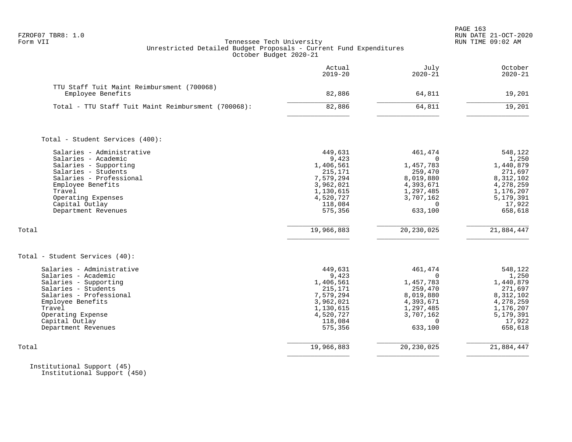|                                                                                                                                                                                                                           | Actual<br>$2019 - 20$                                                                                              | July<br>$2020 - 21$                                                                                                    | October<br>$2020 - 21$                                                                                            |
|---------------------------------------------------------------------------------------------------------------------------------------------------------------------------------------------------------------------------|--------------------------------------------------------------------------------------------------------------------|------------------------------------------------------------------------------------------------------------------------|-------------------------------------------------------------------------------------------------------------------|
| TTU Staff Tuit Maint Reimbursment (700068)<br>Employee Benefits                                                                                                                                                           | 82,886                                                                                                             | 64,811                                                                                                                 | 19,201                                                                                                            |
| Total - TTU Staff Tuit Maint Reimbursment (700068):                                                                                                                                                                       | 82,886                                                                                                             | 64,811                                                                                                                 | 19,201                                                                                                            |
| Total - Student Services (400):                                                                                                                                                                                           |                                                                                                                    |                                                                                                                        |                                                                                                                   |
| Salaries - Administrative<br>Salaries - Academic<br>Salaries - Supporting<br>Salaries - Students<br>Salaries - Professional<br>Employee Benefits<br>Travel<br>Operating Expenses<br>Capital Outlay<br>Department Revenues | 449,631<br>9,423<br>1,406,561<br>215,171<br>7,579,294<br>3,962,021<br>1,130,615<br>4,520,727<br>118,084<br>575,356 | 461,474<br>$\Omega$<br>1,457,783<br>259,470<br>8,019,880<br>4,393,671<br>1,297,485<br>3,707,162<br>$\Omega$<br>633,100 | 548,122<br>1,250<br>1,440,879<br>271,697<br>8,312,102<br>4,278,259<br>1,176,207<br>5,179,391<br>17,922<br>658,618 |
| Total                                                                                                                                                                                                                     | 19,966,883                                                                                                         | 20, 230, 025                                                                                                           | 21,884,447                                                                                                        |
| Total - Student Services (40):                                                                                                                                                                                            |                                                                                                                    |                                                                                                                        |                                                                                                                   |
| Salaries - Administrative<br>Salaries - Academic<br>Salaries - Supporting<br>Salaries - Students<br>Salaries - Professional<br>Employee Benefits<br>Travel<br>Operating Expense<br>Capital Outlay<br>Department Revenues  | 449,631<br>9,423<br>1,406,561<br>215,171<br>7,579,294<br>3,962,021<br>1,130,615<br>4,520,727<br>118,084<br>575,356 | 461,474<br>$\Omega$<br>1,457,783<br>259,470<br>8,019,880<br>4,393,671<br>1,297,485<br>3,707,162<br>$\Omega$<br>633,100 | 548,122<br>1,250<br>1,440,879<br>271,697<br>8,312,102<br>4,278,259<br>1,176,207<br>5,179,391<br>17,922<br>658,618 |
| Total                                                                                                                                                                                                                     | 19,966,883                                                                                                         | 20, 230, 025                                                                                                           | 21,884,447                                                                                                        |

 Institutional Support (45) Institutional Support (450)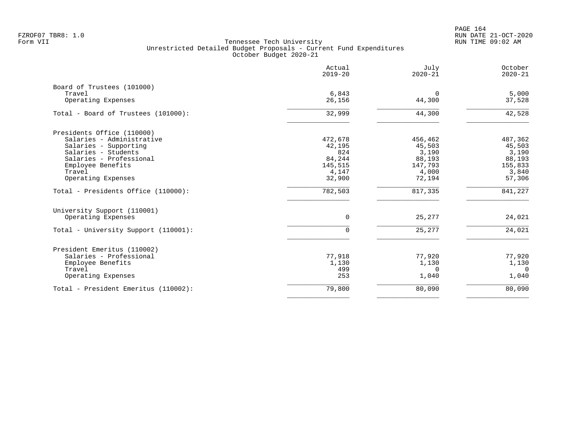PAGE 164 FZROF07 TBR8: 1.0 RUN DATE 21-OCT-2020

|                                      | Actual<br>$2019 - 20$ | July<br>$2020 - 21$ | October<br>$2020 - 21$ |
|--------------------------------------|-----------------------|---------------------|------------------------|
| Board of Trustees (101000)           |                       |                     |                        |
| Travel<br>Operating Expenses         | 6,843<br>26,156       | 0<br>44,300         | 5,000<br>37,528        |
| Total - Board of Trustees (101000):  | 32,999                | 44,300              | 42,528                 |
| Presidents Office (110000)           |                       |                     |                        |
| Salaries - Administrative            | 472,678               | 456,462             | 487,362                |
| Salaries - Supporting                | 42,195                | 45,503              | 45,503                 |
| Salaries - Students                  | 824                   | 3,190               | 3,190                  |
| Salaries - Professional              | 84,244                | 88,193              | 88,193                 |
| Employee Benefits                    | 145,515               | 147,793             | 155,833                |
| Travel                               | 4,147                 | 4,000               | 3,840                  |
| Operating Expenses                   | 32,900                | 72,194              | 57,306                 |
| Total - Presidents Office (110000):  | 782,503               | 817,335             | 841,227                |
| University Support (110001)          |                       |                     |                        |
| Operating Expenses                   | 0                     | 25,277              | 24,021                 |
| Total - University Support (110001): | $\Omega$              | 25,277              | 24,021                 |
| President Emeritus (110002)          |                       |                     |                        |
| Salaries - Professional              | 77,918                | 77,920              | 77,920                 |
| Employee Benefits                    | 1,130                 | 1,130               | 1,130                  |
| Travel                               | 499                   | $\Omega$            | $\Omega$               |
| Operating Expenses                   | 253                   | 1,040               | 1,040                  |
| Total - President Emeritus (110002): | 79,800                | 80,090              | 80,090                 |
|                                      |                       |                     |                        |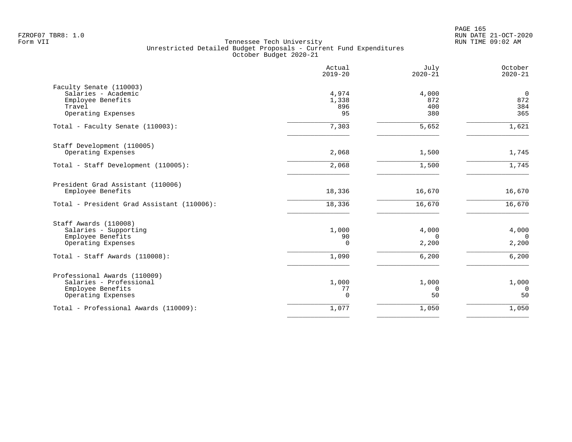PAGE 165 FZROF07 TBR8: 1.0 RUN DATE 21-OCT-2020

|                                                                                                                             | Actual<br>$2019 - 20$               | July<br>$2020 - 21$                 | October<br>$2020 - 21$              |
|-----------------------------------------------------------------------------------------------------------------------------|-------------------------------------|-------------------------------------|-------------------------------------|
| Faculty Senate (110003)<br>Salaries - Academic<br>Employee Benefits<br>Travel<br>Operating Expenses                         | 4,974<br>1,338<br>896<br>95         | 4,000<br>872<br>400<br>380          | $\mathbf 0$<br>872<br>384<br>365    |
| Total - Faculty Senate (110003):                                                                                            | 7,303                               | 5,652                               | 1,621                               |
| Staff Development (110005)<br>Operating Expenses                                                                            | 2,068                               | 1,500                               | 1,745                               |
| Total - Staff Development (110005):                                                                                         | 2,068                               | 1,500                               | 1,745                               |
| President Grad Assistant (110006)<br>Employee Benefits                                                                      | 18,336                              | 16,670                              | 16,670                              |
| Total - President Grad Assistant (110006):                                                                                  | 18,336                              | 16,670                              | 16,670                              |
| Staff Awards (110008)<br>Salaries - Supporting<br>Employee Benefits<br>Operating Expenses<br>Total - Staff Awards (110008): | 1,000<br>90<br>$\mathbf 0$<br>1,090 | 4,000<br>$\Omega$<br>2,200<br>6,200 | 4,000<br>$\Omega$<br>2,200<br>6,200 |
| Professional Awards (110009)<br>Salaries - Professional<br>Employee Benefits<br>Operating Expenses                          | 1,000<br>77<br>$\Omega$             | 1,000<br>$\Omega$<br>50             | 1,000<br>$\Omega$<br>50             |
| Total - Professional Awards (110009):                                                                                       | 1,077                               | 1,050                               | 1,050                               |
|                                                                                                                             |                                     |                                     |                                     |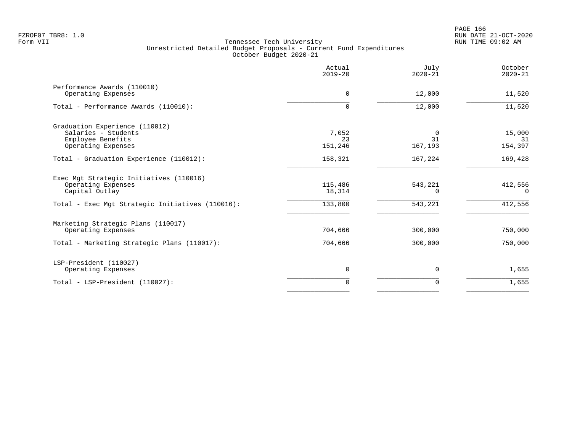| Actual<br>$2019 - 20$  | July<br>$2020 - 21$       | October<br>$2020 - 21$  |
|------------------------|---------------------------|-------------------------|
| $\Omega$               | 12,000                    | 11,520                  |
| $\Omega$               | 12,000                    | 11,520                  |
| 7,052<br>23<br>151,246 | $\Omega$<br>31<br>167,193 | 15,000<br>31<br>154,397 |
| 158,321                | 167,224                   | 169,428                 |
| 115,486<br>18,314      | 543,221<br>$\Omega$       | 412,556<br>$\Omega$     |
|                        |                           | 412,556                 |
| 704,666                | 300,000                   | 750,000                 |
| 704,666                | 300,000                   | 750,000                 |
| 0                      | 0                         | 1,655                   |
| $\Omega$               | $\Omega$                  | 1,655                   |
|                        | 133,800                   | 543,221                 |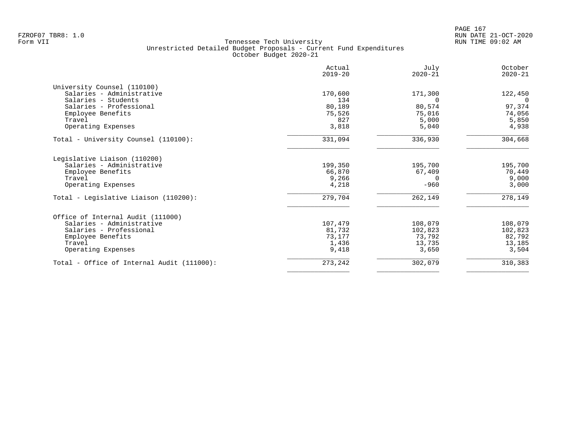| Actual<br>$2019 - 20$ | July<br>$2020 - 21$               | October<br>$2020 - 21$   |
|-----------------------|-----------------------------------|--------------------------|
|                       |                                   |                          |
| 170,600               | 171,300                           | 122,450                  |
| 134                   | $\Omega$                          | $\Omega$                 |
| 80,189                | 80,574                            | 97,374                   |
|                       |                                   | 74,056                   |
|                       |                                   | 5,850                    |
|                       |                                   | 4,938                    |
| 331,094               | 336,930                           | 304,668                  |
|                       |                                   |                          |
|                       | 195,700                           | 195,700                  |
| 66,870                | 67,409                            | 70,449                   |
| 9,266                 | $\Omega$                          | 9,000                    |
| 4,218                 | $-960$                            | 3,000                    |
| 279,704               | 262,149                           | 278,149                  |
|                       |                                   |                          |
| 107,479               | 108,079                           | 108,079                  |
| 81,732                | 102,823                           | 102,823                  |
| 73,177                | 73,792                            | 82,792                   |
| 1,436                 | 13,735                            | 13,185                   |
| 9,418                 | 3,650                             | 3,504                    |
| 273,242               | 302,079                           | 310,383                  |
|                       | 75,526<br>827<br>3,818<br>199,350 | 75,016<br>5,000<br>5,040 |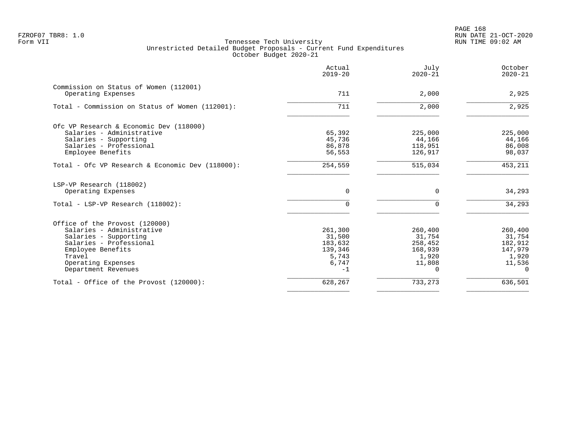|                                                  | Actual<br>$2019 - 20$ | July<br>$2020 - 21$ | October<br>$2020 - 21$ |
|--------------------------------------------------|-----------------------|---------------------|------------------------|
| Commission on Status of Women (112001)           |                       |                     |                        |
| Operating Expenses                               | 711                   | 2,000               | 2,925                  |
| Total - Commission on Status of Women (112001):  | 711                   | 2,000               | 2,925                  |
| Ofc VP Research & Economic Dev (118000)          |                       |                     |                        |
| Salaries - Administrative                        | 65,392                | 225,000             | 225,000                |
| Salaries - Supporting                            | 45,736                | 44,166              | 44,166                 |
| Salaries - Professional                          | 86,878                | 118,951             | 86,008                 |
| Employee Benefits                                | 56,553                | 126,917             | 98,037                 |
| Total - Ofc VP Research & Economic Dev (118000): | 254,559               | 515,034             | 453,211                |
| LSP-VP Research (118002)                         |                       |                     |                        |
| Operating Expenses                               | $\Omega$              | 0                   | 34,293                 |
| Total - LSP-VP Research (118002):                | $\cap$                | $\Omega$            | 34,293                 |
| Office of the Provost (120000)                   |                       |                     |                        |
| Salaries - Administrative                        | 261,300               | 260,400             | 260,400                |
| Salaries - Supporting                            | 31,500                | 31,754              | 31,754                 |
| Salaries - Professional                          | 183,632               | 258,452             | 182,912                |
| Employee Benefits                                | 139,346               | 168,939             | 147,979                |
| Travel                                           | 5,743                 | 1,920               | 1,920                  |
| Operating Expenses                               | 6,747                 | 11,808              | 11,536                 |
| Department Revenues                              | $-1$                  | $\Omega$            | $\Omega$               |
| Total - Office of the Provost (120000):          | 628,267               | 733,273             | 636,501                |
|                                                  |                       |                     |                        |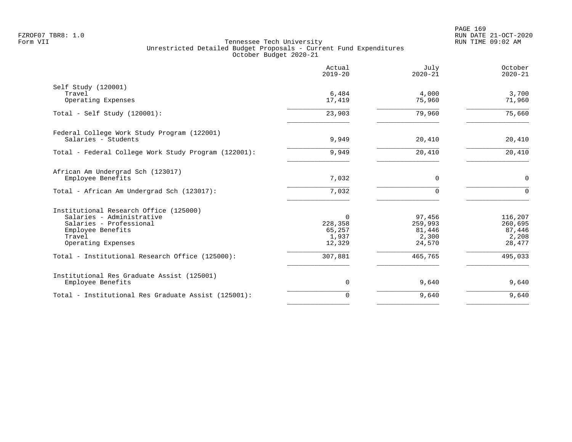|                                                                                                                                                     | Actual<br>$2019 - 20$                            | July<br>$2020 - 21$                            | October<br>$2020 - 21$                          |
|-----------------------------------------------------------------------------------------------------------------------------------------------------|--------------------------------------------------|------------------------------------------------|-------------------------------------------------|
| Self Study (120001)<br>Travel<br>Operating Expenses                                                                                                 | 6,484<br>17,419                                  | 4,000<br>75,960                                | 3,700<br>71,960                                 |
| Total - Self Study $(120001)$ :                                                                                                                     | 23,903                                           | 79,960                                         | 75,660                                          |
| Federal College Work Study Program (122001)<br>Salaries - Students                                                                                  | 9,949                                            | 20,410                                         | 20,410                                          |
| Total - Federal College Work Study Program (122001):                                                                                                | 9,949                                            | 20,410                                         | 20,410                                          |
| African Am Undergrad Sch (123017)<br>Employee Benefits                                                                                              | 7,032                                            | $\mathbf 0$                                    | $\mathbf 0$                                     |
| Total - African Am Undergrad Sch (123017):                                                                                                          | 7,032                                            | $\Omega$                                       | $\mathbf 0$                                     |
| Institutional Research Office (125000)<br>Salaries - Administrative<br>Salaries - Professional<br>Employee Benefits<br>Travel<br>Operating Expenses | $\Omega$<br>228,358<br>65,257<br>1,937<br>12,329 | 97,456<br>259,993<br>81,446<br>2,300<br>24,570 | 116,207<br>260,695<br>87,446<br>2,208<br>28,477 |
| Total - Institutional Research Office (125000):                                                                                                     | 307,881                                          | 465,765                                        | 495,033                                         |
| Institutional Res Graduate Assist (125001)<br>Employee Benefits                                                                                     | $\mathbf 0$                                      | 9,640                                          | 9,640                                           |
| Total - Institutional Res Graduate Assist (125001):                                                                                                 | $\mathbf 0$                                      | 9,640                                          | 9,640                                           |
|                                                                                                                                                     |                                                  |                                                |                                                 |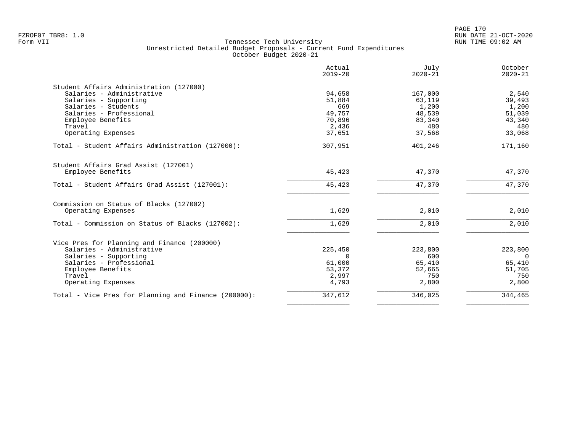|                                                      | Actual<br>$2019 - 20$ | July<br>$2020 - 21$ | October<br>$2020 - 21$ |
|------------------------------------------------------|-----------------------|---------------------|------------------------|
| Student Affairs Administration (127000)              |                       |                     |                        |
| Salaries - Administrative                            | 94,658                | 167,000             | 2,540                  |
| Salaries - Supporting                                | 51,884                | 63,119              | 39,493                 |
| Salaries - Students                                  | 669                   | 1,200               | 1,200                  |
| Salaries - Professional                              | 49,757                | 48,539              | 51,039                 |
| Employee Benefits                                    | 70,896                | 83,340              | 43,340                 |
| Travel                                               | 2,436                 | 480                 | 480                    |
| Operating Expenses                                   | 37,651                | 37,568              | 33,068                 |
| Total - Student Affairs Administration (127000):     | 307,951               | 401,246             | 171,160                |
| Student Affairs Grad Assist (127001)                 |                       |                     |                        |
| Employee Benefits                                    | 45,423                | 47,370              | 47,370                 |
| Total - Student Affairs Grad Assist (127001):        | 45,423                | 47,370              | 47,370                 |
| Commission on Status of Blacks (127002)              |                       |                     |                        |
| Operating Expenses                                   | 1,629                 | 2,010               | 2,010                  |
| Total - Commission on Status of Blacks (127002):     | 1,629                 | 2,010               | 2,010                  |
| Vice Pres for Planning and Finance (200000)          |                       |                     |                        |
| Salaries - Administrative                            | 225,450               | 223,800             | 223,800                |
| Salaries - Supporting                                | $\Omega$              | 600                 | $\overline{0}$         |
| Salaries - Professional                              | 61,000                | 65,410              | 65,410                 |
|                                                      |                       |                     | 51,705                 |
| Employee Benefits<br>Travel                          | 53,372<br>2,997       | 52,665<br>750       | 750                    |
|                                                      | 4,793                 | 2,800               | 2,800                  |
| Operating Expenses                                   |                       |                     |                        |
| Total - Vice Pres for Planning and Finance (200000): | 347,612               | 346,025             | 344,465                |
|                                                      |                       |                     |                        |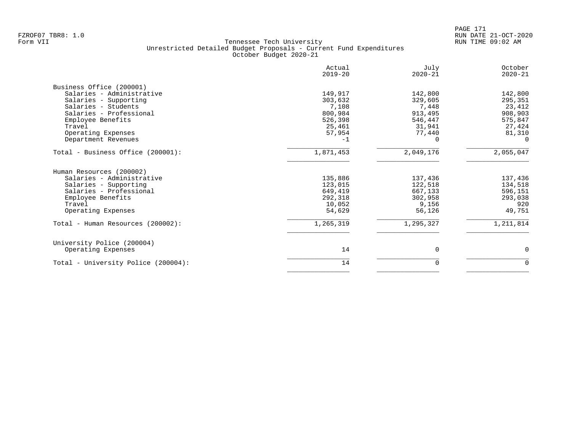|                                     | Actual<br>$2019 - 20$ | July<br>$2020 - 21$ | October<br>$2020 - 21$ |
|-------------------------------------|-----------------------|---------------------|------------------------|
| Business Office (200001)            |                       |                     |                        |
| Salaries - Administrative           | 149,917               | 142,800             | 142,800                |
| Salaries - Supporting               | 303,632               | 329,605             | 295,351                |
| Salaries - Students                 | 7,108                 | 7,448               | 23,412                 |
| Salaries - Professional             | 800,984               | 913,495             | 908,903                |
| Employee Benefits                   | 526,398               | 546,447             | 575,847                |
| Travel                              | 25,461                | 31,941              | 27,424                 |
| Operating Expenses                  | 57,954                | 77,440              | 81,310                 |
| Department Revenues                 | $-1$                  |                     | $\Omega$               |
| Total - Business Office (200001):   | 1,871,453             | 2,049,176           | 2,055,047              |
| Human Resources (200002)            |                       |                     |                        |
| Salaries - Administrative           | 135,886               | 137,436             | 137,436                |
| Salaries - Supporting               | 123,015               | 122,518             | 134,518                |
| Salaries - Professional             | 649,419               | 667,133             | 596,151                |
| Employee Benefits                   | 292,318               | 302,958             | 293,038                |
| Travel                              | 10,052                | 9,156               | 920                    |
| Operating Expenses                  | 54,629                | 56,126              | 49,751                 |
| Total - Human Resources (200002):   | 1,265,319             | 1,295,327           | 1,211,814              |
| University Police (200004)          |                       |                     |                        |
| Operating Expenses                  | 14                    | $\Omega$            | $\mathbf 0$            |
| Total - University Police (200004): | 14                    | 0                   | 0                      |
|                                     |                       |                     |                        |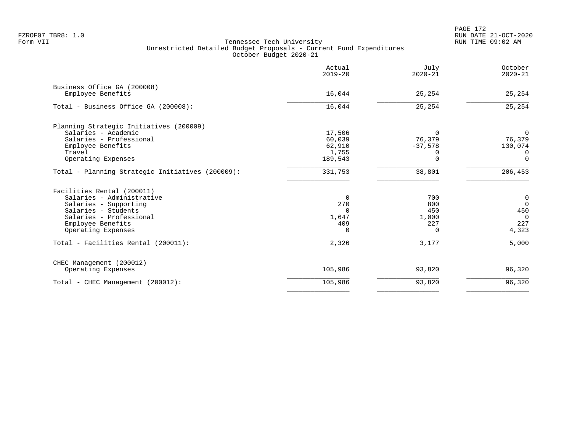PAGE 172 FZROF07 TBR8: 1.0 RUN DATE 21-OCT-2020

|                                                  | Actual<br>$2019 - 20$ | July<br>$2020 - 21$ | October<br>$2020 - 21$ |
|--------------------------------------------------|-----------------------|---------------------|------------------------|
| Business Office GA (200008)<br>Employee Benefits | 16,044                | 25,254              | 25,254                 |
|                                                  |                       |                     |                        |
| Total - Business Office GA (200008):             | 16,044                | 25,254              | 25,254                 |
| Planning Strategic Initiatives (200009)          |                       |                     |                        |
| Salaries - Academic                              | 17,506                | $\Omega$            | $\overline{0}$         |
| Salaries - Professional                          | 60,039                | 76,379              | 76,379                 |
| Employee Benefits                                | 62,910                | $-37,578$           | 130,074                |
| Travel                                           | 1,755                 | 0                   | 0                      |
| Operating Expenses                               | 189,543               | $\Omega$            | $\Omega$               |
| Total - Planning Strategic Initiatives (200009): | 331,753               | 38,801              | 206,453                |
| Facilities Rental (200011)                       |                       |                     |                        |
| Salaries - Administrative                        | 0                     | 700                 | $\mathbf 0$            |
| Salaries - Supporting                            | 270                   | 800                 | $\Omega$               |
| Salaries - Students                              | $\Omega$              | 450                 | 450                    |
| Salaries - Professional                          | 1,647                 | 1,000               | $\overline{0}$         |
| Employee Benefits                                | 409                   | 227                 | 227                    |
| Operating Expenses                               | $\Omega$              | $\Omega$            | 4,323                  |
| Total - Facilities Rental (200011):              | 2,326                 | 3,177               | 5,000                  |
| CHEC Management (200012)                         |                       |                     |                        |
| Operating Expenses                               | 105,986               | 93,820              | 96,320                 |
| Total - CHEC Management (200012):                | 105,986               | 93,820              | 96,320                 |
|                                                  |                       |                     |                        |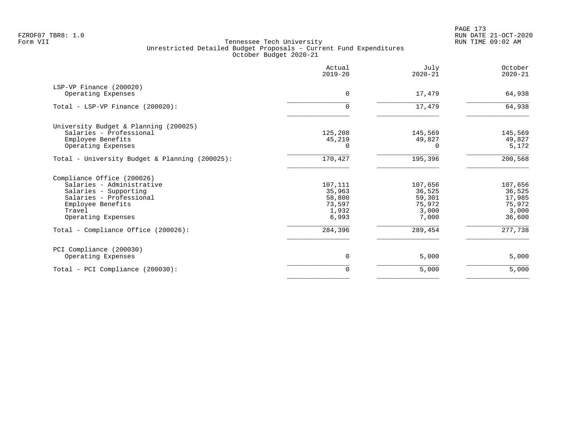|                                                | Actual<br>$2019 - 20$ | July<br>$2020 - 21$ | October<br>$2020 - 21$ |
|------------------------------------------------|-----------------------|---------------------|------------------------|
| LSP-VP Finance (200020)                        | $\Omega$              |                     |                        |
| Operating Expenses                             |                       | 17,479              | 64,938                 |
| Total - LSP-VP Finance $(200020)$ :            | 0                     | 17,479              | 64,938                 |
| University Budget & Planning (200025)          |                       |                     |                        |
| Salaries - Professional                        | 125,208               | 145,569             | 145,569                |
| Employee Benefits                              | 45,219                | 49,827              | 49,827                 |
| Operating Expenses                             | $\Omega$              | Ω                   | 5,172                  |
| Total - University Budget & Planning (200025): | 170,427               | 195,396             | 200,568                |
| Compliance Office (200026)                     |                       |                     |                        |
| Salaries - Administrative                      | 107,111               | 107,656             | 107,656                |
| Salaries - Supporting                          | 35,963                | 36,525              | 36,525                 |
| Salaries - Professional                        | 58,800                | 59,301              | 17,985                 |
| Employee Benefits                              | 73,597                | 75,972              | 75,972                 |
| Travel                                         | 1,932                 | 3,000               | 3,000                  |
| Operating Expenses                             | 6,993                 | 7,000               | 36,600                 |
| Total - Compliance Office (200026):            | 284,396               | 289,454             | 277,738                |
| PCI Compliance (200030)                        |                       |                     |                        |
| Operating Expenses                             | 0                     | 5,000               | 5,000                  |
| Total - PCI Compliance (200030):               | $\mathbf 0$           | 5,000               | 5,000                  |
|                                                |                       |                     |                        |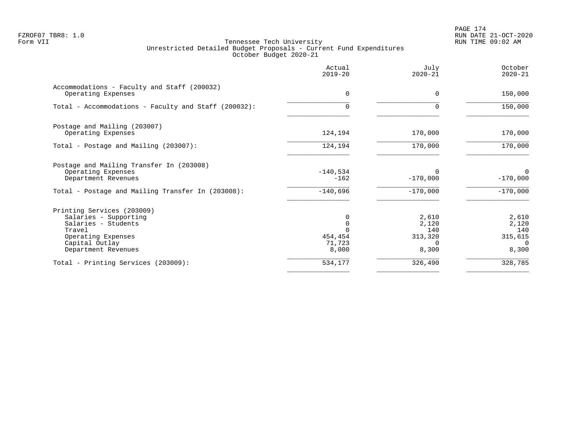PAGE 174 FZROF07 TBR8: 1.0 RUN DATE 21-OCT-2020

|                                                                   | Actual<br>$2019 - 20$ | July<br>$2020 - 21$ | October<br>$2020 - 21$ |
|-------------------------------------------------------------------|-----------------------|---------------------|------------------------|
| Accommodations - Faculty and Staff (200032)<br>Operating Expenses | $\Omega$              | $\Omega$            | 150,000                |
| Total - Accommodations - Faculty and Staff (200032):              | $\Omega$              | $\Omega$            | 150,000                |
| Postage and Mailing (203007)                                      |                       |                     |                        |
| Operating Expenses                                                | 124,194               | 170,000             | 170,000                |
| Total - Postage and Mailing (203007):                             | 124,194               | 170,000             | 170,000                |
| Postage and Mailing Transfer In (203008)                          |                       |                     |                        |
| Operating Expenses                                                | $-140,534$            |                     | 0                      |
| Department Revenues                                               | $-162$                | $-170,000$          | $-170,000$             |
| Total - Postage and Mailing Transfer In (203008):                 | $-140,696$            | $-170,000$          | $-170,000$             |
| Printing Services (203009)                                        |                       |                     |                        |
| Salaries - Supporting                                             |                       | 2,610               | 2,610                  |
| Salaries - Students                                               |                       | 2,120               | 2,120                  |
| Travel                                                            |                       | 140                 | 140                    |
| Operating Expenses                                                | 454,454               | 313,320             | 315,615                |
| Capital Outlay                                                    | 71,723                | $\Omega$            | $\Omega$               |
| Department Revenues                                               | 8,000                 | 8,300               | 8,300                  |
| Total - Printing Services (203009):                               | 534,177               | 326,490             | 328,785                |
|                                                                   |                       |                     |                        |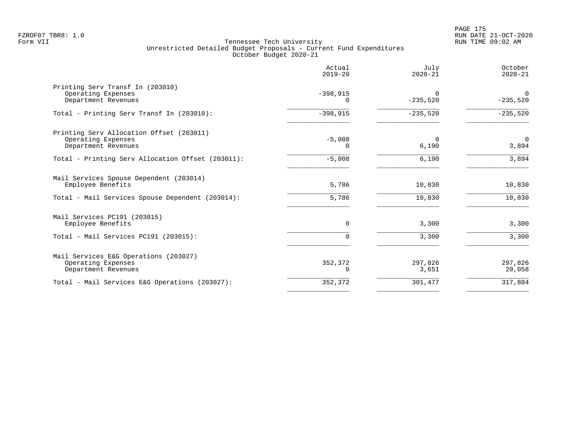|                                                                                       | Actual<br>$2019 - 20$ | July<br>$2020 - 21$    | October<br>$2020 - 21$    |
|---------------------------------------------------------------------------------------|-----------------------|------------------------|---------------------------|
| Printing Serv Transf In (203010)<br>Operating Expenses<br>Department Revenues         | $-398,915$<br>0       | $\Omega$<br>$-235,520$ | $\mathbf 0$<br>$-235,520$ |
| Total - Printing Serv Transf In (203010):                                             | $-398,915$            | $-235,520$             | $-235,520$                |
| Printing Serv Allocation Offset (203011)<br>Operating Expenses<br>Department Revenues | $-5,008$<br>$\Omega$  | $\Omega$<br>6,190      | $\Omega$<br>3,894         |
| Total - Printing Serv Allocation Offset (203011):                                     | $-5,008$              | 6,190                  | 3,894                     |
| Mail Services Spouse Dependent (203014)<br>Employee Benefits                          | 5,786                 | 10,830                 | 10,830                    |
| Total - Mail Services Spouse Dependent (203014):                                      | 5,786                 | 10,830                 | 10,830                    |
| Mail Services PC191 (203015)<br>Employee Benefits                                     | $\Omega$              | 3,300                  | 3,300                     |
| Total - Mail Services PC191 (203015):                                                 | 0                     | 3,300                  | 3,300                     |
| Mail Services E&G Operations (203027)<br>Operating Expenses<br>Department Revenues    | 352,372<br>0          | 297,826<br>3,651       | 297,826<br>20,058         |
| Total - Mail Services E&G Operations (203027):                                        | 352,372               | 301,477                | 317,884                   |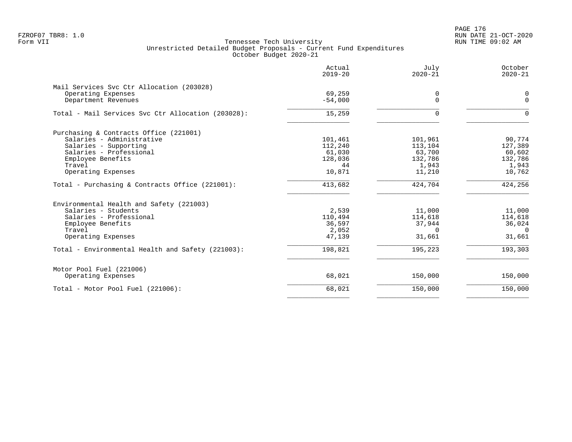PAGE 176 FZROF07 TBR8: 1.0 RUN DATE 21-OCT-2020

|                                                    | Actual<br>$2019 - 20$ | July<br>$2020 - 21$ | October<br>$2020 - 21$ |
|----------------------------------------------------|-----------------------|---------------------|------------------------|
| Mail Services Svc Ctr Allocation (203028)          |                       |                     |                        |
| Operating Expenses                                 | 69,259                | 0                   | 0                      |
| Department Revenues                                | $-54,000$             | $\Omega$            | $\Omega$               |
| Total - Mail Services Svc Ctr Allocation (203028): | 15,259                | $\Omega$            | $\Omega$               |
| Purchasing & Contracts Office (221001)             |                       |                     |                        |
| Salaries - Administrative                          | 101,461               | 101,961             | 90,774                 |
| Salaries - Supporting                              | 112,240               | 113,104             | 127,389                |
| Salaries - Professional                            | 61,030                | 63,700              | 60,602                 |
| Employee Benefits                                  | 128,036               | 132,786             | 132,786                |
| Travel                                             | 44                    | 1,943               | 1,943                  |
| Operating Expenses                                 | 10,871                | 11,210              | 10,762                 |
| Total - Purchasing & Contracts Office (221001):    | 413,682               | 424,704             | 424,256                |
| Environmental Health and Safety (221003)           |                       |                     |                        |
| Salaries - Students                                | 2,539                 | 11,000              | 11,000                 |
| Salaries - Professional                            | 110,494               | 114,618             | 114,618                |
| Employee Benefits                                  | 36,597                | 37,944              | 36,024                 |
| Travel                                             | 2,052                 | $\Omega$            | $\cap$                 |
| Operating Expenses                                 | 47,139                | 31,661              | 31,661                 |
| Total - Environmental Health and Safety (221003):  | 198,821               | 195,223             | 193,303                |
| Motor Pool Fuel (221006)                           |                       |                     |                        |
| Operating Expenses                                 | 68,021                | 150,000             | 150,000                |
| Total - Motor Pool Fuel (221006):                  | 68,021                | 150,000             | 150,000                |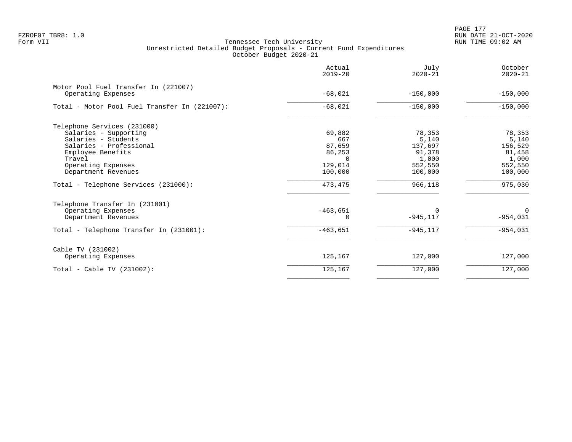PAGE 177 FZROF07 TBR8: 1.0 RUN DATE 21-OCT-2020

|                                                            | Actual<br>$2019 - 20$ | July<br>$2020 - 21$ | October<br>$2020 - 21$ |
|------------------------------------------------------------|-----------------------|---------------------|------------------------|
| Motor Pool Fuel Transfer In (221007)<br>Operating Expenses | $-68,021$             | $-150,000$          | $-150,000$             |
|                                                            |                       |                     |                        |
| Total - Motor Pool Fuel Transfer In (221007):              | $-68,021$             | $-150,000$          | $-150,000$             |
| Telephone Services (231000)                                |                       |                     |                        |
| Salaries - Supporting                                      | 69,882                | 78,353              | 78,353                 |
| Salaries - Students                                        | 667                   | 5,140               | 5,140                  |
| Salaries - Professional                                    | 87,659                | 137,697             | 156,529                |
| Employee Benefits                                          | 86,253                | 91,378              | 81,458                 |
| Travel                                                     |                       | 1,000               | 1,000                  |
| Operating Expenses                                         | 129,014               | 552,550             | 552,550                |
| Department Revenues                                        | 100,000               | 100,000             | 100,000                |
| Total - Telephone Services (231000):                       | 473,475               | 966,118             | 975,030                |
| Telephone Transfer In (231001)                             |                       |                     |                        |
| Operating Expenses                                         | $-463,651$            | $\Omega$            | $\Omega$               |
| Department Revenues                                        | 0                     | $-945, 117$         | $-954,031$             |
| Total - Telephone Transfer In (231001):                    | $-463,651$            | $-945, 117$         | $-954,031$             |
| Cable TV (231002)                                          |                       |                     |                        |
| Operating Expenses                                         | 125,167               | 127,000             | 127,000                |
| Total - Cable TV $(231002)$ :                              | 125,167               | 127,000             | 127,000                |
|                                                            |                       |                     |                        |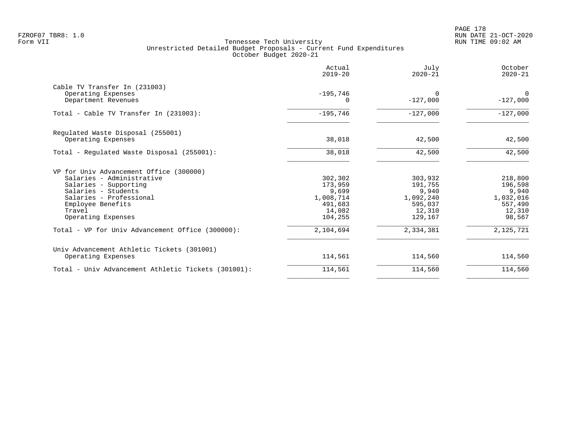|                                                     | Actual<br>$2019 - 20$ | July<br>$2020 - 21$    | October<br>$2020 - 21$ |
|-----------------------------------------------------|-----------------------|------------------------|------------------------|
| Cable TV Transfer In (231003)                       |                       |                        |                        |
| Operating Expenses<br>Department Revenues           | $-195,746$<br>O       | $\Omega$<br>$-127,000$ | $\Omega$<br>$-127,000$ |
| Total - Cable TV Transfer In (231003):              | $-195,746$            | $-127,000$             | $-127,000$             |
| Regulated Waste Disposal (255001)                   |                       |                        |                        |
| Operating Expenses                                  | 38,018                | 42,500                 | 42,500                 |
| Total - Regulated Waste Disposal (255001):          | 38,018                | 42,500                 | 42,500                 |
| VP for Univ Advancement Office (300000)             |                       |                        |                        |
| Salaries - Administrative                           | 302,302               | 303,932                | 218,800                |
| Salaries - Supporting                               | 173,959               | 191,755                | 196,598                |
| Salaries - Students                                 | 9,699                 | 9,940                  | 9,940                  |
| Salaries - Professional<br>Employee Benefits        | 1,008,714<br>491,683  | 1,092,240<br>595,037   | 1,032,016<br>557,490   |
| Travel                                              | 14,082                | 12,310                 | 12,310                 |
| Operating Expenses                                  | 104,255               | 129,167                | 98,567                 |
| Total - VP for Univ Advancement Office (300000):    | 2,104,694             | 2,334,381              | 2,125,721              |
| Univ Advancement Athletic Tickets (301001)          |                       |                        |                        |
| Operating Expenses                                  | 114,561               | 114,560                | 114,560                |
| Total - Univ Advancement Athletic Tickets (301001): | 114,561               | 114,560                | 114,560                |
|                                                     |                       |                        |                        |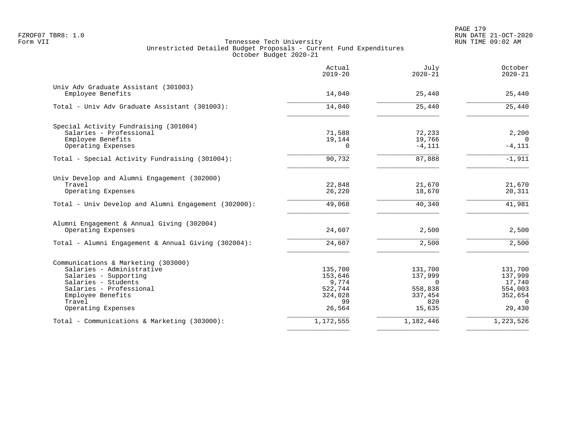PAGE 179 FZROF07 TBR8: 1.0 RUN DATE 21-OCT-2020

|                                                                  | Actual<br>$2019 - 20$ | July<br>$2020 - 21$ | October<br>$2020 - 21$ |
|------------------------------------------------------------------|-----------------------|---------------------|------------------------|
| Univ Adv Graduate Assistant (301003)                             |                       |                     |                        |
| Employee Benefits                                                | 14,040                | 25,440              | 25,440                 |
| Total - Univ Adv Graduate Assistant (301003):                    | 14,040                | 25,440              | 25,440                 |
| Special Activity Fundraising (301004)                            |                       |                     |                        |
| Salaries - Professional                                          | 71,588                | 72,233              | 2,200                  |
| Employee Benefits                                                | 19,144                | 19,766              |                        |
| Operating Expenses                                               | $\Omega$              | $-4,111$            | $-4,111$               |
| Total - Special Activity Fundraising (301004):                   | 90,732                | 87,888              | $-1,911$               |
| Univ Develop and Alumni Engagement (302000)                      |                       |                     |                        |
| Travel                                                           | 22,848                | 21,670              | 21,670                 |
| Operating Expenses                                               | 26,220                | 18,670              | 20,311                 |
| Total - Univ Develop and Alumni Engagement (302000):             | 49,068                | 40,340              | 41,981                 |
| Alumni Engagement & Annual Giving (302004)<br>Operating Expenses | 24,607                | 2,500               | 2,500                  |
|                                                                  |                       |                     |                        |
| Total - Alumni Engagement & Annual Giving (302004):              | 24,607                | 2,500               | 2,500                  |
| Communications & Marketing (303000)                              |                       |                     |                        |
| Salaries - Administrative                                        | 135,700               | 131,700             | 131,700                |
| Salaries - Supporting                                            | 153,646               | 137,999             | 137,999                |
| Salaries - Students                                              | 9,774                 | $\Omega$            | 17,740                 |
| Salaries - Professional<br>Employee Benefits                     | 522,744<br>324,028    | 558,838<br>337,454  | 554,003<br>352,654     |
| Travel                                                           | 99                    | 820                 | $\Omega$               |
| Operating Expenses                                               | 26,564                | 15,635              | 29,430                 |
| Total - Communications & Marketing (303000):                     | 1,172,555             | 1,182,446           | 1,223,526              |
|                                                                  |                       |                     |                        |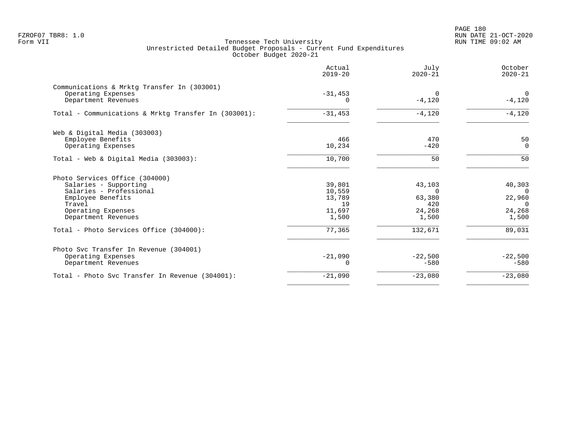PAGE 180 FZROF07 TBR8: 1.0 RUN DATE 21-OCT-2020

| Actual<br>$2019 - 20$ | July<br>$2020 - 21$                        | October<br>$2020 - 21$ |
|-----------------------|--------------------------------------------|------------------------|
|                       |                                            |                        |
|                       | $\Omega$                                   | $\Omega$               |
| $\Omega$              | $-4,120$                                   | $-4,120$               |
| $-31,453$             | $-4,120$                                   | $-4,120$               |
|                       |                                            |                        |
| 466                   | 470                                        | 50                     |
| 10,234                | $-420$                                     | $\Omega$               |
| 10,700                | 50                                         | 50                     |
|                       |                                            |                        |
|                       |                                            | 40,303                 |
|                       | $\Omega$                                   | $\Omega$               |
| 13,789                | 63,380                                     | 22,960                 |
| 19                    | 420                                        | $\Omega$               |
| 11,697                | 24,268                                     | 24,268                 |
| 1,500                 | 1,500                                      | 1,500                  |
| 77,365                | 132,671                                    | 89,031                 |
|                       |                                            |                        |
|                       |                                            | $-22,500$              |
| 0                     | $-580$                                     | $-580$                 |
| $-21,090$             | $-23,080$                                  | $-23,080$              |
|                       | $-31,453$<br>39,801<br>10,559<br>$-21,090$ | 43,103<br>$-22,500$    |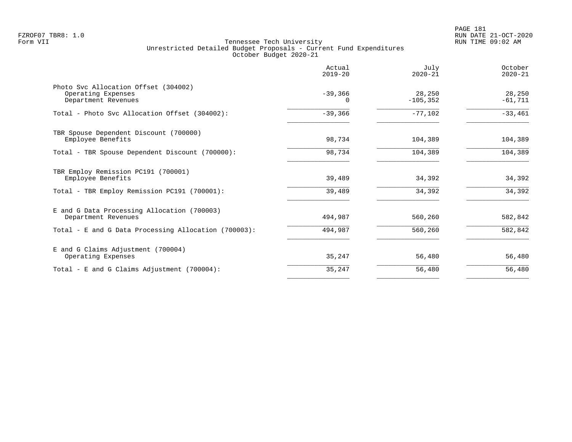|                                                                                   | Actual<br>$2019 - 20$ | July<br>$2020 - 21$   | October<br>$2020 - 21$ |
|-----------------------------------------------------------------------------------|-----------------------|-----------------------|------------------------|
| Photo Svc Allocation Offset (304002)<br>Operating Expenses<br>Department Revenues | $-39,366$<br>0        | 28,250<br>$-105, 352$ | 28,250<br>$-61,711$    |
| Total - Photo Svc Allocation Offset (304002):                                     | $-39,366$             | $-77,102$             | $-33,461$              |
| TBR Spouse Dependent Discount (700000)<br>Employee Benefits                       | 98,734                | 104,389               | 104,389                |
| Total - TBR Spouse Dependent Discount (700000):                                   | 98,734                | 104,389               | 104,389                |
| TBR Employ Remission PC191 (700001)<br>Employee Benefits                          | 39,489                | 34,392                | 34,392                 |
| Total - TBR Employ Remission PC191 (700001):                                      | 39,489                | 34,392                | 34,392                 |
| E and G Data Processing Allocation (700003)<br>Department Revenues                | 494,987               | 560,260               | 582,842                |
| Total - E and G Data Processing Allocation (700003):                              | 494,987               | 560,260               | 582,842                |
| E and G Claims Adjustment (700004)<br>Operating Expenses                          | 35,247                | 56,480                | 56,480                 |
| Total - E and G Claims Adjustment $(700004)$ :                                    | 35,247                | 56,480                | 56,480                 |
|                                                                                   |                       |                       |                        |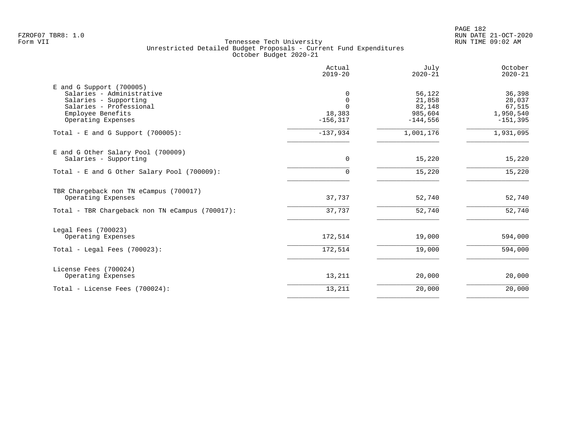PAGE 182 FZROF07 TBR8: 1.0 RUN DATE 21-OCT-2020

|                                                                                                                                                        | Actual<br>$2019 - 20$                                 | July<br>$2020 - 21$                                 | October<br>$2020 - 21$                                |
|--------------------------------------------------------------------------------------------------------------------------------------------------------|-------------------------------------------------------|-----------------------------------------------------|-------------------------------------------------------|
| $E$ and G Support (700005)<br>Salaries - Administrative<br>Salaries - Supporting<br>Salaries - Professional<br>Employee Benefits<br>Operating Expenses | 0<br>$\mathbf 0$<br>$\Omega$<br>18,383<br>$-156, 317$ | 56,122<br>21,858<br>82,148<br>985,604<br>$-144,556$ | 36,398<br>28,037<br>67,515<br>1,950,540<br>$-151,395$ |
| Total - E and G Support $(700005)$ :                                                                                                                   | $-137,934$                                            | 1,001,176                                           | 1,931,095                                             |
| E and G Other Salary Pool (700009)<br>Salaries - Supporting                                                                                            | 0                                                     | 15,220                                              | 15,220                                                |
| Total - E and G Other Salary Pool (700009):                                                                                                            | $\Omega$                                              | 15,220                                              | 15,220                                                |
| TBR Chargeback non TN eCampus (700017)<br>Operating Expenses                                                                                           | 37,737                                                | 52,740                                              | 52,740                                                |
| Total - TBR Chargeback non TN eCampus (700017):                                                                                                        | 37,737                                                | 52,740                                              | 52,740                                                |
| Legal Fees (700023)<br>Operating Expenses                                                                                                              | 172,514                                               | 19,000                                              | 594,000                                               |
| Total - Legal Fees $(700023)$ :                                                                                                                        | 172,514                                               | 19,000                                              | 594,000                                               |
| License Fees (700024)<br>Operating Expenses                                                                                                            | 13,211                                                | 20,000                                              | 20,000                                                |
| Total - License Fees (700024):                                                                                                                         | 13,211                                                | 20,000                                              | 20,000                                                |
|                                                                                                                                                        |                                                       |                                                     |                                                       |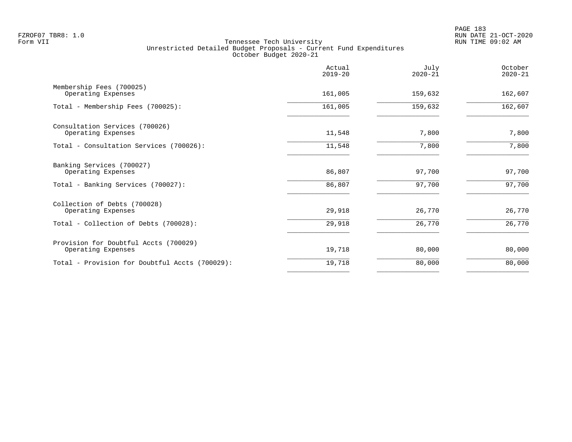|                                                             | Actual<br>$2019 - 20$ | July<br>$2020 - 21$ | October<br>$2020 - 21$ |
|-------------------------------------------------------------|-----------------------|---------------------|------------------------|
| Membership Fees (700025)<br>Operating Expenses              | 161,005               | 159,632             | 162,607                |
| Total - Membership Fees (700025):                           | 161,005               | 159,632             | 162,607                |
| Consultation Services (700026)<br>Operating Expenses        | 11,548                | 7,800               | 7,800                  |
| Total - Consultation Services (700026):                     | 11,548                | 7,800               | 7,800                  |
| Banking Services (700027)<br>Operating Expenses             | 86,807                | 97,700              | 97,700                 |
| Total - Banking Services (700027):                          | 86,807                | 97,700              | 97,700                 |
| Collection of Debts (700028)<br>Operating Expenses          | 29,918                | 26,770              | 26,770                 |
| Total - Collection of Debts (700028):                       | 29,918                | 26,770              | 26,770                 |
| Provision for Doubtful Accts (700029)<br>Operating Expenses | 19,718                | 80,000              | 80,000                 |
| Total - Provision for Doubtful Accts (700029):              | 19,718                | 80,000              | 80,000                 |
|                                                             |                       |                     |                        |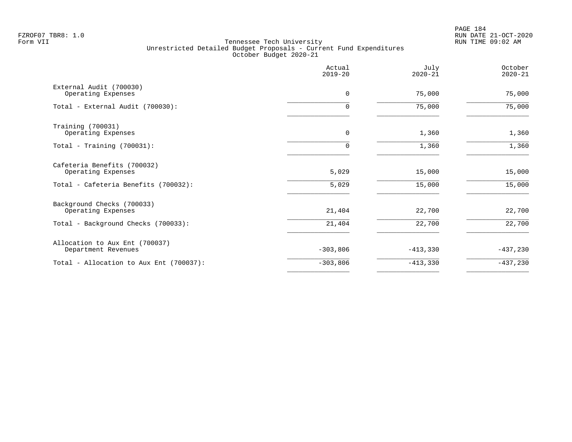PAGE 184 FZROF07 TBR8: 1.0 RUN DATE 21-OCT-2020

|                                                       | Actual<br>$2019 - 20$ | July<br>$2020 - 21$ | October<br>$2020 - 21$ |
|-------------------------------------------------------|-----------------------|---------------------|------------------------|
| External Audit (700030)<br>Operating Expenses         | 0                     | 75,000              | 75,000                 |
| Total - External Audit (700030):                      | 0                     | 75,000              | 75,000                 |
| Training (700031)<br>Operating Expenses               | 0                     | 1,360               | 1,360                  |
| Total - Training $(700031)$ :                         | 0                     | 1,360               | 1,360                  |
| Cafeteria Benefits (700032)<br>Operating Expenses     | 5,029                 | 15,000              | 15,000                 |
| Total - Cafeteria Benefits (700032):                  | 5,029                 | 15,000              | 15,000                 |
| Background Checks (700033)<br>Operating Expenses      | 21,404                | 22,700              | 22,700                 |
| Total - Background Checks (700033):                   | 21,404                | 22,700              | 22,700                 |
| Allocation to Aux Ent (700037)<br>Department Revenues | $-303,806$            | $-413,330$          | $-437,230$             |
| Total - Allocation to Aux Ent (700037):               | $-303,806$            | $-413,330$          | $-437,230$             |
|                                                       |                       |                     |                        |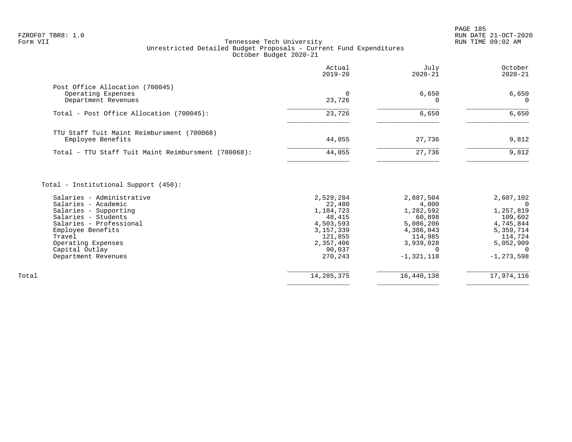|                                                                                                                                                                                                                                            | Actual<br>$2019 - 20$                                                                                    | July<br>$2020 - 21$                                                                         | October<br>$2020 - 21$                                                                     |
|--------------------------------------------------------------------------------------------------------------------------------------------------------------------------------------------------------------------------------------------|----------------------------------------------------------------------------------------------------------|---------------------------------------------------------------------------------------------|--------------------------------------------------------------------------------------------|
| Post Office Allocation (700045)<br>Operating Expenses<br>Department Revenues                                                                                                                                                               | $\Omega$<br>23,726                                                                                       | 6,650<br>O                                                                                  | 6,650<br>$\Omega$                                                                          |
| Total - Post Office Allocation (700045):                                                                                                                                                                                                   | 23,726                                                                                                   | 6,650                                                                                       | 6,650                                                                                      |
| TTU Staff Tuit Maint Reimbursment (700068)<br>Employee Benefits                                                                                                                                                                            | 44,055                                                                                                   | 27,736                                                                                      | 9,812                                                                                      |
| Total - TTU Staff Tuit Maint Reimbursment (700068):                                                                                                                                                                                        | 44,055                                                                                                   | 27,736                                                                                      | 9,812                                                                                      |
| Total - Institutional Support (450):<br>Salaries - Administrative<br>Salaries - Academic<br>Salaries - Supporting<br>Salaries - Students<br>Salaries - Professional<br>Employee Benefits<br>Travel<br>Operating Expenses<br>Capital Outlay | 2,529,284<br>22,480<br>1,184,723<br>48,415<br>4,503,593<br>3, 157, 339<br>121,855<br>2,357,406<br>90,037 | 2,887,504<br>4,000<br>1,282,592<br>60,898<br>5,086,206<br>4,386,043<br>114,985<br>3,939,028 | 2,607,102<br>- 0<br>1,257,819<br>109,602<br>4,745,844<br>5,359,714<br>114,724<br>5,052,909 |
| Department Revenues                                                                                                                                                                                                                        | 270,243                                                                                                  | $-1, 321, 118$                                                                              | $-1, 273, 598$                                                                             |
| Total                                                                                                                                                                                                                                      |                                                                                                          |                                                                                             |                                                                                            |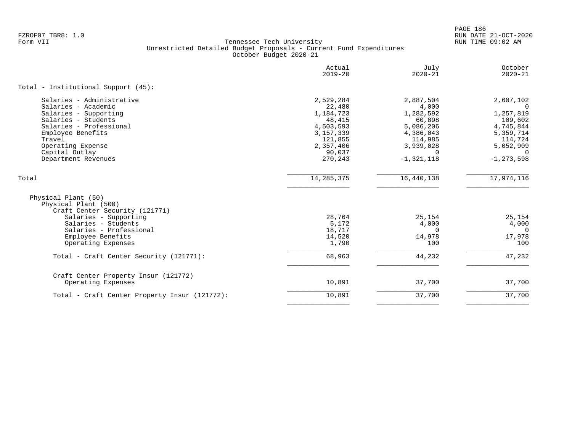|                                                                                                                                                                                                                          | Actual<br>$2019 - 20$                                                                                               | July<br>$2020 - 21$                                                                                                | October<br>$2020 - 21$                                                                                            |
|--------------------------------------------------------------------------------------------------------------------------------------------------------------------------------------------------------------------------|---------------------------------------------------------------------------------------------------------------------|--------------------------------------------------------------------------------------------------------------------|-------------------------------------------------------------------------------------------------------------------|
| Total - Institutional Support (45):                                                                                                                                                                                      |                                                                                                                     |                                                                                                                    |                                                                                                                   |
| Salaries - Administrative<br>Salaries - Academic<br>Salaries - Supporting<br>Salaries - Students<br>Salaries - Professional<br>Employee Benefits<br>Travel<br>Operating Expense<br>Capital Outlay<br>Department Revenues | 2,529,284<br>22,480<br>1,184,723<br>48,415<br>4,503,593<br>3, 157, 339<br>121,855<br>2,357,406<br>90,037<br>270,243 | 2,887,504<br>4,000<br>1,282,592<br>60,898<br>5,086,206<br>4,386,043<br>114,985<br>3,939,028<br>0<br>$-1, 321, 118$ | 2,607,102<br>1,257,819<br>109,602<br>4,745,844<br>5,359,714<br>114,724<br>5,052,909<br>$\Omega$<br>$-1, 273, 598$ |
| Total                                                                                                                                                                                                                    | 14, 285, 375                                                                                                        | 16,440,138                                                                                                         | 17,974,116                                                                                                        |
| Physical Plant (50)<br>Physical Plant (500)<br>Craft Center Security (121771)<br>Salaries - Supporting<br>Salaries - Students<br>Salaries - Professional<br>Employee Benefits                                            | 28,764<br>5,172<br>18,717<br>14,520                                                                                 | 25,154<br>4,000<br>$\Omega$<br>14,978                                                                              | 25,154<br>4,000<br>$\Omega$<br>17,978                                                                             |
| Operating Expenses<br>Total - Craft Center Security (121771):                                                                                                                                                            | 1,790<br>68,963                                                                                                     | 100<br>44,232                                                                                                      | 100<br>47,232                                                                                                     |
| Craft Center Property Insur (121772)<br>Operating Expenses                                                                                                                                                               | 10,891                                                                                                              | 37,700                                                                                                             | 37,700                                                                                                            |
| Total - Craft Center Property Insur (121772):                                                                                                                                                                            | 10,891                                                                                                              | 37,700                                                                                                             | 37,700                                                                                                            |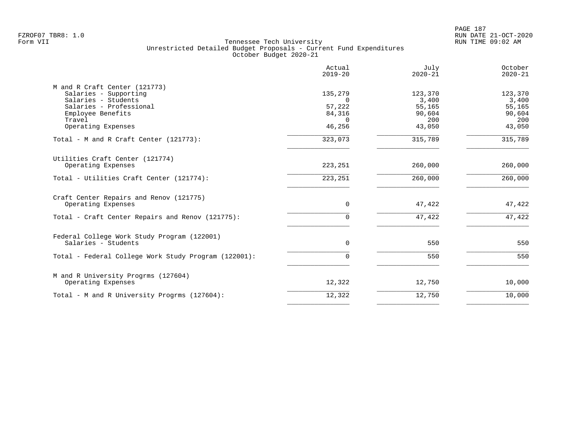|                                                                                                                                                               | Actual<br>$2019 - 20$                                         | July<br>$2020 - 21$                                   | October<br>$2020 - 21$                                |
|---------------------------------------------------------------------------------------------------------------------------------------------------------------|---------------------------------------------------------------|-------------------------------------------------------|-------------------------------------------------------|
| M and R Craft Center (121773)<br>Salaries - Supporting<br>Salaries - Students<br>Salaries - Professional<br>Employee Benefits<br>Travel<br>Operating Expenses | 135,279<br>$\Omega$<br>57,222<br>84,316<br>$\Omega$<br>46,256 | 123,370<br>3,400<br>55,165<br>90,604<br>200<br>43,050 | 123,370<br>3,400<br>55,165<br>90,604<br>200<br>43,050 |
| Total - M and R Craft Center (121773):                                                                                                                        | 323,073                                                       | 315,789                                               | 315,789                                               |
| Utilities Craft Center (121774)<br>Operating Expenses<br>Total - Utilities Craft Center (121774):                                                             | 223,251<br>223, 251                                           | 260,000<br>260,000                                    | 260,000<br>260,000                                    |
|                                                                                                                                                               |                                                               |                                                       |                                                       |
| Craft Center Repairs and Renov (121775)<br>Operating Expenses                                                                                                 | $\mathbf 0$                                                   | 47,422                                                | 47,422                                                |
| Total - Craft Center Repairs and Renov (121775):                                                                                                              | 0                                                             | 47,422                                                | 47,422                                                |
| Federal College Work Study Program (122001)<br>Salaries - Students                                                                                            | $\mathbf{0}$                                                  | 550                                                   | 550                                                   |
| Total - Federal College Work Study Program (122001):                                                                                                          | 0                                                             | 550                                                   | 550                                                   |
| M and R University Progrms (127604)<br>Operating Expenses                                                                                                     | 12,322                                                        | 12,750                                                | 10,000                                                |
| Total - M and R University Progrms (127604):                                                                                                                  | 12,322                                                        | 12,750                                                | 10,000                                                |
|                                                                                                                                                               |                                                               |                                                       |                                                       |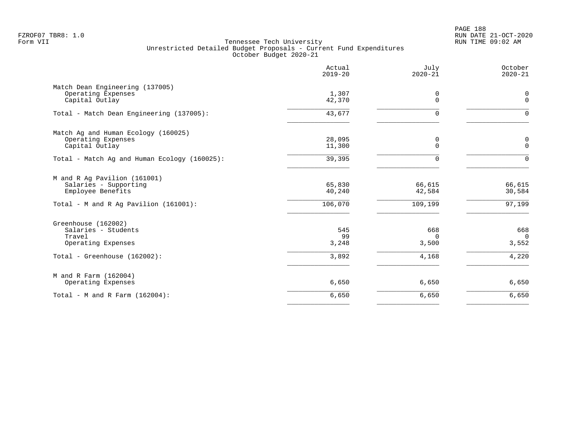PAGE 188 FZROF07 TBR8: 1.0 RUN DATE 21-OCT-2020

|                                                                                                                     | Actual<br>$2019 - 20$       | July<br>$2020 - 21$               | October<br>$2020 - 21$            |
|---------------------------------------------------------------------------------------------------------------------|-----------------------------|-----------------------------------|-----------------------------------|
| Match Dean Engineering (137005)<br>Operating Expenses<br>Capital Outlay                                             | 1,307<br>42,370             | 0<br>$\mathbf 0$                  | 0<br>$\mathbf 0$                  |
| Total - Match Dean Engineering (137005):                                                                            | 43,677                      | $\mathbf 0$                       | $\Omega$                          |
| Match Ag and Human Ecology (160025)<br>Operating Expenses<br>Capital Outlay                                         | 28,095<br>11,300            | 0<br>$\mathbf 0$                  | 0<br>$\mathbf 0$                  |
| Total - Match Ag and Human Ecology (160025):                                                                        | 39,395                      | $\mathbf 0$                       | $\mathbf 0$                       |
| M and R Ag Pavilion (161001)<br>Salaries - Supporting<br>Employee Benefits<br>Total - M and R Aq Pavilion (161001): | 65,830<br>40,240<br>106,070 | 66,615<br>42,584<br>109,199       | 66,615<br>30,584<br>97,199        |
| Greenhouse (162002)<br>Salaries - Students<br>Travel<br>Operating Expenses<br>Total - Greenhouse (162002):          | 545<br>99<br>3,248<br>3,892 | 668<br>$\Omega$<br>3,500<br>4,168 | 668<br>$\Omega$<br>3,552<br>4,220 |
| M and R Farm (162004)<br>Operating Expenses                                                                         | 6,650                       | 6,650                             | 6,650                             |
| Total - M and R Farm $(162004)$ :                                                                                   | 6,650                       | 6,650                             | 6,650                             |
|                                                                                                                     |                             |                                   |                                   |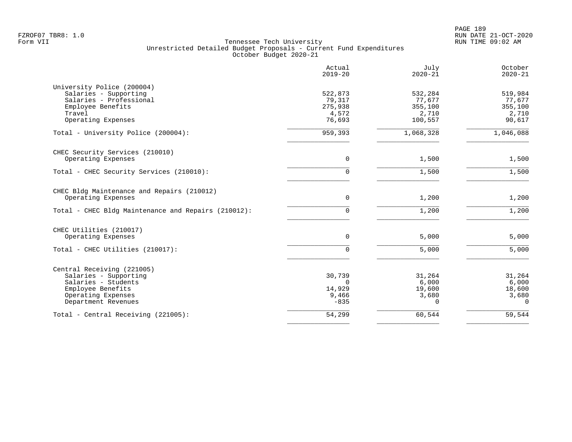PAGE 189 FZROF07 TBR8: 1.0 RUN DATE 21-OCT-2020

| Actual<br>$2019 - 20$ | July<br>$2020 - 21$                  | October<br>$2020 - 21$             |
|-----------------------|--------------------------------------|------------------------------------|
|                       |                                      |                                    |
|                       | 532,284                              | 519,984                            |
| 79,317                | 77,677                               | 77,677                             |
| 275,938               | 355,100                              | 355,100                            |
| 4,572                 | 2,710                                | 2,710                              |
| 76,693                | 100,557                              | 90,617                             |
| 959,393               | 1,068,328                            | 1,046,088                          |
|                       |                                      |                                    |
| $\mathbf 0$           | 1,500                                | 1,500                              |
| $\Omega$              | 1,500                                | 1,500                              |
|                       |                                      |                                    |
| $\mathbf 0$           | 1,200                                | 1,200                              |
| $\Omega$              | 1,200                                | 1,200                              |
|                       |                                      |                                    |
| 0                     | 5,000                                | 5,000                              |
| 0                     | 5,000                                | 5,000                              |
|                       |                                      |                                    |
|                       |                                      | 31,264                             |
| $\Omega$              |                                      | 6,000                              |
|                       |                                      | 18,600                             |
|                       |                                      | 3,680                              |
| $-835$                | $\Omega$                             | $\Omega$                           |
|                       |                                      |                                    |
|                       | 522,873<br>30,739<br>14,929<br>9,466 | 31,264<br>6,000<br>19,600<br>3,680 |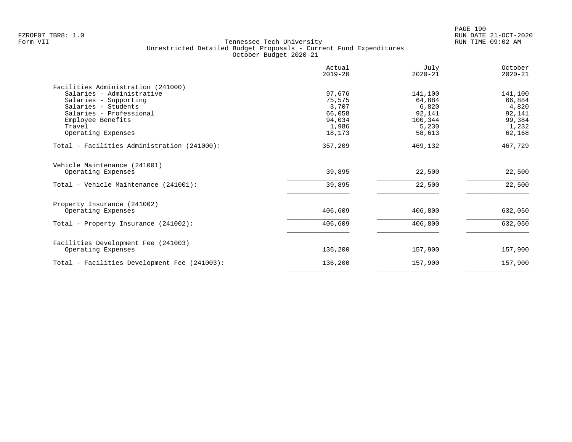|                                              | Actual<br>$2019 - 20$ | July<br>$2020 - 21$ | October<br>$2020 - 21$ |
|----------------------------------------------|-----------------------|---------------------|------------------------|
| Facilities Administration (241000)           |                       |                     |                        |
| Salaries - Administrative                    | 97,676                | 141,100             | 141,100                |
| Salaries - Supporting                        | 75,575                | 64,884              | 66,884                 |
| Salaries - Students                          | 3,707                 | 6,820               | 4,820                  |
| Salaries - Professional                      | 66,058                | 92,141              | 92,141                 |
| Employee Benefits                            | 94,034                | 100,344             | 99,384                 |
| Travel                                       | 1,986                 | 5,230               | 1,232                  |
| Operating Expenses                           | 18,173                | 58,613              | 62,168                 |
| Total - Facilities Administration (241000):  | 357,209               | 469,132             | 467,729                |
| Vehicle Maintenance (241001)                 |                       |                     |                        |
| Operating Expenses                           | 39,895                | 22,500              | 22,500                 |
| Total - Vehicle Maintenance (241001):        | 39,895                | 22,500              | 22,500                 |
| Property Insurance (241002)                  |                       |                     |                        |
| Operating Expenses                           | 406,609               | 406,800             | 632,050                |
| Total - Property Insurance (241002):         | 406,609               | 406,800             | 632,050                |
| Facilities Development Fee (241003)          |                       |                     |                        |
| Operating Expenses                           | 136,200               | 157,900             | 157,900                |
| Total - Facilities Development Fee (241003): | 136,200               | 157,900             | 157,900                |
|                                              |                       |                     |                        |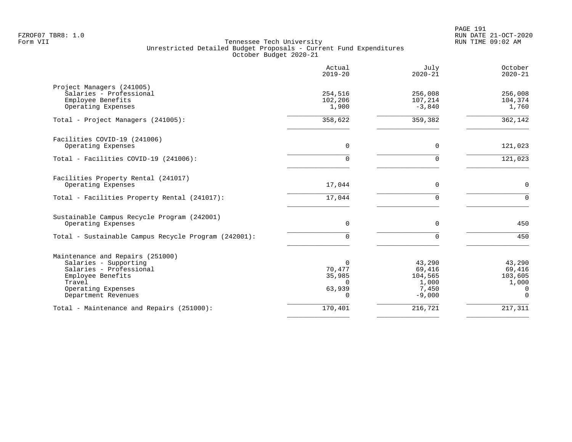PAGE 191 FZROF07 TBR8: 1.0 RUN DATE 21-OCT-2020

|                                                                                                                                                                  | Actual<br>$2019 - 20$                                          | July<br>$2020 - 21$                                       | October<br>$2020 - 21$                                |
|------------------------------------------------------------------------------------------------------------------------------------------------------------------|----------------------------------------------------------------|-----------------------------------------------------------|-------------------------------------------------------|
| Project Managers (241005)<br>Salaries - Professional<br>Employee Benefits<br>Operating Expenses                                                                  | 254,516<br>102,206<br>1,900                                    | 256,008<br>107,214<br>$-3,840$                            | 256,008<br>104,374<br>1,760                           |
| Total - Project Managers (241005):                                                                                                                               | 358,622                                                        | 359,382                                                   | 362,142                                               |
| Facilities COVID-19 (241006)<br>Operating Expenses                                                                                                               | $\Omega$                                                       | $\Omega$                                                  | 121,023                                               |
| Total - Facilities COVID-19 (241006):                                                                                                                            | 0                                                              | $\Omega$                                                  | 121,023                                               |
| Facilities Property Rental (241017)<br>Operating Expenses                                                                                                        | 17,044                                                         | $\mathbf 0$                                               | $\mathbf 0$                                           |
| Total - Facilities Property Rental (241017):                                                                                                                     | 17,044                                                         | $\Omega$                                                  | $\mathbf{0}$                                          |
| Sustainable Campus Recycle Program (242001)<br>Operating Expenses                                                                                                | 0                                                              | $\Omega$                                                  | 450                                                   |
| Total - Sustainable Campus Recycle Program (242001):                                                                                                             | 0                                                              | $\Omega$                                                  | 450                                                   |
| Maintenance and Repairs (251000)<br>Salaries - Supporting<br>Salaries - Professional<br>Employee Benefits<br>Travel<br>Operating Expenses<br>Department Revenues | $\Omega$<br>70,477<br>35,985<br>$\Omega$<br>63,939<br>$\Omega$ | 43,290<br>69,416<br>104,565<br>1,000<br>7,450<br>$-9,000$ | 43,290<br>69,416<br>103,605<br>1,000<br>0<br>$\Omega$ |
| Total - Maintenance and Repairs (251000):                                                                                                                        | 170,401                                                        | 216,721                                                   | 217,311                                               |
|                                                                                                                                                                  |                                                                |                                                           |                                                       |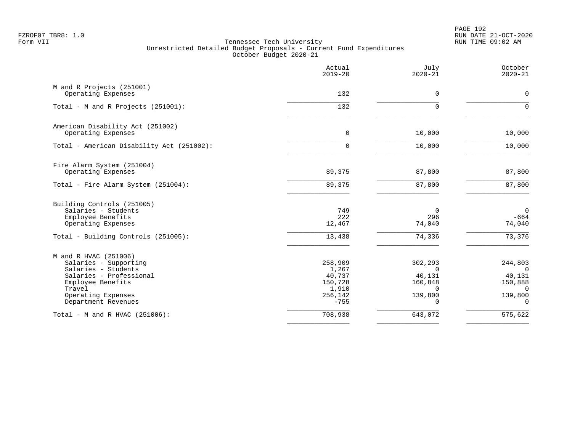PAGE 192 FZROF07 TBR8: 1.0 RUN DATE 21-OCT-2020

|                                                                                                                                                                              | Actual<br>$2019 - 20$                                               | July<br>$2020 - 21$                                                       | October<br>$2020 - 21$                                                      |
|------------------------------------------------------------------------------------------------------------------------------------------------------------------------------|---------------------------------------------------------------------|---------------------------------------------------------------------------|-----------------------------------------------------------------------------|
| M and R Projects (251001)<br>Operating Expenses                                                                                                                              | 132                                                                 | $\mathbf 0$                                                               | $\mathbf 0$                                                                 |
| Total - M and R Projects (251001):                                                                                                                                           | 132                                                                 | $\Omega$                                                                  | $\Omega$                                                                    |
| American Disability Act (251002)<br>Operating Expenses                                                                                                                       | $\mathbf 0$                                                         | 10,000                                                                    | 10,000                                                                      |
| Total - American Disability Act (251002):                                                                                                                                    | $\Omega$                                                            | 10,000                                                                    | 10,000                                                                      |
| Fire Alarm System (251004)<br>Operating Expenses                                                                                                                             | 89,375                                                              | 87,800                                                                    | 87,800                                                                      |
| Total - Fire Alarm System (251004):                                                                                                                                          | 89,375                                                              | 87,800                                                                    | 87,800                                                                      |
| Building Controls (251005)<br>Salaries - Students<br>Employee Benefits<br>Operating Expenses                                                                                 | 749<br>222<br>12,467                                                | 0<br>296<br>74,040                                                        | $\overline{0}$<br>$-664$<br>74,040                                          |
| Total - Building Controls (251005):                                                                                                                                          | 13,438                                                              | 74,336                                                                    | 73,376                                                                      |
| M and R HVAC (251006)<br>Salaries - Supporting<br>Salaries - Students<br>Salaries - Professional<br>Employee Benefits<br>Travel<br>Operating Expenses<br>Department Revenues | 258,909<br>1,267<br>40,737<br>150,728<br>1,910<br>256,142<br>$-755$ | 302,293<br>$\Omega$<br>40,131<br>160,848<br>$\Omega$<br>139,800<br>$\cap$ | 244,803<br>$\Omega$<br>40,131<br>150,888<br>$\Omega$<br>139,800<br>$\Omega$ |
| Total - M and R HVAC (251006):                                                                                                                                               | 708,938                                                             | 643,072                                                                   | $\overline{575}$ , 622                                                      |
|                                                                                                                                                                              |                                                                     |                                                                           |                                                                             |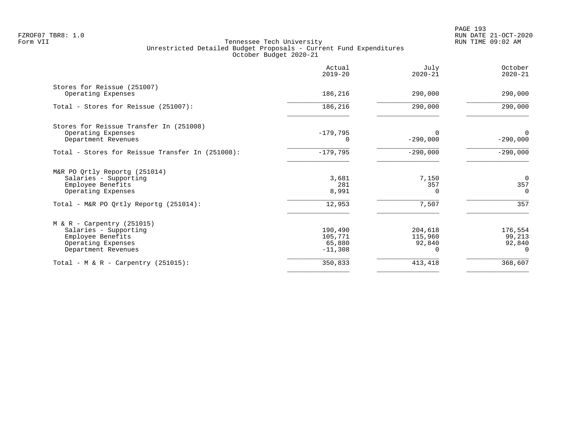PAGE 193 FZROF07 TBR8: 1.0 RUN DATE 21-OCT-2020

|                                                                                                                         | Actual<br>$2019 - 20$                     | July<br>$2020 - 21$          | October<br>$2020 - 21$                |
|-------------------------------------------------------------------------------------------------------------------------|-------------------------------------------|------------------------------|---------------------------------------|
| Stores for Reissue (251007)<br>Operating Expenses                                                                       | 186,216                                   | 290,000                      | 290,000                               |
| Total - Stores for Reissue (251007):                                                                                    | 186,216                                   | 290,000                      | 290,000                               |
| Stores for Reissue Transfer In (251008)<br>Operating Expenses<br>Department Revenues                                    | $-179,795$                                | $-290,000$                   | 0<br>$-290,000$                       |
| Total - Stores for Reissue Transfer In (251008):                                                                        | $-179,795$                                | $-290,000$                   | $-290,000$                            |
| M&R PO Qrtly Reportg (251014)<br>Salaries - Supporting<br>Employee Benefits<br>Operating Expenses                       | 3,681<br>281<br>8,991                     | 7,150<br>357<br>0            | $\Omega$<br>357<br>$\Omega$           |
| Total - M&R PO Qrtly Reportg (251014):                                                                                  | 12,953                                    | 7,507                        | 357                                   |
| $M & R - Carpentry (251015)$<br>Salaries - Supporting<br>Employee Benefits<br>Operating Expenses<br>Department Revenues | 190,490<br>105,771<br>65,880<br>$-11,308$ | 204,618<br>115,960<br>92,840 | 176,554<br>99,213<br>92,840<br>$\cap$ |
| Total - M & R - Carpentry (251015):                                                                                     | 350,833                                   | 413,418                      | 368,607                               |
|                                                                                                                         |                                           |                              |                                       |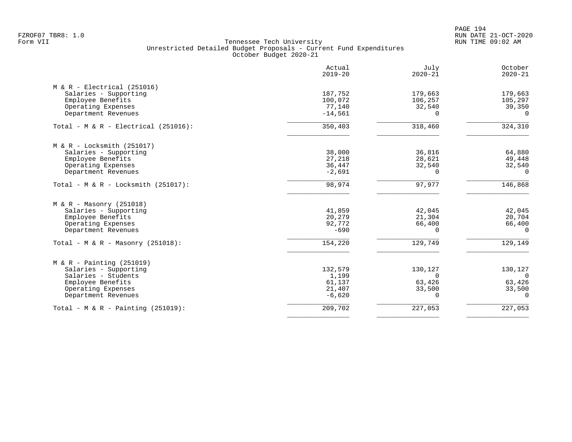PAGE 194 FZROF07 TBR8: 1.0 RUN DATE 21-OCT-2020

| 187,752<br>100,072<br>77,140 | 179,663<br>106,257                                                                                  | 179,663                                                                                               |
|------------------------------|-----------------------------------------------------------------------------------------------------|-------------------------------------------------------------------------------------------------------|
|                              |                                                                                                     |                                                                                                       |
|                              |                                                                                                     |                                                                                                       |
|                              |                                                                                                     | 105,297                                                                                               |
|                              | 32,540                                                                                              | 39,350                                                                                                |
|                              |                                                                                                     | $\Omega$                                                                                              |
| 350,403                      | 318,460                                                                                             | 324,310                                                                                               |
|                              |                                                                                                     |                                                                                                       |
| 38,000                       | 36,816                                                                                              | 64,880                                                                                                |
|                              |                                                                                                     | 49,448                                                                                                |
|                              |                                                                                                     | 32,540                                                                                                |
| $-2,691$                     | 0                                                                                                   | $\Omega$                                                                                              |
| 98,974                       | 97,977                                                                                              | 146,868                                                                                               |
|                              |                                                                                                     |                                                                                                       |
|                              |                                                                                                     | 42,045                                                                                                |
|                              |                                                                                                     | 20,704                                                                                                |
|                              |                                                                                                     | 66,400                                                                                                |
| $-690$                       | $\Omega$                                                                                            | $\Omega$                                                                                              |
| 154,220                      | 129,749                                                                                             | 129,149                                                                                               |
|                              |                                                                                                     |                                                                                                       |
|                              |                                                                                                     | 130,127                                                                                               |
|                              |                                                                                                     | $\Omega$                                                                                              |
|                              |                                                                                                     | 63,426                                                                                                |
|                              |                                                                                                     | 33,500                                                                                                |
| $-6,620$                     | $\Omega$                                                                                            | $\Omega$                                                                                              |
| 209,702                      | 227,053                                                                                             | 227,053                                                                                               |
|                              | $-14,561$<br>27,218<br>36,447<br>41,859<br>20,279<br>92,772<br>132,579<br>1,199<br>61,137<br>21,407 | $\Omega$<br>28,621<br>32,540<br>42,045<br>21,304<br>66,400<br>130,127<br>$\Omega$<br>63,426<br>33,500 |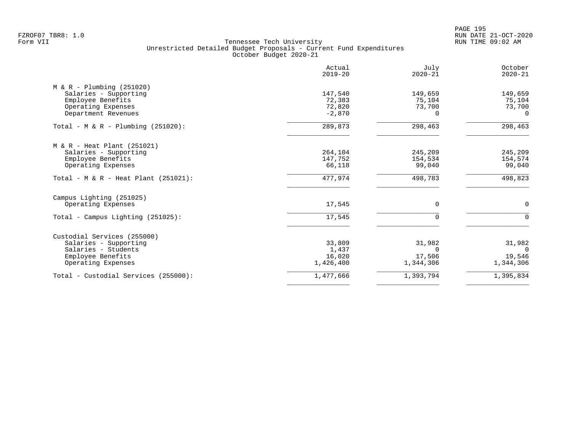PAGE 195 FZROF07 TBR8: 1.0 RUN DATE 21-OCT-2020

|                                       | Actual<br>$2019 - 20$ | July<br>$2020 - 21$ | October<br>$2020 - 21$ |
|---------------------------------------|-----------------------|---------------------|------------------------|
| $M & R - Plumbing (251020)$           |                       |                     |                        |
| Salaries - Supporting                 | 147,540               | 149,659             | 149,659                |
| Employee Benefits                     | 72,383                | 75,104              | 75,104                 |
| Operating Expenses                    | 72,820                | 73,700<br>$\Omega$  | 73,700<br>$\Omega$     |
| Department Revenues                   | $-2,870$              |                     |                        |
| Total - M & R - Plumbing $(251020)$ : | 289,873               | 298,463             | 298,463                |
| $M & R - Heat Plant (251021)$         |                       |                     |                        |
| Salaries - Supporting                 | 264,104               | 245,209             | 245,209                |
| Employee Benefits                     | 147,752               | 154,534             | 154,574                |
| Operating Expenses                    | 66,118                | 99,040              | 99,040                 |
| Total - M & R - Heat Plant (251021):  | 477,974               | 498,783             | 498,823                |
| Campus Lighting (251025)              |                       |                     |                        |
| Operating Expenses                    | 17,545                | 0                   | 0                      |
| $Total - Campus Liqhting (251025):$   | 17,545                | $\mathbf 0$         | $\Omega$               |
| Custodial Services (255000)           |                       |                     |                        |
| Salaries - Supporting                 | 33,809                | 31,982              | 31,982                 |
| Salaries - Students                   | 1,437                 | $\Omega$            | $\Omega$               |
| Employee Benefits                     | 16,020                | 17,506              | 19,546                 |
| Operating Expenses                    | 1,426,400             | 1,344,306           | 1,344,306              |
| Total - Custodial Services (255000):  | 1,477,666             | 1,393,794           | 1,395,834              |
|                                       |                       |                     |                        |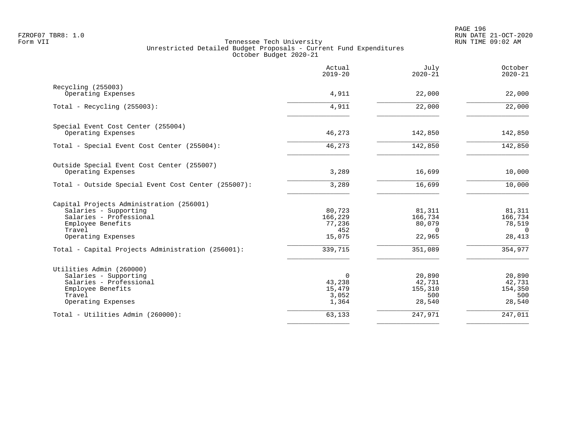|                                                     | Actual<br>$2019 - 20$ | July<br>$2020 - 21$ | October<br>$2020 - 21$   |
|-----------------------------------------------------|-----------------------|---------------------|--------------------------|
| Recycling (255003)                                  |                       |                     |                          |
| Operating Expenses                                  | 4,911                 | 22,000              | 22,000                   |
| Total - Recycling $(255003)$ :                      | 4,911                 | 22,000              | $\overline{22,000}$      |
| Special Event Cost Center (255004)                  |                       |                     |                          |
| Operating Expenses                                  | 46,273                | 142,850             | 142,850                  |
| Total - Special Event Cost Center (255004):         | 46, 273               | 142,850             | 142,850                  |
| Outside Special Event Cost Center (255007)          |                       |                     |                          |
| Operating Expenses                                  | 3,289                 | 16,699              | 10,000                   |
| Total - Outside Special Event Cost Center (255007): | 3,289                 | 16,699              | 10,000                   |
| Capital Projects Administration (256001)            |                       |                     |                          |
| Salaries - Supporting                               | 80,723                | 81,311              | 81,311                   |
| Salaries - Professional                             | 166,229               | 166,734             | 166,734                  |
| Employee Benefits                                   | 77,236                | 80,079              | 78,519                   |
| Travel<br>Operating Expenses                        | 452<br>15,075         | $\Omega$<br>22,965  | $\overline{0}$<br>28,413 |
| Total - Capital Projects Administration (256001):   | 339,715               | 351,089             | 354,977                  |
| Utilities Admin (260000)                            |                       |                     |                          |
| Salaries - Supporting                               | 0                     | 20,890              | 20,890                   |
| Salaries - Professional                             | 43,238                | 42,731              | 42,731                   |
| Employee Benefits                                   | 15,479                | 155,310             | 154,350                  |
| Travel<br>Operating Expenses                        | 3,052<br>1,364        | 500<br>28,540       | 500<br>28,540            |
| Total - Utilities Admin (260000):                   | 63,133                | 247,971             | 247,011                  |
|                                                     |                       |                     |                          |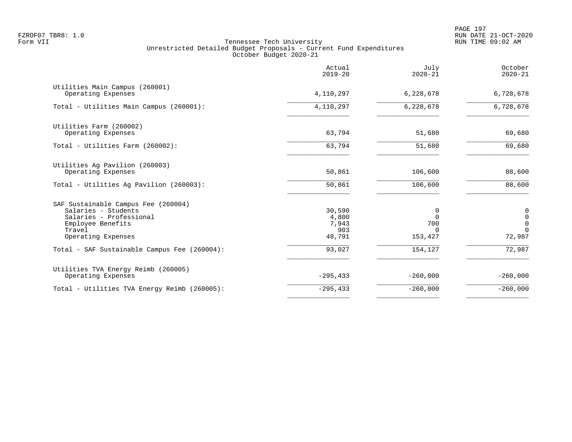PAGE 197 FZROF07 TBR8: 1.0 RUN DATE 21-OCT-2020

|                                                                                                                                            | Actual<br>$2019 - 20$                     | July<br>$2020 - 21$                         | October<br>$2020 - 21$                                           |
|--------------------------------------------------------------------------------------------------------------------------------------------|-------------------------------------------|---------------------------------------------|------------------------------------------------------------------|
| Utilities Main Campus (260001)<br>Operating Expenses                                                                                       | 4,110,297                                 | 6,228,678                                   | 6,728,678                                                        |
| Total - Utilities Main Campus (260001):                                                                                                    | 4,110,297                                 | 6,228,678                                   | 6,728,678                                                        |
| Utilities Farm (260002)<br>Operating Expenses                                                                                              | 63,794                                    | 51,680                                      | 69,680                                                           |
| Total - Utilities Farm (260002):                                                                                                           | 63,794                                    | 51,680                                      | 69,680                                                           |
| Utilities Ag Pavilion (260003)<br>Operating Expenses                                                                                       | 50,861<br>50,861                          | 106,600<br>106,600                          | 88,600<br>88,600                                                 |
| Total - Utilities Ag Pavilion (260003):                                                                                                    |                                           |                                             |                                                                  |
| SAF Sustainable Campus Fee (260004)<br>Salaries - Students<br>Salaries - Professional<br>Employee Benefits<br>Travel<br>Operating Expenses | 30,590<br>4,800<br>7,943<br>903<br>48,791 | 0<br>$\Omega$<br>700<br>$\Omega$<br>153,427 | 0<br>$\mathsf{O}\xspace$<br>$\overline{0}$<br>$\Omega$<br>72,987 |
| Total - SAF Sustainable Campus Fee (260004):                                                                                               | 93,027                                    | 154,127                                     | 72,987                                                           |
| Utilities TVA Energy Reimb (260005)<br>Operating Expenses                                                                                  | $-295, 433$                               | $-260,000$                                  | $-260,000$                                                       |
| Total - Utilities TVA Energy Reimb (260005):                                                                                               | $-295, 433$                               | $-260,000$                                  | $-260,000$                                                       |
|                                                                                                                                            |                                           |                                             |                                                                  |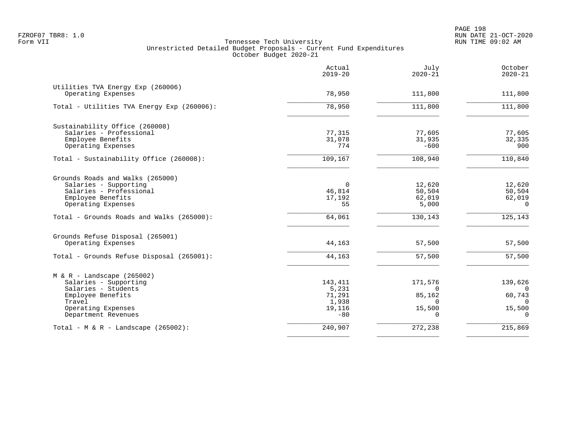PAGE 198 FZROF07 TBR8: 1.0 RUN DATE 21-OCT-2020

|                                                                                                                                                          | Actual<br>$2019 - 20$                                  | July<br>$2020 - 21$                                                 | October<br>$2020 - 21$                                        |
|----------------------------------------------------------------------------------------------------------------------------------------------------------|--------------------------------------------------------|---------------------------------------------------------------------|---------------------------------------------------------------|
| Utilities TVA Energy Exp (260006)<br>Operating Expenses                                                                                                  | 78,950                                                 | 111,800                                                             | 111,800                                                       |
| Total - Utilities TVA Energy Exp (260006):                                                                                                               | 78,950                                                 | 111,800                                                             | 111,800                                                       |
| Sustainability Office (260008)<br>Salaries - Professional<br>Employee Benefits<br>Operating Expenses                                                     | 77,315<br>31,078<br>774                                | 77,605<br>31,935<br>$-600$                                          | 77,605<br>32,335<br>900                                       |
| Total - Sustainability Office (260008):                                                                                                                  | 109,167                                                | 108,940                                                             | 110,840                                                       |
| Grounds Roads and Walks (265000)<br>Salaries - Supporting<br>Salaries - Professional<br>Employee Benefits<br>Operating Expenses                          | $\overline{0}$<br>46,814<br>17,192<br>55               | 12,620<br>50,504<br>62,019<br>5,000                                 | 12,620<br>50,504<br>62,019<br>$\Omega$                        |
| Total - Grounds Roads and Walks (265000):                                                                                                                | 64,061                                                 | 130,143                                                             | 125, 143                                                      |
| Grounds Refuse Disposal (265001)<br>Operating Expenses                                                                                                   | 44,163                                                 | 57,500                                                              | 57,500                                                        |
| Total - Grounds Refuse Disposal (265001):                                                                                                                | 44,163                                                 | 57,500                                                              | 57,500                                                        |
| $M & R -$ Landscape (265002)<br>Salaries - Supporting<br>Salaries - Students<br>Employee Benefits<br>Travel<br>Operating Expenses<br>Department Revenues | 143,411<br>5,231<br>71,291<br>1,938<br>19,116<br>$-80$ | 171,576<br>$\Omega$<br>85,162<br>$\Omega$<br>15,500<br><sup>n</sup> | 139,626<br>$\Omega$<br>60,743<br>$\cap$<br>15,500<br>$\Omega$ |
| Total - $M & R -$ Landscape (265002):                                                                                                                    | 240,907                                                | 272,238                                                             | 215,869                                                       |
|                                                                                                                                                          |                                                        |                                                                     |                                                               |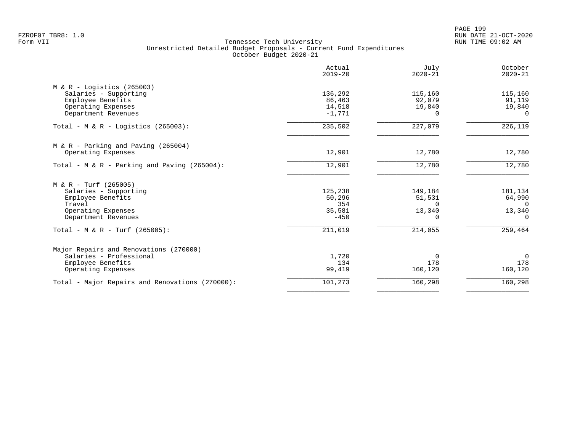PAGE 199 FZROF07 TBR8: 1.0 RUN DATE 21-OCT-2020

|                                                 | Actual<br>$2019 - 20$ | July<br>$2020 - 21$ | October<br>$2020 - 21$ |
|-------------------------------------------------|-----------------------|---------------------|------------------------|
| $M & R -$ Logistics (265003)                    |                       |                     |                        |
| Salaries - Supporting                           | 136,292               | 115,160             | 115,160                |
| Employee Benefits                               | 86,463                | 92,079              | 91,119                 |
| Operating Expenses                              | 14,518                | 19,840              | 19,840                 |
| Department Revenues                             | $-1,771$              | $\Omega$            | $\Omega$               |
| Total - M & R - Logistics (265003):             | 235,502               | 227,079             | 226,119                |
| $M & R - \text{Parking}$ and Paving (265004)    |                       |                     |                        |
| Operating Expenses                              | 12,901                | 12,780              | 12,780                 |
| Total - M & R - Parking and Paving (265004):    | 12,901                | 12,780              | 12,780                 |
| $M & R - Turf (265005)$                         |                       |                     |                        |
| Salaries - Supporting                           | 125,238               | 149,184             | 181,134                |
| Employee Benefits                               | 50,296                | 51,531              | 64,990                 |
| Travel                                          | 354                   | $\Omega$            | $\Omega$               |
| Operating Expenses                              | 35,581                | 13,340              | 13,340                 |
| Department Revenues                             | $-450$                | $\Omega$            | $\Omega$               |
| Total - M & R - Turf (265005):                  | 211,019               | 214,055             | 259,464                |
| Major Repairs and Renovations (270000)          |                       |                     |                        |
| Salaries - Professional                         | 1,720                 | 0                   | $\mathbf 0$            |
| Employee Benefits                               | 134                   | 178                 | 178                    |
| Operating Expenses                              | 99,419                | 160,120             | 160,120                |
| Total - Major Repairs and Renovations (270000): | 101,273               | 160,298             | 160,298                |
|                                                 |                       |                     |                        |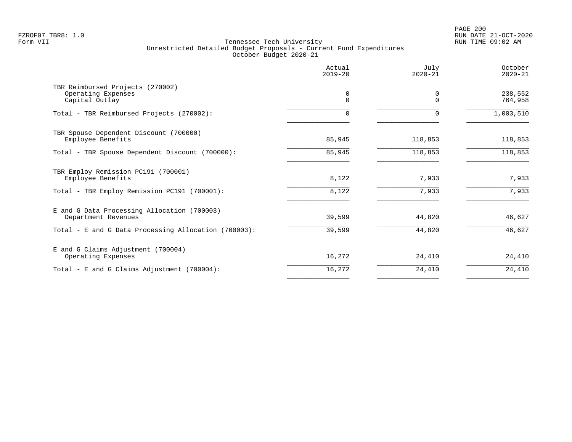|                                                                          | Actual<br>$2019 - 20$ | July<br>$2020 - 21$ | October<br>$2020 - 21$ |
|--------------------------------------------------------------------------|-----------------------|---------------------|------------------------|
| TBR Reimbursed Projects (270002)<br>Operating Expenses<br>Capital Outlay | 0<br>$\Omega$         | 0<br>$\cap$         | 238,552<br>764,958     |
| Total - TBR Reimbursed Projects (270002):                                | $\Omega$              | $\Omega$            | 1,003,510              |
| TBR Spouse Dependent Discount (700000)<br>Employee Benefits              | 85,945                | 118,853             | 118,853                |
| Total - TBR Spouse Dependent Discount (700000):                          | 85,945                | 118,853             | 118,853                |
| TBR Employ Remission PC191 (700001)<br>Employee Benefits                 | 8,122                 | 7,933               | 7,933                  |
| Total - TBR Employ Remission PC191 (700001):                             | 8,122                 | 7,933               | 7,933                  |
| E and G Data Processing Allocation (700003)<br>Department Revenues       | 39,599                | 44,820              | 46,627                 |
| Total - E and G Data Processing Allocation (700003):                     | 39,599                | 44,820              | 46,627                 |
| E and G Claims Adjustment (700004)<br>Operating Expenses                 | 16,272                | 24,410              | 24,410                 |
| Total - E and G Claims Adjustment (700004):                              | 16,272                | 24,410              | 24,410                 |
|                                                                          |                       |                     |                        |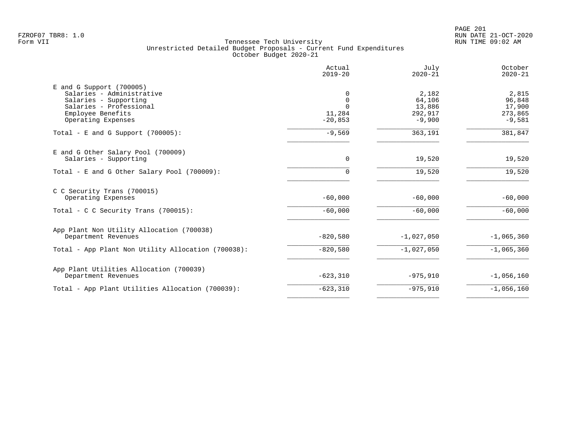PAGE 201 FZROF07 TBR8: 1.0 RUN DATE 21-OCT-2020

| Actual<br>$2019 - 20$                     | July<br>$2020 - 21$                              | October<br>$2020 - 21$                           |
|-------------------------------------------|--------------------------------------------------|--------------------------------------------------|
| 0<br>0<br>$\Omega$<br>11,284<br>$-20,853$ | 2,182<br>64,106<br>13,886<br>292,917<br>$-9,900$ | 2,815<br>96,848<br>17,900<br>273,865<br>$-9,581$ |
| $-9,569$                                  | 363,191                                          | 381,847                                          |
| $\Omega$<br>$\Omega$                      | 19,520<br>19,520                                 | 19,520<br>19,520                                 |
| $-60,000$                                 | $-60,000$                                        | $-60,000$                                        |
| $-60,000$                                 | $-60,000$                                        | $-60,000$                                        |
| $-820,580$                                | $-1,027,050$                                     | $-1,065,360$                                     |
| $-820,580$                                | $-1,027,050$                                     | $-1,065,360$                                     |
| $-623,310$                                | $-975,910$                                       | $-1,056,160$                                     |
| $-623, 310$                               | $-975,910$                                       | $-1,056,160$                                     |
|                                           |                                                  |                                                  |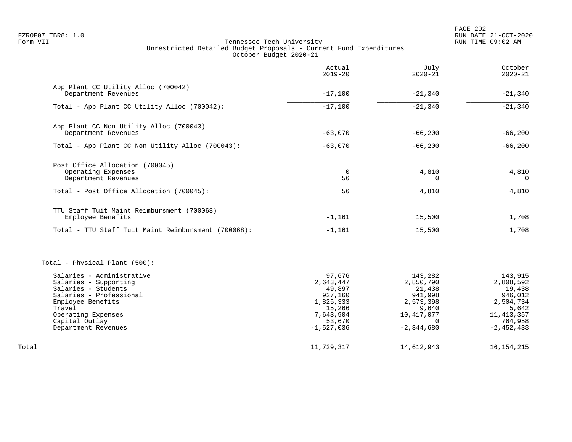|                                                     | Actual<br>$2019 - 20$ | July<br>$2020 - 21$   | October<br>$2020 - 21$ |
|-----------------------------------------------------|-----------------------|-----------------------|------------------------|
| App Plant CC Utility Alloc (700042)                 |                       |                       |                        |
| Department Revenues                                 | $-17,100$             | $-21,340$             | $-21,340$              |
| Total - App Plant CC Utility Alloc (700042):        | $-17,100$             | $-21,340$             | $-21,340$              |
| App Plant CC Non Utility Alloc (700043)             |                       |                       |                        |
| Department Revenues                                 | $-63,070$             | $-66, 200$            | $-66,200$              |
| Total - App Plant CC Non Utility Alloc (700043):    | $-63,070$             | $-66, 200$            | $-66,200$              |
| Post Office Allocation (700045)                     |                       |                       |                        |
| Operating Expenses<br>Department Revenues           | $\overline{0}$<br>56  | 4,810<br>$\Omega$     | 4,810<br>$\Omega$      |
| Total - Post Office Allocation (700045):            | 56                    | 4,810                 | 4,810                  |
| TTU Staff Tuit Maint Reimbursment (700068)          |                       |                       |                        |
| Employee Benefits                                   | $-1,161$              | 15,500                | 1,708                  |
| Total - TTU Staff Tuit Maint Reimbursment (700068): | $-1,161$              | 15,500                | 1,708                  |
| Total - Physical Plant (500):                       |                       |                       |                        |
| Salaries - Administrative<br>Salaries - Supporting  | 97,676<br>2,643,447   | 143,282<br>2,850,790  | 143,915<br>2,808,592   |
| Salaries - Students                                 | 49,897                | 21,438                | 19,438                 |
| Salaries - Professional                             | 927,160               | 941,998               | 946,012                |
| Employee Benefits<br>Travel                         | 1,825,333             | 2,573,398             | 2,504,734              |
| Operating Expenses                                  | 15,266<br>7,643,904   | 9,640<br>10, 417, 077 | 5,642<br>11, 413, 357  |
| Capital Outlay                                      | 53,670                | $\Omega$              | 764,958                |
| Department Revenues                                 | $-1,527,036$          | $-2, 344, 680$        | $-2, 452, 433$         |
| Total                                               | 11,729,317            | 14,612,943            | 16, 154, 215           |
|                                                     |                       |                       |                        |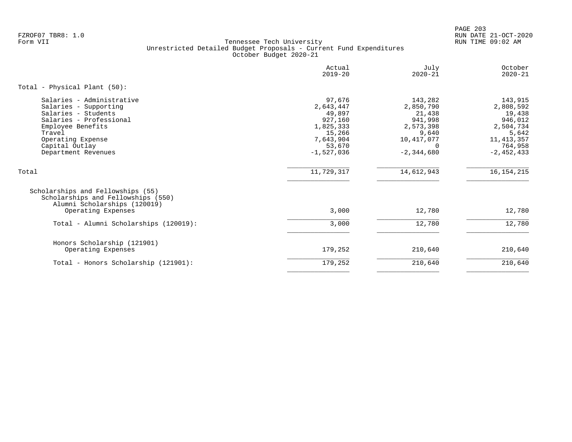PAGE 203 FZROF07 TBR8: 1.0 RUN DATE 21-OCT-2020

|                                                                                                                                                                                                   | Actual<br>$2019 - 20$                                                                                  | July<br>$2020 - 21$                                                                                         | October<br>$2020 - 21$                                                                                       |
|---------------------------------------------------------------------------------------------------------------------------------------------------------------------------------------------------|--------------------------------------------------------------------------------------------------------|-------------------------------------------------------------------------------------------------------------|--------------------------------------------------------------------------------------------------------------|
| Total - Physical Plant (50):                                                                                                                                                                      |                                                                                                        |                                                                                                             |                                                                                                              |
| Salaries - Administrative<br>Salaries - Supporting<br>Salaries - Students<br>Salaries - Professional<br>Employee Benefits<br>Travel<br>Operating Expense<br>Capital Outlay<br>Department Revenues | 97,676<br>2,643,447<br>49,897<br>927,160<br>1,825,333<br>15,266<br>7,643,904<br>53,670<br>$-1,527,036$ | 143,282<br>2,850,790<br>21,438<br>941,998<br>2,573,398<br>9,640<br>10,417,077<br>$\Omega$<br>$-2, 344, 680$ | 143,915<br>2,808,592<br>19,438<br>946,012<br>2,504,734<br>5,642<br>11, 413, 357<br>764,958<br>$-2, 452, 433$ |
| Total                                                                                                                                                                                             | 11,729,317                                                                                             | 14,612,943                                                                                                  | 16, 154, 215                                                                                                 |
| Scholarships and Fellowships (55)<br>Scholarships and Fellowships (550)<br>Alumni Scholarships (120019)<br>Operating Expenses                                                                     | 3,000                                                                                                  | 12,780                                                                                                      | 12,780                                                                                                       |
| Total - Alumni Scholarships (120019):                                                                                                                                                             | 3,000                                                                                                  | 12,780                                                                                                      | 12,780                                                                                                       |
| Honors Scholarship (121901)<br>Operating Expenses                                                                                                                                                 | 179,252                                                                                                | 210,640                                                                                                     | 210,640                                                                                                      |
| Total - Honors Scholarship (121901):                                                                                                                                                              | 179,252                                                                                                | 210,640                                                                                                     | 210,640                                                                                                      |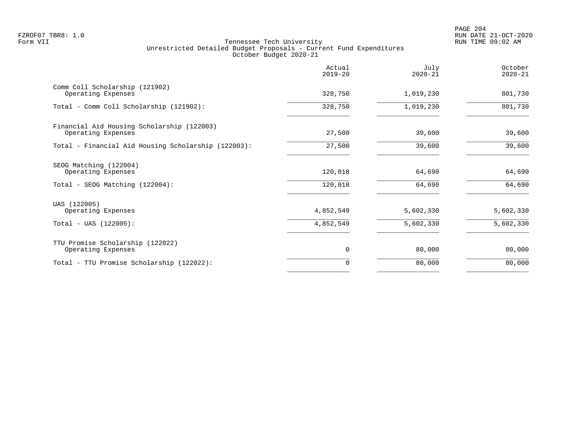|                                                                                 | Actual<br>$2019 - 20$  | July<br>$2020 - 21$    | October<br>$2020 - 21$ |
|---------------------------------------------------------------------------------|------------------------|------------------------|------------------------|
| Comm Coll Scholarship (121902)<br>Operating Expenses                            | 328,750                | 1,019,230              | 801,730                |
| Total - Comm Coll Scholarship (121902):                                         | 328,750                | 1,019,230              | 801,730                |
| Financial Aid Housing Scholarship (122003)<br>Operating Expenses                | 27,500                 | 39,600                 | 39,600                 |
| Total - Financial Aid Housing Scholarship (122003):                             | 27,500                 | 39,600                 | 39,600                 |
| SEOG Matching (122004)<br>Operating Expenses<br>Total - SEOG Matching (122004): | 120,018<br>120,018     | 64,690<br>64,690       | 64,690<br>64,690       |
| UAS (122005)<br>Operating Expenses<br>$Total - UAS (122005):$                   | 4,852,549<br>4,852,549 | 5,602,330<br>5,602,330 | 5,602,330<br>5,602,330 |
|                                                                                 |                        |                        |                        |
| TTU Promise Scholarship (122022)<br>Operating Expenses                          | 0                      | 80,000                 | 80,000                 |
| Total - TTU Promise Scholarship (122022):                                       | 0                      | 80,000                 | 80,000                 |
|                                                                                 |                        |                        |                        |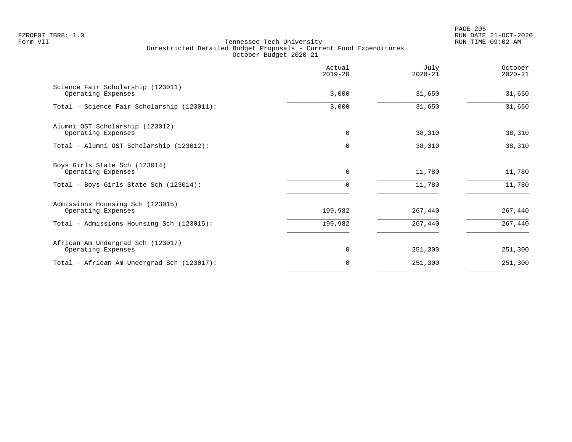PAGE 205 FZROF07 TBR8: 1.0 RUN DATE 21-OCT-2020

|                                                         | Actual<br>$2019 - 20$ | July<br>$2020 - 21$ | October<br>$2020 - 21$ |
|---------------------------------------------------------|-----------------------|---------------------|------------------------|
| Science Fair Scholarship (123011)<br>Operating Expenses | 3,000                 | 31,650              | 31,650                 |
| Total - Science Fair Scholarship (123011):              | 3,000                 | 31,650              | 31,650                 |
| Alumni OST Scholarship (123012)<br>Operating Expenses   | $\mathbf 0$           | 38,310              | 38,310                 |
| Total - Alumni OST Scholarship (123012):                | $\Omega$              | 38,310              | 38,310                 |
| Boys Girls State Sch (123014)<br>Operating Expenses     | $\mathbf 0$           | 11,780              | 11,780                 |
| Total - Boys Girls State Sch (123014):                  |                       | 11,780              | 11,780                 |
| Admissions Hounsing Sch (123015)<br>Operating Expenses  | 199,982               | 267,440             | 267,440                |
| Total - Admissions Hounsing Sch (123015):               | 199,982               | 267,440             | 267,440                |
| African Am Undergrad Sch (123017)<br>Operating Expenses | 0                     | 251,300             | 251,300                |
| Total - African Am Undergrad Sch (123017):              | 0                     | 251,300             | 251,300                |
|                                                         |                       |                     |                        |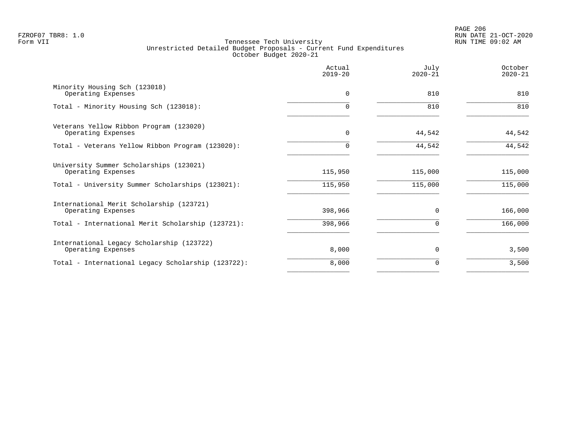|                                                                 | Actual<br>$2019 - 20$ | July<br>$2020 - 21$ | October<br>$2020 - 21$ |
|-----------------------------------------------------------------|-----------------------|---------------------|------------------------|
| Minority Housing Sch (123018)<br>Operating Expenses             | $\mathbf 0$           | 810                 | 810                    |
| Total - Minority Housing Sch (123018):                          |                       | 810                 | 810                    |
| Veterans Yellow Ribbon Program (123020)<br>Operating Expenses   | $\mathbf 0$           | 44,542              | 44,542                 |
| Total - Veterans Yellow Ribbon Program (123020):                |                       | 44,542              | 44,542                 |
| University Summer Scholarships (123021)<br>Operating Expenses   | 115,950               | 115,000             | 115,000                |
| Total - University Summer Scholarships (123021):                | 115,950               | 115,000             | 115,000                |
| International Merit Scholarship (123721)<br>Operating Expenses  | 398,966               | $\Omega$            | 166,000                |
| Total - International Merit Scholarship (123721):               | 398,966               |                     | 166,000                |
| International Legacy Scholarship (123722)<br>Operating Expenses | 8,000                 | $\Omega$            | 3,500                  |
| Total - International Legacy Scholarship (123722):              | 8,000                 | O                   | 3,500                  |
|                                                                 |                       |                     |                        |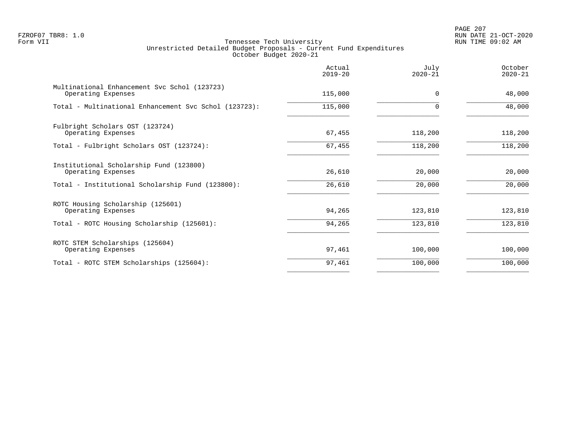PAGE 207 FZROF07 TBR8: 1.0 RUN DATE 21-OCT-2020

| Actual<br>$2019 - 20$ | July<br>$2020 - 21$ | October<br>$2020 - 21$ |
|-----------------------|---------------------|------------------------|
| 115,000               | $\Omega$            | 48,000                 |
| 115,000               | 0                   | 48,000                 |
| 67,455                | 118,200             | 118,200                |
| 67,455                | 118,200             | 118,200                |
| 26,610                | 20,000              | 20,000                 |
| 26,610                | 20,000              | 20,000                 |
| 94,265                | 123,810             | 123,810                |
| 94,265                | 123,810             | 123,810                |
| 97,461                | 100,000             | 100,000                |
| 97,461                | 100,000             | 100,000                |
|                       |                     |                        |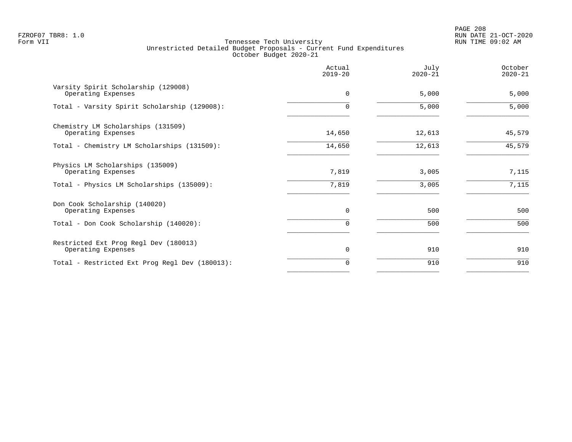PAGE 208 FZROF07 TBR8: 1.0 RUN DATE 21-OCT-2020

|                                                             | Actual<br>$2019 - 20$ | July<br>$2020 - 21$ | October<br>$2020 - 21$ |
|-------------------------------------------------------------|-----------------------|---------------------|------------------------|
| Varsity Spirit Scholarship (129008)<br>Operating Expenses   | $\mathbf 0$           | 5,000               | 5,000                  |
| Total - Varsity Spirit Scholarship (129008):                |                       | 5,000               | 5,000                  |
| Chemistry LM Scholarships (131509)<br>Operating Expenses    | 14,650                | 12,613              | 45,579                 |
| Total - Chemistry LM Scholarships (131509):                 | 14,650                | 12,613              | 45,579                 |
| Physics LM Scholarships (135009)<br>Operating Expenses      | 7,819                 | 3,005               | 7,115                  |
| Total - Physics LM Scholarships (135009):                   | 7,819                 | 3,005               | 7,115                  |
| Don Cook Scholarship (140020)<br>Operating Expenses         | $\Omega$              | 500                 | 500                    |
| Total - Don Cook Scholarship (140020):                      | $\Omega$              | 500                 | 500                    |
| Restricted Ext Prog Regl Dev (180013)<br>Operating Expenses | 0                     | 910                 | 910                    |
| Total - Restricted Ext Prog Regl Dev (180013):              | $\Omega$              | 910                 | 910                    |
|                                                             |                       |                     |                        |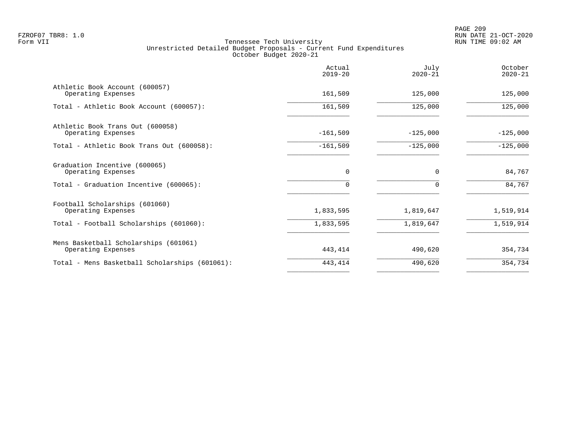|                                                                                                 | Actual<br>$2019 - 20$   | July<br>$2020 - 21$    | October<br>$2020 - 21$ |
|-------------------------------------------------------------------------------------------------|-------------------------|------------------------|------------------------|
| Athletic Book Account (600057)<br>Operating Expenses                                            | 161,509                 | 125,000                | 125,000                |
| Total - Athletic Book Account (600057):                                                         | 161,509                 | 125,000                | 125,000                |
| Athletic Book Trans Out (600058)<br>Operating Expenses                                          | $-161,509$              | $-125,000$             | $-125,000$             |
| Total - Athletic Book Trans Out (600058):                                                       | $-161,509$              | $-125,000$             | $-125,000$             |
| Graduation Incentive (600065)<br>Operating Expenses<br>Total - Graduation Incentive (600065):   | $\mathbf 0$<br>$\Omega$ | $\Omega$               | 84,767<br>84,767       |
| Football Scholarships (601060)<br>Operating Expenses<br>Total - Football Scholarships (601060): | 1,833,595<br>1,833,595  | 1,819,647<br>1,819,647 | 1,519,914<br>1,519,914 |
| Mens Basketball Scholarships (601061)<br>Operating Expenses                                     | 443,414                 | 490,620                | 354,734                |
| Total - Mens Basketball Scholarships (601061):                                                  | 443,414                 | 490,620                | 354,734                |
|                                                                                                 |                         |                        |                        |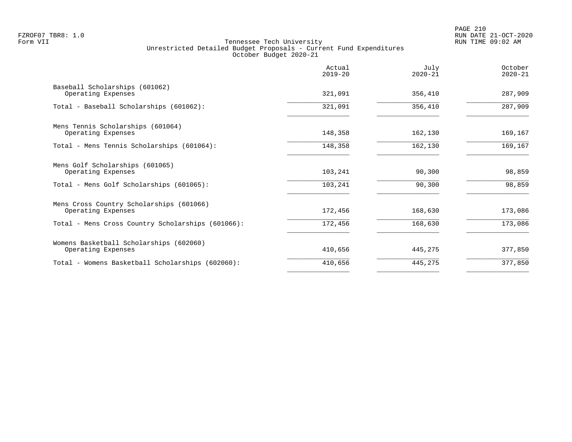|                                                                | Actual<br>$2019 - 20$ | July<br>$2020 - 21$ | October<br>$2020 - 21$ |
|----------------------------------------------------------------|-----------------------|---------------------|------------------------|
| Baseball Scholarships (601062)<br>Operating Expenses           | 321,091               | 356,410             | 287,909                |
| Total - Baseball Scholarships (601062):                        | 321,091               | 356,410             | 287,909                |
| Mens Tennis Scholarships (601064)<br>Operating Expenses        | 148,358               | 162,130             | 169,167                |
| Total - Mens Tennis Scholarships (601064):                     | 148,358               | 162,130             | 169,167                |
| Mens Golf Scholarships (601065)<br>Operating Expenses          | 103,241               | 90,300              | 98,859                 |
| Total - Mens Golf Scholarships (601065):                       | 103,241               | 90,300              | 98,859                 |
| Mens Cross Country Scholarships (601066)<br>Operating Expenses | 172,456               | 168,630             | 173,086                |
| Total - Mens Cross Country Scholarships (601066):              | 172,456               | 168,630             | 173,086                |
| Womens Basketball Scholarships (602060)<br>Operating Expenses  | 410,656               | 445,275             | 377,850                |
| Total - Womens Basketball Scholarships (602060):               | 410,656               | 445,275             | 377,850                |
|                                                                |                       |                     |                        |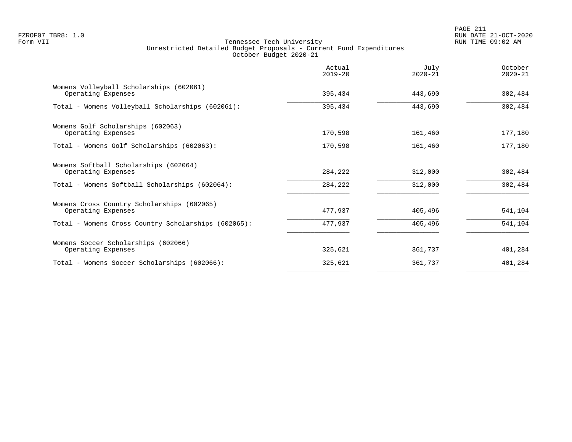PAGE 211 FZROF07 TBR8: 1.0 RUN DATE 21-OCT-2020

|                                                                  | Actual<br>$2019 - 20$ | July<br>$2020 - 21$ | October<br>$2020 - 21$ |
|------------------------------------------------------------------|-----------------------|---------------------|------------------------|
| Womens Volleyball Scholarships (602061)<br>Operating Expenses    | 395,434               | 443,690             | 302,484                |
| Total - Womens Volleyball Scholarships (602061):                 | 395,434               | 443,690             | 302,484                |
| Womens Golf Scholarships (602063)<br>Operating Expenses          | 170,598               | 161,460             | 177,180                |
| Total - Womens Golf Scholarships (602063):                       | 170,598               | 161,460             | 177,180                |
| Womens Softball Scholarships (602064)<br>Operating Expenses      | 284,222               | 312,000             | 302,484                |
| Total - Womens Softball Scholarships (602064):                   | 284,222               | 312,000             | 302,484                |
| Womens Cross Country Scholarships (602065)<br>Operating Expenses | 477,937               | 405,496             | 541,104                |
| Total - Womens Cross Country Scholarships (602065):              | 477,937               | 405,496             | 541,104                |
| Womens Soccer Scholarships (602066)<br>Operating Expenses        | 325,621               | 361,737             | 401,284                |
| Total - Womens Soccer Scholarships (602066):                     | 325,621               | 361,737             | 401,284                |
|                                                                  |                       |                     |                        |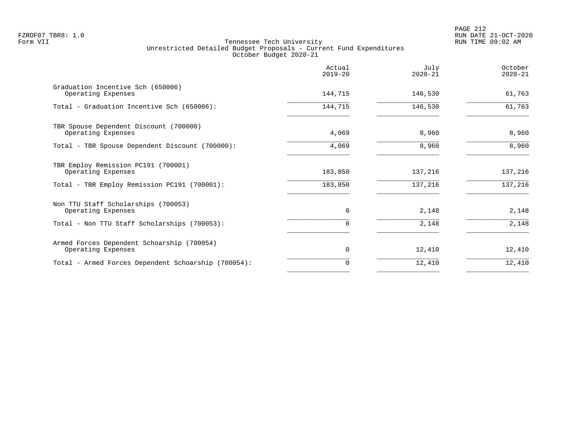|                                                                  | Actual<br>$2019 - 20$ | July<br>$2020 - 21$ | October<br>$2020 - 21$ |
|------------------------------------------------------------------|-----------------------|---------------------|------------------------|
| Graduation Incentive Sch (650006)<br>Operating Expenses          | 144,715               | 146,530             | 61,763                 |
| Total - Graduation Incentive Sch (650006):                       | 144,715               | 146,530             | 61,763                 |
| TBR Spouse Dependent Discount (700000)<br>Operating Expenses     | 4,069                 | 8,960               | 8,960                  |
| Total - TBR Spouse Dependent Discount (700000):                  | 4,069                 | 8,960               | 8,960                  |
| TBR Employ Remission PC191 (700001)<br>Operating Expenses        | 183,850               | 137,216             | 137,216                |
| Total - TBR Employ Remission PC191 (700001):                     | 183,850               | 137,216             | 137,216                |
| Non TTU Staff Scholarships (700053)<br>Operating Expenses        | $\Omega$              | 2,148               | 2,148                  |
| Total - Non TTU Staff Scholarships (700053):                     | 0                     | 2,148               | 2,148                  |
| Armed Forces Dependent Schoarship (700054)<br>Operating Expenses | $\mathbf 0$           | 12,410              | 12,410                 |
| Total - Armed Forces Dependent Schoarship (700054):              | 0                     | 12,410              | 12,410                 |
|                                                                  |                       |                     |                        |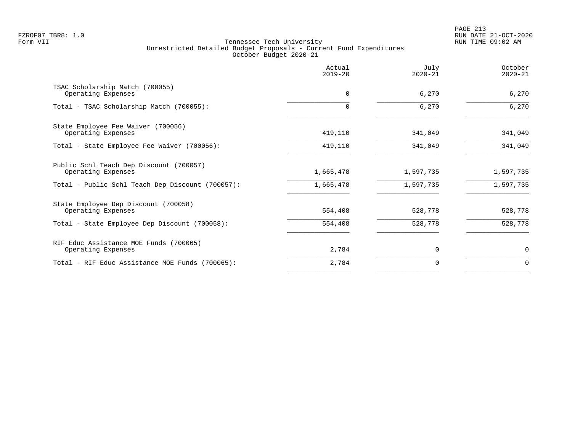|                                                               | Actual<br>$2019 - 20$ | July<br>$2020 - 21$ | October<br>$2020 - 21$ |
|---------------------------------------------------------------|-----------------------|---------------------|------------------------|
| TSAC Scholarship Match (700055)<br>Operating Expenses         | $\mathbf 0$           | 6,270               | 6,270                  |
| Total - TSAC Scholarship Match (700055):                      |                       | 6,270               | 6,270                  |
| State Employee Fee Waiver (700056)<br>Operating Expenses      | 419,110               | 341,049             | 341,049                |
| Total - State Employee Fee Waiver (700056):                   | 419,110               | 341,049             | 341,049                |
| Public Schl Teach Dep Discount (700057)<br>Operating Expenses | 1,665,478             | 1,597,735           | 1,597,735              |
| Total - Public Schl Teach Dep Discount (700057):              | 1,665,478             | 1,597,735           | 1,597,735              |
| State Employee Dep Discount (700058)<br>Operating Expenses    | 554,408               | 528,778             | 528,778                |
| Total - State Employee Dep Discount (700058):                 | 554,408               | 528,778             | 528,778                |
| RIF Educ Assistance MOE Funds (700065)<br>Operating Expenses  | 2,784                 | $\Omega$            | 0                      |
| Total - RIF Educ Assistance MOE Funds (700065):               | 2,784                 | 0                   | $\Omega$               |
|                                                               |                       |                     |                        |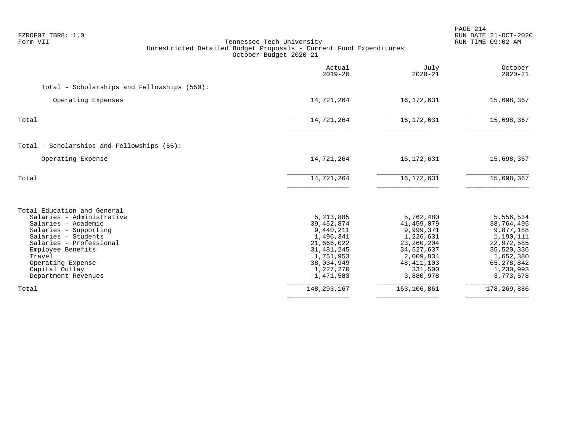| FZROF07 TBR8: 1.0<br>Form VII                                                                                                                                                                                                                           | Tennessee Tech University<br>Unrestricted Detailed Budget Proposals - Current Fund Expenditures<br>October Budget 2020-21                 |                                                                                                                                         | PAGE 214<br>RUN DATE 21-OCT-2020<br>RUN TIME 09:02 AM                                                                                   |
|---------------------------------------------------------------------------------------------------------------------------------------------------------------------------------------------------------------------------------------------------------|-------------------------------------------------------------------------------------------------------------------------------------------|-----------------------------------------------------------------------------------------------------------------------------------------|-----------------------------------------------------------------------------------------------------------------------------------------|
|                                                                                                                                                                                                                                                         | Actual<br>$2019 - 20$                                                                                                                     | July<br>$2020 - 21$                                                                                                                     | October<br>$2020 - 21$                                                                                                                  |
| Total - Scholarships and Fellowships (550):                                                                                                                                                                                                             |                                                                                                                                           |                                                                                                                                         |                                                                                                                                         |
| Operating Expenses                                                                                                                                                                                                                                      | 14,721,264                                                                                                                                | 16, 172, 631                                                                                                                            | 15,698,367                                                                                                                              |
| Total                                                                                                                                                                                                                                                   | 14,721,264                                                                                                                                | 16, 172, 631                                                                                                                            | 15,698,367                                                                                                                              |
| Total - Scholarships and Fellowships (55):                                                                                                                                                                                                              |                                                                                                                                           |                                                                                                                                         |                                                                                                                                         |
| Operating Expense                                                                                                                                                                                                                                       | 14,721,264                                                                                                                                | 16, 172, 631                                                                                                                            | 15,698,367                                                                                                                              |
| Total                                                                                                                                                                                                                                                   | 14,721,264                                                                                                                                | 16, 172, 631                                                                                                                            | 15,698,367                                                                                                                              |
| Total Education and General<br>Salaries - Administrative<br>Salaries - Academic<br>Salaries - Supporting<br>Salaries - Students<br>Salaries - Professional<br>Employee Benefits<br>Travel<br>Operating Expense<br>Capital Outlay<br>Department Revenues | 5, 213, 885<br>39, 452, 874<br>9,440,211<br>1,496,341<br>21,666,022<br>31,481,245<br>1,751,953<br>38,034,949<br>1,227,270<br>$-1,471,583$ | 5,762,480<br>41,459,079<br>9,999,371<br>1,226,631<br>23, 260, 204<br>34,527,637<br>2,009,834<br>48, 411, 103<br>331,500<br>$-3,880,978$ | 5,556,534<br>38,764,495<br>9,877,188<br>1,190,111<br>22,972,585<br>35,520,336<br>1,652,380<br>65, 278, 842<br>1,230,993<br>$-3,773,578$ |
| Total                                                                                                                                                                                                                                                   | 148, 293, 167                                                                                                                             | 163, 106, 861                                                                                                                           | 178, 269, 886                                                                                                                           |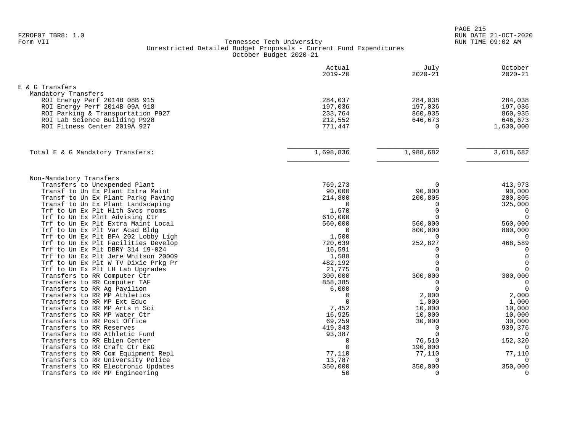| E & G Transfers<br>Mandatory Transfers<br>ROI Energy Perf 2014B 08B 915<br>284,037<br>284,038<br>ROI Energy Perf 2014B 09A 918<br>197,036<br>197,036<br>ROI Parking & Transportation P927<br>233,764<br>860,935<br>212,552<br>ROI Lab Science Building P928<br>646,673<br>ROI Fitness Center 2019A 927<br>771,447<br>$\Omega$<br>3,618,682<br>1,698,836<br>1,988,682<br>Total E & G Mandatory Transfers:<br>Non-Mandatory Transfers<br>769,273<br>Transfers to Unexpended Plant<br>$\Omega$<br>Transf to Un Ex Plant Extra Maint<br>90,000<br>90,000 | October<br>$2020 - 21$     |
|------------------------------------------------------------------------------------------------------------------------------------------------------------------------------------------------------------------------------------------------------------------------------------------------------------------------------------------------------------------------------------------------------------------------------------------------------------------------------------------------------------------------------------------------------|----------------------------|
|                                                                                                                                                                                                                                                                                                                                                                                                                                                                                                                                                      |                            |
|                                                                                                                                                                                                                                                                                                                                                                                                                                                                                                                                                      |                            |
|                                                                                                                                                                                                                                                                                                                                                                                                                                                                                                                                                      | 284,038                    |
|                                                                                                                                                                                                                                                                                                                                                                                                                                                                                                                                                      | 197,036                    |
|                                                                                                                                                                                                                                                                                                                                                                                                                                                                                                                                                      | 860,935                    |
|                                                                                                                                                                                                                                                                                                                                                                                                                                                                                                                                                      | 646,673                    |
|                                                                                                                                                                                                                                                                                                                                                                                                                                                                                                                                                      | 1,630,000                  |
|                                                                                                                                                                                                                                                                                                                                                                                                                                                                                                                                                      |                            |
|                                                                                                                                                                                                                                                                                                                                                                                                                                                                                                                                                      |                            |
|                                                                                                                                                                                                                                                                                                                                                                                                                                                                                                                                                      |                            |
|                                                                                                                                                                                                                                                                                                                                                                                                                                                                                                                                                      | 413,973                    |
|                                                                                                                                                                                                                                                                                                                                                                                                                                                                                                                                                      | 90,000                     |
| 200,805<br>Transf to Un Ex Plant Parkg Paving<br>214,800                                                                                                                                                                                                                                                                                                                                                                                                                                                                                             | 200,805                    |
| Transf to Un Ex Plant Landscaping<br>$\mathbf 0$<br>$\Omega$                                                                                                                                                                                                                                                                                                                                                                                                                                                                                         | 325,000                    |
| Trf to Un Ex Plt Hlth Svcs rooms<br>1,570<br>$\Omega$                                                                                                                                                                                                                                                                                                                                                                                                                                                                                                | $\overline{0}$             |
| Trf to Un Ex Plnt Advising Ctr<br>610,000<br>$\Omega$                                                                                                                                                                                                                                                                                                                                                                                                                                                                                                | $\overline{0}$             |
| 560,000<br>Trf to Un Ex Plt Extra Maint Local<br>560,000                                                                                                                                                                                                                                                                                                                                                                                                                                                                                             | 560,000                    |
| 800,000<br>Trf to Un Ex Plt Var Acad Bldg<br>$\mathbf 0$                                                                                                                                                                                                                                                                                                                                                                                                                                                                                             | 800,000                    |
| Trf to Un Ex Plt BFA 202 Lobby Ligh<br>1,500<br>$\Omega$                                                                                                                                                                                                                                                                                                                                                                                                                                                                                             | $\overline{0}$             |
| Trf to Un Ex Plt Facilities Develop<br>720,639<br>252,827                                                                                                                                                                                                                                                                                                                                                                                                                                                                                            | 468,589                    |
| 16,591<br>Trf to Un Ex Plt DBRY 314 19-024<br>$\Omega$<br>$\Omega$<br>Trf to Un Ex Plt Jere Whitson 20009<br>1,588                                                                                                                                                                                                                                                                                                                                                                                                                                   | $\mathbf 0$<br>$\mathbf 0$ |
| $\Omega$<br>Trf to Un Ex Plt W TV Dixie Prkg Pr<br>482,192                                                                                                                                                                                                                                                                                                                                                                                                                                                                                           | $\Omega$                   |
| $\Omega$<br>Trf to Un Ex Plt LH Lab Upgrades<br>21,775                                                                                                                                                                                                                                                                                                                                                                                                                                                                                               | $\Omega$                   |
| Transfers to RR Computer Ctr<br>300,000<br>300,000                                                                                                                                                                                                                                                                                                                                                                                                                                                                                                   | 300,000                    |
| Transfers to RR Computer TAF<br>858,385<br>$\Omega$                                                                                                                                                                                                                                                                                                                                                                                                                                                                                                  | $\overline{0}$             |
| $\Omega$<br>Transfers to RR Ag Pavilion<br>6,000                                                                                                                                                                                                                                                                                                                                                                                                                                                                                                     | $\Omega$                   |
| Transfers to RR MP Athletics<br>2,000<br>$\Omega$                                                                                                                                                                                                                                                                                                                                                                                                                                                                                                    | 2,000                      |
| $\Omega$<br>Transfers to RR MP Ext Educ<br>1,000                                                                                                                                                                                                                                                                                                                                                                                                                                                                                                     | 1,000                      |
| Transfers to RR MP Arts n Sci<br>7,452<br>10,000                                                                                                                                                                                                                                                                                                                                                                                                                                                                                                     | 10,000                     |
| Transfers to RR MP Water Ctr<br>16,925<br>10,000                                                                                                                                                                                                                                                                                                                                                                                                                                                                                                     | 10,000                     |
| Transfers to RR Post Office<br>69,259<br>30,000                                                                                                                                                                                                                                                                                                                                                                                                                                                                                                      | 30,000                     |
| Transfers to RR Reserves<br>419,343<br>$\Omega$                                                                                                                                                                                                                                                                                                                                                                                                                                                                                                      | 939,376                    |
| $\mathbf 0$<br>Transfers to RR Athletic Fund<br>93,387                                                                                                                                                                                                                                                                                                                                                                                                                                                                                               | $\overline{0}$             |
| Transfers to RR Eblen Center<br>76,510<br>$\Omega$                                                                                                                                                                                                                                                                                                                                                                                                                                                                                                   | 152,320                    |
| $\Omega$<br>Transfers to RR Craft Ctr E&G<br>190,000                                                                                                                                                                                                                                                                                                                                                                                                                                                                                                 | $\mathbf 0$                |
| 77,110<br>Transfers to RR Com Equipment Repl<br>77,110                                                                                                                                                                                                                                                                                                                                                                                                                                                                                               | 77,110                     |
| 13,787<br>Transfers to RR University Police<br>$\Omega$<br>350,000<br>Transfers to RR Electronic Updates<br>350,000                                                                                                                                                                                                                                                                                                                                                                                                                                  | $\Omega$<br>350,000        |
| Transfers to RR MP Engineering<br>50<br>$\Omega$                                                                                                                                                                                                                                                                                                                                                                                                                                                                                                     | $\overline{0}$             |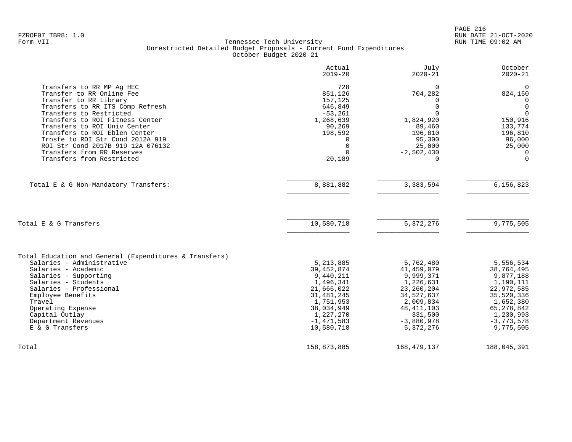|                                                                                                                                                 | Actual<br>$2019 - 20$                             | July<br>$2020 - 21$                         | October<br>$2020 - 21$                                     |
|-------------------------------------------------------------------------------------------------------------------------------------------------|---------------------------------------------------|---------------------------------------------|------------------------------------------------------------|
| Transfers to RR MP Aq HEC<br>Transfer to RR Online Fee<br>Transfer to RR Library<br>Transfers to RR ITS Comp Refresh<br>Transfers to Restricted | 728<br>851,126<br>157,125<br>646,849<br>$-53,261$ | $\Omega$<br>704,282<br>$\Omega$<br>$\Omega$ | $\Omega$<br>824,150<br>$\Omega$<br>$\mathbf 0$<br>$\Omega$ |
| Transfers to ROI Fitness Center<br>Transfers to ROI Univ Center                                                                                 | 1,268,639<br>90,269                               | 1,824,920<br>89,460                         | 150,916<br>133,774                                         |
| Transfers to ROI Eblen Center                                                                                                                   | 198,592                                           | 196,810                                     | 196,810                                                    |
| Trnsfe to ROI Str Cond 2012A 919                                                                                                                | U                                                 | 95,300                                      | 96,000                                                     |
| ROI Str Cond 2017B 919 12A 076132<br>Transfers from RR Reserves                                                                                 | $\mathbf 0$<br>$\Omega$                           | 25,000<br>$-2,502,430$                      | 25,000<br>$\Omega$                                         |
| Transfers from Restricted                                                                                                                       | 20,189                                            | $\Omega$                                    | $\Omega$                                                   |
| Total E & G Non-Mandatory Transfers:                                                                                                            | 8,881,882                                         | 3, 383, 594                                 | 6,156,823                                                  |
| Total E & G Transfers                                                                                                                           | 10,580,718                                        | 5, 372, 276                                 | 9,775,505                                                  |
| Total Education and General (Expenditures & Transfers)                                                                                          |                                                   |                                             |                                                            |
| Salaries - Administrative                                                                                                                       | 5, 213, 885                                       | 5,762,480                                   | 5,556,534                                                  |
| Salaries - Academic<br>Salaries - Supporting                                                                                                    | 39, 452, 874<br>9,440,211                         | 41, 459, 079<br>9,999,371                   | 38,764,495<br>9,877,188                                    |
| Salaries - Students                                                                                                                             | 1,496,341                                         | 1,226,631                                   | 1,190,111                                                  |
| Salaries - Professional                                                                                                                         | 21,666,022                                        | 23, 260, 204                                | 22,972,585                                                 |
| Employee Benefits                                                                                                                               | 31, 481, 245                                      | 34,527,637                                  | 35,520,336                                                 |
| Travel                                                                                                                                          | 1,751,953<br>38,034,949                           | 2,009,834<br>48, 411, 103                   | 1,652,380                                                  |
| Operating Expense<br>Capital Outlay                                                                                                             | 1,227,270                                         | 331,500                                     | 65, 278, 842<br>1,230,993                                  |
| Department Revenues                                                                                                                             | $-1,471,583$                                      | $-3,880,978$                                | $-3,773,578$                                               |
| E & G Transfers                                                                                                                                 | 10,580,718                                        | 5,372,276                                   | 9,775,505                                                  |
| Total                                                                                                                                           | 158,873,885                                       | 168, 479, 137                               | 188,045,391                                                |
|                                                                                                                                                 |                                                   |                                             |                                                            |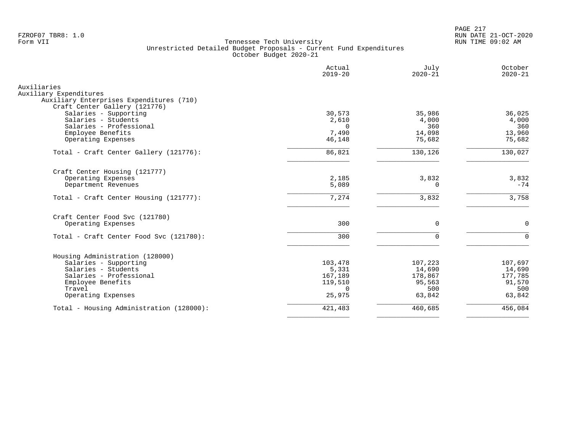PAGE 217 FZROF07 TBR8: 1.0 RUN DATE 21-OCT-2020

|                                                        | Actual<br>$2019 - 20$ | July<br>$2020 - 21$ | October<br>$2020 - 21$ |
|--------------------------------------------------------|-----------------------|---------------------|------------------------|
| Auxiliaries<br>Auxiliary Expenditures                  |                       |                     |                        |
| Auxiliary Enterprises Expenditures (710)               |                       |                     |                        |
| Craft Center Gallery (121776)<br>Salaries - Supporting | 30,573                | 35,986              | 36,025                 |
| Salaries - Students                                    | 2,610                 | 4,000               | 4,000                  |
| Salaries - Professional                                | $\Omega$              | 360                 | 360                    |
| Employee Benefits                                      | 7,490                 | 14,098              | 13,960                 |
| Operating Expenses                                     | 46,148                | 75,682              | 75,682                 |
| Total - Craft Center Gallery (121776):                 | 86,821                | 130,126             | 130,027                |
| Craft Center Housing (121777)                          |                       |                     |                        |
| Operating Expenses                                     | 2,185                 | 3,832               | 3,832                  |
| Department Revenues                                    | 5,089                 | 0                   | $-74$                  |
| Total - Craft Center Housing (121777):                 | 7,274                 | 3,832               | 3,758                  |
| Craft Center Food Svc (121780)                         |                       |                     |                        |
| Operating Expenses                                     | 300                   | $\mathbf 0$         | $\Omega$               |
| Total - Craft Center Food Svc (121780):                | 300                   | $\Omega$            | $\Omega$               |
|                                                        |                       |                     |                        |
| Housing Administration (128000)                        |                       |                     |                        |
| Salaries - Supporting                                  | 103,478               | 107,223             | 107,697                |
| Salaries - Students                                    | 5,331                 | 14,690              | 14,690                 |
| Salaries - Professional                                | 167,189               | 178,867             | 177,785                |
| Employee Benefits                                      | 119,510               | 95,563              | 91,570                 |
| Travel                                                 | $\Omega$              | 500                 | 500<br>63,842          |
| Operating Expenses                                     | 25,975                | 63,842              |                        |
| Total - Housing Administration (128000):               | 421,483               | 460,685             | 456,084                |
|                                                        |                       |                     |                        |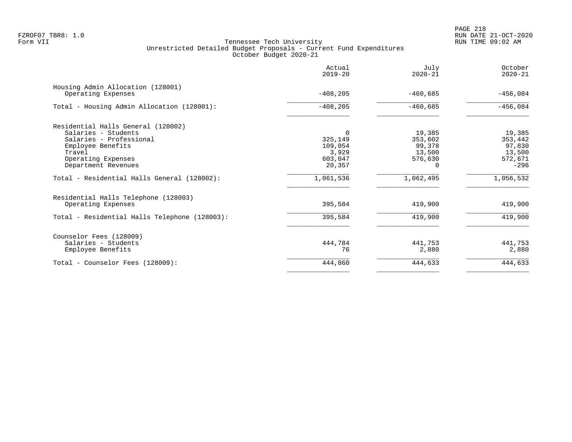|                                                           | Actual<br>$2019 - 20$ | July<br>$2020 - 21$ | October<br>$2020 - 21$ |
|-----------------------------------------------------------|-----------------------|---------------------|------------------------|
| Housing Admin Allocation (128001)<br>Operating Expenses   | $-408, 205$           | $-460,685$          | $-456,084$             |
| Total - Housing Admin Allocation (128001):                | $-408, 205$           | $-460,685$          | $-456,084$             |
| Residential Halls General (128002)<br>Salaries - Students |                       | 19,385              | 19,385                 |
| Salaries - Professional                                   | 325,149               | 353,602             | 353,442                |
| Employee Benefits                                         | 109,054               | 99,378              | 97,830                 |
| Travel                                                    | 3,929                 | 13,500              | 13,500                 |
| Operating Expenses                                        | 603,047               | 576,630             | 572,671                |
| Department Revenues                                       | 20,357                | $\Omega$            | $-296$                 |
| Total - Residential Halls General (128002):               | 1,061,536             | 1,062,495           | 1,056,532              |
| Residential Halls Telephone (128003)                      |                       |                     |                        |
| Operating Expenses                                        | 395,584               | 419,900             | 419,900                |
| Total - Residential Halls Telephone (128003):             | 395,584               | 419,900             | 419,900                |
| Counselor Fees (128009)                                   |                       |                     |                        |
| Salaries - Students                                       | 444,784               | 441,753             | 441,753                |
| Employee Benefits                                         | 76                    | 2,880               | 2,880                  |
| Total - Counselor Fees (128009):                          | 444,860               | 444,633             | 444,633                |
|                                                           |                       |                     |                        |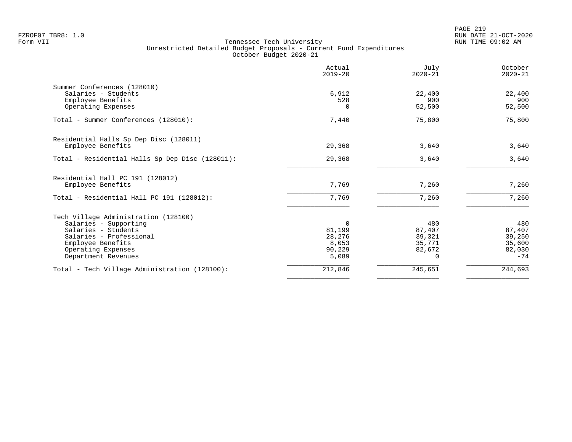PAGE 219 FZROF07 TBR8: 1.0 RUN DATE 21-OCT-2020

|                                                 | Actual<br>$2019 - 20$ | July<br>$2020 - 21$ | October<br>$2020 - 21$ |
|-------------------------------------------------|-----------------------|---------------------|------------------------|
| Summer Conferences (128010)                     |                       |                     |                        |
| Salaries - Students                             | 6,912                 | 22,400              | 22,400                 |
| Employee Benefits                               | 528                   | 900                 | 900                    |
| Operating Expenses                              | 0                     | 52,500              | 52,500                 |
| Total - Summer Conferences (128010):            | 7,440                 | 75,800              | 75,800                 |
| Residential Halls Sp Dep Disc (128011)          |                       |                     |                        |
| Employee Benefits                               | 29,368                | 3,640               | 3,640                  |
| Total - Residential Halls Sp Dep Disc (128011): | 29,368                | 3,640               | 3,640                  |
| Residential Hall PC 191 (128012)                |                       |                     |                        |
| Employee Benefits                               | 7,769                 | 7,260               | 7,260                  |
| Total - Residential Hall PC 191 (128012):       | 7,769                 | 7,260               | 7,260                  |
| Tech Village Administration (128100)            |                       |                     |                        |
| Salaries - Supporting                           | $\Omega$              | 480                 | 480                    |
| Salaries - Students                             | 81,199                | 87,407              | 87,407                 |
| Salaries - Professional                         | 28,276                | 39,321              | 39,250                 |
| Employee Benefits                               | 8,053                 | 35,771              | 35,600                 |
| Operating Expenses                              | 90,229                | 82,672              | 82,030                 |
| Department Revenues                             | 5,089                 | O                   | $-74$                  |
| Total - Tech Village Administration (128100):   | 212,846               | 245,651             | 244,693                |
|                                                 |                       |                     |                        |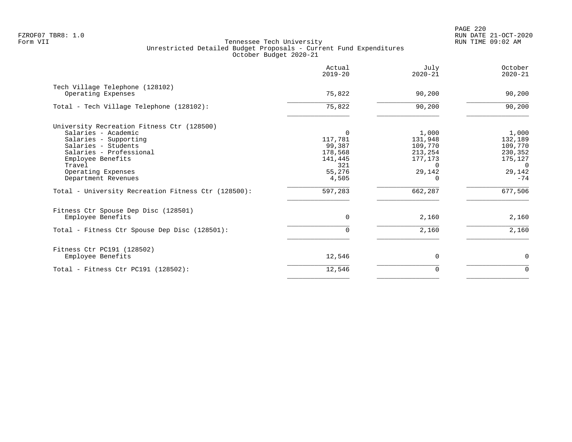|                                                     | Actual<br>$2019 - 20$ | July<br>$2020 - 21$ | October<br>$2020 - 21$ |
|-----------------------------------------------------|-----------------------|---------------------|------------------------|
| Tech Village Telephone (128102)                     |                       |                     |                        |
| Operating Expenses                                  | 75,822                | 90,200              | 90,200                 |
| Total - Tech Village Telephone (128102):            | 75,822                | 90,200              | 90,200                 |
| University Recreation Fitness Ctr (128500)          |                       |                     |                        |
| Salaries - Academic                                 | $\Omega$              | 1,000               | 1,000                  |
| Salaries - Supporting                               | 117,781               | 131,948             | 132,189                |
| Salaries - Students                                 | 99,387                | 109,770             | 109,770                |
| Salaries - Professional                             | 178,568               | 213,254             | 230,352                |
| Employee Benefits                                   | 141,445               | 177,173             | 175,127                |
| Travel                                              | 321                   | <sup>n</sup>        | $\Omega$               |
| Operating Expenses                                  | 55,276                | 29,142              | 29,142                 |
| Department Revenues                                 | 4,505                 | $\Omega$            | $-74$                  |
| Total - University Recreation Fitness Ctr (128500): | 597,283               | 662,287             | 677,506                |
| Fitness Ctr Spouse Dep Disc (128501)                |                       |                     |                        |
| Employee Benefits                                   | 0                     | 2,160               | 2,160                  |
| Total - Fitness Ctr Spouse Dep Disc (128501):       | $\Omega$              | 2,160               | 2,160                  |
| Fitness Ctr PC191 (128502)                          |                       |                     |                        |
| Employee Benefits                                   | 12,546                | 0                   | $\mathbf 0$            |
| Total - Fitness Ctr PC191 $(128502)$ :              | 12,546                | 0                   | $\mathbf 0$            |
|                                                     |                       |                     |                        |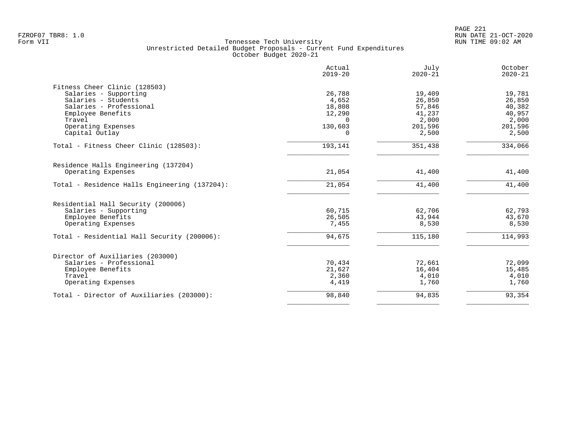| Actual<br>$2019 - 20$ | July<br>$2020 - 21$                                              | October<br>$2020 - 21$                                                               |
|-----------------------|------------------------------------------------------------------|--------------------------------------------------------------------------------------|
|                       |                                                                  |                                                                                      |
|                       |                                                                  | 19,781                                                                               |
|                       |                                                                  | 26,850                                                                               |
|                       |                                                                  | 40,382                                                                               |
|                       |                                                                  | 40,957                                                                               |
| $\Omega$              |                                                                  | 2,000                                                                                |
| 130,603               | 201,596                                                          | 201,596                                                                              |
| $\Omega$              | 2,500                                                            | 2,500                                                                                |
| 193,141               | 351,438                                                          | 334,066                                                                              |
|                       |                                                                  |                                                                                      |
| 21,054                | 41,400                                                           | 41,400                                                                               |
| 21,054                | 41,400                                                           | 41,400                                                                               |
|                       |                                                                  |                                                                                      |
|                       |                                                                  | 62,793                                                                               |
|                       |                                                                  | 43,670                                                                               |
| 7,455                 | 8,530                                                            | 8,530                                                                                |
| 94,675                | 115,180                                                          | 114,993                                                                              |
|                       |                                                                  |                                                                                      |
| 70,434                | 72,661                                                           | 72,099                                                                               |
| 21,627                | 16,404                                                           | 15,485                                                                               |
|                       |                                                                  | 4,010                                                                                |
| 4,419                 | 1,760                                                            | 1,760                                                                                |
| 98,840                |                                                                  | 93,354                                                                               |
|                       | 26,788<br>4,652<br>18,808<br>12,290<br>60,715<br>26,505<br>2,360 | 19,409<br>26,850<br>57,846<br>41,237<br>2,000<br>62,706<br>43,944<br>4,010<br>94,835 |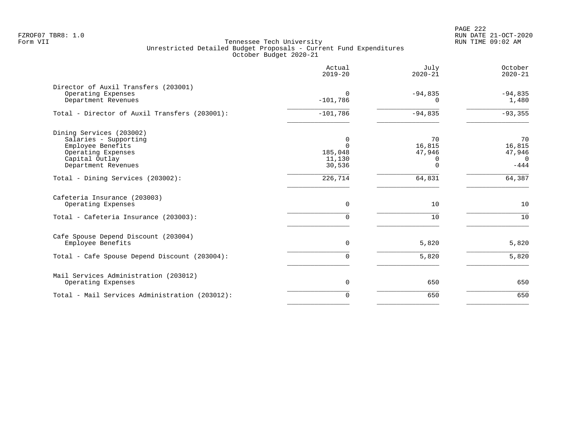PAGE 222 FZROF07 TBR8: 1.0 RUN DATE 21-OCT-2020

|                                                                                                                                       | Actual<br>$2019 - 20$                        | July<br>$2020 - 21$                     | October<br>$2020 - 21$                       |
|---------------------------------------------------------------------------------------------------------------------------------------|----------------------------------------------|-----------------------------------------|----------------------------------------------|
| Director of Auxil Transfers (203001)<br>Operating Expenses<br>Department Revenues                                                     | $\Omega$<br>$-101,786$                       | $-94,835$<br>n                          | $-94,835$<br>1,480                           |
| Total - Director of Auxil Transfers (203001):                                                                                         | $-101,786$                                   | $-94,835$                               | $-93, 355$                                   |
| Dining Services (203002)<br>Salaries - Supporting<br>Employee Benefits<br>Operating Expenses<br>Capital Outlay<br>Department Revenues | 0<br>$\Omega$<br>185,048<br>11,130<br>30,536 | 70<br>16,815<br>47,946<br>O<br>$\Omega$ | 70<br>16,815<br>47,946<br>$\Omega$<br>$-444$ |
| Total - Dining Services (203002):                                                                                                     | 226,714                                      | 64,831                                  | 64,387                                       |
| Cafeteria Insurance (203003)<br>Operating Expenses<br>Total - Cafeteria Insurance (203003):                                           | $\Omega$<br>0                                | 10<br>10                                | 10<br>10                                     |
| Cafe Spouse Depend Discount (203004)<br>Employee Benefits                                                                             | $\mathbf 0$                                  | 5,820                                   | 5,820                                        |
| Total - Cafe Spouse Depend Discount (203004):                                                                                         | 0                                            | 5,820                                   | 5,820                                        |
| Mail Services Administration (203012)<br>Operating Expenses                                                                           | $\mathbf 0$                                  | 650                                     | 650                                          |
| Total - Mail Services Administration (203012):                                                                                        | $\Omega$                                     | 650                                     | 650                                          |
|                                                                                                                                       |                                              |                                         |                                              |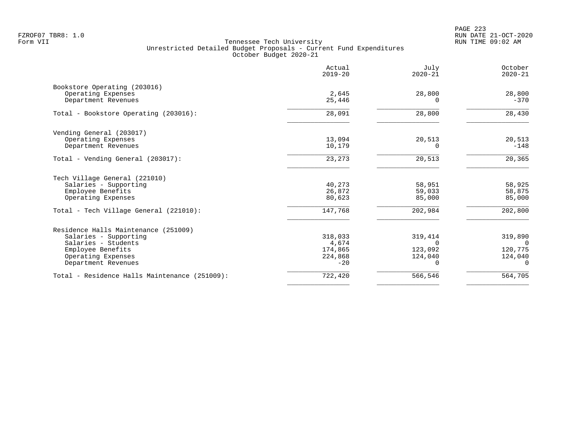PAGE 223 FZROF07 TBR8: 1.0 RUN DATE 21-OCT-2020

|                                               | Actual<br>$2019 - 20$ | July<br>$2020 - 21$ | October<br>$2020 - 21$ |
|-----------------------------------------------|-----------------------|---------------------|------------------------|
| Bookstore Operating (203016)                  |                       |                     |                        |
| Operating Expenses                            | 2,645                 | 28,800              | 28,800                 |
| Department Revenues                           | 25,446                | 0                   | $-370$                 |
| Total - Bookstore Operating (203016):         | 28,091                | 28,800              | 28,430                 |
| Vending General (203017)                      |                       |                     |                        |
| Operating Expenses                            | 13,094                | 20,513              | 20,513                 |
| Department Revenues                           | 10,179                | 0                   | $-148$                 |
| Total - Vending General (203017):             | 23,273                | 20,513              | 20,365                 |
| Tech Village General (221010)                 |                       |                     |                        |
| Salaries - Supporting                         | 40,273                | 58,951              | 58,925                 |
| Employee Benefits                             | 26,872                | 59,033              | 58,875                 |
| Operating Expenses                            | 80,623                | 85,000              | 85,000                 |
| Total - Tech Village General (221010):        | 147,768               | 202,984             | 202,800                |
| Residence Halls Maintenance (251009)          |                       |                     |                        |
| Salaries - Supporting                         | 318,033               | 319,414             | 319,890                |
| Salaries - Students                           | 4,674                 | $\Omega$            | $\Omega$               |
| Employee Benefits                             | 174,865               | 123,092             | 120,775                |
| Operating Expenses                            | 224,868               | 124,040             | 124,040                |
| Department Revenues                           | $-20$                 | 0                   | $\Omega$               |
| Total - Residence Halls Maintenance (251009): | 722,420               | 566,546             | 564,705                |
|                                               |                       |                     |                        |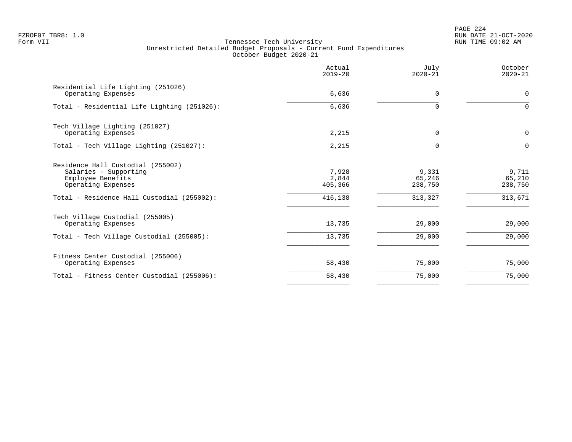# PAGE 224 FZROF07 TBR8: 1.0 RUN DATE 21-OCT-2020

|                                                                                                                                                     | Actual<br>$2019 - 20$                | July<br>$2020 - 21$                   | October<br>$2020 - 21$                |
|-----------------------------------------------------------------------------------------------------------------------------------------------------|--------------------------------------|---------------------------------------|---------------------------------------|
| Residential Life Lighting (251026)<br>Operating Expenses                                                                                            | 6,636                                | $\Omega$                              | $\mathbf 0$                           |
| Total - Residential Life Lighting (251026):                                                                                                         | 6,636                                | U                                     | $\Omega$                              |
| Tech Village Lighting (251027)<br>Operating Expenses                                                                                                | 2,215                                | 0                                     | $\mathbf 0$                           |
| Total - Tech Village Lighting (251027):                                                                                                             | 2,215                                | $\Omega$                              | $\Omega$                              |
| Residence Hall Custodial (255002)<br>Salaries - Supporting<br>Employee Benefits<br>Operating Expenses<br>Total - Residence Hall Custodial (255002): | 7,928<br>2,844<br>405,366<br>416,138 | 9,331<br>65,246<br>238,750<br>313,327 | 9,711<br>65,210<br>238,750<br>313,671 |
| Tech Village Custodial (255005)<br>Operating Expenses                                                                                               | 13,735                               | 29,000                                | 29,000                                |
| Total - Tech Village Custodial (255005):                                                                                                            | 13,735                               | 29,000                                | 29,000                                |
| Fitness Center Custodial (255006)<br>Operating Expenses                                                                                             | 58,430                               | 75,000                                | 75,000                                |
| Total - Fitness Center Custodial (255006):                                                                                                          | 58,430                               | 75,000                                | 75,000                                |
|                                                                                                                                                     |                                      |                                       |                                       |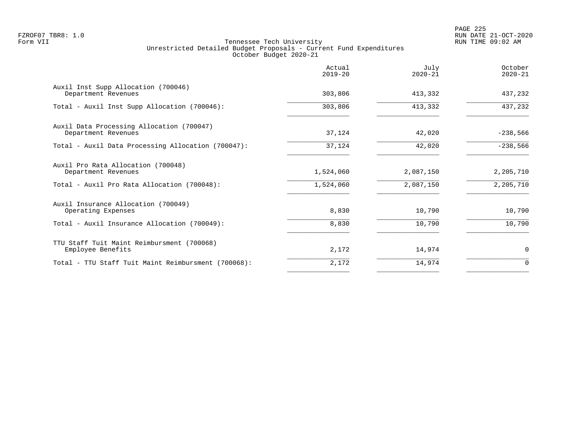PAGE 225 FZROF07 TBR8: 1.0 RUN DATE 21-OCT-2020

|                                                                  | Actual<br>$2019 - 20$ | July<br>$2020 - 21$ | October<br>$2020 - 21$ |
|------------------------------------------------------------------|-----------------------|---------------------|------------------------|
| Auxil Inst Supp Allocation (700046)<br>Department Revenues       | 303,806               | 413,332             | 437,232                |
| Total - Auxil Inst Supp Allocation (700046):                     | 303,806               | 413,332             | 437,232                |
| Auxil Data Processing Allocation (700047)<br>Department Revenues | 37,124                | 42,020              | $-238,566$             |
| Total - Auxil Data Processing Allocation (700047):               | 37,124                | 42,020              | $-238,566$             |
| Auxil Pro Rata Allocation (700048)<br>Department Revenues        | 1,524,060             | 2,087,150           | 2,205,710              |
| Total - Auxil Pro Rata Allocation (700048):                      | 1,524,060             | 2,087,150           | 2,205,710              |
| Auxil Insurance Allocation (700049)<br>Operating Expenses        | 8,830                 | 10,790              | 10,790                 |
| Total - Auxil Insurance Allocation (700049):                     | 8,830                 | 10,790              | 10,790                 |
| TTU Staff Tuit Maint Reimbursment (700068)<br>Employee Benefits  | 2,172                 | 14,974              | 0                      |
| Total - TTU Staff Tuit Maint Reimbursment (700068):              | 2,172                 | 14,974              | $\Omega$               |
|                                                                  |                       |                     |                        |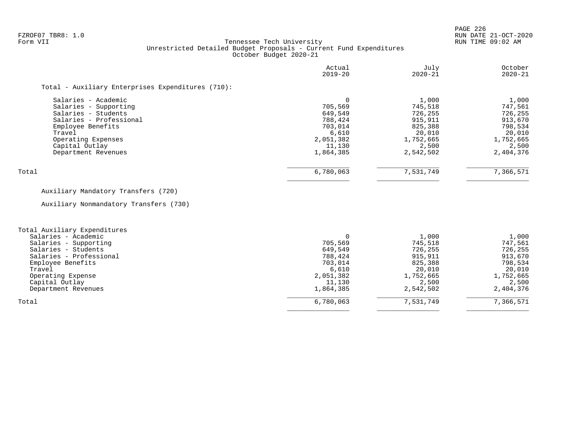PAGE 226 FZROF07 TBR8: 1.0 RUN DATE 21-OCT-2020

|                                                                                                                                                                                              | Actual<br>$2019 - 20$                                                                 | July<br>$2020 - 21$                                                                            | October<br>$2020 - 21$                                                                         |
|----------------------------------------------------------------------------------------------------------------------------------------------------------------------------------------------|---------------------------------------------------------------------------------------|------------------------------------------------------------------------------------------------|------------------------------------------------------------------------------------------------|
| Total - Auxiliary Enterprises Expenditures (710):                                                                                                                                            |                                                                                       |                                                                                                |                                                                                                |
| Salaries - Academic<br>Salaries - Supporting<br>Salaries - Students<br>Salaries - Professional<br>Employee Benefits<br>Travel<br>Operating Expenses<br>Capital Outlay<br>Department Revenues | 705,569<br>649,549<br>788,424<br>703,014<br>6,610<br>2,051,382<br>11,130<br>1,864,385 | 1,000<br>745,518<br>726,255<br>915,911<br>825,388<br>20,010<br>1,752,665<br>2,500<br>2,542,502 | 1,000<br>747,561<br>726,255<br>913,670<br>798,534<br>20,010<br>1,752,665<br>2,500<br>2,404,376 |
| Total                                                                                                                                                                                        | 6,780,063                                                                             | 7,531,749                                                                                      | 7,366,571                                                                                      |
| Auxiliary Mandatory Transfers (720)                                                                                                                                                          |                                                                                       |                                                                                                |                                                                                                |
| Auxiliary Nonmandatory Transfers (730)                                                                                                                                                       |                                                                                       |                                                                                                |                                                                                                |

| Total Auxiliary Expenditures |           |           |           |
|------------------------------|-----------|-----------|-----------|
| Salaries - Academic          |           | 1,000     | 1,000     |
| Salaries - Supporting        | 705,569   | 745,518   | 747,561   |
| Salaries - Students          | 649,549   | 726,255   | 726,255   |
| Salaries - Professional      | 788,424   | 915,911   | 913,670   |
| Employee Benefits            | 703,014   | 825,388   | 798,534   |
| Travel                       | 6,610     | 20,010    | 20,010    |
| Operating Expense            | 2,051,382 | 1,752,665 | 1,752,665 |
| Capital Outlay               | 11,130    | 2,500     | 2,500     |
| Department Revenues          | 1,864,385 | 2,542,502 | 2,404,376 |
| Total                        | 6,780,063 | 7,531,749 | 7,366,571 |
|                              |           |           |           |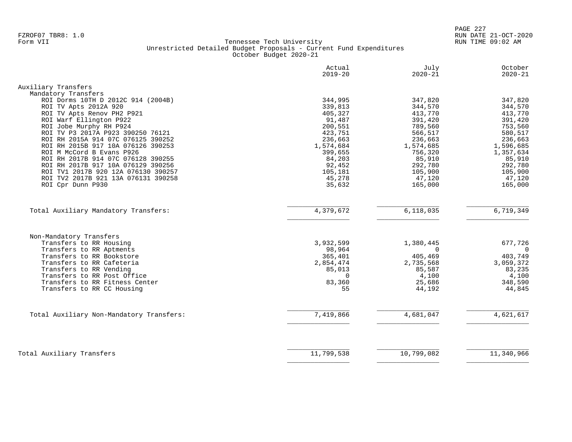PAGE 227 FZROF07 TBR8: 1.0 RUN DATE 21-OCT-2020

|                                                                                                                                                                                                    | Actual                                                            | July                                                             | October                                                 |
|----------------------------------------------------------------------------------------------------------------------------------------------------------------------------------------------------|-------------------------------------------------------------------|------------------------------------------------------------------|---------------------------------------------------------|
|                                                                                                                                                                                                    | $2019 - 20$                                                       | $2020 - 21$                                                      | $2020 - 21$                                             |
| Auxiliary Transfers                                                                                                                                                                                |                                                                   |                                                                  |                                                         |
| Mandatory Transfers                                                                                                                                                                                |                                                                   |                                                                  |                                                         |
| ROI Dorms 10TH D 2012C 914 (2004B)                                                                                                                                                                 | 344,995                                                           | 347,820                                                          | 347,820                                                 |
| ROI TV Apts 2012A 920                                                                                                                                                                              | 339,813                                                           | 344,570                                                          | 344,570                                                 |
| ROI TV Apts Renov PH2 P921                                                                                                                                                                         | 405,327                                                           | 413,770                                                          | 413,770                                                 |
| ROI Warf Ellington P922                                                                                                                                                                            | 91,487                                                            | 391,420                                                          | 391,420                                                 |
| ROI Jobe Murphy RH P924                                                                                                                                                                            | 200,551                                                           | 789,560                                                          | 753,560                                                 |
| ROI TV P3 2017A P923 390250 76121                                                                                                                                                                  | 423,751                                                           | 566,517                                                          | 580,517                                                 |
| ROI RH 2015A 914 07C 076125 390252                                                                                                                                                                 | 236,663                                                           | 236,663                                                          | 236,663                                                 |
| ROI RH 2015B 917 10A 076126 390253                                                                                                                                                                 | 1,574,684                                                         | 1,574,685                                                        | 1,596,685                                               |
| ROI M McCord B Evans P926                                                                                                                                                                          | 399,655                                                           | 756,320                                                          | 1,357,634                                               |
| ROI RH 2017B 914 07C 076128 390255                                                                                                                                                                 | 84,203                                                            | 85,910                                                           | 85,910                                                  |
| ROI RH 2017B 917 10A 076129 390256                                                                                                                                                                 | 92,452                                                            | 292,780                                                          | 292,780                                                 |
| ROI TV1 2017B 920 12A 076130 390257                                                                                                                                                                | 105,181                                                           | 105,900                                                          | 105,900                                                 |
| ROI TV2 2017B 921 13A 076131 390258                                                                                                                                                                | 45,278                                                            | 47,120                                                           | 47,120                                                  |
| ROI Cpr Dunn P930                                                                                                                                                                                  | 35,632                                                            | 165,000                                                          | 165,000                                                 |
|                                                                                                                                                                                                    |                                                                   |                                                                  |                                                         |
| Total Auxiliary Mandatory Transfers:                                                                                                                                                               | 4,379,672                                                         | 6,118,035                                                        | 6,719,349                                               |
| Non-Mandatory Transfers<br>Transfers to RR Housing<br>Transfers to RR Aptments<br>Transfers to RR Bookstore<br>Transfers to RR Cafeteria<br>Transfers to RR Vending<br>Transfers to RR Post Office | 3,932,599<br>98,964<br>365,401<br>2,854,474<br>85,013<br>$\Omega$ | 1,380,445<br>$\Omega$<br>405,469<br>2,735,568<br>85,587<br>4,100 | 677,726<br>0<br>403,749<br>3,059,372<br>83,235<br>4,100 |
| Transfers to RR Fitness Center                                                                                                                                                                     | 83,360                                                            | 25,686                                                           | 348,590                                                 |
| Transfers to RR CC Housing                                                                                                                                                                         | 55                                                                | 44,192                                                           | 44,845                                                  |
| Total Auxiliary Non-Mandatory Transfers:                                                                                                                                                           | 7,419,866                                                         | 4,681,047                                                        | 4,621,617                                               |
|                                                                                                                                                                                                    |                                                                   |                                                                  |                                                         |
| Total Auxiliary Transfers                                                                                                                                                                          | 11,799,538                                                        | 10,799,082                                                       | 11,340,966                                              |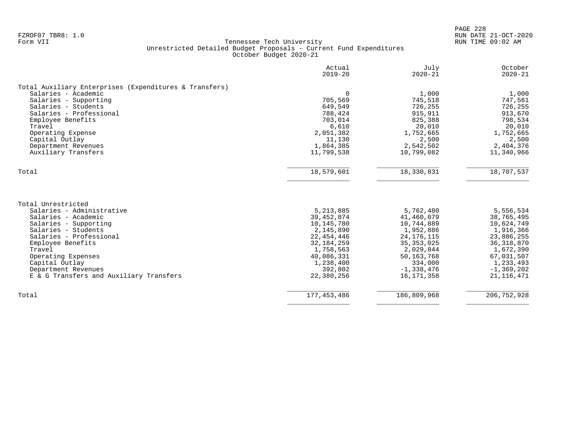|                                                        | Actual<br>$2019 - 20$ | July<br>$2020 - 21$ | October<br>$2020 - 21$ |
|--------------------------------------------------------|-----------------------|---------------------|------------------------|
| Total Auxiliary Enterprises (Expenditures & Transfers) |                       |                     |                        |
| Salaries - Academic                                    | $\Omega$              | 1,000               | 1,000                  |
| Salaries - Supporting                                  | 705,569               | 745,518             | 747,561                |
| Salaries - Students                                    | 649,549               | 726,255             | 726,255                |
| Salaries - Professional                                | 788,424               | 915,911             | 913,670                |
| Employee Benefits                                      | 703,014               | 825,388             | 798,534                |
| Travel                                                 | 6,610                 | 20,010              | 20,010                 |
| Operating Expense                                      | 2,051,382             | 1,752,665           | 1,752,665              |
| Capital Outlay                                         | 11,130                | 2,500               | 2,500                  |
| Department Revenues                                    | 1,864,385             | 2,542,502           | 2,404,376              |
| Auxiliary Transfers                                    | 11,799,538            | 10,799,082          | 11,340,966             |
| Total                                                  | 18,579,601            | 18,330,831          | 18,707,537             |
|                                                        |                       |                     |                        |
| Total Unrestricted                                     |                       |                     |                        |
| Salaries - Administrative                              | 5, 213, 885           | 5,762,480           | 5,556,534              |
| Salaries - Academic                                    | 39,452,874            | 41,460,079          | 38,765,495             |
| Salaries - Supporting                                  | 10,145,780            | 10,744,889          | 10,624,749             |
| Salaries - Students                                    | 2,145,890             | 1,952,886           | 1,916,366              |
| Salaries - Professional                                | 22, 454, 446          | 24, 176, 115        | 23,886,255             |
| Employee Benefits                                      | 32, 184, 259          | 35, 353, 025        | 36, 318, 870           |
| Travel                                                 | 1,758,563             | 2,029,844           | 1,672,390              |
| Operating Expenses                                     | 40,086,331            | 50, 163, 768        | 67,031,507             |
| Capital Outlay                                         | 1,238,400             | 334,000             | 1,233,493              |
| Department Revenues                                    | 392,802               | $-1,338,476$        | $-1, 369, 202$         |
| E & G Transfers and Auxiliary Transfers                | 22,380,256            | 16, 171, 358        | 21, 116, 471           |
| Total                                                  | 177, 453, 486         | 186,809,968         | 206, 752, 928          |
|                                                        |                       |                     |                        |